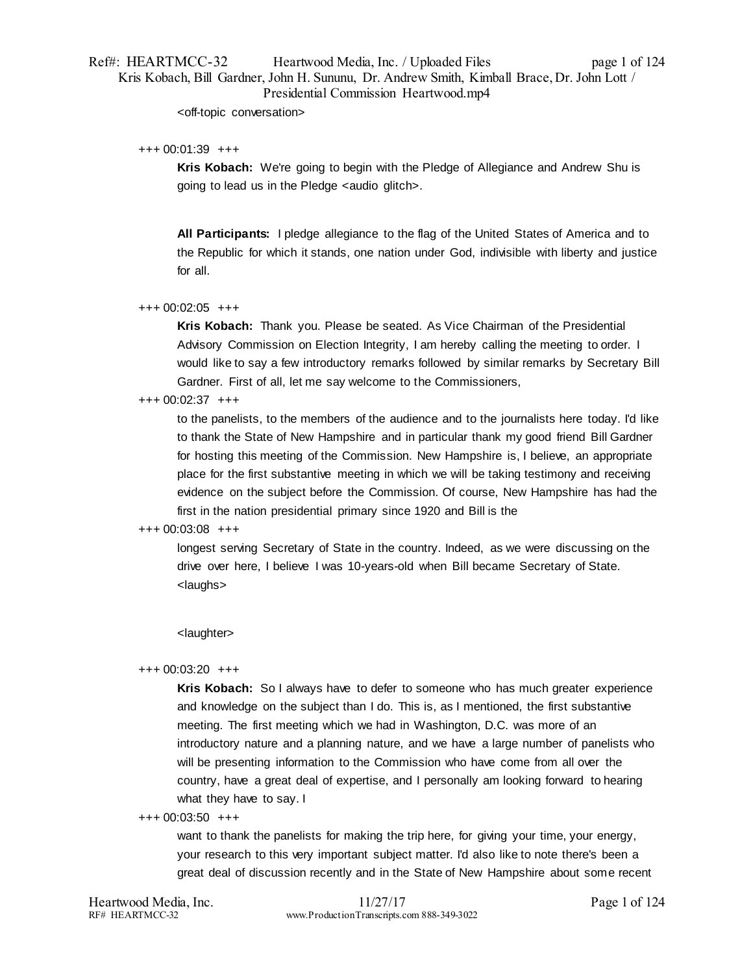# Ref#: HEARTMCC-32 Heartwood Media, Inc. / Uploaded Files page 1 of 124 Kris Kobach, Bill Gardner, John H. Sununu, Dr. Andrew Smith, Kimball Brace, Dr. John Lott / Presidential Commission Heartwood.mp4

<off-topic conversation>

### +++ 00:01:39 +++

**Kris Kobach:** We're going to begin with the Pledge of Allegiance and Andrew Shu is going to lead us in the Pledge <audio glitch>.

**All Participants:** I pledge allegiance to the flag of the United States of America and to the Republic for which it stands, one nation under God, indivisible with liberty and justice for all.

### +++ 00:02:05 +++

**Kris Kobach:** Thank you. Please be seated. As Vice Chairman of the Presidential Advisory Commission on Election Integrity, I am hereby calling the meeting to order. I would like to say a few introductory remarks followed by similar remarks by Secretary Bill Gardner. First of all, let me say welcome to the Commissioners,

### +++ 00:02:37 +++

to the panelists, to the members of the audience and to the journalists here today. I'd like to thank the State of New Hampshire and in particular thank my good friend Bill Gardner for hosting this meeting of the Commission. New Hampshire is, I believe, an appropriate place for the first substantive meeting in which we will be taking testimony and receiving evidence on the subject before the Commission. Of course, New Hampshire has had the first in the nation presidential primary since 1920 and Bill is the

# +++ 00:03:08 +++

longest serving Secretary of State in the country. Indeed, as we were discussing on the drive over here, I believe I was 10-years-old when Bill became Secretary of State. <laughs>

# <laughter>

### +++ 00:03:20 +++

**Kris Kobach:** So I always have to defer to someone who has much greater experience and knowledge on the subject than I do. This is, as I mentioned, the first substantive meeting. The first meeting which we had in Washington, D.C. was more of an introductory nature and a planning nature, and we have a large number of panelists who will be presenting information to the Commission who have come from all over the country, have a great deal of expertise, and I personally am looking forward to hearing what they have to say. I

### +++ 00:03:50 +++

want to thank the panelists for making the trip here, for giving your time, your energy, your research to this very important subject matter. I'd also like to note there's been a great deal of discussion recently and in the State of New Hampshire about some recent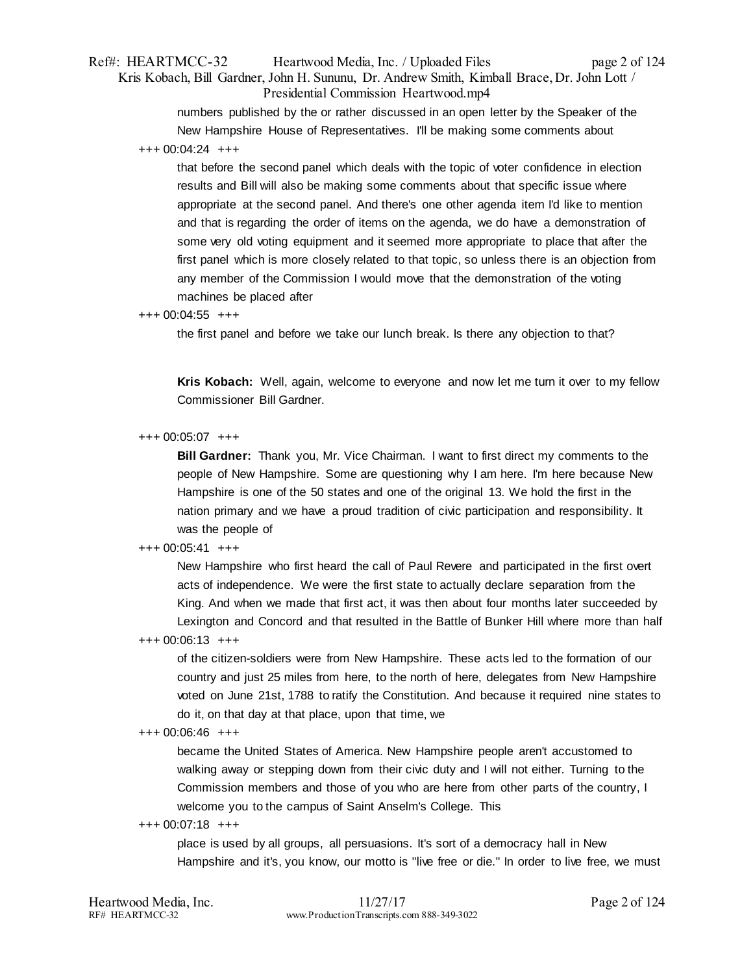# Ref#: HEARTMCC-32 Heartwood Media, Inc. / Uploaded Files page 2 of 124 Kris Kobach, Bill Gardner, John H. Sununu, Dr. Andrew Smith, Kimball Brace, Dr. John Lott / Presidential Commission Heartwood.mp4

numbers published by the or rather discussed in an open letter by the Speaker of the New Hampshire House of Representatives. I'll be making some comments about

+++ 00:04:24 +++

that before the second panel which deals with the topic of voter confidence in election results and Bill will also be making some comments about that specific issue where appropriate at the second panel. And there's one other agenda item I'd like to mention and that is regarding the order of items on the agenda, we do have a demonstration of some very old voting equipment and it seemed more appropriate to place that after the first panel which is more closely related to that topic, so unless there is an objection from any member of the Commission I would move that the demonstration of the voting machines be placed after

### +++ 00:04:55 +++

the first panel and before we take our lunch break. Is there any objection to that?

**Kris Kobach:** Well, again, welcome to everyone and now let me turn it over to my fellow Commissioner Bill Gardner.

### +++ 00:05:07 +++

**Bill Gardner:** Thank you, Mr. Vice Chairman. I want to first direct my comments to the people of New Hampshire. Some are questioning why I am here. I'm here because New Hampshire is one of the 50 states and one of the original 13. We hold the first in the nation primary and we have a proud tradition of civic participation and responsibility. It was the people of

# +++ 00:05:41 +++

New Hampshire who first heard the call of Paul Revere and participated in the first overt acts of independence. We were the first state to actually declare separation from the King. And when we made that first act, it was then about four months later succeeded by Lexington and Concord and that resulted in the Battle of Bunker Hill where more than half

### +++ 00:06:13 +++

of the citizen-soldiers were from New Hampshire. These acts led to the formation of our country and just 25 miles from here, to the north of here, delegates from New Hampshire voted on June 21st, 1788 to ratify the Constitution. And because it required nine states to do it, on that day at that place, upon that time, we

### +++ 00:06:46 +++

became the United States of America. New Hampshire people aren't accustomed to walking away or stepping down from their civic duty and I will not either. Turning to the Commission members and those of you who are here from other parts of the country, I welcome you to the campus of Saint Anselm's College. This

### +++ 00:07:18 +++

place is used by all groups, all persuasions. It's sort of a democracy hall in New Hampshire and it's, you know, our motto is "live free or die." In order to live free, we must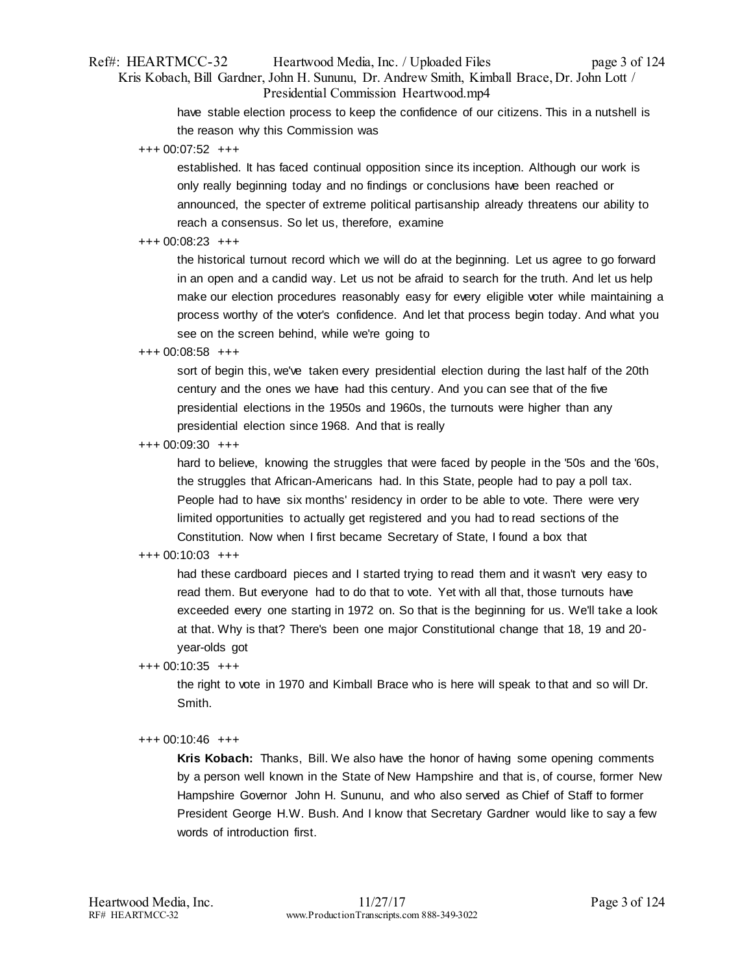# Ref#: HEARTMCC-32 Heartwood Media, Inc. / Uploaded Files page 3 of 124 Kris Kobach, Bill Gardner, John H. Sununu, Dr. Andrew Smith, Kimball Brace, Dr. John Lott / Presidential Commission Heartwood.mp4

have stable election process to keep the confidence of our citizens. This in a nutshell is the reason why this Commission was

+++ 00:07:52 +++

established. It has faced continual opposition since its inception. Although our work is only really beginning today and no findings or conclusions have been reached or announced, the specter of extreme political partisanship already threatens our ability to reach a consensus. So let us, therefore, examine

# +++ 00:08:23 +++

the historical turnout record which we will do at the beginning. Let us agree to go forward in an open and a candid way. Let us not be afraid to search for the truth. And let us help make our election procedures reasonably easy for every eligible voter while maintaining a process worthy of the voter's confidence. And let that process begin today. And what you see on the screen behind, while we're going to

### +++ 00:08:58 +++

sort of begin this, we've taken every presidential election during the last half of the 20th century and the ones we have had this century. And you can see that of the five presidential elections in the 1950s and 1960s, the turnouts were higher than any presidential election since 1968. And that is really

+++ 00:09:30 +++

hard to believe, knowing the struggles that were faced by people in the '50s and the '60s, the struggles that African-Americans had. In this State, people had to pay a poll tax. People had to have six months' residency in order to be able to vote. There were very limited opportunities to actually get registered and you had to read sections of the Constitution. Now when I first became Secretary of State, I found a box that

# +++ 00:10:03 +++

had these cardboard pieces and I started trying to read them and it wasn't very easy to read them. But everyone had to do that to vote. Yet with all that, those turnouts have exceeded every one starting in 1972 on. So that is the beginning for us. We'll take a look at that. Why is that? There's been one major Constitutional change that 18, 19 and 20 year-olds got

# +++ 00:10:35 +++

the right to vote in 1970 and Kimball Brace who is here will speak to that and so will Dr. Smith.

# +++ 00:10:46 +++

**Kris Kobach:** Thanks, Bill. We also have the honor of having some opening comments by a person well known in the State of New Hampshire and that is, of course, former New Hampshire Governor John H. Sununu, and who also served as Chief of Staff to former President George H.W. Bush. And I know that Secretary Gardner would like to say a few words of introduction first.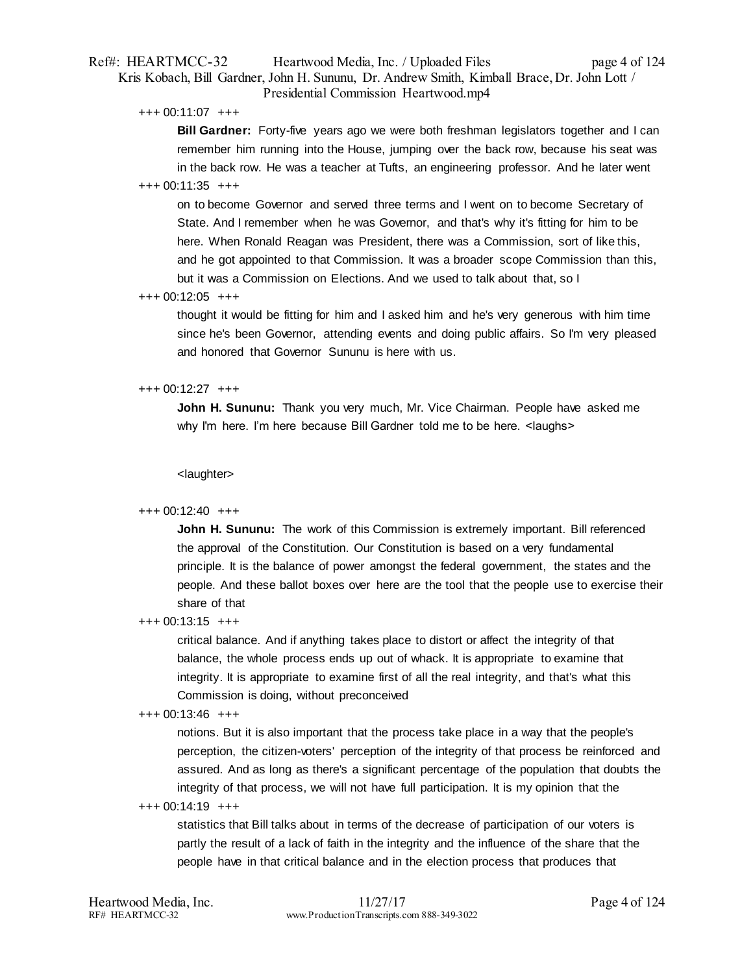# Ref#: HEARTMCC-32 Heartwood Media, Inc. / Uploaded Files page 4 of 124 Kris Kobach, Bill Gardner, John H. Sununu, Dr. Andrew Smith, Kimball Brace, Dr. John Lott / Presidential Commission Heartwood.mp4

+++ 00:11:07 +++

**Bill Gardner:** Forty-five years ago we were both freshman legislators together and I can remember him running into the House, jumping over the back row, because his seat was in the back row. He was a teacher at Tufts, an engineering professor. And he later went

# $+++$  00:11:35  $+++$

on to become Governor and served three terms and I went on to become Secretary of State. And I remember when he was Governor, and that's why it's fitting for him to be here. When Ronald Reagan was President, there was a Commission, sort of like this, and he got appointed to that Commission. It was a broader scope Commission than this, but it was a Commission on Elections. And we used to talk about that, so I

# +++ 00:12:05 +++

thought it would be fitting for him and I asked him and he's very generous with him time since he's been Governor, attending events and doing public affairs. So I'm very pleased and honored that Governor Sununu is here with us.

# +++ 00:12:27 +++

**John H. Sununu:** Thank you very much, Mr. Vice Chairman. People have asked me why I'm here. I'm here because Bill Gardner told me to be here. <laughs>

<laughter>

# +++ 00:12:40 +++

**John H. Sununu:** The work of this Commission is extremely important. Bill referenced the approval of the Constitution. Our Constitution is based on a very fundamental principle. It is the balance of power amongst the federal government, the states and the people. And these ballot boxes over here are the tool that the people use to exercise their share of that

# +++ 00:13:15 +++

critical balance. And if anything takes place to distort or affect the integrity of that balance, the whole process ends up out of whack. It is appropriate to examine that integrity. It is appropriate to examine first of all the real integrity, and that's what this Commission is doing, without preconceived

# +++ 00:13:46 +++

notions. But it is also important that the process take place in a way that the people's perception, the citizen-voters' perception of the integrity of that process be reinforced and assured. And as long as there's a significant percentage of the population that doubts the integrity of that process, we will not have full participation. It is my opinion that the

# +++ 00:14:19 +++

statistics that Bill talks about in terms of the decrease of participation of our voters is partly the result of a lack of faith in the integrity and the influence of the share that the people have in that critical balance and in the election process that produces that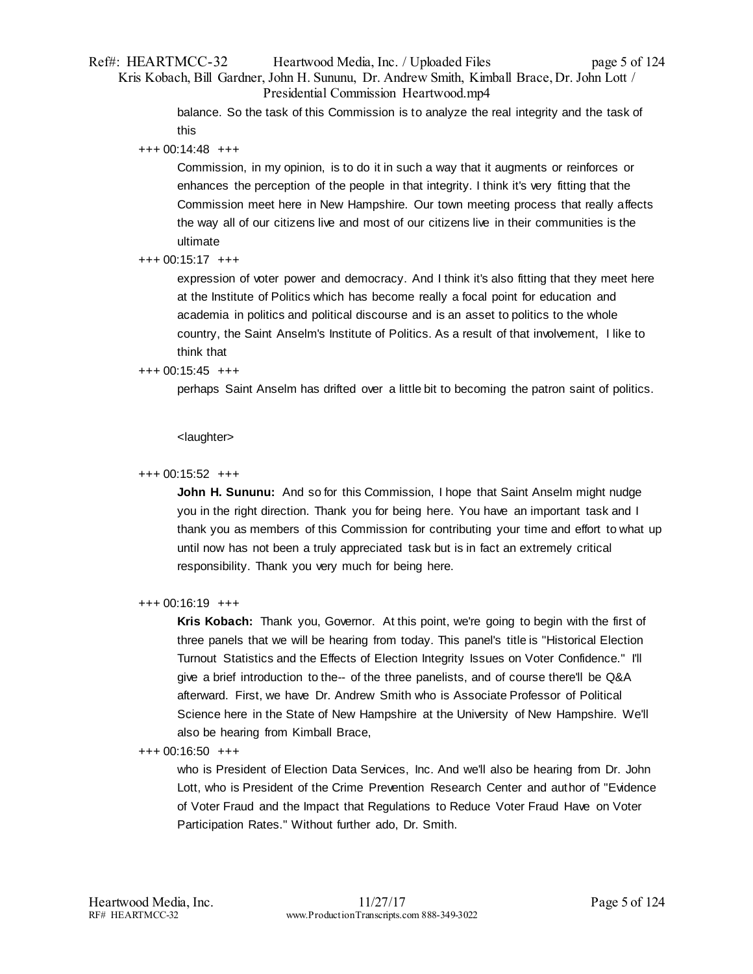# Ref#: HEARTMCC-32 Heartwood Media, Inc. / Uploaded Files page 5 of 124 Kris Kobach, Bill Gardner, John H. Sununu, Dr. Andrew Smith, Kimball Brace, Dr. John Lott / Presidential Commission Heartwood.mp4

balance. So the task of this Commission is to analyze the real integrity and the task of this

+++ 00:14:48 +++

Commission, in my opinion, is to do it in such a way that it augments or reinforces or enhances the perception of the people in that integrity. I think it's very fitting that the Commission meet here in New Hampshire. Our town meeting process that really affects the way all of our citizens live and most of our citizens live in their communities is the ultimate

# +++ 00:15:17 +++

expression of voter power and democracy. And I think it's also fitting that they meet here at the Institute of Politics which has become really a focal point for education and academia in politics and political discourse and is an asset to politics to the whole country, the Saint Anselm's Institute of Politics. As a result of that involvement, I like to think that

# +++ 00:15:45 +++

perhaps Saint Anselm has drifted over a little bit to becoming the patron saint of politics.

<laughter>

# +++ 00:15:52 +++

**John H. Sununu:** And so for this Commission, I hope that Saint Anselm might nudge you in the right direction. Thank you for being here. You have an important task and I thank you as members of this Commission for contributing your time and effort to what up until now has not been a truly appreciated task but is in fact an extremely critical responsibility. Thank you very much for being here.

# +++ 00:16:19 +++

**Kris Kobach:** Thank you, Governor. At this point, we're going to begin with the first of three panels that we will be hearing from today. This panel's title is "Historical Election Turnout Statistics and the Effects of Election Integrity Issues on Voter Confidence." I'll give a brief introduction to the-- of the three panelists, and of course there'll be Q&A afterward. First, we have Dr. Andrew Smith who is Associate Professor of Political Science here in the State of New Hampshire at the University of New Hampshire. We'll also be hearing from Kimball Brace,

+++ 00:16:50 +++

who is President of Election Data Services, Inc. And we'll also be hearing from Dr. John Lott, who is President of the Crime Prevention Research Center and author of "Evidence of Voter Fraud and the Impact that Regulations to Reduce Voter Fraud Have on Voter Participation Rates." Without further ado, Dr. Smith.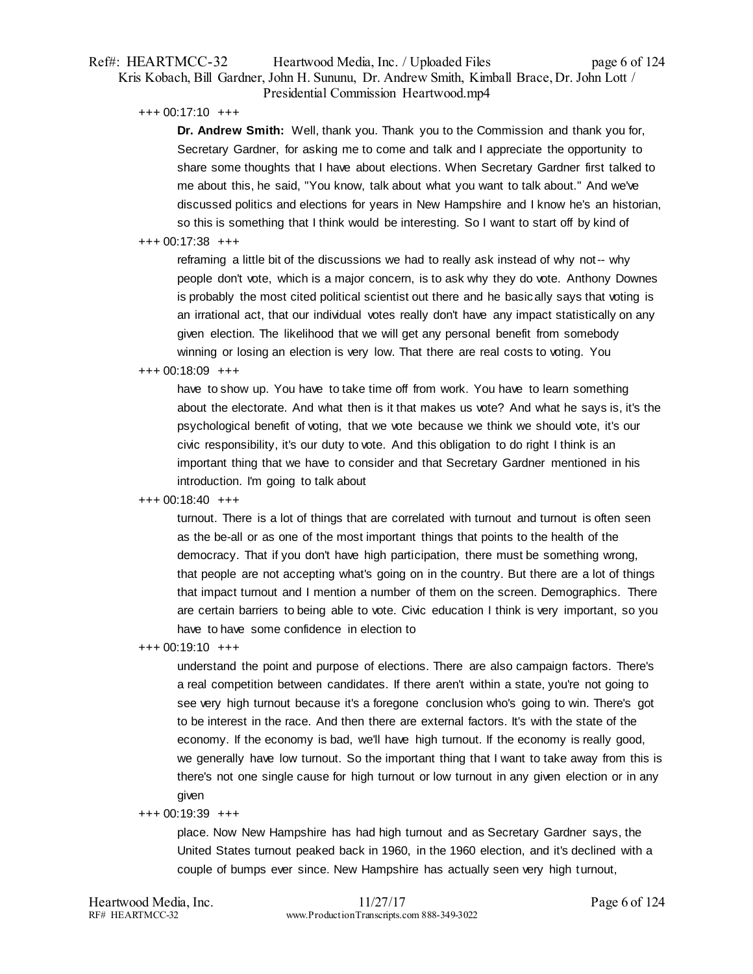# Ref#: HEARTMCC-32 Heartwood Media, Inc. / Uploaded Files page 6 of 124 Kris Kobach, Bill Gardner, John H. Sununu, Dr. Andrew Smith, Kimball Brace, Dr. John Lott / Presidential Commission Heartwood.mp4

+++ 00:17:10 +++

**Dr. Andrew Smith:** Well, thank you. Thank you to the Commission and thank you for, Secretary Gardner, for asking me to come and talk and I appreciate the opportunity to share some thoughts that I have about elections. When Secretary Gardner first talked to me about this, he said, "You know, talk about what you want to talk about." And we've discussed politics and elections for years in New Hampshire and I know he's an historian, so this is something that I think would be interesting. So I want to start off by kind of

### +++ 00:17:38 +++

reframing a little bit of the discussions we had to really ask instead of why not-- why people don't vote, which is a major concern, is to ask why they do vote. Anthony Downes is probably the most cited political scientist out there and he basically says that voting is an irrational act, that our individual votes really don't have any impact statistically on any given election. The likelihood that we will get any personal benefit from somebody winning or losing an election is very low. That there are real costs to voting. You

#### +++ 00:18:09 +++

have to show up. You have to take time off from work. You have to learn something about the electorate. And what then is it that makes us vote? And what he says is, it's the psychological benefit of voting, that we vote because we think we should vote, it's our civic responsibility, it's our duty to vote. And this obligation to do right I think is an important thing that we have to consider and that Secretary Gardner mentioned in his introduction. I'm going to talk about

### +++ 00:18:40 +++

turnout. There is a lot of things that are correlated with turnout and turnout is often seen as the be-all or as one of the most important things that points to the health of the democracy. That if you don't have high participation, there must be something wrong, that people are not accepting what's going on in the country. But there are a lot of things that impact turnout and I mention a number of them on the screen. Demographics. There are certain barriers to being able to vote. Civic education I think is very important, so you have to have some confidence in election to

+++ 00:19:10 +++

understand the point and purpose of elections. There are also campaign factors. There's a real competition between candidates. If there aren't within a state, you're not going to see very high turnout because it's a foregone conclusion who's going to win. There's got to be interest in the race. And then there are external factors. It's with the state of the economy. If the economy is bad, we'll have high turnout. If the economy is really good, we generally have low turnout. So the important thing that I want to take away from this is there's not one single cause for high turnout or low turnout in any given election or in any given

#### +++ 00:19:39 +++

place. Now New Hampshire has had high turnout and as Secretary Gardner says, the United States turnout peaked back in 1960, in the 1960 election, and it's declined with a couple of bumps ever since. New Hampshire has actually seen very high turnout,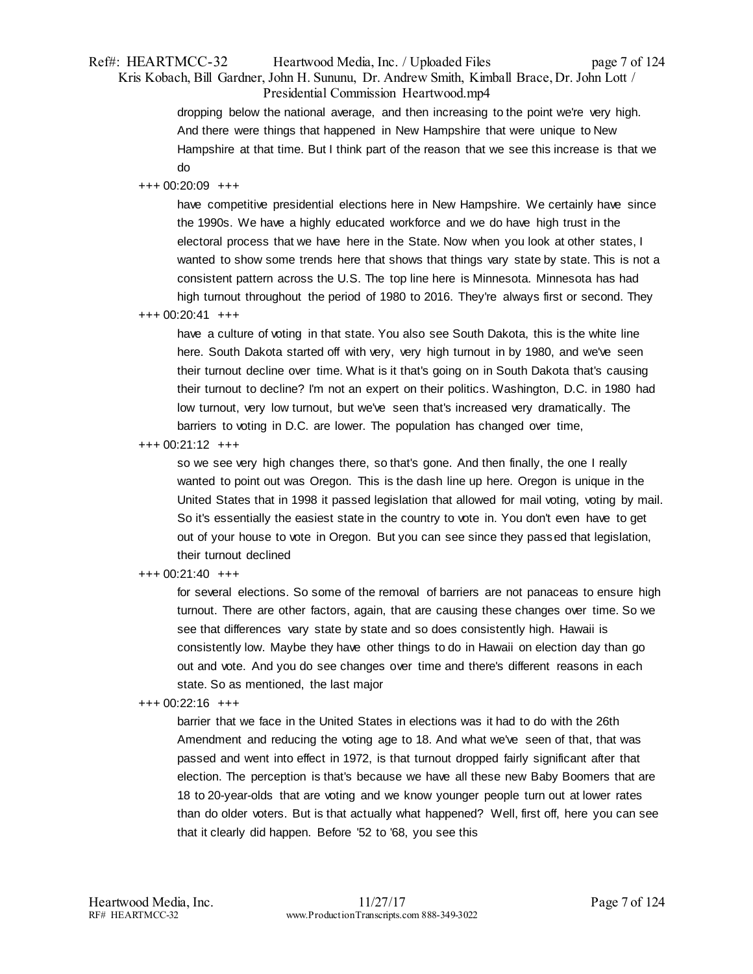# Ref#: HEARTMCC-32 Heartwood Media, Inc. / Uploaded Files page 7 of 124 Kris Kobach, Bill Gardner, John H. Sununu, Dr. Andrew Smith, Kimball Brace, Dr. John Lott / Presidential Commission Heartwood.mp4

dropping below the national average, and then increasing to the point we're very high. And there were things that happened in New Hampshire that were unique to New Hampshire at that time. But I think part of the reason that we see this increase is that we do

# +++ 00:20:09 +++

have competitive presidential elections here in New Hampshire. We certainly have since the 1990s. We have a highly educated workforce and we do have high trust in the electoral process that we have here in the State. Now when you look at other states, I wanted to show some trends here that shows that things vary state by state. This is not a consistent pattern across the U.S. The top line here is Minnesota. Minnesota has had high turnout throughout the period of 1980 to 2016. They're always first or second. They

+++ 00:20:41 +++

have a culture of voting in that state. You also see South Dakota, this is the white line here. South Dakota started off with very, very high turnout in by 1980, and we've seen their turnout decline over time. What is it that's going on in South Dakota that's causing their turnout to decline? I'm not an expert on their politics. Washington, D.C. in 1980 had low turnout, very low turnout, but we've seen that's increased very dramatically. The barriers to voting in D.C. are lower. The population has changed over time,

+++ 00:21:12 +++

so we see very high changes there, so that's gone. And then finally, the one I really wanted to point out was Oregon. This is the dash line up here. Oregon is unique in the United States that in 1998 it passed legislation that allowed for mail voting, voting by mail. So it's essentially the easiest state in the country to vote in. You don't even have to get out of your house to vote in Oregon. But you can see since they passed that legislation, their turnout declined

# +++ 00:21:40 +++

for several elections. So some of the removal of barriers are not panaceas to ensure high turnout. There are other factors, again, that are causing these changes over time. So we see that differences vary state by state and so does consistently high. Hawaii is consistently low. Maybe they have other things to do in Hawaii on election day than go out and vote. And you do see changes over time and there's different reasons in each state. So as mentioned, the last major

# +++ 00:22:16 +++

barrier that we face in the United States in elections was it had to do with the 26th Amendment and reducing the voting age to 18. And what we've seen of that, that was passed and went into effect in 1972, is that turnout dropped fairly significant after that election. The perception is that's because we have all these new Baby Boomers that are 18 to 20-year-olds that are voting and we know younger people turn out at lower rates than do older voters. But is that actually what happened? Well, first off, here you can see that it clearly did happen. Before '52 to '68, you see this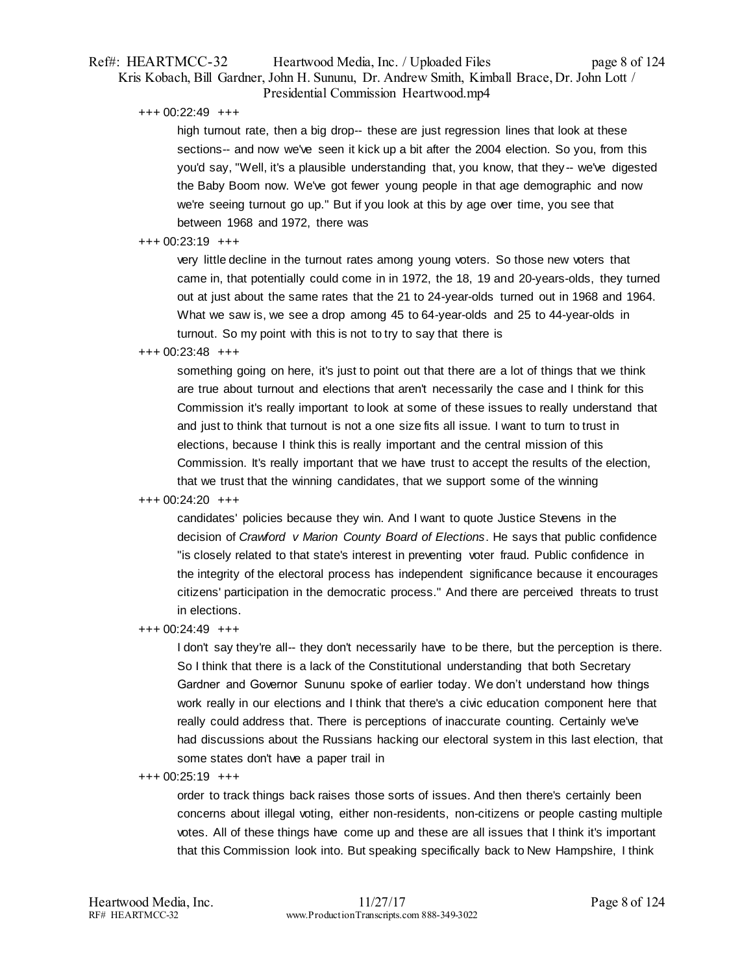# Ref#: HEARTMCC-32 Heartwood Media, Inc. / Uploaded Files page 8 of 124 Kris Kobach, Bill Gardner, John H. Sununu, Dr. Andrew Smith, Kimball Brace, Dr. John Lott / Presidential Commission Heartwood.mp4

+++ 00:22:49 +++

high turnout rate, then a big drop-- these are just regression lines that look at these sections-- and now we've seen it kick up a bit after the 2004 election. So you, from this you'd say, "Well, it's a plausible understanding that, you know, that they-- we've digested the Baby Boom now. We've got fewer young people in that age demographic and now we're seeing turnout go up." But if you look at this by age over time, you see that between 1968 and 1972, there was

### $+++$  00:23:19  $++$

very little decline in the turnout rates among young voters. So those new voters that came in, that potentially could come in in 1972, the 18, 19 and 20-years-olds, they turned out at just about the same rates that the 21 to 24-year-olds turned out in 1968 and 1964. What we saw is, we see a drop among 45 to 64-year-olds and 25 to 44-year-olds in turnout. So my point with this is not to try to say that there is

### +++ 00:23:48 +++

something going on here, it's just to point out that there are a lot of things that we think are true about turnout and elections that aren't necessarily the case and I think for this Commission it's really important to look at some of these issues to really understand that and just to think that turnout is not a one size fits all issue. I want to turn to trust in elections, because I think this is really important and the central mission of this Commission. It's really important that we have trust to accept the results of the election, that we trust that the winning candidates, that we support some of the winning

# +++ 00:24:20 +++

candidates' policies because they win. And I want to quote Justice Stevens in the decision of *Crawford v Marion County Board of Elections*. He says that public confidence "is closely related to that state's interest in preventing voter fraud. Public confidence in the integrity of the electoral process has independent significance because it encourages citizens' participation in the democratic process." And there are perceived threats to trust in elections.

# +++ 00:24:49 +++

I don't say they're all-- they don't necessarily have to be there, but the perception is there. So I think that there is a lack of the Constitutional understanding that both Secretary Gardner and Governor Sununu spoke of earlier today. We don't understand how things work really in our elections and I think that there's a civic education component here that really could address that. There is perceptions of inaccurate counting. Certainly we've had discussions about the Russians hacking our electoral system in this last election, that some states don't have a paper trail in

 $+++ 00:25:19$   $+++$ 

order to track things back raises those sorts of issues. And then there's certainly been concerns about illegal voting, either non-residents, non-citizens or people casting multiple votes. All of these things have come up and these are all issues that I think it's important that this Commission look into. But speaking specifically back to New Hampshire, I think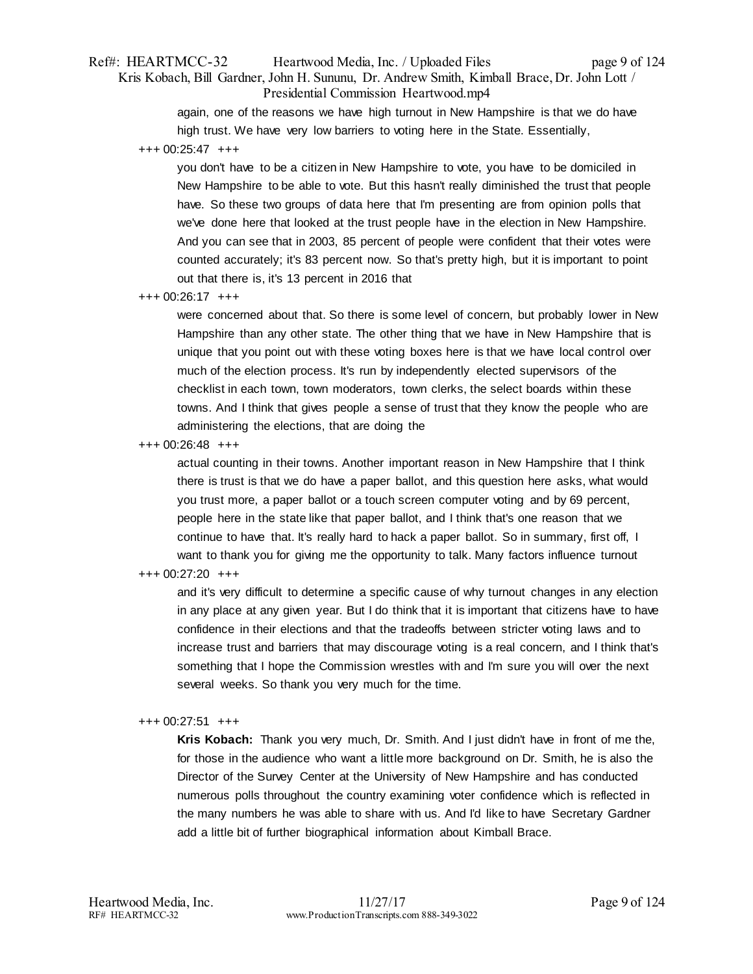# Ref#: HEARTMCC-32 Heartwood Media, Inc. / Uploaded Files page 9 of 124 Kris Kobach, Bill Gardner, John H. Sununu, Dr. Andrew Smith, Kimball Brace, Dr. John Lott / Presidential Commission Heartwood.mp4

again, one of the reasons we have high turnout in New Hampshire is that we do have high trust. We have very low barriers to voting here in the State. Essentially,

+++ 00:25:47 +++

you don't have to be a citizen in New Hampshire to vote, you have to be domiciled in New Hampshire to be able to vote. But this hasn't really diminished the trust that people have. So these two groups of data here that I'm presenting are from opinion polls that we've done here that looked at the trust people have in the election in New Hampshire. And you can see that in 2003, 85 percent of people were confident that their votes were counted accurately; it's 83 percent now. So that's pretty high, but it is important to point out that there is, it's 13 percent in 2016 that

+++ 00:26:17 +++

were concerned about that. So there is some level of concern, but probably lower in New Hampshire than any other state. The other thing that we have in New Hampshire that is unique that you point out with these voting boxes here is that we have local control over much of the election process. It's run by independently elected supervisors of the checklist in each town, town moderators, town clerks, the select boards within these towns. And I think that gives people a sense of trust that they know the people who are administering the elections, that are doing the

+++ 00:26:48 +++

actual counting in their towns. Another important reason in New Hampshire that I think there is trust is that we do have a paper ballot, and this question here asks, what would you trust more, a paper ballot or a touch screen computer voting and by 69 percent, people here in the state like that paper ballot, and I think that's one reason that we continue to have that. It's really hard to hack a paper ballot. So in summary, first off, I want to thank you for giving me the opportunity to talk. Many factors influence turnout

# +++ 00:27:20 +++

and it's very difficult to determine a specific cause of why turnout changes in any election in any place at any given year. But I do think that it is important that citizens have to have confidence in their elections and that the tradeoffs between stricter voting laws and to increase trust and barriers that may discourage voting is a real concern, and I think that's something that I hope the Commission wrestles with and I'm sure you will over the next several weeks. So thank you very much for the time.

### +++ 00:27:51 +++

**Kris Kobach:** Thank you very much, Dr. Smith. And I just didn't have in front of me the, for those in the audience who want a little more background on Dr. Smith, he is also the Director of the Survey Center at the University of New Hampshire and has conducted numerous polls throughout the country examining voter confidence which is reflected in the many numbers he was able to share with us. And I'd like to have Secretary Gardner add a little bit of further biographical information about Kimball Brace.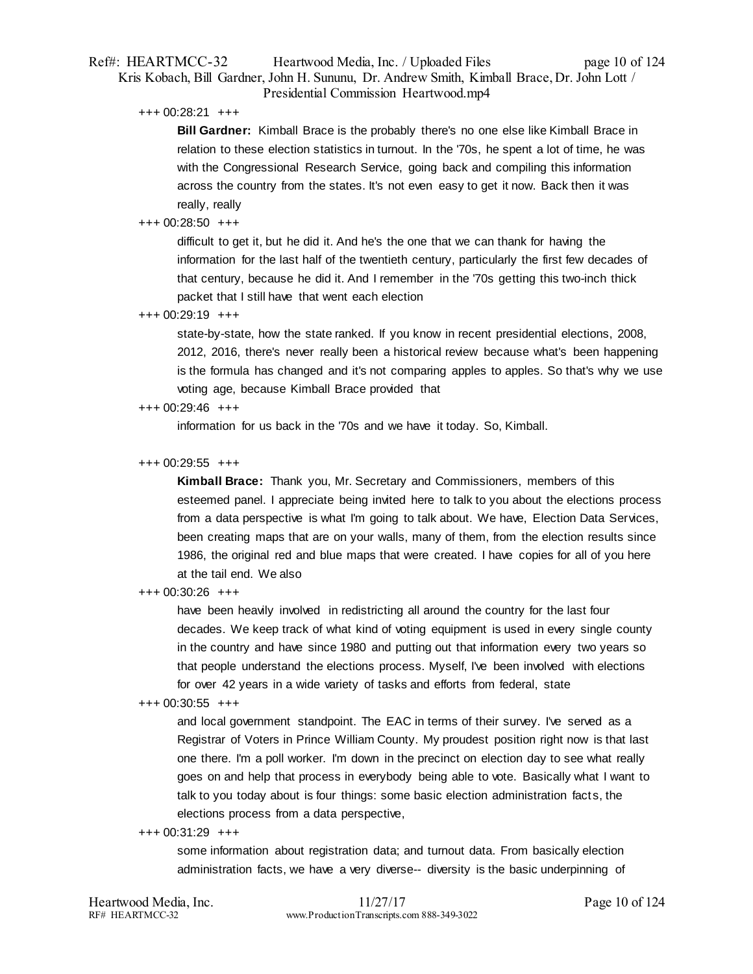# Ref#: HEARTMCC-32 Heartwood Media, Inc. / Uploaded Files page 10 of 124 Kris Kobach, Bill Gardner, John H. Sununu, Dr. Andrew Smith, Kimball Brace, Dr. John Lott / Presidential Commission Heartwood.mp4

+++ 00:28:21 +++

**Bill Gardner:** Kimball Brace is the probably there's no one else like Kimball Brace in relation to these election statistics in turnout. In the '70s, he spent a lot of time, he was with the Congressional Research Service, going back and compiling this information across the country from the states. It's not even easy to get it now. Back then it was really, really

### +++ 00:28:50 +++

difficult to get it, but he did it. And he's the one that we can thank for having the information for the last half of the twentieth century, particularly the first few decades of that century, because he did it. And I remember in the '70s getting this two-inch thick packet that I still have that went each election

### +++ 00:29:19 +++

state-by-state, how the state ranked. If you know in recent presidential elections, 2008, 2012, 2016, there's never really been a historical review because what's been happening is the formula has changed and it's not comparing apples to apples. So that's why we use voting age, because Kimball Brace provided that

### +++ 00:29:46 +++

information for us back in the '70s and we have it today. So, Kimball.

### +++ 00:29:55 +++

**Kimball Brace:** Thank you, Mr. Secretary and Commissioners, members of this esteemed panel. I appreciate being invited here to talk to you about the elections process from a data perspective is what I'm going to talk about. We have, Election Data Services, been creating maps that are on your walls, many of them, from the election results since 1986, the original red and blue maps that were created. I have copies for all of you here at the tail end. We also

### +++ 00:30:26 +++

have been heavily involved in redistricting all around the country for the last four decades. We keep track of what kind of voting equipment is used in every single county in the country and have since 1980 and putting out that information every two years so that people understand the elections process. Myself, I've been involved with elections for over 42 years in a wide variety of tasks and efforts from federal, state

# +++ 00:30:55 +++

and local government standpoint. The EAC in terms of their survey. I've served as a Registrar of Voters in Prince William County. My proudest position right now is that last one there. I'm a poll worker. I'm down in the precinct on election day to see what really goes on and help that process in everybody being able to vote. Basically what I want to talk to you today about is four things: some basic election administration facts, the elections process from a data perspective,

### +++ 00:31:29 +++

some information about registration data; and turnout data. From basically election administration facts, we have a very diverse-- diversity is the basic underpinning of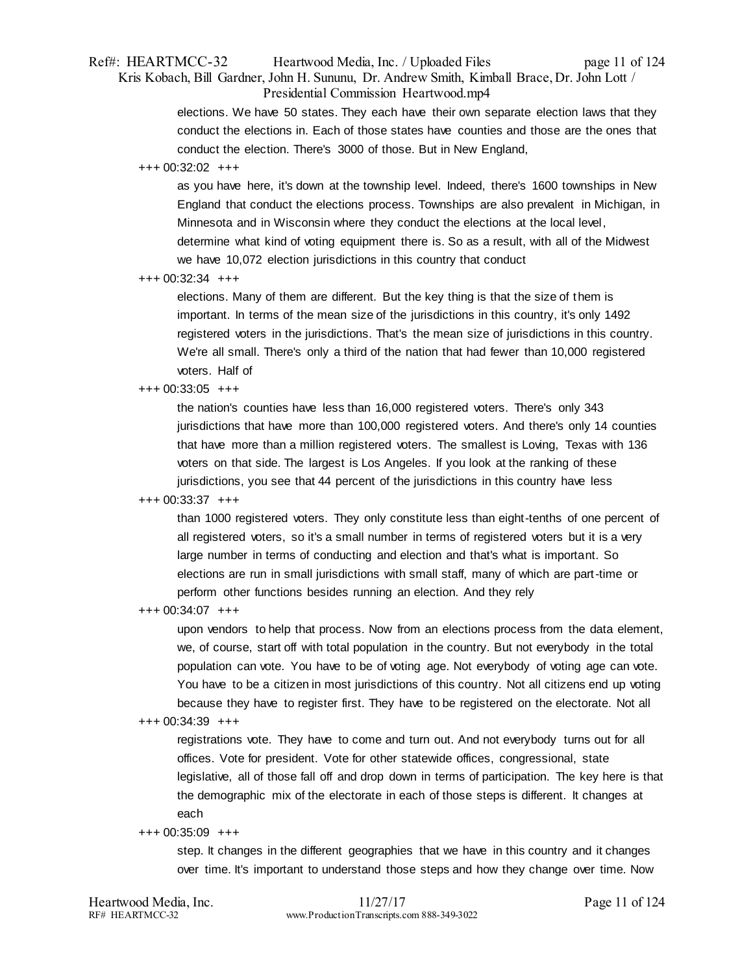# Ref#: HEARTMCC-32 Heartwood Media, Inc. / Uploaded Files page 11 of 124 Kris Kobach, Bill Gardner, John H. Sununu, Dr. Andrew Smith, Kimball Brace, Dr. John Lott / Presidential Commission Heartwood.mp4

elections. We have 50 states. They each have their own separate election laws that they conduct the elections in. Each of those states have counties and those are the ones that conduct the election. There's 3000 of those. But in New England,

### +++ 00:32:02 +++

as you have here, it's down at the township level. Indeed, there's 1600 townships in New England that conduct the elections process. Townships are also prevalent in Michigan, in Minnesota and in Wisconsin where they conduct the elections at the local level, determine what kind of voting equipment there is. So as a result, with all of the Midwest we have 10,072 election jurisdictions in this country that conduct

### +++ 00:32:34 +++

elections. Many of them are different. But the key thing is that the size of them is important. In terms of the mean size of the jurisdictions in this country, it's only 1492 registered voters in the jurisdictions. That's the mean size of jurisdictions in this country. We're all small. There's only a third of the nation that had fewer than 10,000 registered voters. Half of

# +++ 00:33:05 +++

the nation's counties have less than 16,000 registered voters. There's only 343 jurisdictions that have more than 100,000 registered voters. And there's only 14 counties that have more than a million registered voters. The smallest is Loving, Texas with 136 voters on that side. The largest is Los Angeles. If you look at the ranking of these jurisdictions, you see that 44 percent of the jurisdictions in this country have less

# +++ 00:33:37 +++

than 1000 registered voters. They only constitute less than eight-tenths of one percent of all registered voters, so it's a small number in terms of registered voters but it is a very large number in terms of conducting and election and that's what is important. So elections are run in small jurisdictions with small staff, many of which are part-time or perform other functions besides running an election. And they rely

# +++ 00:34:07 +++

upon vendors to help that process. Now from an elections process from the data element, we, of course, start off with total population in the country. But not everybody in the total population can vote. You have to be of voting age. Not everybody of voting age can vote. You have to be a citizen in most jurisdictions of this country. Not all citizens end up voting because they have to register first. They have to be registered on the electorate. Not all

# +++ 00:34:39 +++

registrations vote. They have to come and turn out. And not everybody turns out for all offices. Vote for president. Vote for other statewide offices, congressional, state legislative, all of those fall off and drop down in terms of participation. The key here is that the demographic mix of the electorate in each of those steps is different. It changes at each

# +++ 00:35:09 +++

step. It changes in the different geographies that we have in this country and it changes over time. It's important to understand those steps and how they change over time. Now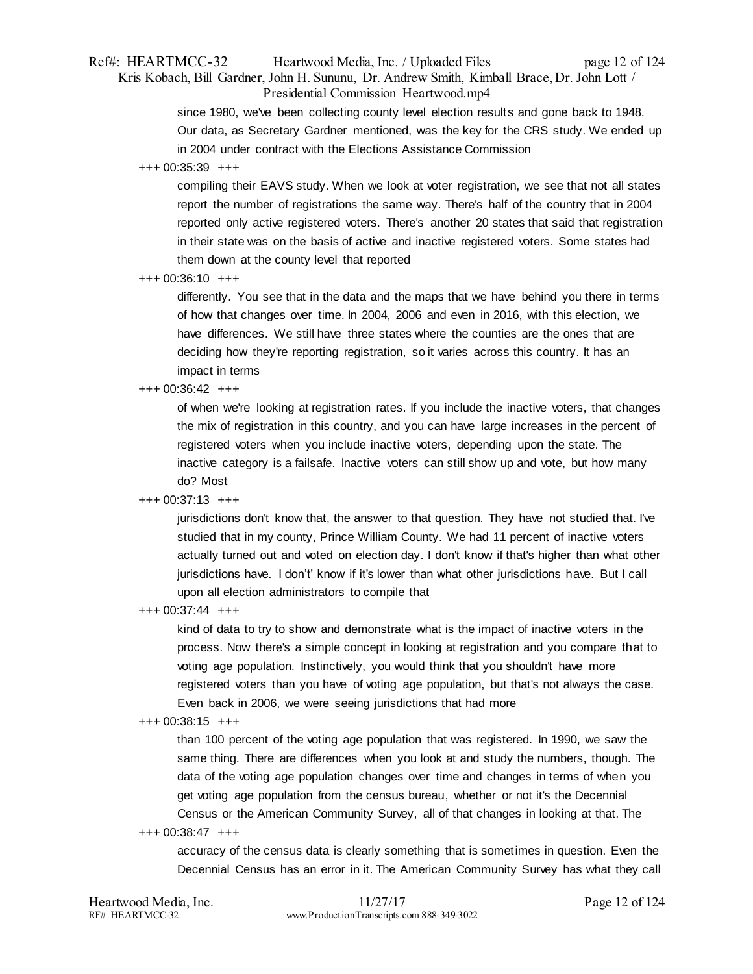# Ref#: HEARTMCC-32 Heartwood Media, Inc. / Uploaded Files page 12 of 124 Kris Kobach, Bill Gardner, John H. Sununu, Dr. Andrew Smith, Kimball Brace, Dr. John Lott / Presidential Commission Heartwood.mp4

since 1980, we've been collecting county level election results and gone back to 1948. Our data, as Secretary Gardner mentioned, was the key for the CRS study. We ended up in 2004 under contract with the Elections Assistance Commission

### +++ 00:35:39 +++

compiling their EAVS study. When we look at voter registration, we see that not all states report the number of registrations the same way. There's half of the country that in 2004 reported only active registered voters. There's another 20 states that said that registration in their state was on the basis of active and inactive registered voters. Some states had them down at the county level that reported

### +++ 00:36:10 +++

differently. You see that in the data and the maps that we have behind you there in terms of how that changes over time. In 2004, 2006 and even in 2016, with this election, we have differences. We still have three states where the counties are the ones that are deciding how they're reporting registration, so it varies across this country. It has an impact in terms

### +++ 00:36:42 +++

of when we're looking at registration rates. If you include the inactive voters, that changes the mix of registration in this country, and you can have large increases in the percent of registered voters when you include inactive voters, depending upon the state. The inactive category is a failsafe. Inactive voters can still show up and vote, but how many do? Most

# +++ 00:37:13 +++

jurisdictions don't know that, the answer to that question. They have not studied that. I've studied that in my county, Prince William County. We had 11 percent of inactive voters actually turned out and voted on election day. I don't know if that's higher than what other jurisdictions have. I don't' know if it's lower than what other jurisdictions have. But I call upon all election administrators to compile that

### +++ 00:37:44 +++

kind of data to try to show and demonstrate what is the impact of inactive voters in the process. Now there's a simple concept in looking at registration and you compare that to voting age population. Instinctively, you would think that you shouldn't have more registered voters than you have of voting age population, but that's not always the case. Even back in 2006, we were seeing jurisdictions that had more

### +++ 00:38:15 +++

than 100 percent of the voting age population that was registered. In 1990, we saw the same thing. There are differences when you look at and study the numbers, though. The data of the voting age population changes over time and changes in terms of when you get voting age population from the census bureau, whether or not it's the Decennial Census or the American Community Survey, all of that changes in looking at that. The

### +++ 00:38:47 +++

accuracy of the census data is clearly something that is sometimes in question. Even the Decennial Census has an error in it. The American Community Survey has what they call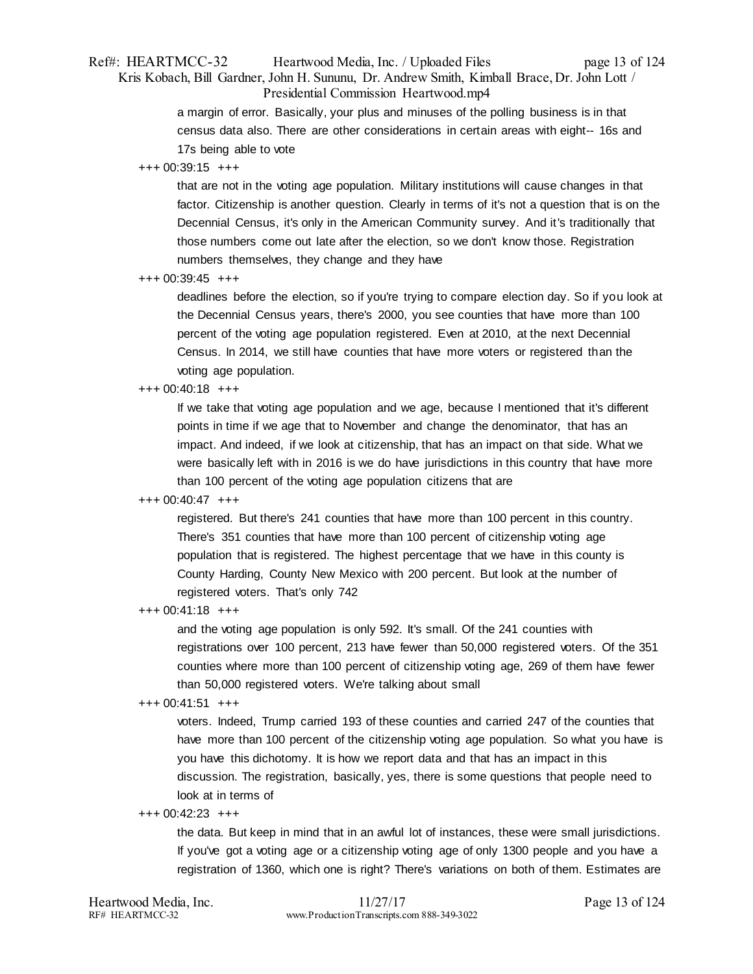# Ref#: HEARTMCC-32 Heartwood Media, Inc. / Uploaded Files page 13 of 124 Kris Kobach, Bill Gardner, John H. Sununu, Dr. Andrew Smith, Kimball Brace, Dr. John Lott / Presidential Commission Heartwood.mp4

a margin of error. Basically, your plus and minuses of the polling business is in that census data also. There are other considerations in certain areas with eight-- 16s and 17s being able to vote

### +++ 00:39:15 +++

that are not in the voting age population. Military institutions will cause changes in that factor. Citizenship is another question. Clearly in terms of it's not a question that is on the Decennial Census, it's only in the American Community survey. And it's traditionally that those numbers come out late after the election, so we don't know those. Registration numbers themselves, they change and they have

### +++ 00:39:45 +++

deadlines before the election, so if you're trying to compare election day. So if you look at the Decennial Census years, there's 2000, you see counties that have more than 100 percent of the voting age population registered. Even at 2010, at the next Decennial Census. In 2014, we still have counties that have more voters or registered than the voting age population.

# +++ 00:40:18 +++

If we take that voting age population and we age, because I mentioned that it's different points in time if we age that to November and change the denominator, that has an impact. And indeed, if we look at citizenship, that has an impact on that side. What we were basically left with in 2016 is we do have jurisdictions in this country that have more than 100 percent of the voting age population citizens that are

# +++ 00:40:47 +++

registered. But there's 241 counties that have more than 100 percent in this country. There's 351 counties that have more than 100 percent of citizenship voting age population that is registered. The highest percentage that we have in this county is County Harding, County New Mexico with 200 percent. But look at the number of registered voters. That's only 742

# +++ 00:41:18 +++

and the voting age population is only 592. It's small. Of the 241 counties with registrations over 100 percent, 213 have fewer than 50,000 registered voters. Of the 351 counties where more than 100 percent of citizenship voting age, 269 of them have fewer than 50,000 registered voters. We're talking about small

# +++ 00:41:51 +++

voters. Indeed, Trump carried 193 of these counties and carried 247 of the counties that have more than 100 percent of the citizenship voting age population. So what you have is you have this dichotomy. It is how we report data and that has an impact in this discussion. The registration, basically, yes, there is some questions that people need to look at in terms of

# +++ 00:42:23 +++

the data. But keep in mind that in an awful lot of instances, these were small jurisdictions. If you've got a voting age or a citizenship voting age of only 1300 people and you have a registration of 1360, which one is right? There's variations on both of them. Estimates are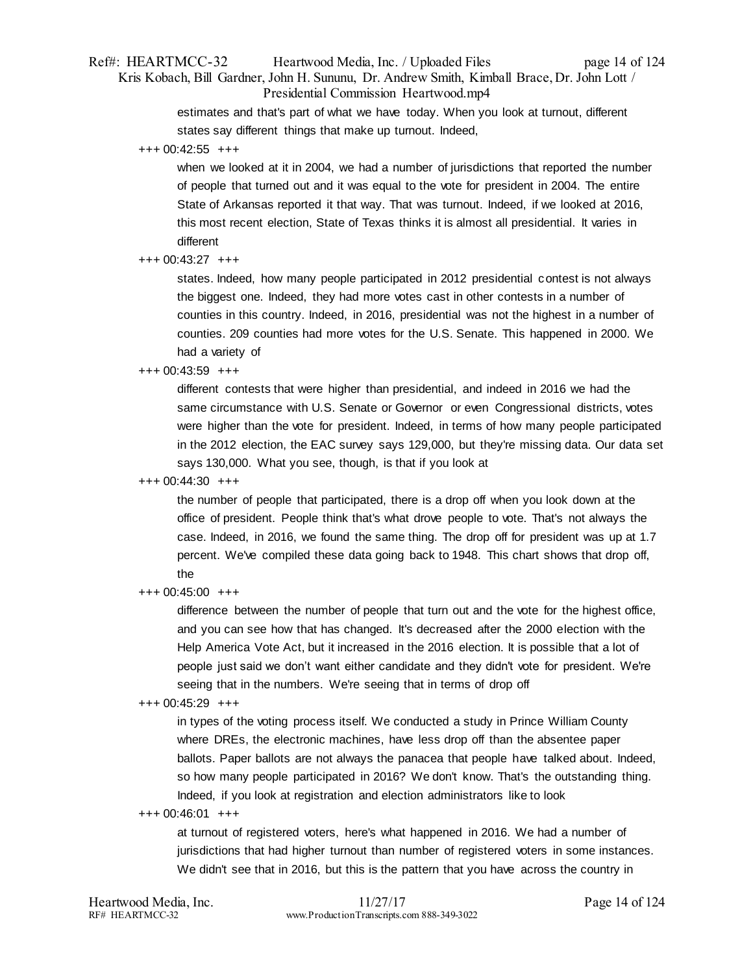# Ref#: HEARTMCC-32 Heartwood Media, Inc. / Uploaded Files page 14 of 124 Kris Kobach, Bill Gardner, John H. Sununu, Dr. Andrew Smith, Kimball Brace, Dr. John Lott / Presidential Commission Heartwood.mp4

estimates and that's part of what we have today. When you look at turnout, different states say different things that make up turnout. Indeed,

+++ 00:42:55 +++

when we looked at it in 2004, we had a number of jurisdictions that reported the number of people that turned out and it was equal to the vote for president in 2004. The entire State of Arkansas reported it that way. That was turnout. Indeed, if we looked at 2016, this most recent election, State of Texas thinks it is almost all presidential. It varies in different

### +++ 00:43:27 +++

states. Indeed, how many people participated in 2012 presidential contest is not always the biggest one. Indeed, they had more votes cast in other contests in a number of counties in this country. Indeed, in 2016, presidential was not the highest in a number of counties. 209 counties had more votes for the U.S. Senate. This happened in 2000. We had a variety of

### +++ 00:43:59 +++

different contests that were higher than presidential, and indeed in 2016 we had the same circumstance with U.S. Senate or Governor or even Congressional districts, votes were higher than the vote for president. Indeed, in terms of how many people participated in the 2012 election, the EAC survey says 129,000, but they're missing data. Our data set says 130,000. What you see, though, is that if you look at

### +++ 00:44:30 +++

the number of people that participated, there is a drop off when you look down at the office of president. People think that's what drove people to vote. That's not always the case. Indeed, in 2016, we found the same thing. The drop off for president was up at 1.7 percent. We've compiled these data going back to 1948. This chart shows that drop off, the

+++ 00:45:00 +++

difference between the number of people that turn out and the vote for the highest office, and you can see how that has changed. It's decreased after the 2000 election with the Help America Vote Act, but it increased in the 2016 election. It is possible that a lot of people just said we don't want either candidate and they didn't vote for president. We're seeing that in the numbers. We're seeing that in terms of drop off

### +++ 00:45:29 +++

in types of the voting process itself. We conducted a study in Prince William County where DREs, the electronic machines, have less drop off than the absentee paper ballots. Paper ballots are not always the panacea that people have talked about. Indeed, so how many people participated in 2016? We don't know. That's the outstanding thing. Indeed, if you look at registration and election administrators like to look

+++ 00:46:01 +++

at turnout of registered voters, here's what happened in 2016. We had a number of jurisdictions that had higher turnout than number of registered voters in some instances. We didn't see that in 2016, but this is the pattern that you have across the country in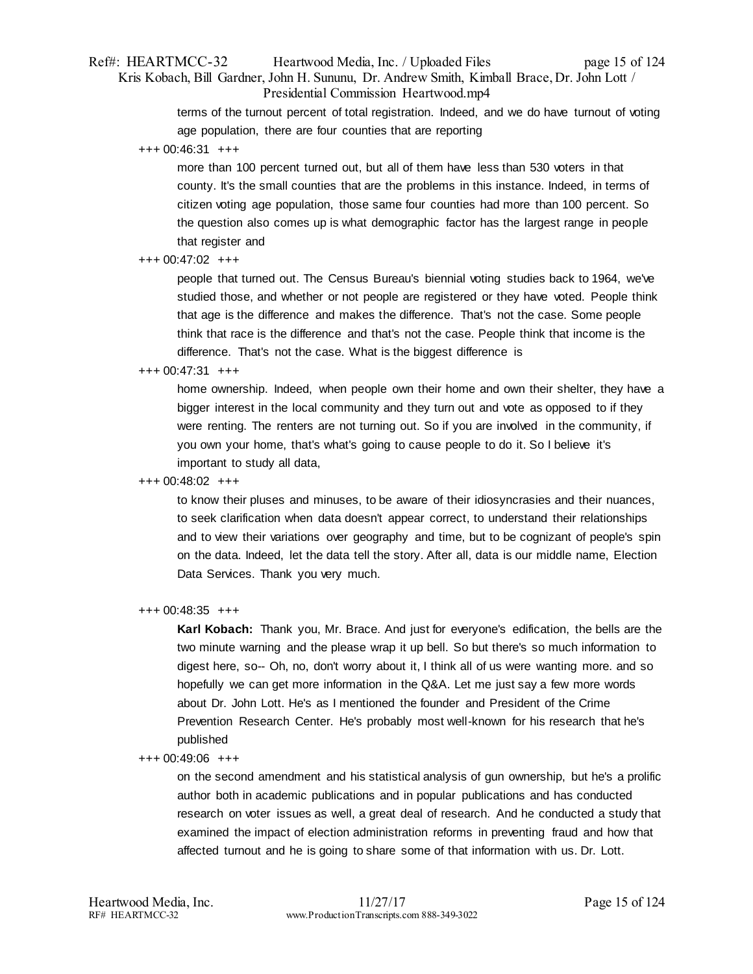# Ref#: HEARTMCC-32 Heartwood Media, Inc. / Uploaded Files page 15 of 124 Kris Kobach, Bill Gardner, John H. Sununu, Dr. Andrew Smith, Kimball Brace, Dr. John Lott / Presidential Commission Heartwood.mp4

terms of the turnout percent of total registration. Indeed, and we do have turnout of voting age population, there are four counties that are reporting

+++ 00:46:31 +++

more than 100 percent turned out, but all of them have less than 530 voters in that county. It's the small counties that are the problems in this instance. Indeed, in terms of citizen voting age population, those same four counties had more than 100 percent. So the question also comes up is what demographic factor has the largest range in people that register and

### +++ 00:47:02 +++

people that turned out. The Census Bureau's biennial voting studies back to 1964, we've studied those, and whether or not people are registered or they have voted. People think that age is the difference and makes the difference. That's not the case. Some people think that race is the difference and that's not the case. People think that income is the difference. That's not the case. What is the biggest difference is

### +++ 00:47:31 +++

home ownership. Indeed, when people own their home and own their shelter, they have a bigger interest in the local community and they turn out and vote as opposed to if they were renting. The renters are not turning out. So if you are involved in the community, if you own your home, that's what's going to cause people to do it. So I believe it's important to study all data,

### +++ 00:48:02 +++

to know their pluses and minuses, to be aware of their idiosyncrasies and their nuances, to seek clarification when data doesn't appear correct, to understand their relationships and to view their variations over geography and time, but to be cognizant of people's spin on the data. Indeed, let the data tell the story. After all, data is our middle name, Election Data Services. Thank you very much.

### +++ 00:48:35 +++

**Karl Kobach:** Thank you, Mr. Brace. And just for everyone's edification, the bells are the two minute warning and the please wrap it up bell. So but there's so much information to digest here, so-- Oh, no, don't worry about it, I think all of us were wanting more. and so hopefully we can get more information in the Q&A. Let me just say a few more words about Dr. John Lott. He's as I mentioned the founder and President of the Crime Prevention Research Center. He's probably most well-known for his research that he's published

### +++ 00:49:06 +++

on the second amendment and his statistical analysis of gun ownership, but he's a prolific author both in academic publications and in popular publications and has conducted research on voter issues as well, a great deal of research. And he conducted a study that examined the impact of election administration reforms in preventing fraud and how that affected turnout and he is going to share some of that information with us. Dr. Lott.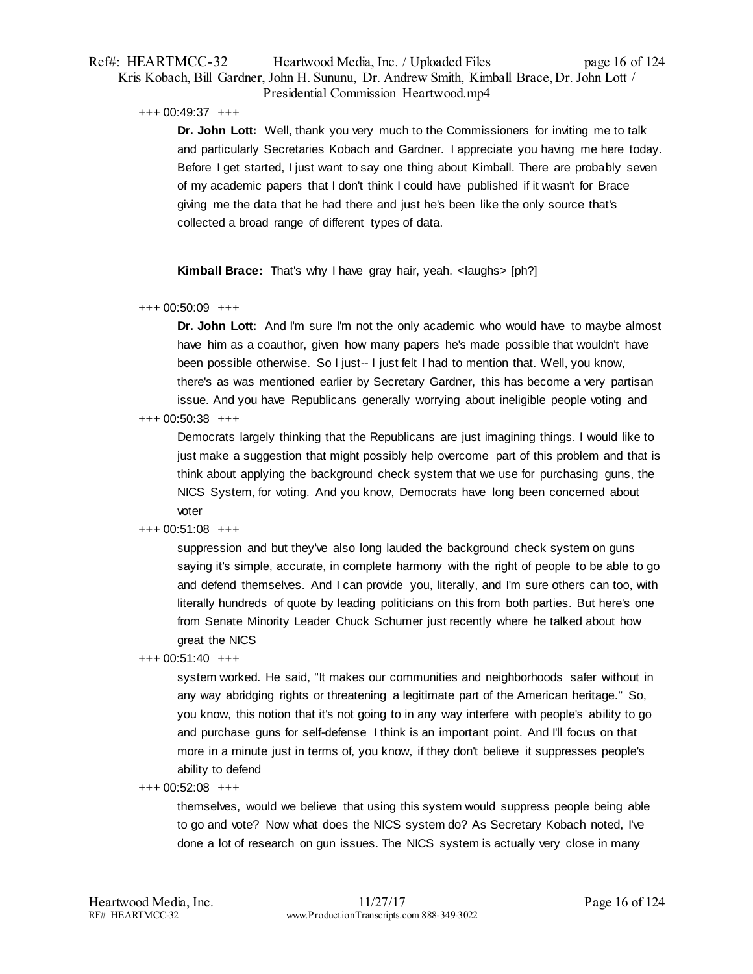# Ref#: HEARTMCC-32 Heartwood Media, Inc. / Uploaded Files page 16 of 124 Kris Kobach, Bill Gardner, John H. Sununu, Dr. Andrew Smith, Kimball Brace, Dr. John Lott / Presidential Commission Heartwood.mp4

+++ 00:49:37 +++

**Dr. John Lott:** Well, thank you very much to the Commissioners for inviting me to talk and particularly Secretaries Kobach and Gardner. I appreciate you having me here today. Before I get started, I just want to say one thing about Kimball. There are probably seven of my academic papers that I don't think I could have published if it wasn't for Brace giving me the data that he had there and just he's been like the only source that's collected a broad range of different types of data.

**Kimball Brace:** That's why I have gray hair, yeah. <laughs> [ph?]

+++ 00:50:09 +++

**Dr. John Lott:** And I'm sure I'm not the only academic who would have to maybe almost have him as a coauthor, given how many papers he's made possible that wouldn't have been possible otherwise. So I just-- I just felt I had to mention that. Well, you know, there's as was mentioned earlier by Secretary Gardner, this has become a very partisan issue. And you have Republicans generally worrying about ineligible people voting and

+++ 00:50:38 +++

Democrats largely thinking that the Republicans are just imagining things. I would like to just make a suggestion that might possibly help overcome part of this problem and that is think about applying the background check system that we use for purchasing guns, the NICS System, for voting. And you know, Democrats have long been concerned about voter

+++ 00:51:08 +++

suppression and but they've also long lauded the background check system on guns saying it's simple, accurate, in complete harmony with the right of people to be able to go and defend themselves. And I can provide you, literally, and I'm sure others can too, with literally hundreds of quote by leading politicians on this from both parties. But here's one from Senate Minority Leader Chuck Schumer just recently where he talked about how great the NICS

+++ 00:51:40 +++

system worked. He said, "It makes our communities and neighborhoods safer without in any way abridging rights or threatening a legitimate part of the American heritage." So, you know, this notion that it's not going to in any way interfere with people's ability to go and purchase guns for self-defense I think is an important point. And I'll focus on that more in a minute just in terms of, you know, if they don't believe it suppresses people's ability to defend

+++ 00:52:08 +++

themselves, would we believe that using this system would suppress people being able to go and vote? Now what does the NICS system do? As Secretary Kobach noted, I've done a lot of research on gun issues. The NICS system is actually very close in many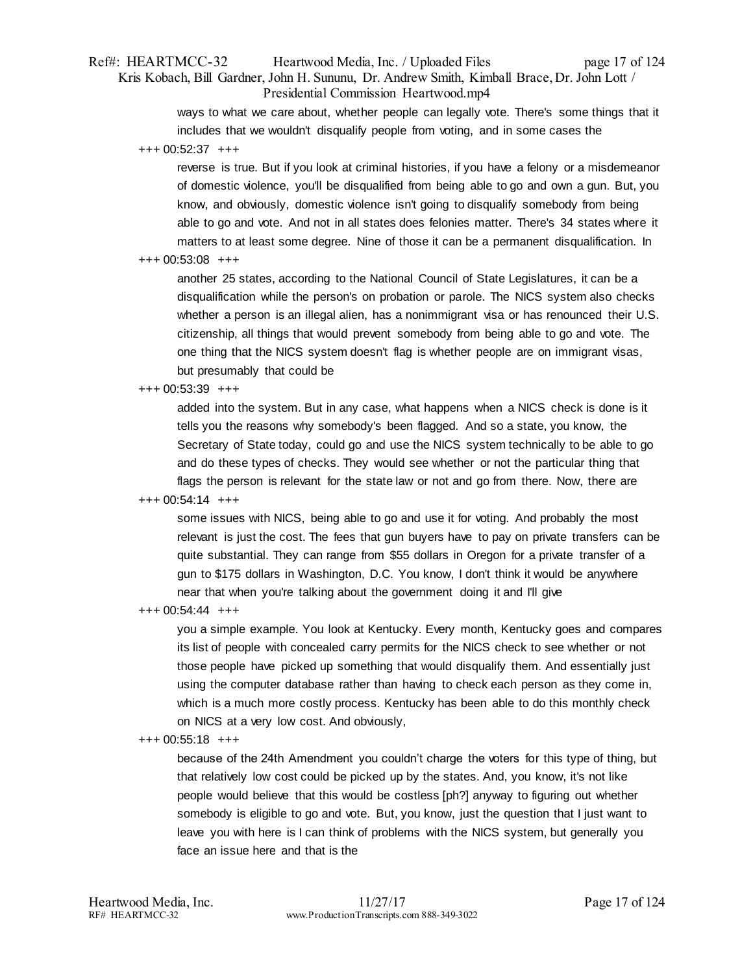# Ref#: HEARTMCC-32 Heartwood Media, Inc. / Uploaded Files page 17 of 124 Kris Kobach, Bill Gardner, John H. Sununu, Dr. Andrew Smith, Kimball Brace, Dr. John Lott / Presidential Commission Heartwood.mp4

ways to what we care about, whether people can legally vote. There's some things that it includes that we wouldn't disqualify people from voting, and in some cases the

+++ 00:52:37 +++

reverse is true. But if you look at criminal histories, if you have a felony or a misdemeanor of domestic violence, you'll be disqualified from being able to go and own a gun. But, you know, and obviously, domestic violence isn't going to disqualify somebody from being able to go and vote. And not in all states does felonies matter. There's 34 states where it matters to at least some degree. Nine of those it can be a permanent disqualification. In

### +++ 00:53:08 +++

another 25 states, according to the National Council of State Legislatures, it can be a disqualification while the person's on probation or parole. The NICS system also checks whether a person is an illegal alien, has a nonimmigrant visa or has renounced their U.S. citizenship, all things that would prevent somebody from being able to go and vote. The one thing that the NICS system doesn't flag is whether people are on immigrant visas, but presumably that could be

# +++ 00:53:39 +++

added into the system. But in any case, what happens when a NICS check is done is it tells you the reasons why somebody's been flagged. And so a state, you know, the Secretary of State today, could go and use the NICS system technically to be able to go and do these types of checks. They would see whether or not the particular thing that flags the person is relevant for the state law or not and go from there. Now, there are

# +++ 00:54:14 +++

some issues with NICS, being able to go and use it for voting. And probably the most relevant is just the cost. The fees that gun buyers have to pay on private transfers can be quite substantial. They can range from \$55 dollars in Oregon for a private transfer of a gun to \$175 dollars in Washington, D.C. You know, I don't think it would be anywhere near that when you're talking about the government doing it and I'll give

# +++ 00:54:44 +++

you a simple example. You look at Kentucky. Every month, Kentucky goes and compares its list of people with concealed carry permits for the NICS check to see whether or not those people have picked up something that would disqualify them. And essentially just using the computer database rather than having to check each person as they come in, which is a much more costly process. Kentucky has been able to do this monthly check on NICS at a very low cost. And obviously,

### +++ 00:55:18 +++

because of the 24th Amendment you couldn't charge the voters for this type of thing, but that relatively low cost could be picked up by the states. And, you know, it's not like people would believe that this would be costless [ph?] anyway to figuring out whether somebody is eligible to go and vote. But, you know, just the question that I just want to leave you with here is I can think of problems with the NICS system, but generally you face an issue here and that is the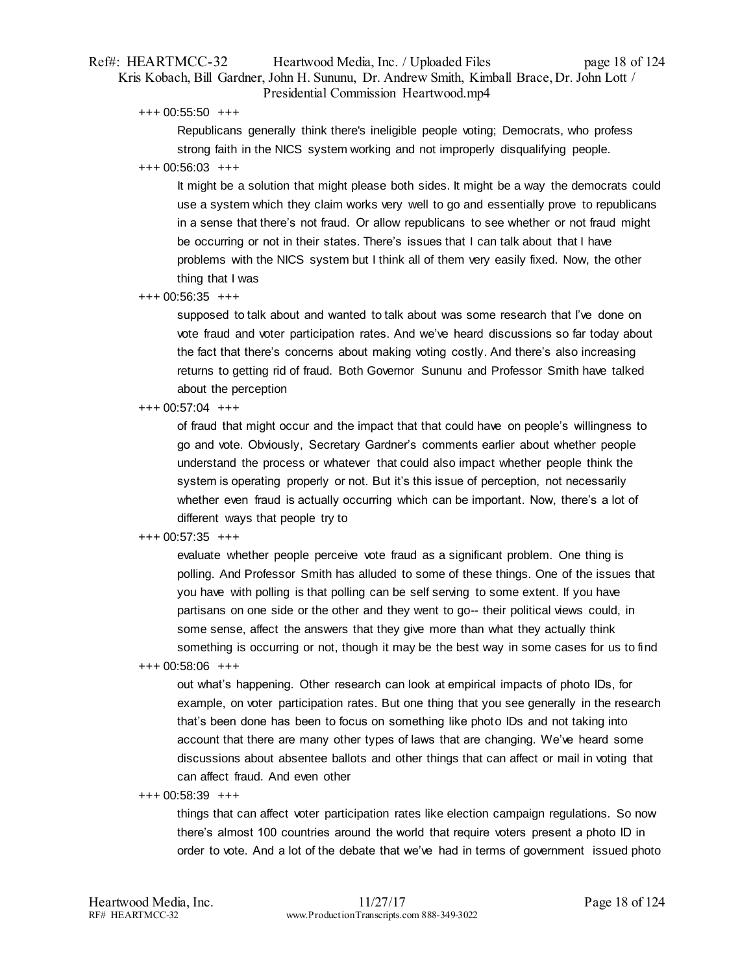# Ref#: HEARTMCC-32 Heartwood Media, Inc. / Uploaded Files page 18 of 124 Kris Kobach, Bill Gardner, John H. Sununu, Dr. Andrew Smith, Kimball Brace, Dr. John Lott / Presidential Commission Heartwood.mp4

+++ 00:55:50 +++

Republicans generally think there's ineligible people voting; Democrats, who profess strong faith in the NICS system working and not improperly disqualifying people.

### +++ 00:56:03 +++

It might be a solution that might please both sides. It might be a way the democrats could use a system which they claim works very well to go and essentially prove to republicans in a sense that there's not fraud. Or allow republicans to see whether or not fraud might be occurring or not in their states. There's issues that I can talk about that I have problems with the NICS system but I think all of them very easily fixed. Now, the other thing that I was

### +++ 00:56:35 +++

supposed to talk about and wanted to talk about was some research that I've done on vote fraud and voter participation rates. And we've heard discussions so far today about the fact that there's concerns about making voting costly. And there's also increasing returns to getting rid of fraud. Both Governor Sununu and Professor Smith have talked about the perception

### +++ 00:57:04 +++

of fraud that might occur and the impact that that could have on people's willingness to go and vote. Obviously, Secretary Gardner's comments earlier about whether people understand the process or whatever that could also impact whether people think the system is operating properly or not. But it's this issue of perception, not necessarily whether even fraud is actually occurring which can be important. Now, there's a lot of different ways that people try to

# +++ 00:57:35 +++

evaluate whether people perceive vote fraud as a significant problem. One thing is polling. And Professor Smith has alluded to some of these things. One of the issues that you have with polling is that polling can be self serving to some extent. If you have partisans on one side or the other and they went to go-- their political views could, in some sense, affect the answers that they give more than what they actually think something is occurring or not, though it may be the best way in some cases for us to find

### +++ 00:58:06 +++

out what's happening. Other research can look at empirical impacts of photo IDs, for example, on voter participation rates. But one thing that you see generally in the research that's been done has been to focus on something like photo IDs and not taking into account that there are many other types of laws that are changing. We've heard some discussions about absentee ballots and other things that can affect or mail in voting that can affect fraud. And even other

### +++ 00:58:39 +++

things that can affect voter participation rates like election campaign regulations. So now there's almost 100 countries around the world that require voters present a photo ID in order to vote. And a lot of the debate that we've had in terms of government issued photo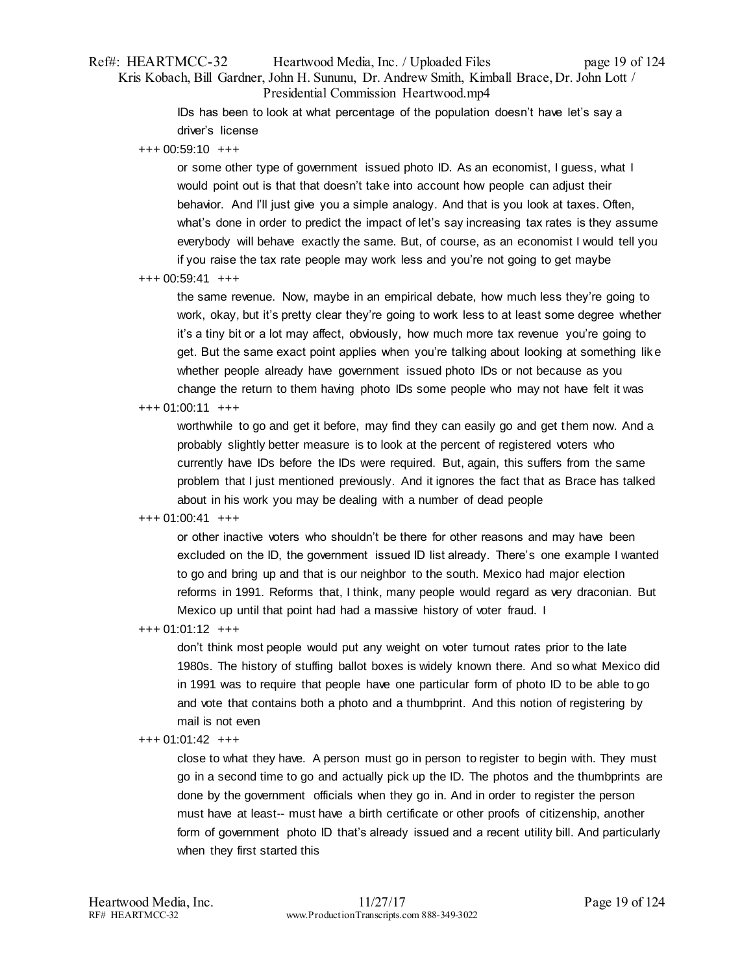# Ref#: HEARTMCC-32 Heartwood Media, Inc. / Uploaded Files page 19 of 124 Kris Kobach, Bill Gardner, John H. Sununu, Dr. Andrew Smith, Kimball Brace, Dr. John Lott / Presidential Commission Heartwood.mp4

IDs has been to look at what percentage of the population doesn't have let's say a driver's license

+++ 00:59:10 +++

or some other type of government issued photo ID. As an economist, I guess, what I would point out is that that doesn't take into account how people can adjust their behavior. And I'll just give you a simple analogy. And that is you look at taxes. Often, what's done in order to predict the impact of let's say increasing tax rates is they assume everybody will behave exactly the same. But, of course, as an economist I would tell you if you raise the tax rate people may work less and you're not going to get maybe

+++ 00:59:41 +++

the same revenue. Now, maybe in an empirical debate, how much less they're going to work, okay, but it's pretty clear they're going to work less to at least some degree whether it's a tiny bit or a lot may affect, obviously, how much more tax revenue you're going to get. But the same exact point applies when you're talking about looking at something lik e whether people already have government issued photo IDs or not because as you change the return to them having photo IDs some people who may not have felt it was

# +++ 01:00:11 +++

worthwhile to go and get it before, may find they can easily go and get them now. And a probably slightly better measure is to look at the percent of registered voters who currently have IDs before the IDs were required. But, again, this suffers from the same problem that I just mentioned previously. And it ignores the fact that as Brace has talked about in his work you may be dealing with a number of dead people

# +++ 01:00:41 +++

or other inactive voters who shouldn't be there for other reasons and may have been excluded on the ID, the government issued ID list already. There's one example I wanted to go and bring up and that is our neighbor to the south. Mexico had major election reforms in 1991. Reforms that, I think, many people would regard as very draconian. But Mexico up until that point had had a massive history of voter fraud. I

+++ 01:01:12 +++

don't think most people would put any weight on voter turnout rates prior to the late 1980s. The history of stuffing ballot boxes is widely known there. And so what Mexico did in 1991 was to require that people have one particular form of photo ID to be able to go and vote that contains both a photo and a thumbprint. And this notion of registering by mail is not even

### +++ 01:01:42 +++

close to what they have. A person must go in person to register to begin with. They must go in a second time to go and actually pick up the ID. The photos and the thumbprints are done by the government officials when they go in. And in order to register the person must have at least-- must have a birth certificate or other proofs of citizenship, another form of government photo ID that's already issued and a recent utility bill. And particularly when they first started this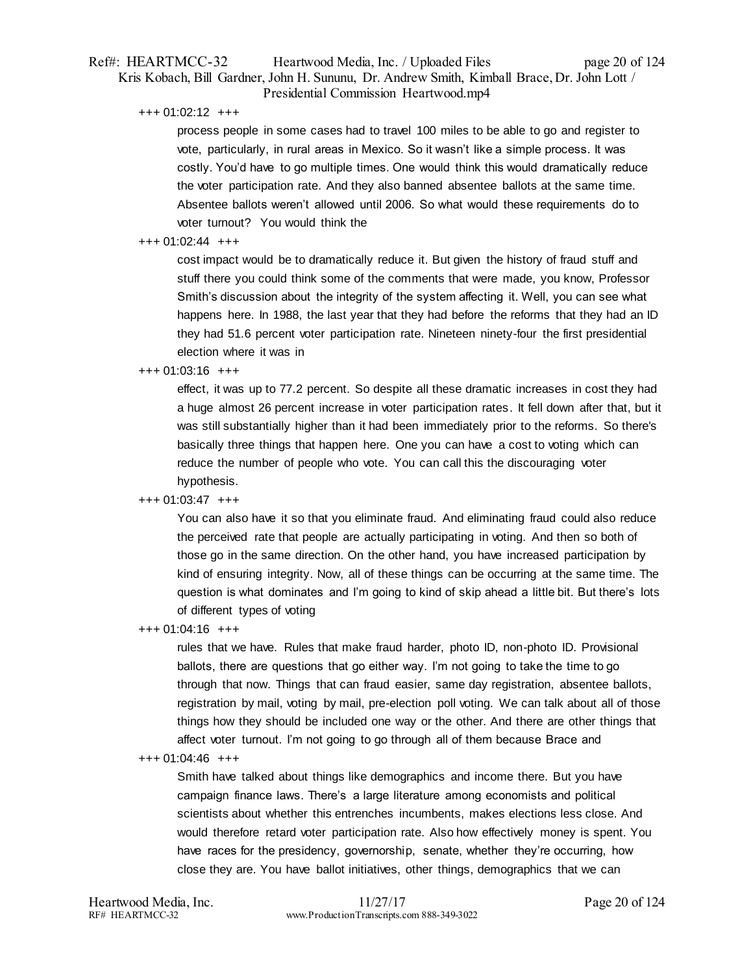# Ref#: HEARTMCC-32 Heartwood Media, Inc. / Uploaded Files page 20 of 124 Kris Kobach, Bill Gardner, John H. Sununu, Dr. Andrew Smith, Kimball Brace, Dr. John Lott / Presidential Commission Heartwood.mp4

+++ 01:02:12 +++

process people in some cases had to travel 100 miles to be able to go and register to vote, particularly, in rural areas in Mexico. So it wasn't like a simple process. It was costly. You'd have to go multiple times. One would think this would dramatically reduce the voter participation rate. And they also banned absentee ballots at the same time. Absentee ballots weren't allowed until 2006. So what would these requirements do to voter turnout? You would think the

# $+++$  01:02:44  $++$

cost impact would be to dramatically reduce it. But given the history of fraud stuff and stuff there you could think some of the comments that were made, you know, Professor Smith's discussion about the integrity of the system affecting it. Well, you can see what happens here. In 1988, the last year that they had before the reforms that they had an ID they had 51.6 percent voter participation rate. Nineteen ninety-four the first presidential election where it was in

### +++ 01:03:16 +++

effect, it was up to 77.2 percent. So despite all these dramatic increases in cost they had a huge almost 26 percent increase in voter participation rates. It fell down after that, but it was still substantially higher than it had been immediately prior to the reforms. So there's basically three things that happen here. One you can have a cost to voting which can reduce the number of people who vote. You can call this the discouraging voter hypothesis.

# +++ 01:03:47 +++

You can also have it so that you eliminate fraud. And eliminating fraud could also reduce the perceived rate that people are actually participating in voting. And then so both of those go in the same direction. On the other hand, you have increased participation by kind of ensuring integrity. Now, all of these things can be occurring at the same time. The question is what dominates and I'm going to kind of skip ahead a little bit. But there's lots of different types of voting

+++ 01:04:16 +++

rules that we have. Rules that make fraud harder, photo ID, non-photo ID. Provisional ballots, there are questions that go either way. I'm not going to take the time to go through that now. Things that can fraud easier, same day registration, absentee ballots, registration by mail, voting by mail, pre-election poll voting. We can talk about all of those things how they should be included one way or the other. And there are other things that affect voter turnout. I'm not going to go through all of them because Brace and

+++ 01:04:46 +++

Smith have talked about things like demographics and income there. But you have campaign finance laws. There's a large literature among economists and political scientists about whether this entrenches incumbents, makes elections less close. And would therefore retard voter participation rate. Also how effectively money is spent. You have races for the presidency, governorship, senate, whether they're occurring, how close they are. You have ballot initiatives, other things, demographics that we can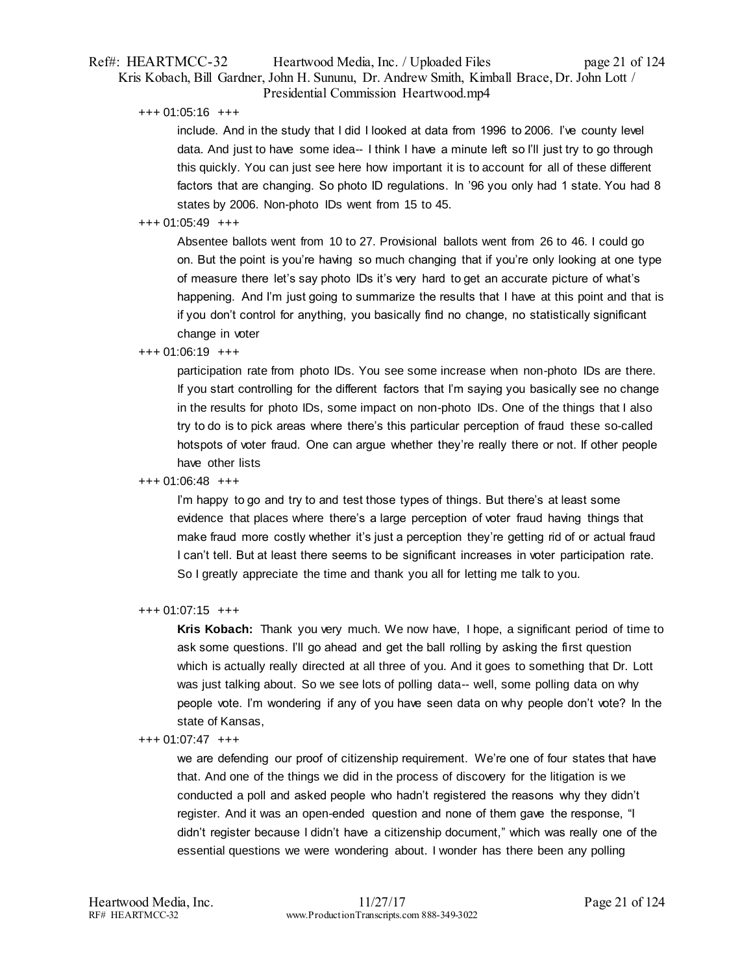# Ref#: HEARTMCC-32 Heartwood Media, Inc. / Uploaded Files page 21 of 124 Kris Kobach, Bill Gardner, John H. Sununu, Dr. Andrew Smith, Kimball Brace, Dr. John Lott / Presidential Commission Heartwood.mp4

+++ 01:05:16 +++

include. And in the study that I did I looked at data from 1996 to 2006. I've county level data. And just to have some idea-- I think I have a minute left so I'll just try to go through this quickly. You can just see here how important it is to account for all of these different factors that are changing. So photo ID regulations. In '96 you only had 1 state. You had 8 states by 2006. Non-photo IDs went from 15 to 45.

# +++ 01:05:49 +++

Absentee ballots went from 10 to 27. Provisional ballots went from 26 to 46. I could go on. But the point is you're having so much changing that if you're only looking at one type of measure there let's say photo IDs it's very hard to get an accurate picture of what's happening. And I'm just going to summarize the results that I have at this point and that is if you don't control for anything, you basically find no change, no statistically significant change in voter

# +++ 01:06:19 +++

participation rate from photo IDs. You see some increase when non-photo IDs are there. If you start controlling for the different factors that I'm saying you basically see no change in the results for photo IDs, some impact on non-photo IDs. One of the things that I also try to do is to pick areas where there's this particular perception of fraud these so-called hotspots of voter fraud. One can argue whether they're really there or not. If other people have other lists

# +++ 01:06:48 +++

I'm happy to go and try to and test those types of things. But there's at least some evidence that places where there's a large perception of voter fraud having things that make fraud more costly whether it's just a perception they're getting rid of or actual fraud I can't tell. But at least there seems to be significant increases in voter participation rate. So I greatly appreciate the time and thank you all for letting me talk to you.

# +++ 01:07:15 +++

**Kris Kobach:** Thank you very much. We now have, I hope, a significant period of time to ask some questions. I'll go ahead and get the ball rolling by asking the first question which is actually really directed at all three of you. And it goes to something that Dr. Lott was just talking about. So we see lots of polling data-- well, some polling data on why people vote. I'm wondering if any of you have seen data on why people don't vote? In the state of Kansas,

# +++ 01:07:47 +++

we are defending our proof of citizenship requirement. We're one of four states that have that. And one of the things we did in the process of discovery for the litigation is we conducted a poll and asked people who hadn't registered the reasons why they didn't register. And it was an open-ended question and none of them gave the response, "I didn't register because I didn't have a citizenship document," which was really one of the essential questions we were wondering about. I wonder has there been any polling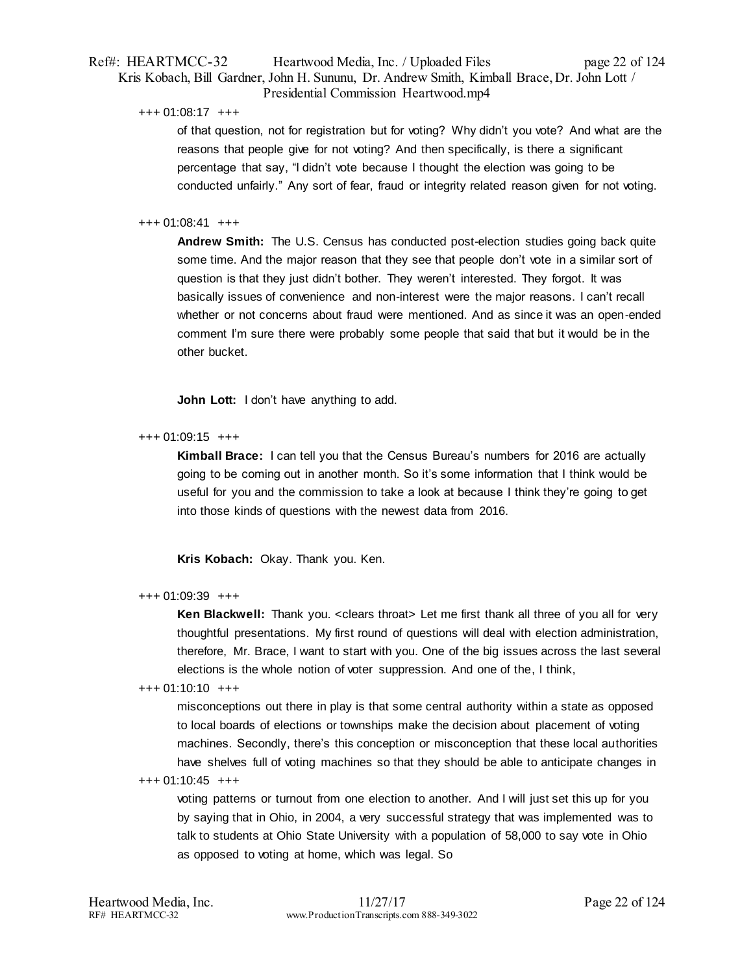# Ref#: HEARTMCC-32 Heartwood Media, Inc. / Uploaded Files page 22 of 124 Kris Kobach, Bill Gardner, John H. Sununu, Dr. Andrew Smith, Kimball Brace, Dr. John Lott / Presidential Commission Heartwood.mp4

### +++ 01:08:17 +++

of that question, not for registration but for voting? Why didn't you vote? And what are the reasons that people give for not voting? And then specifically, is there a significant percentage that say, "I didn't vote because I thought the election was going to be conducted unfairly." Any sort of fear, fraud or integrity related reason given for not voting.

# +++ 01:08:41 +++

**Andrew Smith:** The U.S. Census has conducted post-election studies going back quite some time. And the major reason that they see that people don't vote in a similar sort of question is that they just didn't bother. They weren't interested. They forgot. It was basically issues of convenience and non-interest were the major reasons. I can't recall whether or not concerns about fraud were mentioned. And as since it was an open-ended comment I'm sure there were probably some people that said that but it would be in the other bucket.

**John Lott:** I don't have anything to add.

# +++ 01:09:15 +++

**Kimball Brace:** I can tell you that the Census Bureau's numbers for 2016 are actually going to be coming out in another month. So it's some information that I think would be useful for you and the commission to take a look at because I think they're going to get into those kinds of questions with the newest data from 2016.

**Kris Kobach:** Okay. Thank you. Ken.

# +++ 01:09:39 +++

**Ken Blackwell:** Thank you. < clears throat > Let me first thank all three of you all for very thoughtful presentations. My first round of questions will deal with election administration, therefore, Mr. Brace, I want to start with you. One of the big issues across the last several elections is the whole notion of voter suppression. And one of the, I think,

### +++ 01:10:10 +++

misconceptions out there in play is that some central authority within a state as opposed to local boards of elections or townships make the decision about placement of voting machines. Secondly, there's this conception or misconception that these local authorities have shelves full of voting machines so that they should be able to anticipate changes in

### +++ 01:10:45 +++

voting patterns or turnout from one election to another. And I will just set this up for you by saying that in Ohio, in 2004, a very successful strategy that was implemented was to talk to students at Ohio State University with a population of 58,000 to say vote in Ohio as opposed to voting at home, which was legal. So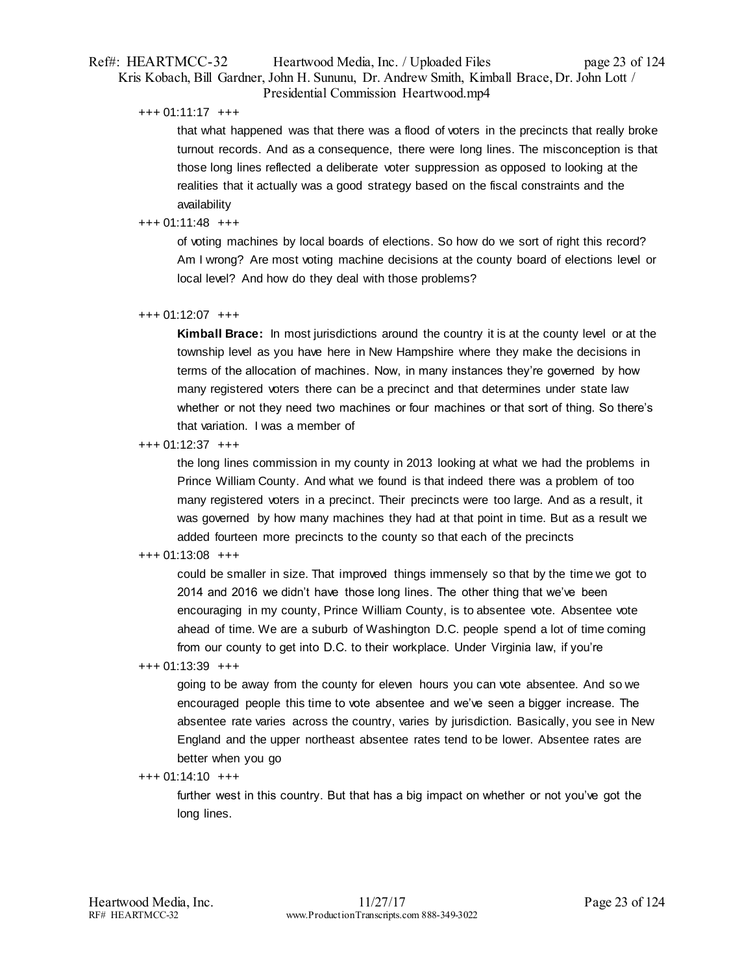# Ref#: HEARTMCC-32 Heartwood Media, Inc. / Uploaded Files page 23 of 124 Kris Kobach, Bill Gardner, John H. Sununu, Dr. Andrew Smith, Kimball Brace, Dr. John Lott / Presidential Commission Heartwood.mp4

### +++ 01:11:17 +++

that what happened was that there was a flood of voters in the precincts that really broke turnout records. And as a consequence, there were long lines. The misconception is that those long lines reflected a deliberate voter suppression as opposed to looking at the realities that it actually was a good strategy based on the fiscal constraints and the availability

# +++ 01:11:48 +++

of voting machines by local boards of elections. So how do we sort of right this record? Am I wrong? Are most voting machine decisions at the county board of elections level or local level? And how do they deal with those problems?

### +++ 01:12:07 +++

**Kimball Brace:** In most jurisdictions around the country it is at the county level or at the township level as you have here in New Hampshire where they make the decisions in terms of the allocation of machines. Now, in many instances they're governed by how many registered voters there can be a precinct and that determines under state law whether or not they need two machines or four machines or that sort of thing. So there's that variation. I was a member of

+++ 01:12:37 +++

the long lines commission in my county in 2013 looking at what we had the problems in Prince William County. And what we found is that indeed there was a problem of too many registered voters in a precinct. Their precincts were too large. And as a result, it was governed by how many machines they had at that point in time. But as a result we added fourteen more precincts to the county so that each of the precincts

# +++ 01:13:08 +++

could be smaller in size. That improved things immensely so that by the time we got to 2014 and 2016 we didn't have those long lines. The other thing that we've been encouraging in my county, Prince William County, is to absentee vote. Absentee vote ahead of time. We are a suburb of Washington D.C. people spend a lot of time coming from our county to get into D.C. to their workplace. Under Virginia law, if you're

### +++ 01:13:39 +++

going to be away from the county for eleven hours you can vote absentee. And so we encouraged people this time to vote absentee and we've seen a bigger increase. The absentee rate varies across the country, varies by jurisdiction. Basically, you see in New England and the upper northeast absentee rates tend to be lower. Absentee rates are better when you go

# $+++ 01:14:10 +++$

further west in this country. But that has a big impact on whether or not you've got the long lines.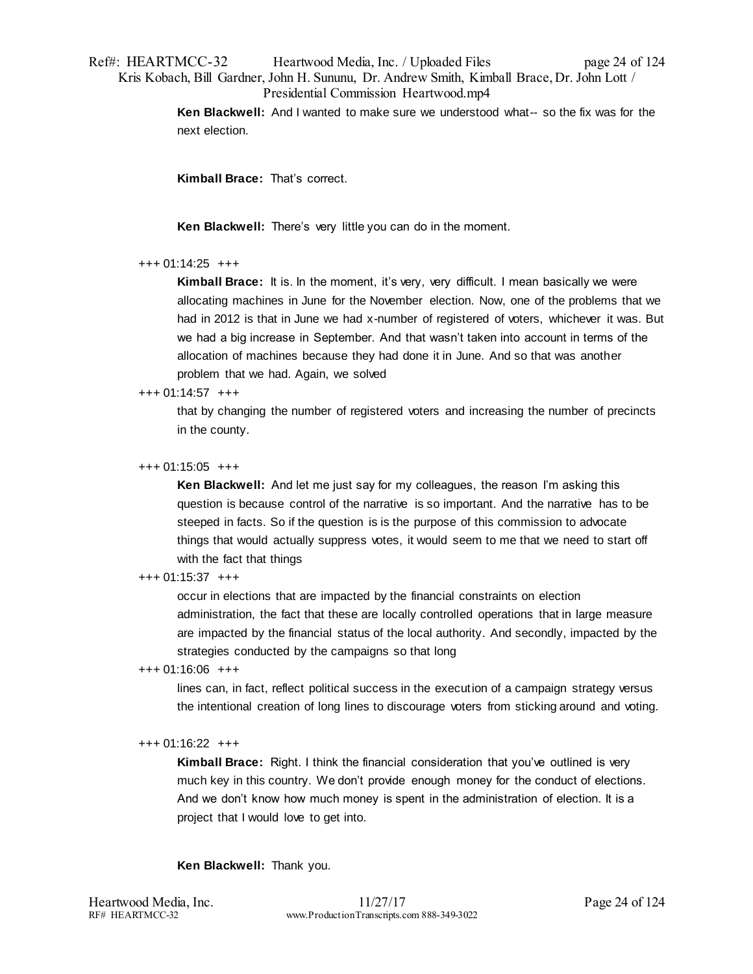# Ref#: HEARTMCC-32 Heartwood Media, Inc. / Uploaded Files page 24 of 124 Kris Kobach, Bill Gardner, John H. Sununu, Dr. Andrew Smith, Kimball Brace, Dr. John Lott / Presidential Commission Heartwood.mp4

**Ken Blackwell:** And I wanted to make sure we understood what-- so the fix was for the next election.

**Kimball Brace:** That's correct.

**Ken Blackwell:** There's very little you can do in the moment.

### +++ 01:14:25 +++

**Kimball Brace:** It is. In the moment, it's very, very difficult. I mean basically we were allocating machines in June for the November election. Now, one of the problems that we had in 2012 is that in June we had x-number of registered of voters, whichever it was. But we had a big increase in September. And that wasn't taken into account in terms of the allocation of machines because they had done it in June. And so that was another problem that we had. Again, we solved

### +++ 01:14:57 +++

that by changing the number of registered voters and increasing the number of precincts in the county.

### +++ 01:15:05 +++

**Ken Blackwell:** And let me just say for my colleagues, the reason I'm asking this question is because control of the narrative is so important. And the narrative has to be steeped in facts. So if the question is is the purpose of this commission to advocate things that would actually suppress votes, it would seem to me that we need to start off with the fact that things

### +++ 01:15:37 +++

occur in elections that are impacted by the financial constraints on election administration, the fact that these are locally controlled operations that in large measure are impacted by the financial status of the local authority. And secondly, impacted by the strategies conducted by the campaigns so that long

### +++ 01:16:06 +++

lines can, in fact, reflect political success in the execution of a campaign strategy versus the intentional creation of long lines to discourage voters from sticking around and voting.

# +++ 01:16:22 +++

**Kimball Brace:** Right. I think the financial consideration that you've outlined is very much key in this country. We don't provide enough money for the conduct of elections. And we don't know how much money is spent in the administration of election. It is a project that I would love to get into.

**Ken Blackwell:** Thank you.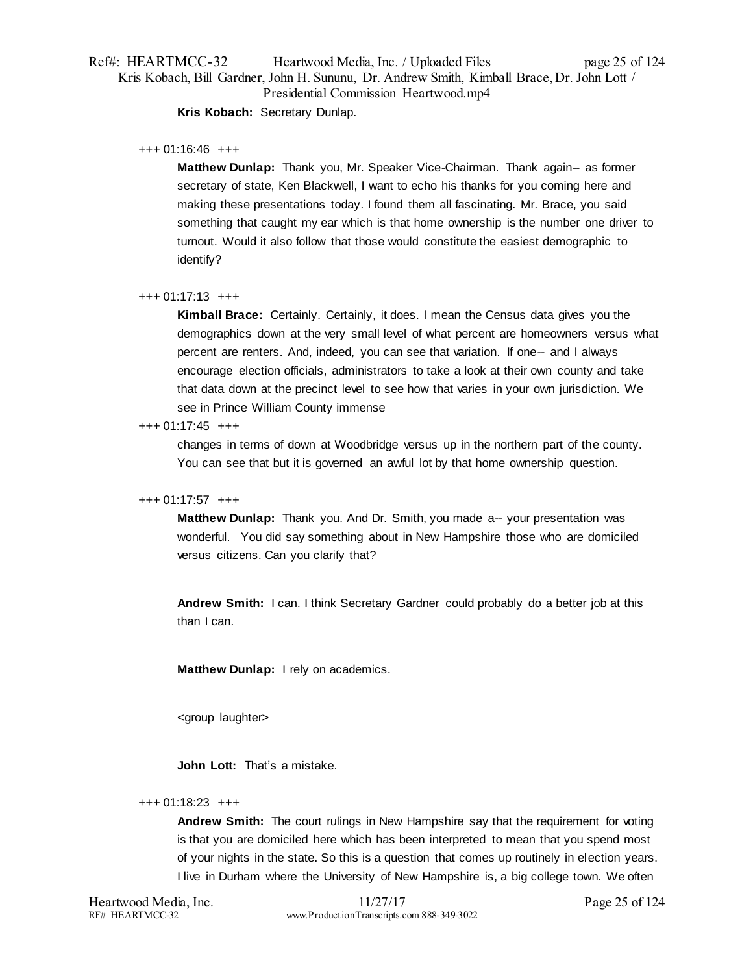# Ref#: HEARTMCC-32 Heartwood Media, Inc. / Uploaded Files page 25 of 124 Kris Kobach, Bill Gardner, John H. Sununu, Dr. Andrew Smith, Kimball Brace, Dr. John Lott / Presidential Commission Heartwood.mp4

**Kris Kobach:** Secretary Dunlap.

### +++ 01:16:46 +++

**Matthew Dunlap:** Thank you, Mr. Speaker Vice-Chairman. Thank again-- as former secretary of state, Ken Blackwell, I want to echo his thanks for you coming here and making these presentations today. I found them all fascinating. Mr. Brace, you said something that caught my ear which is that home ownership is the number one driver to turnout. Would it also follow that those would constitute the easiest demographic to identify?

### +++ 01:17:13 +++

**Kimball Brace:** Certainly. Certainly, it does. I mean the Census data gives you the demographics down at the very small level of what percent are homeowners versus what percent are renters. And, indeed, you can see that variation. If one-- and I always encourage election officials, administrators to take a look at their own county and take that data down at the precinct level to see how that varies in your own jurisdiction. We see in Prince William County immense

### +++ 01:17:45 +++

changes in terms of down at Woodbridge versus up in the northern part of the county. You can see that but it is governed an awful lot by that home ownership question.

# +++ 01:17:57 +++

**Matthew Dunlap:** Thank you. And Dr. Smith, you made a-- your presentation was wonderful. You did say something about in New Hampshire those who are domiciled versus citizens. Can you clarify that?

**Andrew Smith:** I can. I think Secretary Gardner could probably do a better job at this than I can.

**Matthew Dunlap:** I rely on academics.

<group laughter>

**John Lott:** That's a mistake.

### +++ 01:18:23 +++

**Andrew Smith:** The court rulings in New Hampshire say that the requirement for voting is that you are domiciled here which has been interpreted to mean that you spend most of your nights in the state. So this is a question that comes up routinely in election years. I live in Durham where the University of New Hampshire is, a big college town. We often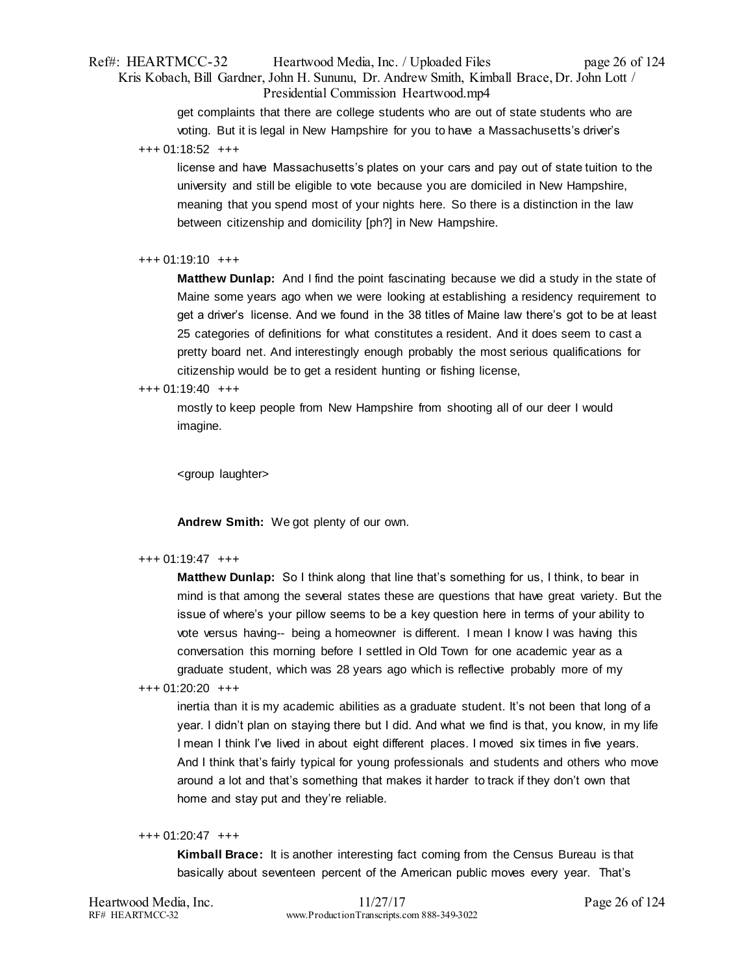# Ref#: HEARTMCC-32 Heartwood Media, Inc. / Uploaded Files page 26 of 124 Kris Kobach, Bill Gardner, John H. Sununu, Dr. Andrew Smith, Kimball Brace, Dr. John Lott / Presidential Commission Heartwood.mp4

get complaints that there are college students who are out of state students who are voting. But it is legal in New Hampshire for you to have a Massachusetts's driver's +++ 01:18:52 +++

license and have Massachusetts's plates on your cars and pay out of state tuition to the university and still be eligible to vote because you are domiciled in New Hampshire, meaning that you spend most of your nights here. So there is a distinction in the law between citizenship and domicility [ph?] in New Hampshire.

### +++ 01:19:10 +++

**Matthew Dunlap:** And I find the point fascinating because we did a study in the state of Maine some years ago when we were looking at establishing a residency requirement to get a driver's license. And we found in the 38 titles of Maine law there's got to be at least 25 categories of definitions for what constitutes a resident. And it does seem to cast a pretty board net. And interestingly enough probably the most serious qualifications for citizenship would be to get a resident hunting or fishing license,

### +++ 01:19:40 +++

mostly to keep people from New Hampshire from shooting all of our deer I would imagine.

<group laughter>

**Andrew Smith:** We got plenty of our own.

### +++ 01:19:47 +++

**Matthew Dunlap:** So I think along that line that's something for us, I think, to bear in mind is that among the several states these are questions that have great variety. But the issue of where's your pillow seems to be a key question here in terms of your ability to vote versus having-- being a homeowner is different. I mean I know I was having this conversation this morning before I settled in Old Town for one academic year as a graduate student, which was 28 years ago which is reflective probably more of my

+++ 01:20:20 +++

inertia than it is my academic abilities as a graduate student. It's not been that long of a year. I didn't plan on staying there but I did. And what we find is that, you know, in my life I mean I think I've lived in about eight different places. I moved six times in five years. And I think that's fairly typical for young professionals and students and others who move around a lot and that's something that makes it harder to track if they don't own that home and stay put and they're reliable.

### +++ 01:20:47 +++

**Kimball Brace:** It is another interesting fact coming from the Census Bureau is that basically about seventeen percent of the American public moves every year. That's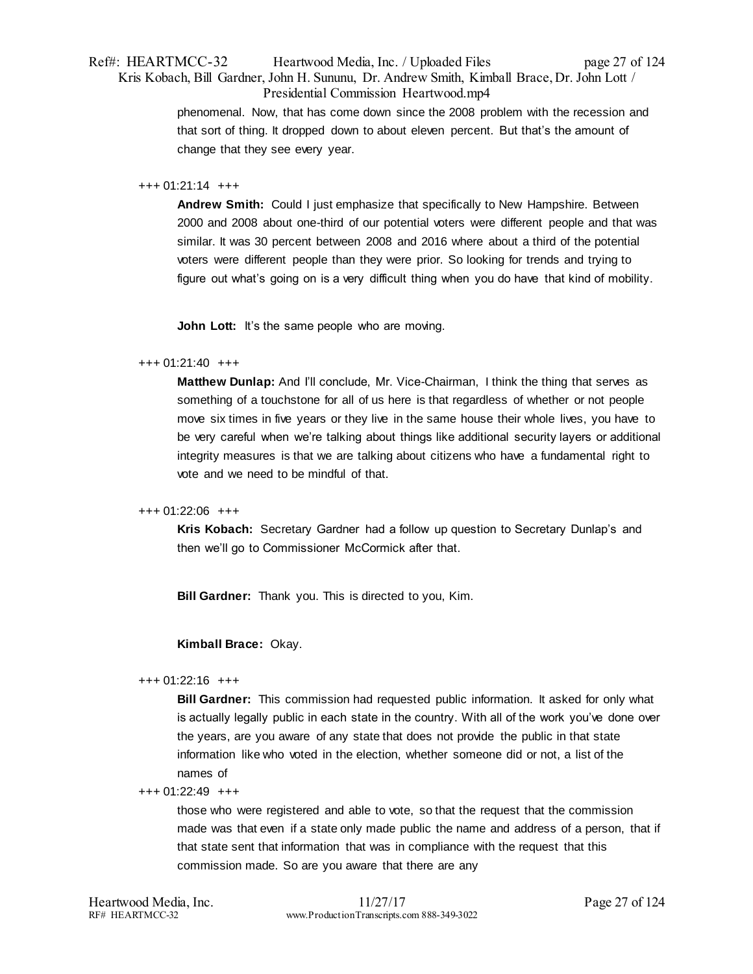# Ref#: HEARTMCC-32 Heartwood Media, Inc. / Uploaded Files page 27 of 124 Kris Kobach, Bill Gardner, John H. Sununu, Dr. Andrew Smith, Kimball Brace, Dr. John Lott / Presidential Commission Heartwood.mp4

phenomenal. Now, that has come down since the 2008 problem with the recession and that sort of thing. It dropped down to about eleven percent. But that's the amount of change that they see every year.

### +++ 01:21:14 +++

**Andrew Smith:** Could I just emphasize that specifically to New Hampshire. Between 2000 and 2008 about one-third of our potential voters were different people and that was similar. It was 30 percent between 2008 and 2016 where about a third of the potential voters were different people than they were prior. So looking for trends and trying to figure out what's going on is a very difficult thing when you do have that kind of mobility.

**John Lott:** It's the same people who are moving.

### +++ 01:21:40 +++

**Matthew Dunlap:** And I'll conclude, Mr. Vice-Chairman, I think the thing that serves as something of a touchstone for all of us here is that regardless of whether or not people move six times in five years or they live in the same house their whole lives, you have to be very careful when we're talking about things like additional security layers or additional integrity measures is that we are talking about citizens who have a fundamental right to vote and we need to be mindful of that.

### +++ 01:22:06 +++

**Kris Kobach:** Secretary Gardner had a follow up question to Secretary Dunlap's and then we'll go to Commissioner McCormick after that.

**Bill Gardner:** Thank you. This is directed to you, Kim.

# **Kimball Brace:** Okay.

### +++ 01:22:16 +++

**Bill Gardner:** This commission had requested public information. It asked for only what is actually legally public in each state in the country. With all of the work you've done over the years, are you aware of any state that does not provide the public in that state information like who voted in the election, whether someone did or not, a list of the names of

### +++ 01:22:49 +++

those who were registered and able to vote, so that the request that the commission made was that even if a state only made public the name and address of a person, that if that state sent that information that was in compliance with the request that this commission made. So are you aware that there are any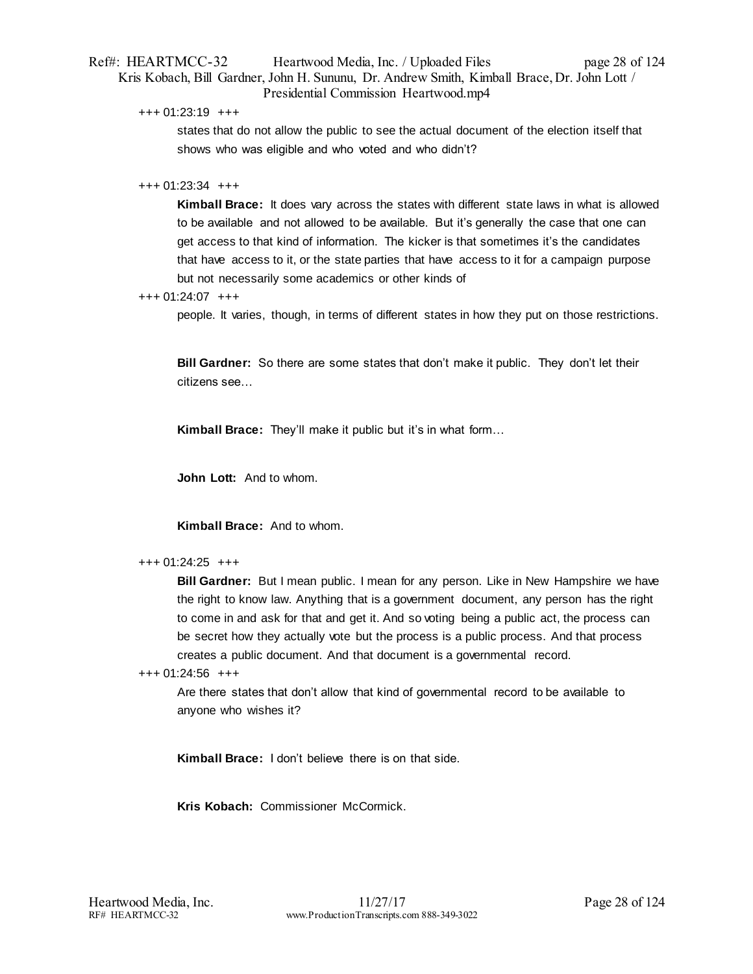# Ref#: HEARTMCC-32 Heartwood Media, Inc. / Uploaded Files page 28 of 124 Kris Kobach, Bill Gardner, John H. Sununu, Dr. Andrew Smith, Kimball Brace, Dr. John Lott / Presidential Commission Heartwood.mp4

+++ 01:23:19 +++

states that do not allow the public to see the actual document of the election itself that shows who was eligible and who voted and who didn't?

### $+++ 01:23:34$   $+++$

**Kimball Brace:** It does vary across the states with different state laws in what is allowed to be available and not allowed to be available. But it's generally the case that one can get access to that kind of information. The kicker is that sometimes it's the candidates that have access to it, or the state parties that have access to it for a campaign purpose but not necessarily some academics or other kinds of

+++ 01:24:07 +++

people. It varies, though, in terms of different states in how they put on those restrictions.

**Bill Gardner:** So there are some states that don't make it public. They don't let their citizens see…

**Kimball Brace:** They'll make it public but it's in what form…

**John Lott:** And to whom.

**Kimball Brace:** And to whom.

### +++ 01:24:25 +++

**Bill Gardner:** But I mean public. I mean for any person. Like in New Hampshire we have the right to know law. Anything that is a government document, any person has the right to come in and ask for that and get it. And so voting being a public act, the process can be secret how they actually vote but the process is a public process. And that process creates a public document. And that document is a governmental record.

+++ 01:24:56 +++

Are there states that don't allow that kind of governmental record to be available to anyone who wishes it?

**Kimball Brace:** I don't believe there is on that side.

**Kris Kobach:** Commissioner McCormick.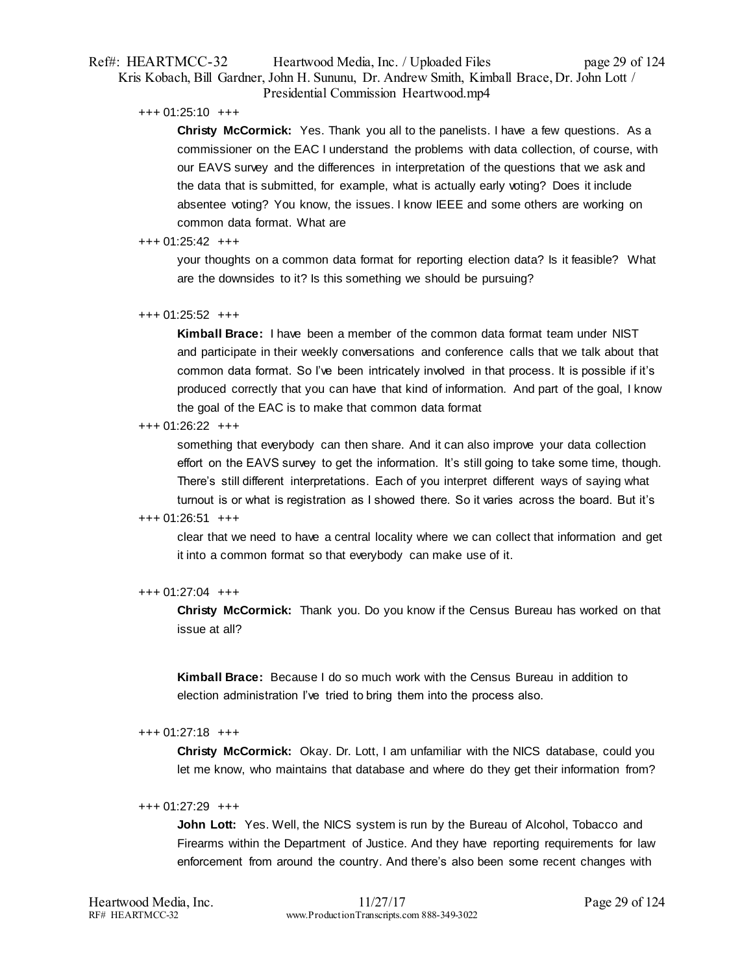# Ref#: HEARTMCC-32 Heartwood Media, Inc. / Uploaded Files page 29 of 124 Kris Kobach, Bill Gardner, John H. Sununu, Dr. Andrew Smith, Kimball Brace, Dr. John Lott / Presidential Commission Heartwood.mp4

### +++ 01:25:10 +++

**Christy McCormick:** Yes. Thank you all to the panelists. I have a few questions. As a commissioner on the EAC I understand the problems with data collection, of course, with our EAVS survey and the differences in interpretation of the questions that we ask and the data that is submitted, for example, what is actually early voting? Does it include absentee voting? You know, the issues. I know IEEE and some others are working on common data format. What are

### $+++$  01:25:42  $++$

your thoughts on a common data format for reporting election data? Is it feasible? What are the downsides to it? Is this something we should be pursuing?

### +++ 01:25:52 +++

**Kimball Brace:** I have been a member of the common data format team under NIST and participate in their weekly conversations and conference calls that we talk about that common data format. So I've been intricately involved in that process. It is possible if it's produced correctly that you can have that kind of information. And part of the goal, I know the goal of the EAC is to make that common data format

### +++ 01:26:22 +++

something that everybody can then share. And it can also improve your data collection effort on the EAVS survey to get the information. It's still going to take some time, though. There's still different interpretations. Each of you interpret different ways of saying what turnout is or what is registration as I showed there. So it varies across the board. But it's

### +++ 01:26:51 +++

clear that we need to have a central locality where we can collect that information and get it into a common format so that everybody can make use of it.

### +++ 01:27:04 +++

**Christy McCormick:** Thank you. Do you know if the Census Bureau has worked on that issue at all?

**Kimball Brace:** Because I do so much work with the Census Bureau in addition to election administration I've tried to bring them into the process also.

### +++ 01:27:18 +++

**Christy McCormick:** Okay. Dr. Lott, I am unfamiliar with the NICS database, could you let me know, who maintains that database and where do they get their information from?

### +++ 01:27:29 +++

**John Lott:** Yes. Well, the NICS system is run by the Bureau of Alcohol, Tobacco and Firearms within the Department of Justice. And they have reporting requirements for law enforcement from around the country. And there's also been some recent changes with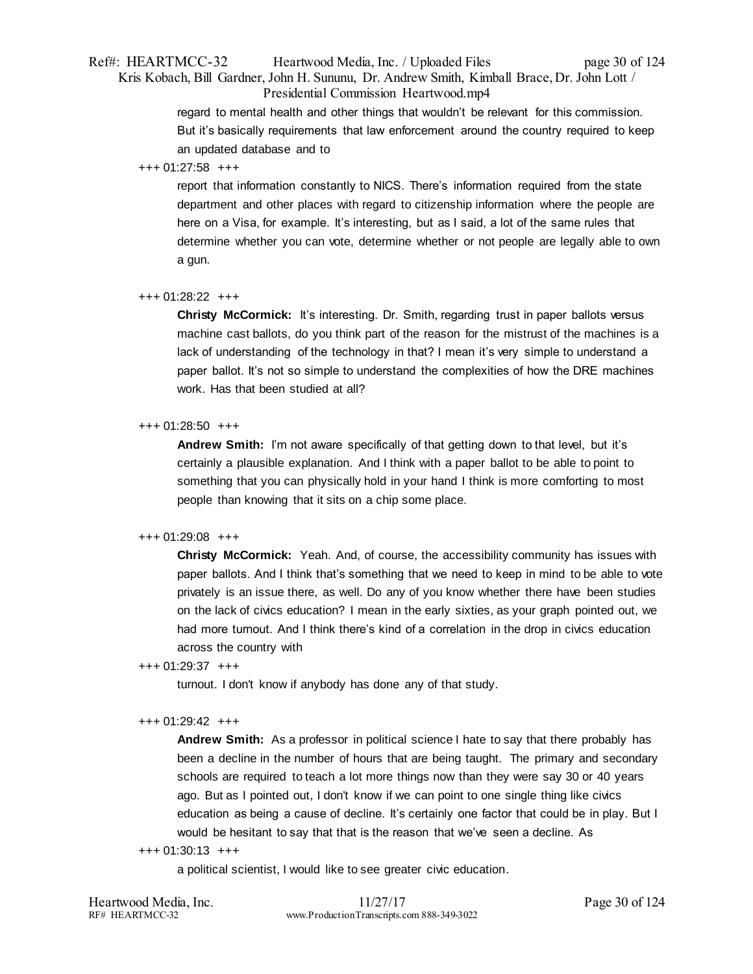# Ref#: HEARTMCC-32 Heartwood Media, Inc. / Uploaded Files page 30 of 124 Kris Kobach, Bill Gardner, John H. Sununu, Dr. Andrew Smith, Kimball Brace, Dr. John Lott / Presidential Commission Heartwood.mp4

regard to mental health and other things that wouldn't be relevant for this commission. But it's basically requirements that law enforcement around the country required to keep an updated database and to

### +++ 01:27:58 +++

report that information constantly to NICS. There's information required from the state department and other places with regard to citizenship information where the people are here on a Visa, for example. It's interesting, but as I said, a lot of the same rules that determine whether you can vote, determine whether or not people are legally able to own a gun.

# +++ 01:28:22 +++

**Christy McCormick:** It's interesting. Dr. Smith, regarding trust in paper ballots versus machine cast ballots, do you think part of the reason for the mistrust of the machines is a lack of understanding of the technology in that? I mean it's very simple to understand a paper ballot. It's not so simple to understand the complexities of how the DRE machines work. Has that been studied at all?

### +++ 01:28:50 +++

**Andrew Smith:** I'm not aware specifically of that getting down to that level, but it's certainly a plausible explanation. And I think with a paper ballot to be able to point to something that you can physically hold in your hand I think is more comforting to most people than knowing that it sits on a chip some place.

# +++ 01:29:08 +++

**Christy McCormick:** Yeah. And, of course, the accessibility community has issues with paper ballots. And I think that's something that we need to keep in mind to be able to vote privately is an issue there, as well. Do any of you know whether there have been studies on the lack of civics education? I mean in the early sixties, as your graph pointed out, we had more turnout. And I think there's kind of a correlation in the drop in civics education across the country with

# +++ 01:29:37 +++

turnout. I don't know if anybody has done any of that study.

### +++ 01:29:42 +++

**Andrew Smith:** As a professor in political science I hate to say that there probably has been a decline in the number of hours that are being taught. The primary and secondary schools are required to teach a lot more things now than they were say 30 or 40 years ago. But as I pointed out, I don't know if we can point to one single thing like civics education as being a cause of decline. It's certainly one factor that could be in play. But I would be hesitant to say that that is the reason that we've seen a decline. As

### +++ 01:30:13 +++

a political scientist, I would like to see greater civic education.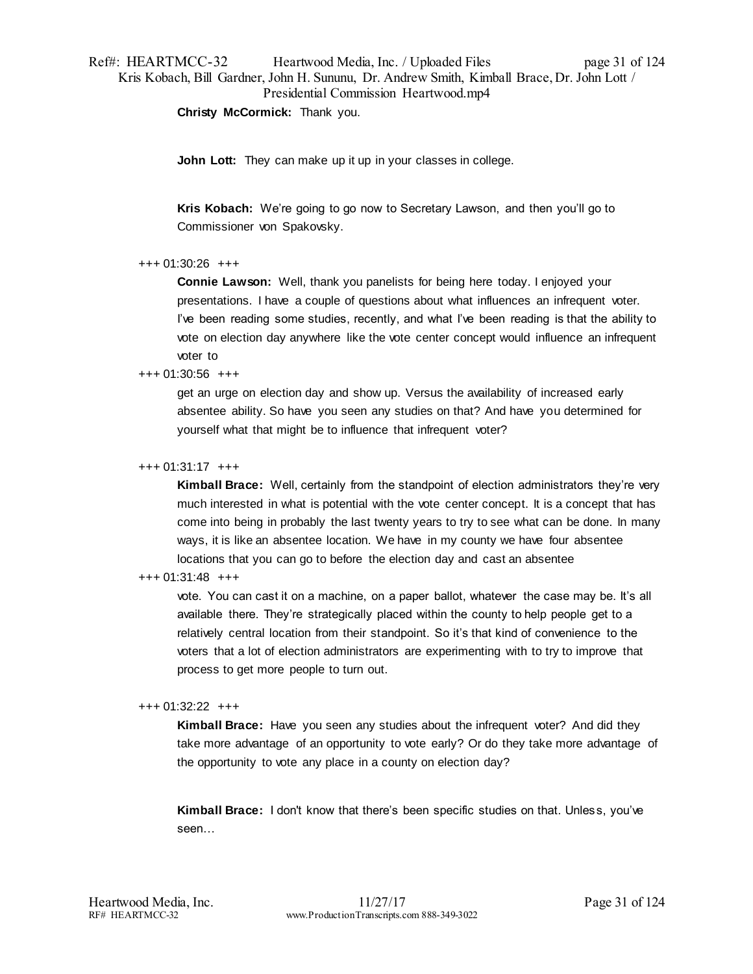# Ref#: HEARTMCC-32 Heartwood Media, Inc. / Uploaded Files page 31 of 124 Kris Kobach, Bill Gardner, John H. Sununu, Dr. Andrew Smith, Kimball Brace, Dr. John Lott / Presidential Commission Heartwood.mp4

**Christy McCormick:** Thank you.

**John Lott:** They can make up it up in your classes in college.

**Kris Kobach:** We're going to go now to Secretary Lawson, and then you'll go to Commissioner von Spakovsky.

# +++ 01:30:26 +++

**Connie Lawson:** Well, thank you panelists for being here today. I enjoyed your presentations. I have a couple of questions about what influences an infrequent voter. I've been reading some studies, recently, and what I've been reading is that the ability to vote on election day anywhere like the vote center concept would influence an infrequent voter to

### +++ 01:30:56 +++

get an urge on election day and show up. Versus the availability of increased early absentee ability. So have you seen any studies on that? And have you determined for yourself what that might be to influence that infrequent voter?

### +++ 01:31:17 +++

**Kimball Brace:** Well, certainly from the standpoint of election administrators they're very much interested in what is potential with the vote center concept. It is a concept that has come into being in probably the last twenty years to try to see what can be done. In many ways, it is like an absentee location. We have in my county we have four absentee locations that you can go to before the election day and cast an absentee

# +++ 01:31:48 +++

vote. You can cast it on a machine, on a paper ballot, whatever the case may be. It's all available there. They're strategically placed within the county to help people get to a relatively central location from their standpoint. So it's that kind of convenience to the voters that a lot of election administrators are experimenting with to try to improve that process to get more people to turn out.

### +++ 01:32:22 +++

**Kimball Brace:** Have you seen any studies about the infrequent voter? And did they take more advantage of an opportunity to vote early? Or do they take more advantage of the opportunity to vote any place in a county on election day?

**Kimball Brace:** I don't know that there's been specific studies on that. Unless, you've seen…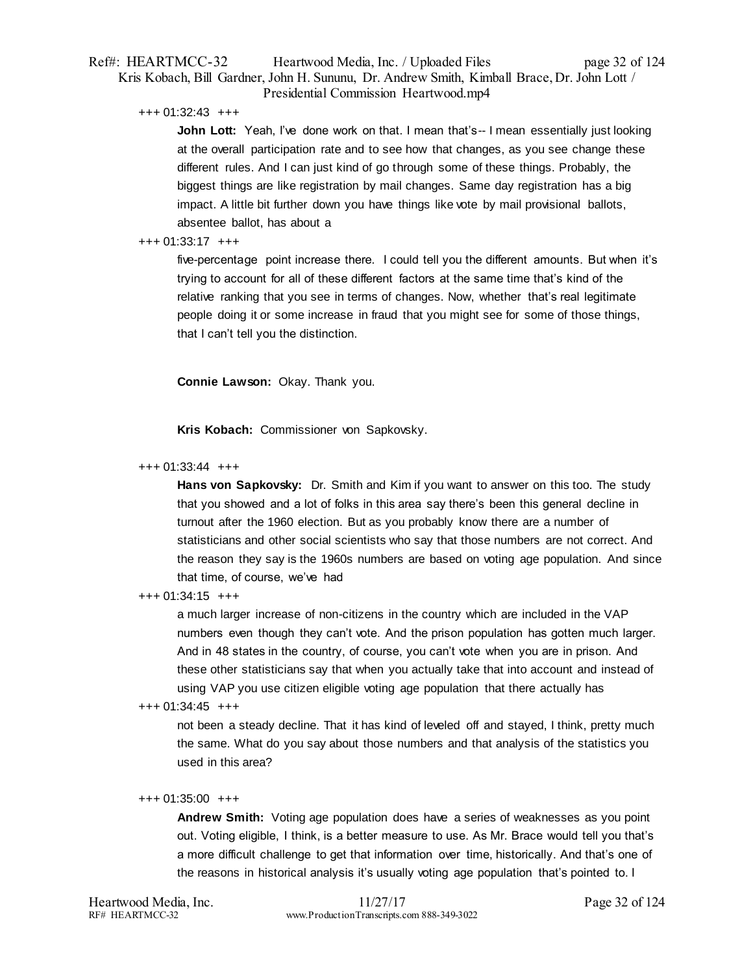# Ref#: HEARTMCC-32 Heartwood Media, Inc. / Uploaded Files page 32 of 124 Kris Kobach, Bill Gardner, John H. Sununu, Dr. Andrew Smith, Kimball Brace, Dr. John Lott / Presidential Commission Heartwood.mp4

### +++ 01:32:43 +++

**John Lott:** Yeah, I've done work on that. I mean that's-- I mean essentially just looking at the overall participation rate and to see how that changes, as you see change these different rules. And I can just kind of go through some of these things. Probably, the biggest things are like registration by mail changes. Same day registration has a big impact. A little bit further down you have things like vote by mail provisional ballots, absentee ballot, has about a

### $+++ 01:33:17$   $+++$

five-percentage point increase there. I could tell you the different amounts. But when it's trying to account for all of these different factors at the same time that's kind of the relative ranking that you see in terms of changes. Now, whether that's real legitimate people doing it or some increase in fraud that you might see for some of those things, that I can't tell you the distinction.

**Connie Lawson:** Okay. Thank you.

**Kris Kobach:** Commissioner von Sapkovsky.

### +++ 01:33:44 +++

**Hans von Sapkovsky:** Dr. Smith and Kim if you want to answer on this too. The study that you showed and a lot of folks in this area say there's been this general decline in turnout after the 1960 election. But as you probably know there are a number of statisticians and other social scientists who say that those numbers are not correct. And the reason they say is the 1960s numbers are based on voting age population. And since that time, of course, we've had

### +++ 01:34:15 +++

a much larger increase of non-citizens in the country which are included in the VAP numbers even though they can't vote. And the prison population has gotten much larger. And in 48 states in the country, of course, you can't vote when you are in prison. And these other statisticians say that when you actually take that into account and instead of using VAP you use citizen eligible voting age population that there actually has

# +++ 01:34:45 +++

not been a steady decline. That it has kind of leveled off and stayed, I think, pretty much the same. What do you say about those numbers and that analysis of the statistics you used in this area?

# +++ 01:35:00 +++

**Andrew Smith:** Voting age population does have a series of weaknesses as you point out. Voting eligible, I think, is a better measure to use. As Mr. Brace would tell you that's a more difficult challenge to get that information over time, historically. And that's one of the reasons in historical analysis it's usually voting age population that's pointed to. I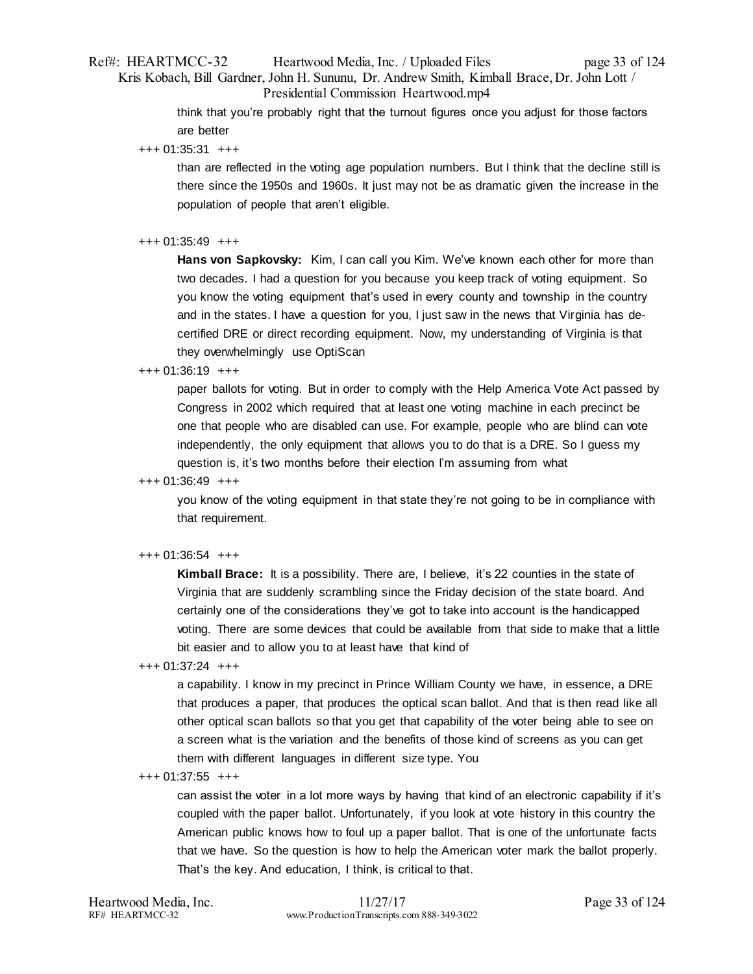# Ref#: HEARTMCC-32 Heartwood Media, Inc. / Uploaded Files page 33 of 124 Kris Kobach, Bill Gardner, John H. Sununu, Dr. Andrew Smith, Kimball Brace, Dr. John Lott / Presidential Commission Heartwood.mp4

think that you're probably right that the turnout figures once you adjust for those factors are better

+++ 01:35:31 +++

than are reflected in the voting age population numbers. But I think that the decline still is there since the 1950s and 1960s. It just may not be as dramatic given the increase in the population of people that aren't eligible.

### $+++$  01:35:49  $+++$

**Hans von Sapkovsky:** Kim, I can call you Kim. We've known each other for more than two decades. I had a question for you because you keep track of voting equipment. So you know the voting equipment that's used in every county and township in the country and in the states. I have a question for you, I just saw in the news that Virginia has decertified DRE or direct recording equipment. Now, my understanding of Virginia is that they overwhelmingly use OptiScan

### +++ 01:36:19 +++

paper ballots for voting. But in order to comply with the Help America Vote Act passed by Congress in 2002 which required that at least one voting machine in each precinct be one that people who are disabled can use. For example, people who are blind can vote independently, the only equipment that allows you to do that is a DRE. So I guess my question is, it's two months before their election I'm assuming from what

+++ 01:36:49 +++

you know of the voting equipment in that state they're not going to be in compliance with that requirement.

# +++ 01:36:54 +++

**Kimball Brace:** It is a possibility. There are, I believe, it's 22 counties in the state of Virginia that are suddenly scrambling since the Friday decision of the state board. And certainly one of the considerations they've got to take into account is the handicapped voting. There are some devices that could be available from that side to make that a little bit easier and to allow you to at least have that kind of

+++ 01:37:24 +++

a capability. I know in my precinct in Prince William County we have, in essence, a DRE that produces a paper, that produces the optical scan ballot. And that is then read like all other optical scan ballots so that you get that capability of the voter being able to see on a screen what is the variation and the benefits of those kind of screens as you can get them with different languages in different size type. You

# +++ 01:37:55 +++

can assist the voter in a lot more ways by having that kind of an electronic capability if it's coupled with the paper ballot. Unfortunately, if you look at vote history in this country the American public knows how to foul up a paper ballot. That is one of the unfortunate facts that we have. So the question is how to help the American voter mark the ballot properly. That's the key. And education, I think, is critical to that.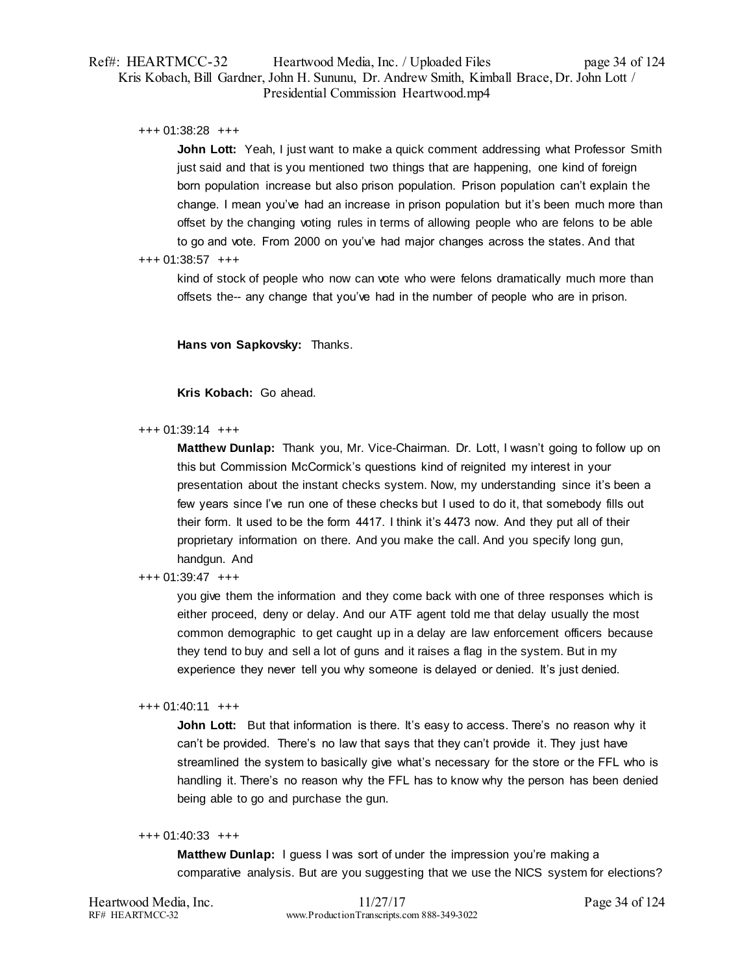# Ref#: HEARTMCC-32 Heartwood Media, Inc. / Uploaded Files page 34 of 124 Kris Kobach, Bill Gardner, John H. Sununu, Dr. Andrew Smith, Kimball Brace, Dr. John Lott / Presidential Commission Heartwood.mp4

+++ 01:38:28 +++

**John Lott:** Yeah, I just want to make a quick comment addressing what Professor Smith just said and that is you mentioned two things that are happening, one kind of foreign born population increase but also prison population. Prison population can't explain the change. I mean you've had an increase in prison population but it's been much more than offset by the changing voting rules in terms of allowing people who are felons to be able to go and vote. From 2000 on you've had major changes across the states. And that

### +++ 01:38:57 +++

kind of stock of people who now can vote who were felons dramatically much more than offsets the-- any change that you've had in the number of people who are in prison.

**Hans von Sapkovsky:** Thanks.

**Kris Kobach:** Go ahead.

### $+++ 01:39:14$   $+++$

**Matthew Dunlap:** Thank you, Mr. Vice-Chairman. Dr. Lott, I wasn't going to follow up on this but Commission McCormick's questions kind of reignited my interest in your presentation about the instant checks system. Now, my understanding since it's been a few years since I've run one of these checks but I used to do it, that somebody fills out their form. It used to be the form 4417. I think it's 4473 now. And they put all of their proprietary information on there. And you make the call. And you specify long gun, handgun. And

# +++ 01:39:47 +++

you give them the information and they come back with one of three responses which is either proceed, deny or delay. And our ATF agent told me that delay usually the most common demographic to get caught up in a delay are law enforcement officers because they tend to buy and sell a lot of guns and it raises a flag in the system. But in my experience they never tell you why someone is delayed or denied. It's just denied.

### +++ 01:40:11 +++

**John Lott:** But that information is there. It's easy to access. There's no reason why it can't be provided. There's no law that says that they can't provide it. They just have streamlined the system to basically give what's necessary for the store or the FFL who is handling it. There's no reason why the FFL has to know why the person has been denied being able to go and purchase the gun.

### +++ 01:40:33 +++

**Matthew Dunlap:** I guess I was sort of under the impression you're making a comparative analysis. But are you suggesting that we use the NICS system for elections?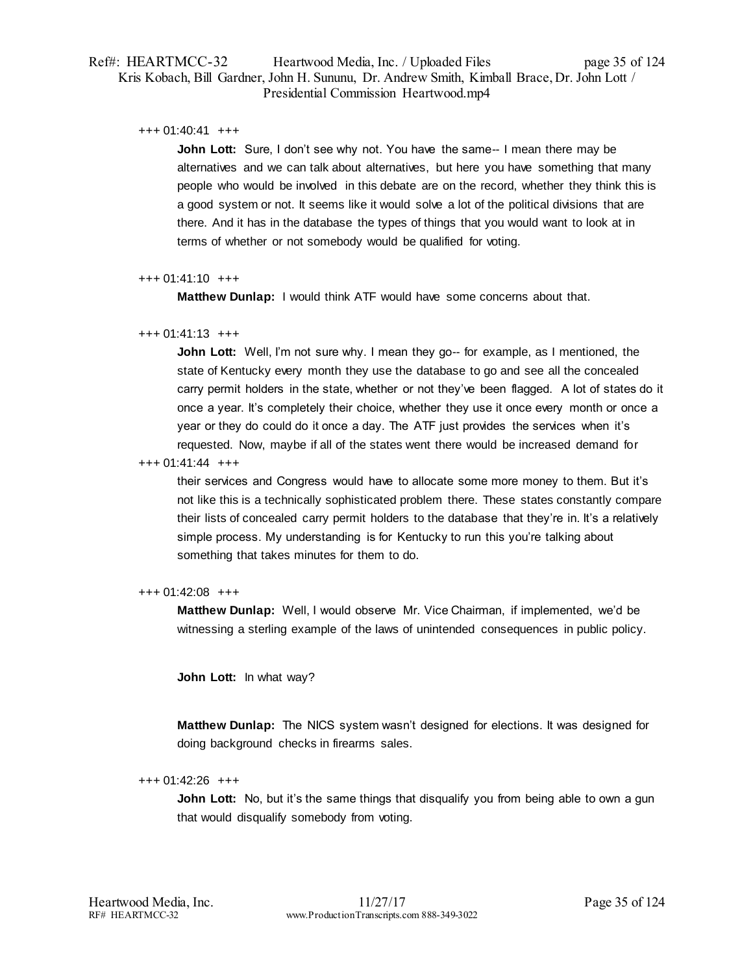# Ref#: HEARTMCC-32 Heartwood Media, Inc. / Uploaded Files page 35 of 124 Kris Kobach, Bill Gardner, John H. Sununu, Dr. Andrew Smith, Kimball Brace, Dr. John Lott / Presidential Commission Heartwood.mp4

### +++ 01:40:41 +++

**John Lott:** Sure, I don't see why not. You have the same-- I mean there may be alternatives and we can talk about alternatives, but here you have something that many people who would be involved in this debate are on the record, whether they think this is a good system or not. It seems like it would solve a lot of the political divisions that are there. And it has in the database the types of things that you would want to look at in terms of whether or not somebody would be qualified for voting.

### +++ 01:41:10 +++

**Matthew Dunlap:** I would think ATF would have some concerns about that.

### +++ 01:41:13 +++

**John Lott:** Well, I'm not sure why. I mean they go-- for example, as I mentioned, the state of Kentucky every month they use the database to go and see all the concealed carry permit holders in the state, whether or not they've been flagged. A lot of states do it once a year. It's completely their choice, whether they use it once every month or once a year or they do could do it once a day. The ATF just provides the services when it's requested. Now, maybe if all of the states went there would be increased demand for

### +++ 01:41:44 +++

their services and Congress would have to allocate some more money to them. But it's not like this is a technically sophisticated problem there. These states constantly compare their lists of concealed carry permit holders to the database that they're in. It's a relatively simple process. My understanding is for Kentucky to run this you're talking about something that takes minutes for them to do.

### +++ 01:42:08 +++

**Matthew Dunlap:** Well, I would observe Mr. Vice Chairman, if implemented, we'd be witnessing a sterling example of the laws of unintended consequences in public policy.

**John Lott:** In what way?

**Matthew Dunlap:** The NICS system wasn't designed for elections. It was designed for doing background checks in firearms sales.

### +++ 01:42:26 +++

**John Lott:** No, but it's the same things that disqualify you from being able to own a gun that would disqualify somebody from voting.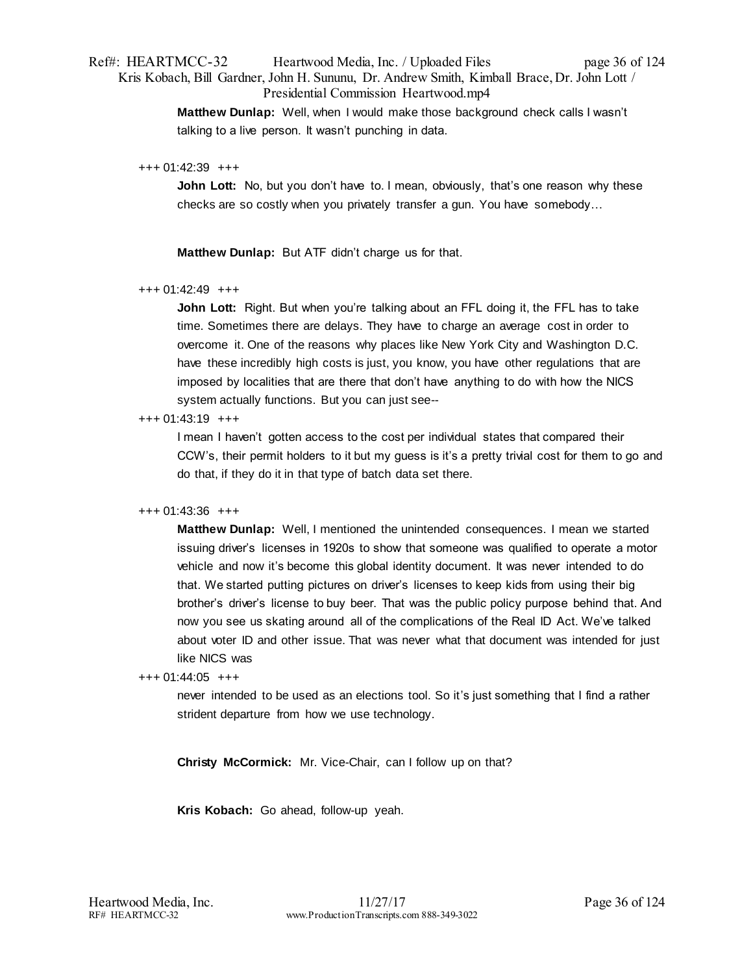# Ref#: HEARTMCC-32 Heartwood Media, Inc. / Uploaded Files page 36 of 124 Kris Kobach, Bill Gardner, John H. Sununu, Dr. Andrew Smith, Kimball Brace, Dr. John Lott / Presidential Commission Heartwood.mp4

**Matthew Dunlap:** Well, when I would make those background check calls I wasn't talking to a live person. It wasn't punching in data.

### +++ 01:42:39 +++

**John Lott:** No, but you don't have to. I mean, obviously, that's one reason why these checks are so costly when you privately transfer a gun. You have somebody…

**Matthew Dunlap:** But ATF didn't charge us for that.

# +++ 01:42:49 +++

**John Lott:** Right. But when you're talking about an FFL doing it, the FFL has to take time. Sometimes there are delays. They have to charge an average cost in order to overcome it. One of the reasons why places like New York City and Washington D.C. have these incredibly high costs is just, you know, you have other regulations that are imposed by localities that are there that don't have anything to do with how the NICS system actually functions. But you can just see--

### +++ 01:43:19 +++

I mean I haven't gotten access to the cost per individual states that compared their CCW's, their permit holders to it but my guess is it's a pretty trivial cost for them to go and do that, if they do it in that type of batch data set there.

### +++ 01:43:36 +++

**Matthew Dunlap:** Well, I mentioned the unintended consequences. I mean we started issuing driver's licenses in 1920s to show that someone was qualified to operate a motor vehicle and now it's become this global identity document. It was never intended to do that. We started putting pictures on driver's licenses to keep kids from using their big brother's driver's license to buy beer. That was the public policy purpose behind that. And now you see us skating around all of the complications of the Real ID Act. We've talked about voter ID and other issue. That was never what that document was intended for just like NICS was

### +++ 01:44:05 +++

never intended to be used as an elections tool. So it's just something that I find a rather strident departure from how we use technology.

**Christy McCormick:** Mr. Vice-Chair, can I follow up on that?

**Kris Kobach:** Go ahead, follow-up yeah.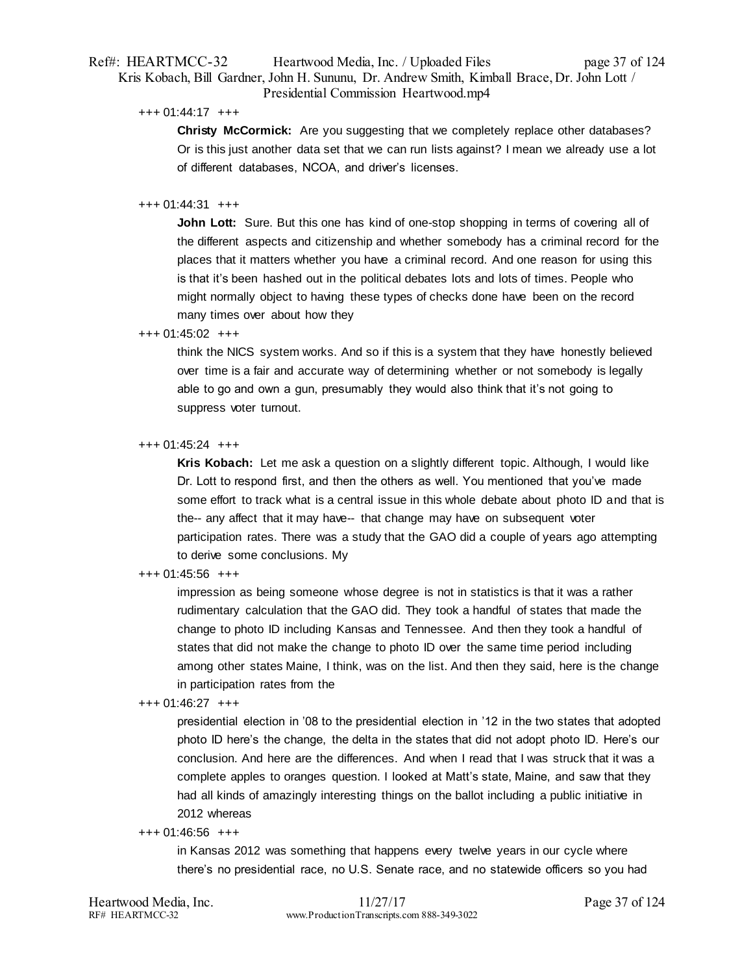## Ref#: HEARTMCC-32 Heartwood Media, Inc. / Uploaded Files page 37 of 124 Kris Kobach, Bill Gardner, John H. Sununu, Dr. Andrew Smith, Kimball Brace, Dr. John Lott / Presidential Commission Heartwood.mp4

+++ 01:44:17 +++

**Christy McCormick:** Are you suggesting that we completely replace other databases? Or is this just another data set that we can run lists against? I mean we already use a lot of different databases, NCOA, and driver's licenses.

#### +++ 01:44:31 +++

**John Lott:** Sure. But this one has kind of one-stop shopping in terms of covering all of the different aspects and citizenship and whether somebody has a criminal record for the places that it matters whether you have a criminal record. And one reason for using this is that it's been hashed out in the political debates lots and lots of times. People who might normally object to having these types of checks done have been on the record many times over about how they

#### +++ 01:45:02 +++

think the NICS system works. And so if this is a system that they have honestly believed over time is a fair and accurate way of determining whether or not somebody is legally able to go and own a gun, presumably they would also think that it's not going to suppress voter turnout.

#### +++ 01:45:24 +++

**Kris Kobach:** Let me ask a question on a slightly different topic. Although, I would like Dr. Lott to respond first, and then the others as well. You mentioned that you've made some effort to track what is a central issue in this whole debate about photo ID and that is the-- any affect that it may have-- that change may have on subsequent voter participation rates. There was a study that the GAO did a couple of years ago attempting to derive some conclusions. My

## +++ 01:45:56 +++

impression as being someone whose degree is not in statistics is that it was a rather rudimentary calculation that the GAO did. They took a handful of states that made the change to photo ID including Kansas and Tennessee. And then they took a handful of states that did not make the change to photo ID over the same time period including among other states Maine, I think, was on the list. And then they said, here is the change in participation rates from the

### +++ 01:46:27 +++

presidential election in '08 to the presidential election in '12 in the two states that adopted photo ID here's the change, the delta in the states that did not adopt photo ID. Here's our conclusion. And here are the differences. And when I read that I was struck that it was a complete apples to oranges question. I looked at Matt's state, Maine, and saw that they had all kinds of amazingly interesting things on the ballot including a public initiative in 2012 whereas

#### +++ 01:46:56 +++

in Kansas 2012 was something that happens every twelve years in our cycle where there's no presidential race, no U.S. Senate race, and no statewide officers so you had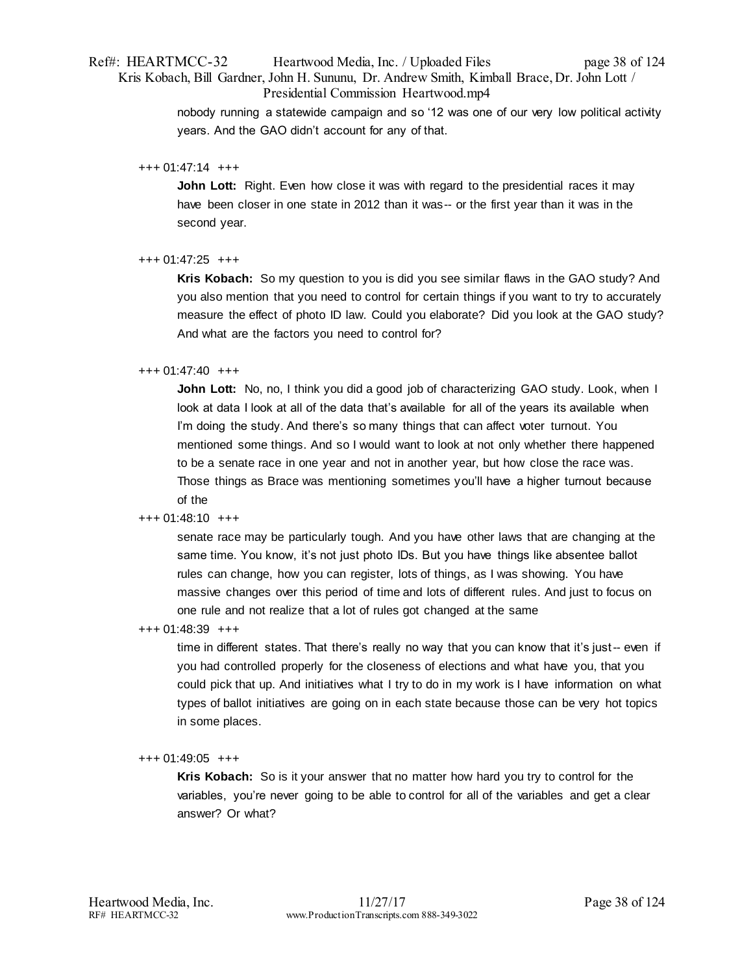Presidential Commission Heartwood.mp4

nobody running a statewide campaign and so '12 was one of our very low political activity years. And the GAO didn't account for any of that.

+++ 01:47:14 +++

**John Lott:** Right. Even how close it was with regard to the presidential races it may have been closer in one state in 2012 than it was-- or the first year than it was in the second year.

+++ 01:47:25 +++

**Kris Kobach:** So my question to you is did you see similar flaws in the GAO study? And you also mention that you need to control for certain things if you want to try to accurately measure the effect of photo ID law. Could you elaborate? Did you look at the GAO study? And what are the factors you need to control for?

## +++ 01:47:40 +++

**John Lott:** No, no, I think you did a good job of characterizing GAO study. Look, when I look at data I look at all of the data that's available for all of the years its available when I'm doing the study. And there's so many things that can affect voter turnout. You mentioned some things. And so I would want to look at not only whether there happened to be a senate race in one year and not in another year, but how close the race was. Those things as Brace was mentioning sometimes you'll have a higher turnout because of the

## +++ 01:48:10 +++

senate race may be particularly tough. And you have other laws that are changing at the same time. You know, it's not just photo IDs. But you have things like absentee ballot rules can change, how you can register, lots of things, as I was showing. You have massive changes over this period of time and lots of different rules. And just to focus on one rule and not realize that a lot of rules got changed at the same

+++ 01:48:39 +++

time in different states. That there's really no way that you can know that it's just-- even if you had controlled properly for the closeness of elections and what have you, that you could pick that up. And initiatives what I try to do in my work is I have information on what types of ballot initiatives are going on in each state because those can be very hot topics in some places.

## +++ 01:49:05 +++

**Kris Kobach:** So is it your answer that no matter how hard you try to control for the variables, you're never going to be able to control for all of the variables and get a clear answer? Or what?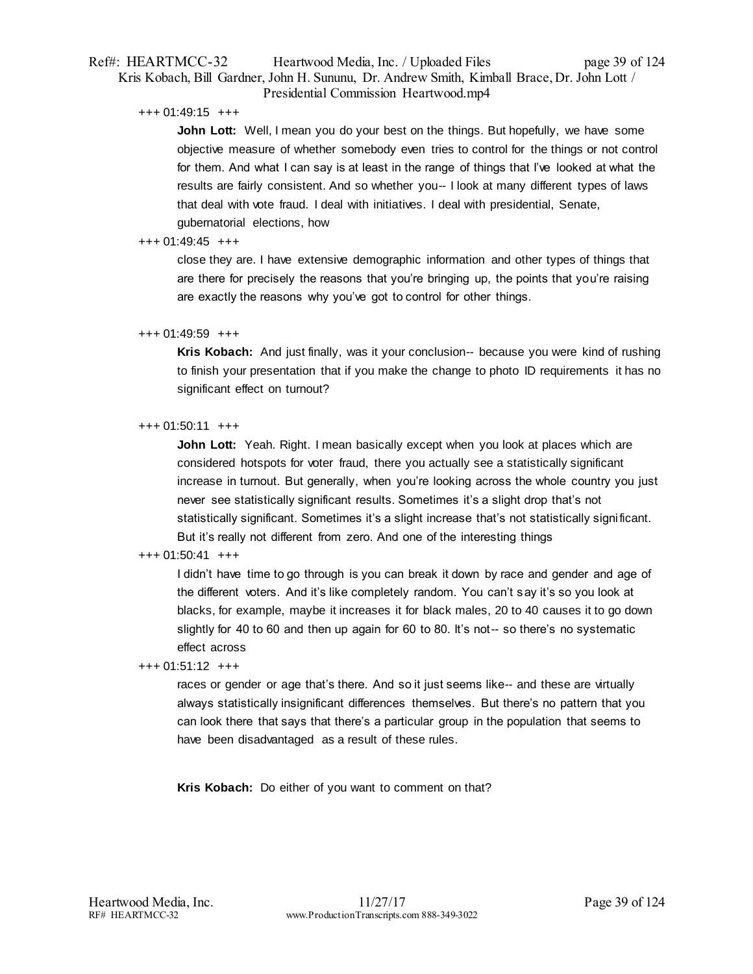## Ref#: HEARTMCC-32 Heartwood Media, Inc. / Uploaded Files page 39 of 124 Kris Kobach, Bill Gardner, John H. Sununu, Dr. Andrew Smith, Kimball Brace, Dr. John Lott / Presidential Commission Heartwood.mp4

### +++ 01:49:15 +++

**John Lott:** Well, I mean you do your best on the things. But hopefully, we have some objective measure of whether somebody even tries to control for the things or not control for them. And what I can say is at least in the range of things that I've looked at what the results are fairly consistent. And so whether you-- I look at many different types of laws that deal with vote fraud. I deal with initiatives. I deal with presidential, Senate, gubernatorial elections, how

### +++ 01:49:45 +++

close they are. I have extensive demographic information and other types of things that are there for precisely the reasons that you're bringing up, the points that you're raising are exactly the reasons why you've got to control for other things.

### +++ 01:49:59 +++

**Kris Kobach:** And just finally, was it your conclusion-- because you were kind of rushing to finish your presentation that if you make the change to photo ID requirements it has no significant effect on turnout?

### +++ 01:50:11 +++

**John Lott:** Yeah. Right. I mean basically except when you look at places which are considered hotspots for voter fraud, there you actually see a statistically significant increase in turnout. But generally, when you're looking across the whole country you just never see statistically significant results. Sometimes it's a slight drop that's not statistically significant. Sometimes it's a slight increase that's not statistically significant. But it's really not different from zero. And one of the interesting things

## +++ 01:50:41 +++

I didn't have time to go through is you can break it down by race and gender and age of the different voters. And it's like completely random. You can't say it's so you look at blacks, for example, maybe it increases it for black males, 20 to 40 causes it to go down slightly for 40 to 60 and then up again for 60 to 80. It's not-- so there's no systematic effect across

+++ 01:51:12 +++

races or gender or age that's there. And so it just seems like-- and these are virtually always statistically insignificant differences themselves. But there's no pattern that you can look there that says that there's a particular group in the population that seems to have been disadvantaged as a result of these rules.

**Kris Kobach:** Do either of you want to comment on that?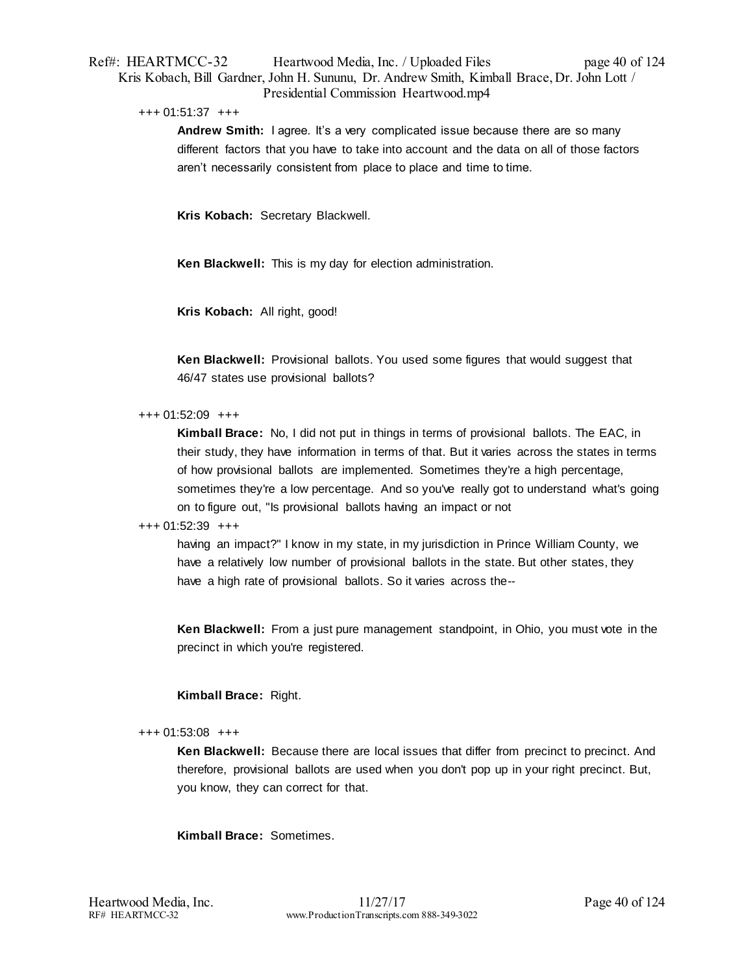## Ref#: HEARTMCC-32 Heartwood Media, Inc. / Uploaded Files page 40 of 124 Kris Kobach, Bill Gardner, John H. Sununu, Dr. Andrew Smith, Kimball Brace, Dr. John Lott / Presidential Commission Heartwood.mp4

#### +++ 01:51:37 +++

**Andrew Smith:** I agree. It's a very complicated issue because there are so many different factors that you have to take into account and the data on all of those factors aren't necessarily consistent from place to place and time to time.

**Kris Kobach:** Secretary Blackwell.

**Ken Blackwell:** This is my day for election administration.

**Kris Kobach:** All right, good!

**Ken Blackwell:** Provisional ballots. You used some figures that would suggest that 46/47 states use provisional ballots?

+++ 01:52:09 +++

**Kimball Brace:** No, I did not put in things in terms of provisional ballots. The EAC, in their study, they have information in terms of that. But it varies across the states in terms of how provisional ballots are implemented. Sometimes they're a high percentage, sometimes they're a low percentage. And so you've really got to understand what's going on to figure out, "Is provisional ballots having an impact or not

#### +++ 01:52:39 +++

having an impact?" I know in my state, in my jurisdiction in Prince William County, we have a relatively low number of provisional ballots in the state. But other states, they have a high rate of provisional ballots. So it varies across the--

**Ken Blackwell:** From a just pure management standpoint, in Ohio, you must vote in the precinct in which you're registered.

## **Kimball Brace:** Right.

#### +++ 01:53:08 +++

**Ken Blackwell:** Because there are local issues that differ from precinct to precinct. And therefore, provisional ballots are used when you don't pop up in your right precinct. But, you know, they can correct for that.

**Kimball Brace:** Sometimes.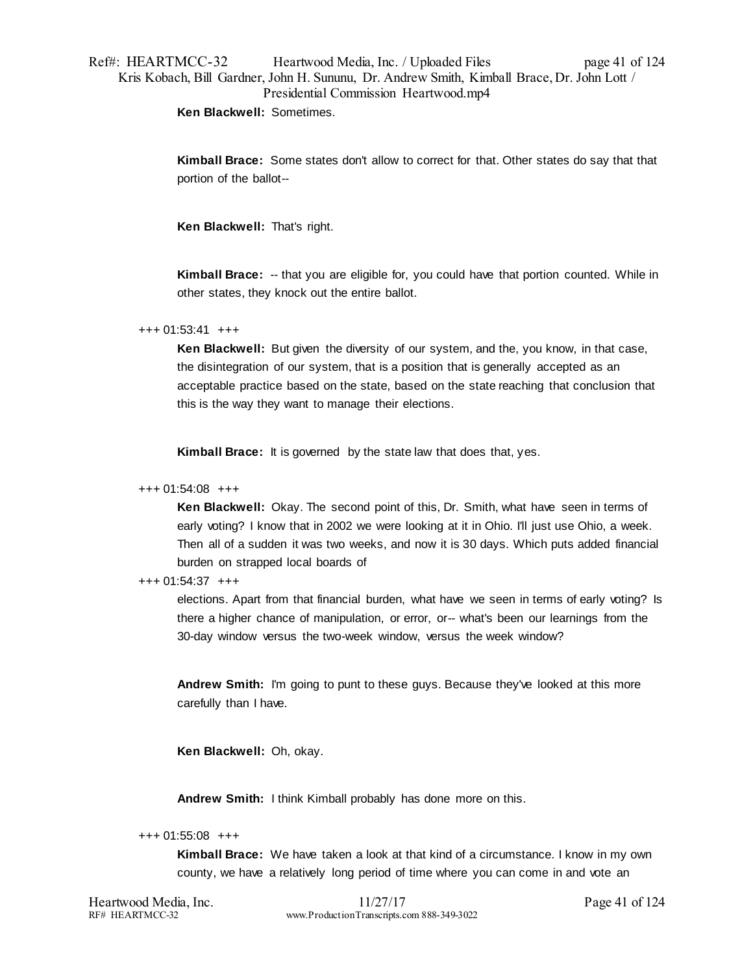# Ref#: HEARTMCC-32 Heartwood Media, Inc. / Uploaded Files page 41 of 124 Kris Kobach, Bill Gardner, John H. Sununu, Dr. Andrew Smith, Kimball Brace, Dr. John Lott / Presidential Commission Heartwood.mp4

**Ken Blackwell:** Sometimes.

**Kimball Brace:** Some states don't allow to correct for that. Other states do say that that portion of the ballot--

**Ken Blackwell:** That's right.

**Kimball Brace:** -- that you are eligible for, you could have that portion counted. While in other states, they knock out the entire ballot.

+++ 01:53:41 +++

**Ken Blackwell:** But given the diversity of our system, and the, you know, in that case, the disintegration of our system, that is a position that is generally accepted as an acceptable practice based on the state, based on the state reaching that conclusion that this is the way they want to manage their elections.

**Kimball Brace:** It is governed by the state law that does that, yes.

#### +++ 01:54:08 +++

**Ken Blackwell:** Okay. The second point of this, Dr. Smith, what have seen in terms of early voting? I know that in 2002 we were looking at it in Ohio. I'll just use Ohio, a week. Then all of a sudden it was two weeks, and now it is 30 days. Which puts added financial burden on strapped local boards of

### +++ 01:54:37 +++

elections. Apart from that financial burden, what have we seen in terms of early voting? Is there a higher chance of manipulation, or error, or-- what's been our learnings from the 30-day window versus the two-week window, versus the week window?

**Andrew Smith:** I'm going to punt to these guys. Because they've looked at this more carefully than I have.

**Ken Blackwell:** Oh, okay.

**Andrew Smith:** I think Kimball probably has done more on this.

+++ 01:55:08 +++

**Kimball Brace:** We have taken a look at that kind of a circumstance. I know in my own county, we have a relatively long period of time where you can come in and vote an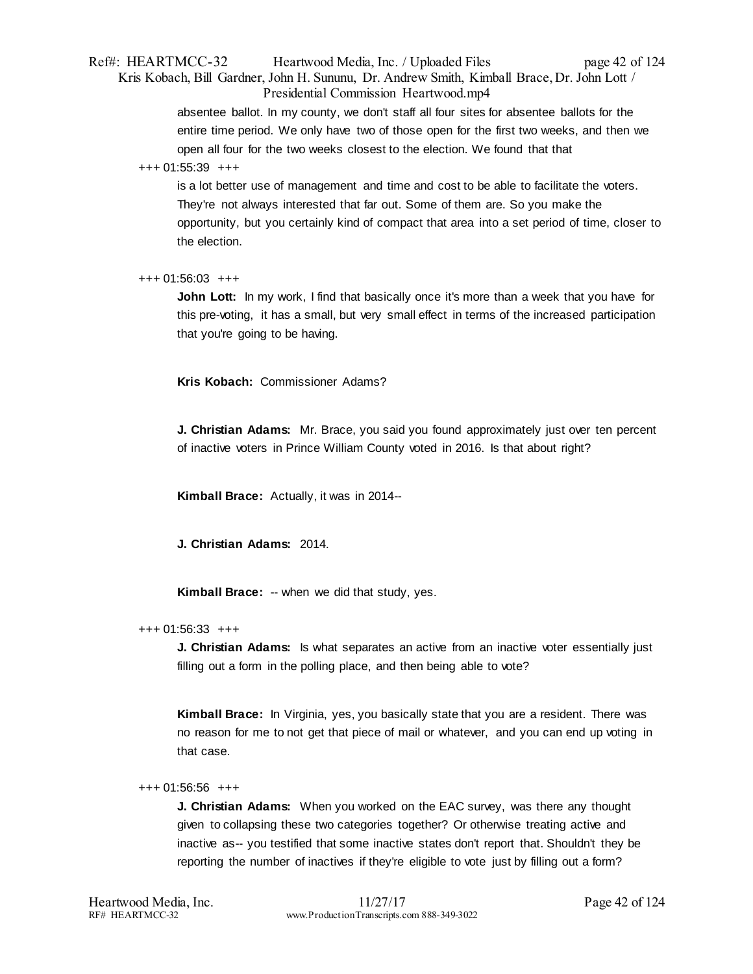## Ref#: HEARTMCC-32 Heartwood Media, Inc. / Uploaded Files page 42 of 124 Kris Kobach, Bill Gardner, John H. Sununu, Dr. Andrew Smith, Kimball Brace, Dr. John Lott / Presidential Commission Heartwood.mp4

absentee ballot. In my county, we don't staff all four sites for absentee ballots for the entire time period. We only have two of those open for the first two weeks, and then we open all four for the two weeks closest to the election. We found that that

### +++ 01:55:39 +++

is a lot better use of management and time and cost to be able to facilitate the voters. They're not always interested that far out. Some of them are. So you make the opportunity, but you certainly kind of compact that area into a set period of time, closer to the election.

## +++ 01:56:03 +++

**John Lott:** In my work, I find that basically once it's more than a week that you have for this pre-voting, it has a small, but very small effect in terms of the increased participation that you're going to be having.

**Kris Kobach:** Commissioner Adams?

**J. Christian Adams:** Mr. Brace, you said you found approximately just over ten percent of inactive voters in Prince William County voted in 2016. Is that about right?

**Kimball Brace:** Actually, it was in 2014--

**J. Christian Adams:** 2014.

**Kimball Brace:** -- when we did that study, yes.

## +++ 01:56:33 +++

**J. Christian Adams:** Is what separates an active from an inactive voter essentially just filling out a form in the polling place, and then being able to vote?

**Kimball Brace:** In Virginia, yes, you basically state that you are a resident. There was no reason for me to not get that piece of mail or whatever, and you can end up voting in that case.

#### +++ 01:56:56 +++

**J. Christian Adams:** When you worked on the EAC survey, was there any thought given to collapsing these two categories together? Or otherwise treating active and inactive as-- you testified that some inactive states don't report that. Shouldn't they be reporting the number of inactives if they're eligible to vote just by filling out a form?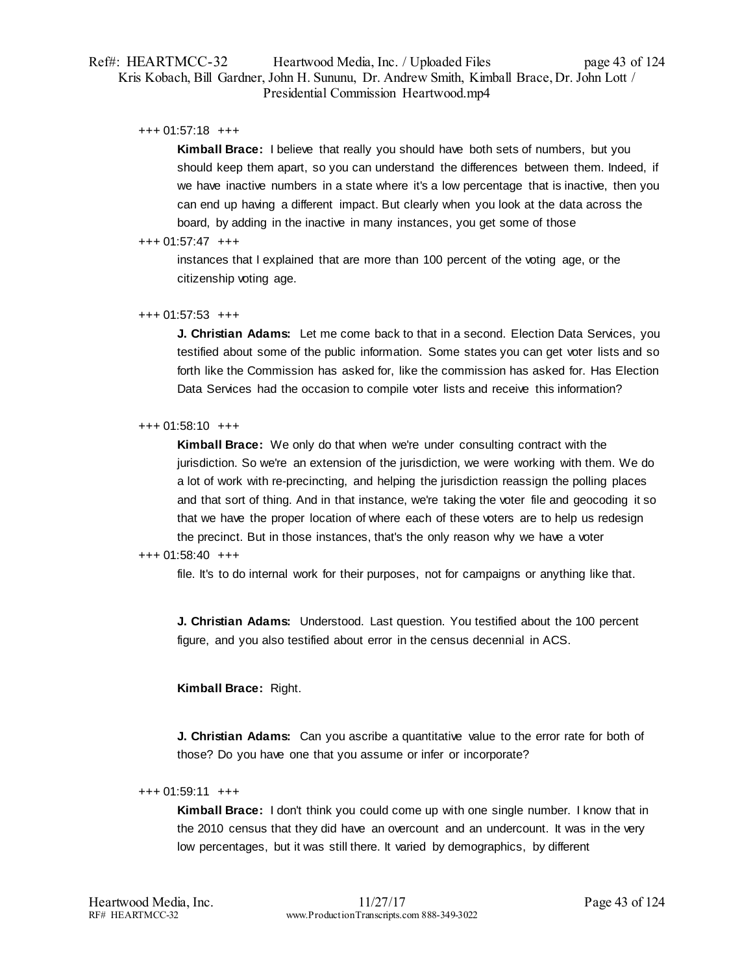## Ref#: HEARTMCC-32 Heartwood Media, Inc. / Uploaded Files page 43 of 124 Kris Kobach, Bill Gardner, John H. Sununu, Dr. Andrew Smith, Kimball Brace, Dr. John Lott / Presidential Commission Heartwood.mp4

### +++ 01:57:18 +++

**Kimball Brace:** I believe that really you should have both sets of numbers, but you should keep them apart, so you can understand the differences between them. Indeed, if we have inactive numbers in a state where it's a low percentage that is inactive, then you can end up having a different impact. But clearly when you look at the data across the board, by adding in the inactive in many instances, you get some of those

### +++ 01:57:47 +++

instances that I explained that are more than 100 percent of the voting age, or the citizenship voting age.

### +++ 01:57:53 +++

**J. Christian Adams:** Let me come back to that in a second. Election Data Services, you testified about some of the public information. Some states you can get voter lists and so forth like the Commission has asked for, like the commission has asked for. Has Election Data Services had the occasion to compile voter lists and receive this information?

### +++ 01:58:10 +++

**Kimball Brace:** We only do that when we're under consulting contract with the jurisdiction. So we're an extension of the jurisdiction, we were working with them. We do a lot of work with re-precincting, and helping the jurisdiction reassign the polling places and that sort of thing. And in that instance, we're taking the voter file and geocoding it so that we have the proper location of where each of these voters are to help us redesign the precinct. But in those instances, that's the only reason why we have a voter

### +++ 01:58:40 +++

file. It's to do internal work for their purposes, not for campaigns or anything like that.

**J. Christian Adams:** Understood. Last question. You testified about the 100 percent figure, and you also testified about error in the census decennial in ACS.

## **Kimball Brace:** Right.

**J. Christian Adams:** Can you ascribe a quantitative value to the error rate for both of those? Do you have one that you assume or infer or incorporate?

#### +++ 01:59:11 +++

**Kimball Brace:** I don't think you could come up with one single number. I know that in the 2010 census that they did have an overcount and an undercount. It was in the very low percentages, but it was still there. It varied by demographics, by different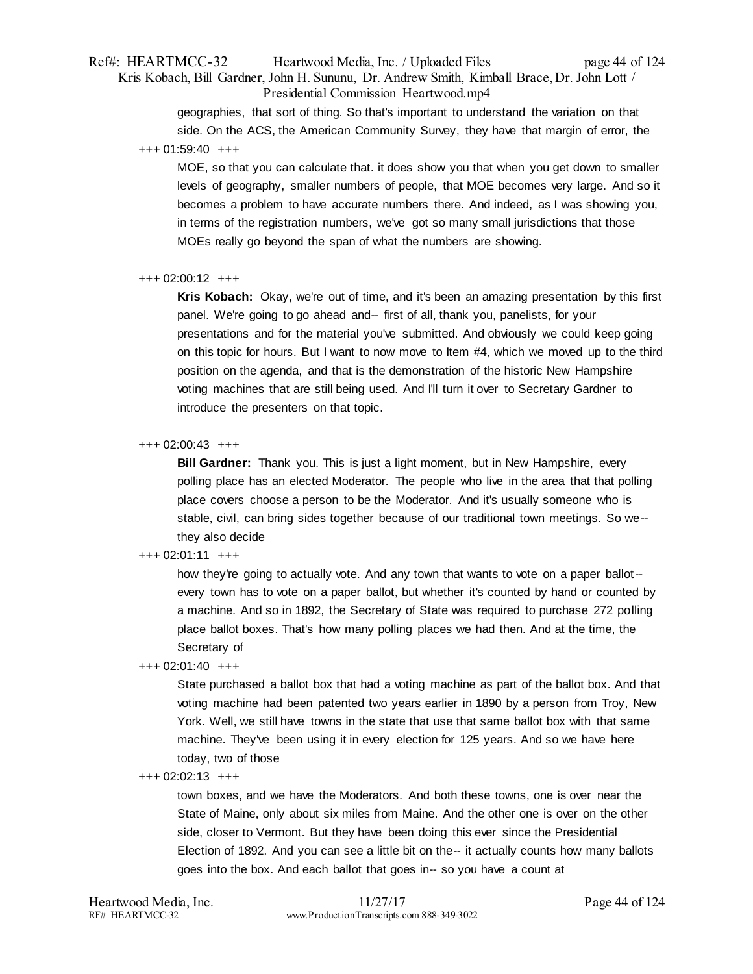## Ref#: HEARTMCC-32 Heartwood Media, Inc. / Uploaded Files page 44 of 124 Kris Kobach, Bill Gardner, John H. Sununu, Dr. Andrew Smith, Kimball Brace, Dr. John Lott / Presidential Commission Heartwood.mp4

geographies, that sort of thing. So that's important to understand the variation on that side. On the ACS, the American Community Survey, they have that margin of error, the +++ 01:59:40 +++

MOE, so that you can calculate that. it does show you that when you get down to smaller levels of geography, smaller numbers of people, that MOE becomes very large. And so it becomes a problem to have accurate numbers there. And indeed, as I was showing you, in terms of the registration numbers, we've got so many small jurisdictions that those MOEs really go beyond the span of what the numbers are showing.

#### +++ 02:00:12 +++

**Kris Kobach:** Okay, we're out of time, and it's been an amazing presentation by this first panel. We're going to go ahead and-- first of all, thank you, panelists, for your presentations and for the material you've submitted. And obviously we could keep going on this topic for hours. But I want to now move to Item #4, which we moved up to the third position on the agenda, and that is the demonstration of the historic New Hampshire voting machines that are still being used. And I'll turn it over to Secretary Gardner to introduce the presenters on that topic.

### +++ 02:00:43 +++

**Bill Gardner:** Thank you. This is just a light moment, but in New Hampshire, every polling place has an elected Moderator. The people who live in the area that that polling place covers choose a person to be the Moderator. And it's usually someone who is stable, civil, can bring sides together because of our traditional town meetings. So we- they also decide

## +++ 02:01:11 +++

how they're going to actually vote. And any town that wants to vote on a paper ballot- every town has to vote on a paper ballot, but whether it's counted by hand or counted by a machine. And so in 1892, the Secretary of State was required to purchase 272 polling place ballot boxes. That's how many polling places we had then. And at the time, the Secretary of

## +++ 02:01:40 +++

State purchased a ballot box that had a voting machine as part of the ballot box. And that voting machine had been patented two years earlier in 1890 by a person from Troy, New York. Well, we still have towns in the state that use that same ballot box with that same machine. They've been using it in every election for 125 years. And so we have here today, two of those

 $+++ 02:02:13$   $+++$ 

town boxes, and we have the Moderators. And both these towns, one is over near the State of Maine, only about six miles from Maine. And the other one is over on the other side, closer to Vermont. But they have been doing this ever since the Presidential Election of 1892. And you can see a little bit on the-- it actually counts how many ballots goes into the box. And each ballot that goes in-- so you have a count at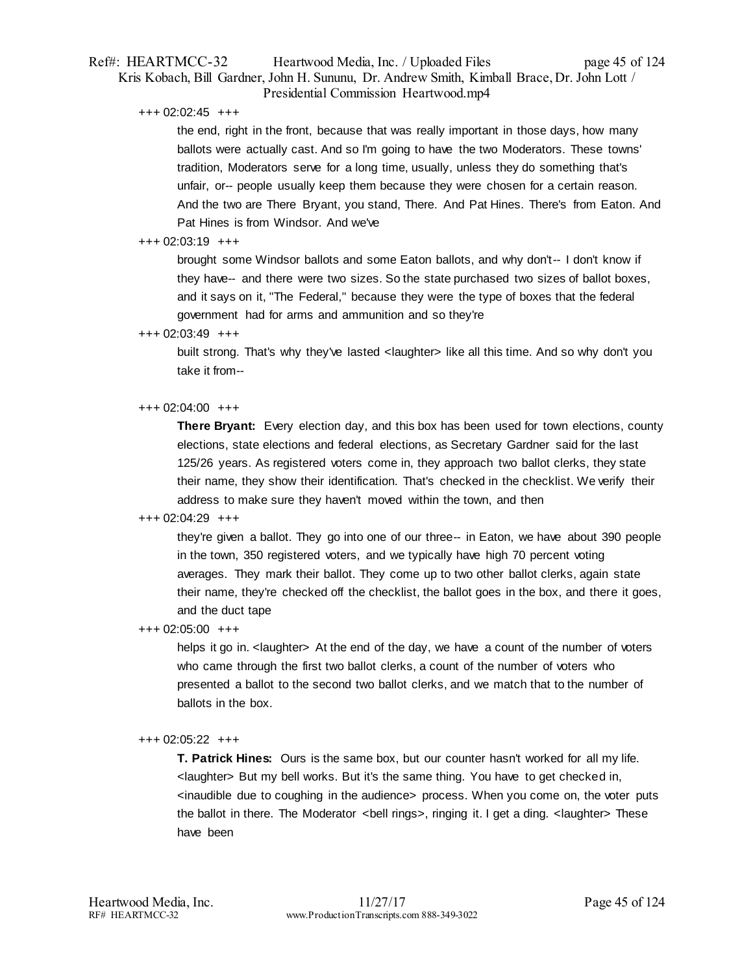## Ref#: HEARTMCC-32 Heartwood Media, Inc. / Uploaded Files page 45 of 124 Kris Kobach, Bill Gardner, John H. Sununu, Dr. Andrew Smith, Kimball Brace, Dr. John Lott / Presidential Commission Heartwood.mp4

+++ 02:02:45 +++

the end, right in the front, because that was really important in those days, how many ballots were actually cast. And so I'm going to have the two Moderators. These towns' tradition, Moderators serve for a long time, usually, unless they do something that's unfair, or-- people usually keep them because they were chosen for a certain reason. And the two are There Bryant, you stand, There. And Pat Hines. There's from Eaton. And Pat Hines is from Windsor. And we've

### $+++ 02.03.19$   $+++$

brought some Windsor ballots and some Eaton ballots, and why don't-- I don't know if they have-- and there were two sizes. So the state purchased two sizes of ballot boxes, and it says on it, "The Federal," because they were the type of boxes that the federal government had for arms and ammunition and so they're

### +++ 02:03:49 +++

built strong. That's why they've lasted < laughter> like all this time. And so why don't you take it from--

### +++ 02:04:00 +++

**There Bryant:** Every election day, and this box has been used for town elections, county elections, state elections and federal elections, as Secretary Gardner said for the last 125/26 years. As registered voters come in, they approach two ballot clerks, they state their name, they show their identification. That's checked in the checklist. We verify their address to make sure they haven't moved within the town, and then

#### +++ 02:04:29 +++

they're given a ballot. They go into one of our three-- in Eaton, we have about 390 people in the town, 350 registered voters, and we typically have high 70 percent voting averages. They mark their ballot. They come up to two other ballot clerks, again state their name, they're checked off the checklist, the ballot goes in the box, and there it goes, and the duct tape

+++ 02:05:00 +++

helps it go in. < laughter > At the end of the day, we have a count of the number of voters who came through the first two ballot clerks, a count of the number of voters who presented a ballot to the second two ballot clerks, and we match that to the number of ballots in the box.

## +++ 02:05:22 +++

**T. Patrick Hines:** Ours is the same box, but our counter hasn't worked for all my life. <laughter> But my bell works. But it's the same thing. You have to get checked in, <inaudible due to coughing in the audience> process. When you come on, the voter puts the ballot in there. The Moderator <bell rings>, ringing it. I get a ding. <laughter> These have been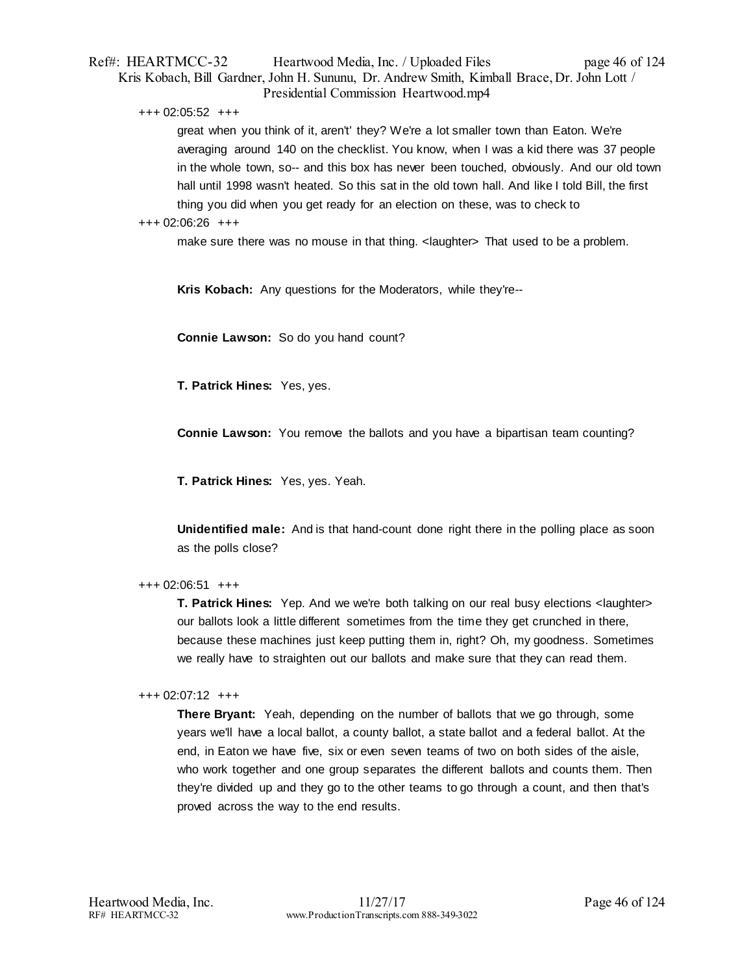## Ref#: HEARTMCC-32 Heartwood Media, Inc. / Uploaded Files page 46 of 124 Kris Kobach, Bill Gardner, John H. Sununu, Dr. Andrew Smith, Kimball Brace, Dr. John Lott / Presidential Commission Heartwood.mp4

+++ 02:05:52 +++

great when you think of it, aren't' they? We're a lot smaller town than Eaton. We're averaging around 140 on the checklist. You know, when I was a kid there was 37 people in the whole town, so-- and this box has never been touched, obviously. And our old town hall until 1998 wasn't heated. So this sat in the old town hall. And like I told Bill, the first thing you did when you get ready for an election on these, was to check to

### +++ 02:06:26 +++

make sure there was no mouse in that thing. < laughter> That used to be a problem.

**Kris Kobach:** Any questions for the Moderators, while they're--

**Connie Lawson:** So do you hand count?

**T. Patrick Hines:** Yes, yes.

**Connie Lawson:** You remove the ballots and you have a bipartisan team counting?

**T. Patrick Hines:** Yes, yes. Yeah.

**Unidentified male:** And is that hand-count done right there in the polling place as soon as the polls close?

## +++ 02:06:51 +++

**T. Patrick Hines:** Yep. And we we're both talking on our real busy elections <laughter> our ballots look a little different sometimes from the time they get crunched in there, because these machines just keep putting them in, right? Oh, my goodness. Sometimes we really have to straighten out our ballots and make sure that they can read them.

## +++ 02:07:12 +++

**There Bryant:** Yeah, depending on the number of ballots that we go through, some years we'll have a local ballot, a county ballot, a state ballot and a federal ballot. At the end, in Eaton we have five, six or even seven teams of two on both sides of the aisle, who work together and one group separates the different ballots and counts them. Then they're divided up and they go to the other teams to go through a count, and then that's proved across the way to the end results.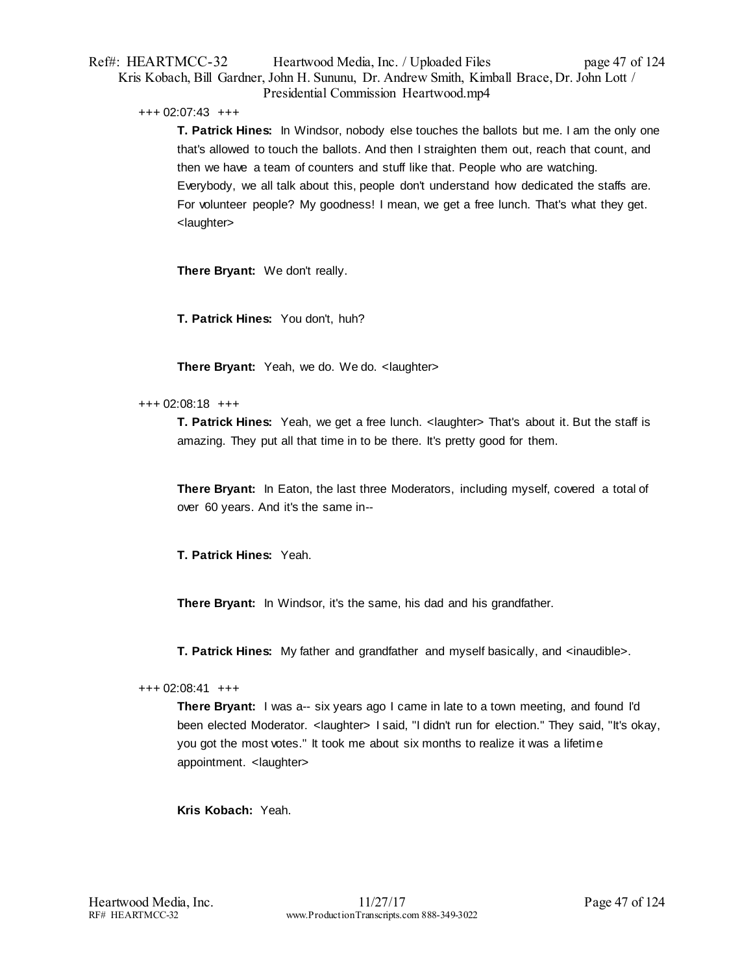## Ref#: HEARTMCC-32 Heartwood Media, Inc. / Uploaded Files page 47 of 124 Kris Kobach, Bill Gardner, John H. Sununu, Dr. Andrew Smith, Kimball Brace, Dr. John Lott / Presidential Commission Heartwood.mp4

+++ 02:07:43 +++

**T. Patrick Hines:** In Windsor, nobody else touches the ballots but me. I am the only one that's allowed to touch the ballots. And then I straighten them out, reach that count, and then we have a team of counters and stuff like that. People who are watching. Everybody, we all talk about this, people don't understand how dedicated the staffs are. For volunteer people? My goodness! I mean, we get a free lunch. That's what they get. <laughter>

**There Bryant:** We don't really.

**T. Patrick Hines:** You don't, huh?

**There Bryant:** Yeah, we do. We do. <laughter>

## +++ 02:08:18 +++

**T. Patrick Hines:** Yeah, we get a free lunch. <laughter> That's about it. But the staff is amazing. They put all that time in to be there. It's pretty good for them.

**There Bryant:** In Eaton, the last three Moderators, including myself, covered a total of over 60 years. And it's the same in--

**T. Patrick Hines:** Yeah.

**There Bryant:** In Windsor, it's the same, his dad and his grandfather.

**T. Patrick Hines:** My father and grandfather and myself basically, and <inaudible>.

## +++ 02:08:41 +++

**There Bryant:** I was a-- six years ago I came in late to a town meeting, and found I'd been elected Moderator. <laughter> I said, "I didn't run for election." They said, "It's okay, you got the most votes." It took me about six months to realize it was a lifetime appointment. <laughter>

## **Kris Kobach:** Yeah.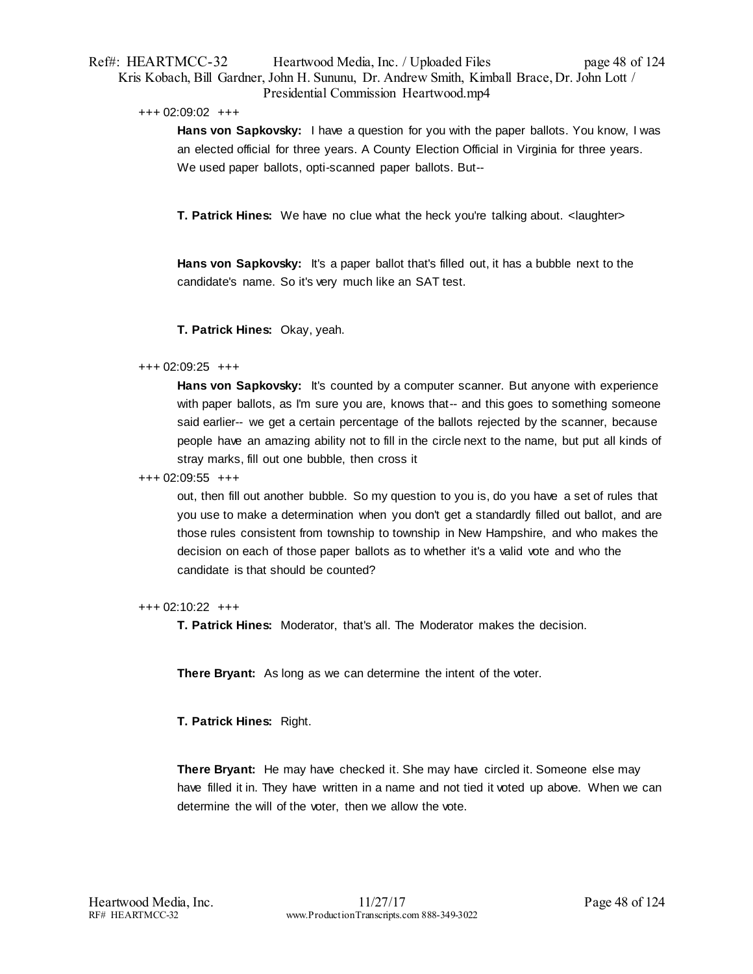## Ref#: HEARTMCC-32 Heartwood Media, Inc. / Uploaded Files page 48 of 124 Kris Kobach, Bill Gardner, John H. Sununu, Dr. Andrew Smith, Kimball Brace, Dr. John Lott / Presidential Commission Heartwood.mp4

### +++ 02:09:02 +++

**Hans von Sapkovsky:** I have a question for you with the paper ballots. You know, I was an elected official for three years. A County Election Official in Virginia for three years. We used paper ballots, opti-scanned paper ballots. But--

**T. Patrick Hines:** We have no clue what the heck you're talking about. < laughter>

**Hans von Sapkovsky:** It's a paper ballot that's filled out, it has a bubble next to the candidate's name. So it's very much like an SAT test.

**T. Patrick Hines:** Okay, yeah.

## +++ 02:09:25 +++

**Hans von Sapkovsky:** It's counted by a computer scanner. But anyone with experience with paper ballots, as I'm sure you are, knows that-- and this goes to something someone said earlier-- we get a certain percentage of the ballots rejected by the scanner, because people have an amazing ability not to fill in the circle next to the name, but put all kinds of stray marks, fill out one bubble, then cross it

### +++ 02:09:55 +++

out, then fill out another bubble. So my question to you is, do you have a set of rules that you use to make a determination when you don't get a standardly filled out ballot, and are those rules consistent from township to township in New Hampshire, and who makes the decision on each of those paper ballots as to whether it's a valid vote and who the candidate is that should be counted?

## +++ 02:10:22 +++

**T. Patrick Hines:** Moderator, that's all. The Moderator makes the decision.

**There Bryant:** As long as we can determine the intent of the voter.

**T. Patrick Hines:** Right.

**There Bryant:** He may have checked it. She may have circled it. Someone else may have filled it in. They have written in a name and not tied it voted up above. When we can determine the will of the voter, then we allow the vote.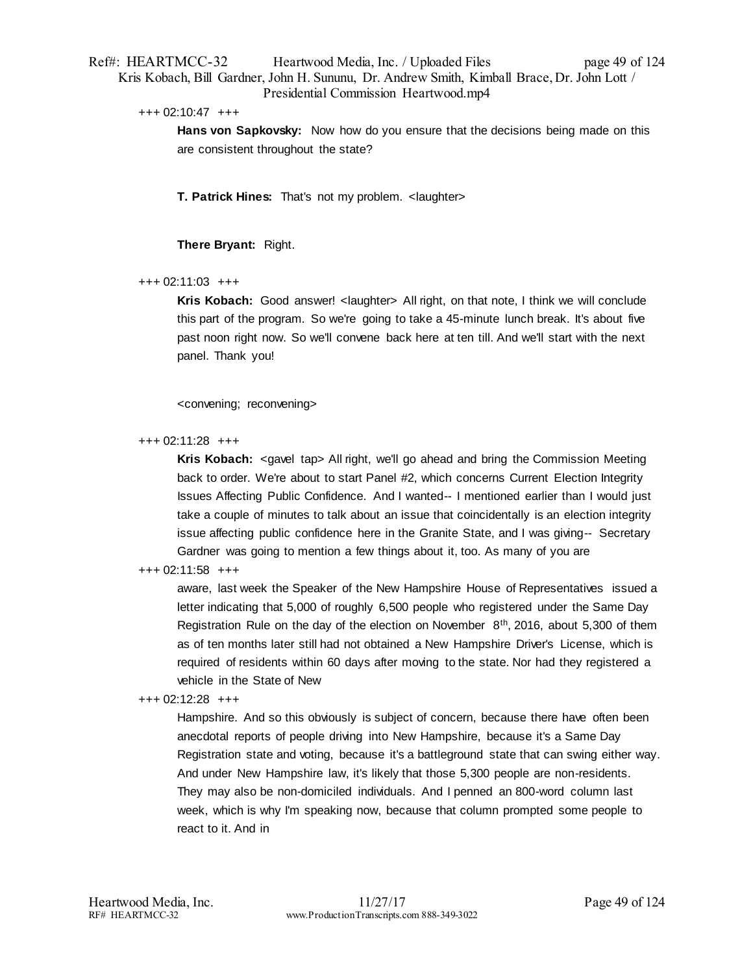## Ref#: HEARTMCC-32 Heartwood Media, Inc. / Uploaded Files page 49 of 124 Kris Kobach, Bill Gardner, John H. Sununu, Dr. Andrew Smith, Kimball Brace, Dr. John Lott / Presidential Commission Heartwood.mp4

#### +++ 02:10:47 +++

**Hans von Sapkovsky:** Now how do you ensure that the decisions being made on this are consistent throughout the state?

**T. Patrick Hines:** That's not my problem. <laughter>

## **There Bryant:** Right.

## +++ 02:11:03 +++

**Kris Kobach:** Good answer! <laughter> All right, on that note, I think we will conclude this part of the program. So we're going to take a 45-minute lunch break. It's about five past noon right now. So we'll convene back here at ten till. And we'll start with the next panel. Thank you!

<convening; reconvening>

### +++ 02:11:28 +++

**Kris Kobach:** <gavel tap> All right, we'll go ahead and bring the Commission Meeting back to order. We're about to start Panel #2, which concerns Current Election Integrity Issues Affecting Public Confidence. And I wanted-- I mentioned earlier than I would just take a couple of minutes to talk about an issue that coincidentally is an election integrity issue affecting public confidence here in the Granite State, and I was giving-- Secretary Gardner was going to mention a few things about it, too. As many of you are

## +++ 02:11:58 +++

aware, last week the Speaker of the New Hampshire House of Representatives issued a letter indicating that 5,000 of roughly 6,500 people who registered under the Same Day Registration Rule on the day of the election on November  $8<sup>th</sup>$ , 2016, about 5,300 of them as of ten months later still had not obtained a New Hampshire Driver's License, which is required of residents within 60 days after moving to the state. Nor had they registered a vehicle in the State of New

#### +++ 02:12:28 +++

Hampshire. And so this obviously is subject of concern, because there have often been anecdotal reports of people driving into New Hampshire, because it's a Same Day Registration state and voting, because it's a battleground state that can swing either way. And under New Hampshire law, it's likely that those 5,300 people are non-residents. They may also be non-domiciled individuals. And I penned an 800-word column last week, which is why I'm speaking now, because that column prompted some people to react to it. And in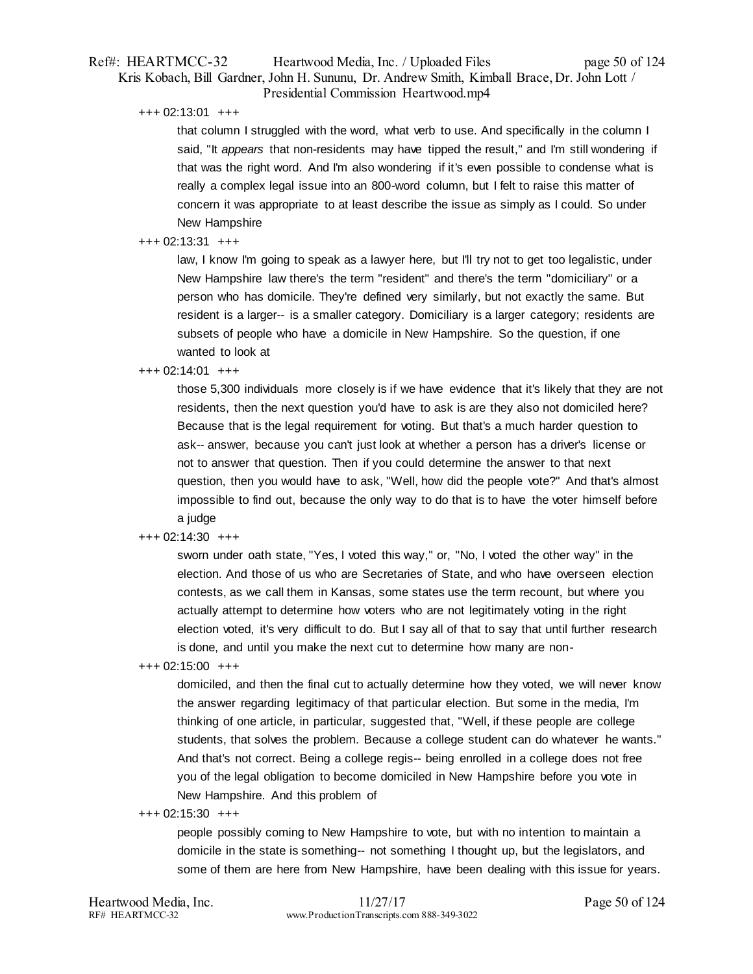## Ref#: HEARTMCC-32 Heartwood Media, Inc. / Uploaded Files page 50 of 124 Kris Kobach, Bill Gardner, John H. Sununu, Dr. Andrew Smith, Kimball Brace, Dr. John Lott / Presidential Commission Heartwood.mp4

+++ 02:13:01 +++

that column I struggled with the word, what verb to use. And specifically in the column I said, "It *appears* that non-residents may have tipped the result," and I'm still wondering if that was the right word. And I'm also wondering if it's even possible to condense what is really a complex legal issue into an 800-word column, but I felt to raise this matter of concern it was appropriate to at least describe the issue as simply as I could. So under New Hampshire

## +++ 02:13:31 +++

law, I know I'm going to speak as a lawyer here, but I'll try not to get too legalistic, under New Hampshire law there's the term "resident" and there's the term "domiciliary" or a person who has domicile. They're defined very similarly, but not exactly the same. But resident is a larger-- is a smaller category. Domiciliary is a larger category; residents are subsets of people who have a domicile in New Hampshire. So the question, if one wanted to look at

### +++ 02:14:01 +++

those 5,300 individuals more closely is if we have evidence that it's likely that they are not residents, then the next question you'd have to ask is are they also not domiciled here? Because that is the legal requirement for voting. But that's a much harder question to ask-- answer, because you can't just look at whether a person has a driver's license or not to answer that question. Then if you could determine the answer to that next question, then you would have to ask, "Well, how did the people vote?" And that's almost impossible to find out, because the only way to do that is to have the voter himself before a judge

## +++ 02:14:30 +++

sworn under oath state, "Yes, I voted this way," or, "No, I voted the other way" in the election. And those of us who are Secretaries of State, and who have overseen election contests, as we call them in Kansas, some states use the term recount, but where you actually attempt to determine how voters who are not legitimately voting in the right election voted, it's very difficult to do. But I say all of that to say that until further research is done, and until you make the next cut to determine how many are non-

+++ 02:15:00 +++

domiciled, and then the final cut to actually determine how they voted, we will never know the answer regarding legitimacy of that particular election. But some in the media, I'm thinking of one article, in particular, suggested that, "Well, if these people are college students, that solves the problem. Because a college student can do whatever he wants." And that's not correct. Being a college regis-- being enrolled in a college does not free you of the legal obligation to become domiciled in New Hampshire before you vote in New Hampshire. And this problem of

#### +++ 02:15:30 +++

people possibly coming to New Hampshire to vote, but with no intention to maintain a domicile in the state is something-- not something I thought up, but the legislators, and some of them are here from New Hampshire, have been dealing with this issue for years.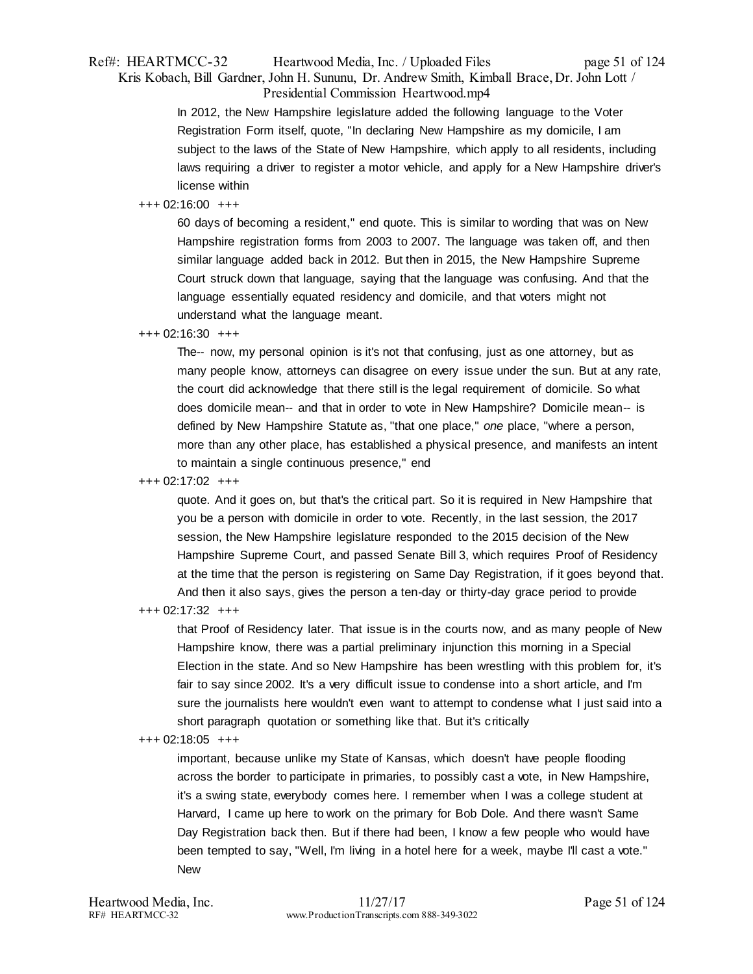## Ref#: HEARTMCC-32 Heartwood Media, Inc. / Uploaded Files page 51 of 124 Kris Kobach, Bill Gardner, John H. Sununu, Dr. Andrew Smith, Kimball Brace, Dr. John Lott / Presidential Commission Heartwood.mp4

In 2012, the New Hampshire legislature added the following language to the Voter Registration Form itself, quote, "In declaring New Hampshire as my domicile, I am subject to the laws of the State of New Hampshire, which apply to all residents, including laws requiring a driver to register a motor vehicle, and apply for a New Hampshire driver's license within

## +++ 02:16:00 +++

60 days of becoming a resident," end quote. This is similar to wording that was on New Hampshire registration forms from 2003 to 2007. The language was taken off, and then similar language added back in 2012. But then in 2015, the New Hampshire Supreme Court struck down that language, saying that the language was confusing. And that the language essentially equated residency and domicile, and that voters might not understand what the language meant.

## +++ 02:16:30 +++

The-- now, my personal opinion is it's not that confusing, just as one attorney, but as many people know, attorneys can disagree on every issue under the sun. But at any rate, the court did acknowledge that there still is the legal requirement of domicile. So what does domicile mean-- and that in order to vote in New Hampshire? Domicile mean-- is defined by New Hampshire Statute as, "that one place," *one* place, "where a person, more than any other place, has established a physical presence, and manifests an intent to maintain a single continuous presence," end

### +++ 02:17:02 +++

quote. And it goes on, but that's the critical part. So it is required in New Hampshire that you be a person with domicile in order to vote. Recently, in the last session, the 2017 session, the New Hampshire legislature responded to the 2015 decision of the New Hampshire Supreme Court, and passed Senate Bill 3, which requires Proof of Residency at the time that the person is registering on Same Day Registration, if it goes beyond that. And then it also says, gives the person a ten-day or thirty-day grace period to provide

## +++ 02:17:32 +++

that Proof of Residency later. That issue is in the courts now, and as many people of New Hampshire know, there was a partial preliminary injunction this morning in a Special Election in the state. And so New Hampshire has been wrestling with this problem for, it's fair to say since 2002. It's a very difficult issue to condense into a short article, and I'm sure the journalists here wouldn't even want to attempt to condense what I just said into a short paragraph quotation or something like that. But it's critically

#### +++ 02:18:05 +++

important, because unlike my State of Kansas, which doesn't have people flooding across the border to participate in primaries, to possibly cast a vote, in New Hampshire, it's a swing state, everybody comes here. I remember when I was a college student at Harvard, I came up here to work on the primary for Bob Dole. And there wasn't Same Day Registration back then. But if there had been, I know a few people who would have been tempted to say, "Well, I'm living in a hotel here for a week, maybe I'll cast a vote." New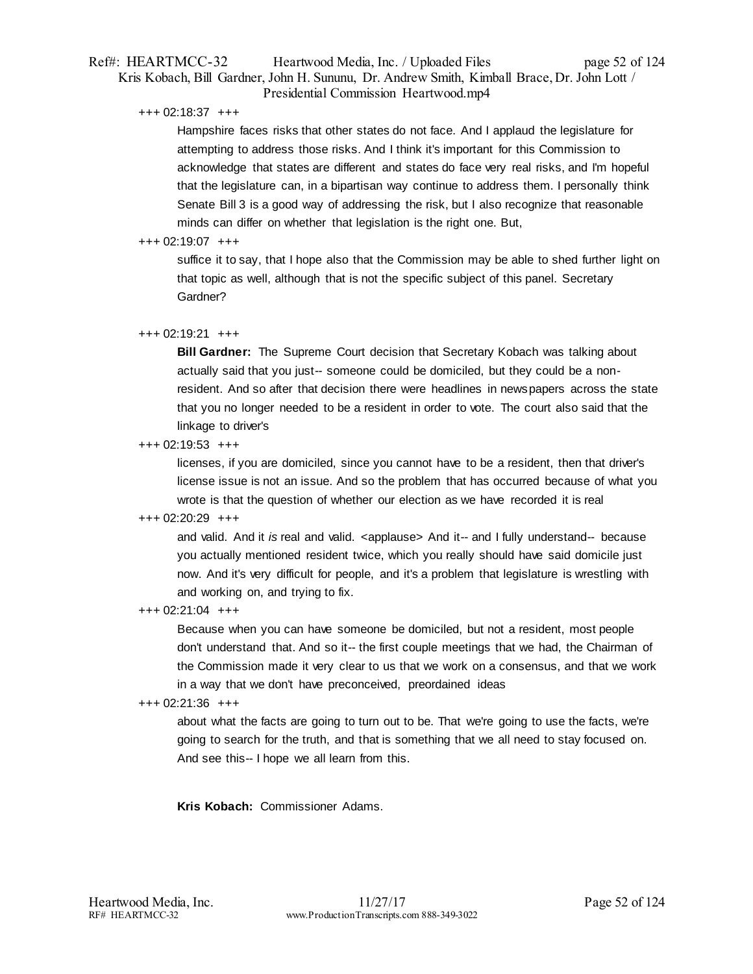## Ref#: HEARTMCC-32 Heartwood Media, Inc. / Uploaded Files page 52 of 124 Kris Kobach, Bill Gardner, John H. Sununu, Dr. Andrew Smith, Kimball Brace, Dr. John Lott / Presidential Commission Heartwood.mp4

+++ 02:18:37 +++

Hampshire faces risks that other states do not face. And I applaud the legislature for attempting to address those risks. And I think it's important for this Commission to acknowledge that states are different and states do face very real risks, and I'm hopeful that the legislature can, in a bipartisan way continue to address them. I personally think Senate Bill 3 is a good way of addressing the risk, but I also recognize that reasonable minds can differ on whether that legislation is the right one. But,

## +++ 02:19:07 +++

suffice it to say, that I hope also that the Commission may be able to shed further light on that topic as well, although that is not the specific subject of this panel. Secretary Gardner?

## +++ 02:19:21 +++

**Bill Gardner:** The Supreme Court decision that Secretary Kobach was talking about actually said that you just-- someone could be domiciled, but they could be a nonresident. And so after that decision there were headlines in newspapers across the state that you no longer needed to be a resident in order to vote. The court also said that the linkage to driver's

## +++ 02:19:53 +++

licenses, if you are domiciled, since you cannot have to be a resident, then that driver's license issue is not an issue. And so the problem that has occurred because of what you wrote is that the question of whether our election as we have recorded it is real

## +++ 02:20:29 +++

and valid. And it *is* real and valid. <applause> And it-- and I fully understand-- because you actually mentioned resident twice, which you really should have said domicile just now. And it's very difficult for people, and it's a problem that legislature is wrestling with and working on, and trying to fix.

## +++ 02:21:04 +++

Because when you can have someone be domiciled, but not a resident, most people don't understand that. And so it-- the first couple meetings that we had, the Chairman of the Commission made it very clear to us that we work on a consensus, and that we work in a way that we don't have preconceived, preordained ideas

## +++ 02:21:36 +++

about what the facts are going to turn out to be. That we're going to use the facts, we're going to search for the truth, and that is something that we all need to stay focused on. And see this-- I hope we all learn from this.

**Kris Kobach:** Commissioner Adams.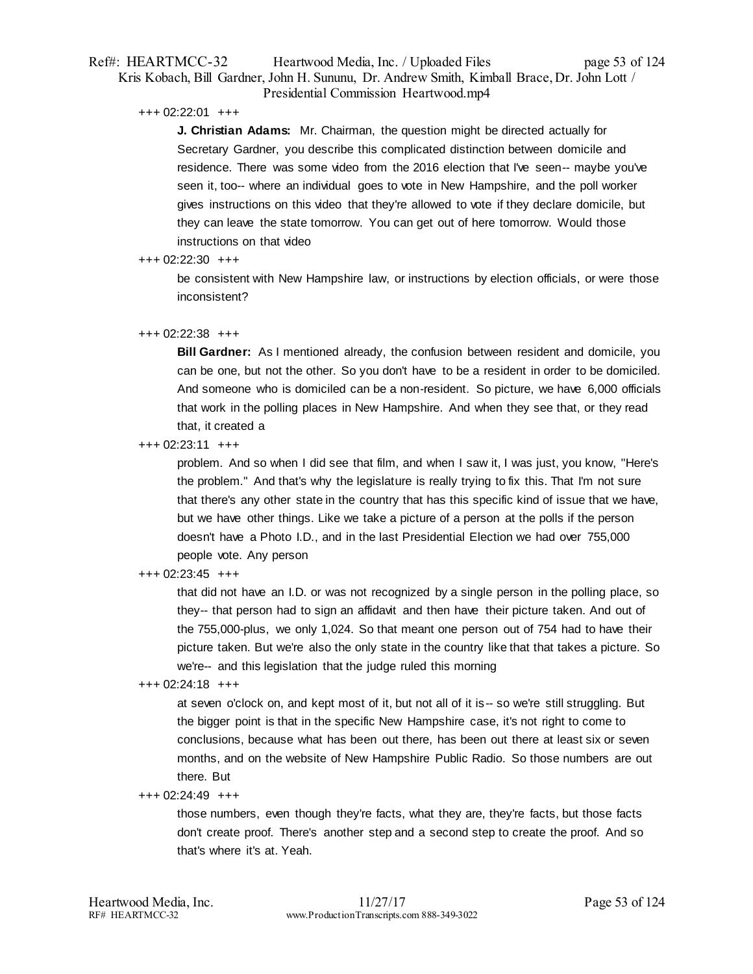## Ref#: HEARTMCC-32 Heartwood Media, Inc. / Uploaded Files page 53 of 124 Kris Kobach, Bill Gardner, John H. Sununu, Dr. Andrew Smith, Kimball Brace, Dr. John Lott / Presidential Commission Heartwood.mp4

+++ 02:22:01 +++

**J. Christian Adams:** Mr. Chairman, the question might be directed actually for Secretary Gardner, you describe this complicated distinction between domicile and residence. There was some video from the 2016 election that I've seen-- maybe you've seen it, too-- where an individual goes to vote in New Hampshire, and the poll worker gives instructions on this video that they're allowed to vote if they declare domicile, but they can leave the state tomorrow. You can get out of here tomorrow. Would those instructions on that video

#### +++ 02:22:30 +++

be consistent with New Hampshire law, or instructions by election officials, or were those inconsistent?

### +++ 02:22:38 +++

**Bill Gardner:** As I mentioned already, the confusion between resident and domicile, you can be one, but not the other. So you don't have to be a resident in order to be domiciled. And someone who is domiciled can be a non-resident. So picture, we have 6,000 officials that work in the polling places in New Hampshire. And when they see that, or they read that, it created a

 $+++ 02:23:11 +++$ 

problem. And so when I did see that film, and when I saw it, I was just, you know, "Here's the problem." And that's why the legislature is really trying to fix this. That I'm not sure that there's any other state in the country that has this specific kind of issue that we have, but we have other things. Like we take a picture of a person at the polls if the person doesn't have a Photo I.D., and in the last Presidential Election we had over 755,000 people vote. Any person

## +++ 02:23:45 +++

that did not have an I.D. or was not recognized by a single person in the polling place, so they-- that person had to sign an affidavit and then have their picture taken. And out of the 755,000-plus, we only 1,024. So that meant one person out of 754 had to have their picture taken. But we're also the only state in the country like that that takes a picture. So we're-- and this legislation that the judge ruled this morning

## +++ 02:24:18 +++

at seven o'clock on, and kept most of it, but not all of it is-- so we're still struggling. But the bigger point is that in the specific New Hampshire case, it's not right to come to conclusions, because what has been out there, has been out there at least six or seven months, and on the website of New Hampshire Public Radio. So those numbers are out there. But

#### +++ 02:24:49 +++

those numbers, even though they're facts, what they are, they're facts, but those facts don't create proof. There's another step and a second step to create the proof. And so that's where it's at. Yeah.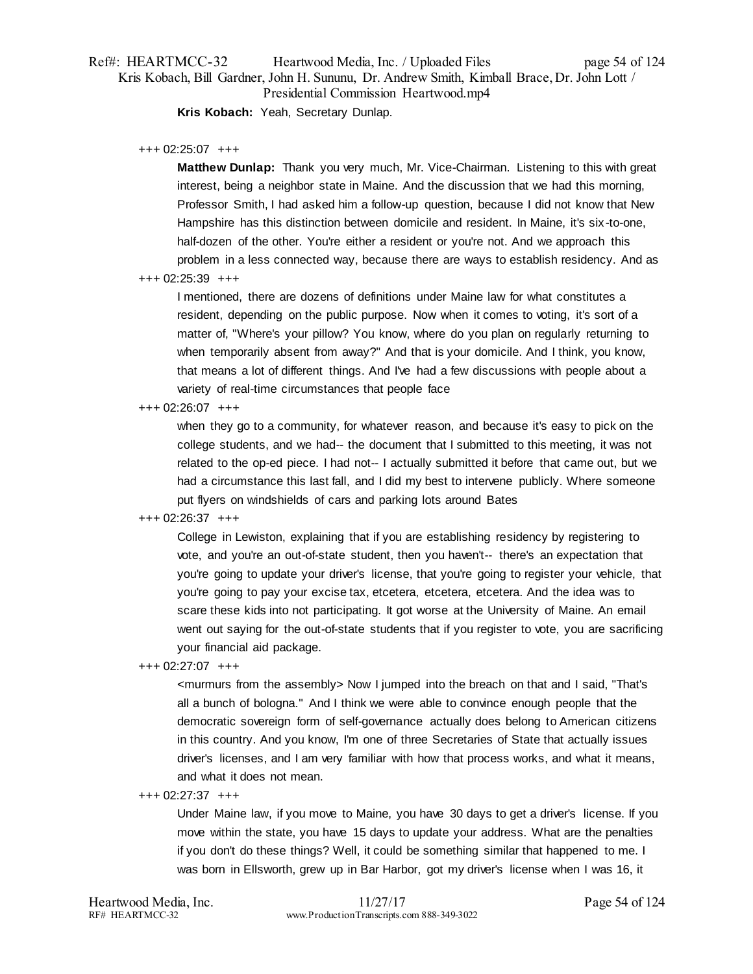# Ref#: HEARTMCC-32 Heartwood Media, Inc. / Uploaded Files page 54 of 124 Kris Kobach, Bill Gardner, John H. Sununu, Dr. Andrew Smith, Kimball Brace, Dr. John Lott / Presidential Commission Heartwood.mp4

**Kris Kobach:** Yeah, Secretary Dunlap.

#### +++ 02:25:07 +++

**Matthew Dunlap:** Thank you very much, Mr. Vice-Chairman. Listening to this with great interest, being a neighbor state in Maine. And the discussion that we had this morning, Professor Smith, I had asked him a follow-up question, because I did not know that New Hampshire has this distinction between domicile and resident. In Maine, it's six-to-one, half-dozen of the other. You're either a resident or you're not. And we approach this problem in a less connected way, because there are ways to establish residency. And as

### +++ 02:25:39 +++

I mentioned, there are dozens of definitions under Maine law for what constitutes a resident, depending on the public purpose. Now when it comes to voting, it's sort of a matter of, "Where's your pillow? You know, where do you plan on regularly returning to when temporarily absent from away?" And that is your domicile. And I think, you know, that means a lot of different things. And I've had a few discussions with people about a variety of real-time circumstances that people face

### +++ 02:26:07 +++

when they go to a community, for whatever reason, and because it's easy to pick on the college students, and we had-- the document that I submitted to this meeting, it was not related to the op-ed piece. I had not-- I actually submitted it before that came out, but we had a circumstance this last fall, and I did my best to intervene publicly. Where someone put flyers on windshields of cars and parking lots around Bates

#### +++ 02:26:37 +++

College in Lewiston, explaining that if you are establishing residency by registering to vote, and you're an out-of-state student, then you haven't-- there's an expectation that you're going to update your driver's license, that you're going to register your vehicle, that you're going to pay your excise tax, etcetera, etcetera, etcetera. And the idea was to scare these kids into not participating. It got worse at the University of Maine. An email went out saying for the out-of-state students that if you register to vote, you are sacrificing your financial aid package.

#### +++ 02:27:07 +++

<murmurs from the assembly> Now I jumped into the breach on that and I said, "That's all a bunch of bologna." And I think we were able to convince enough people that the democratic sovereign form of self-governance actually does belong to American citizens in this country. And you know, I'm one of three Secretaries of State that actually issues driver's licenses, and I am very familiar with how that process works, and what it means, and what it does not mean.

#### +++ 02:27:37 +++

Under Maine law, if you move to Maine, you have 30 days to get a driver's license. If you move within the state, you have 15 days to update your address. What are the penalties if you don't do these things? Well, it could be something similar that happened to me. I was born in Ellsworth, grew up in Bar Harbor, got my driver's license when I was 16, it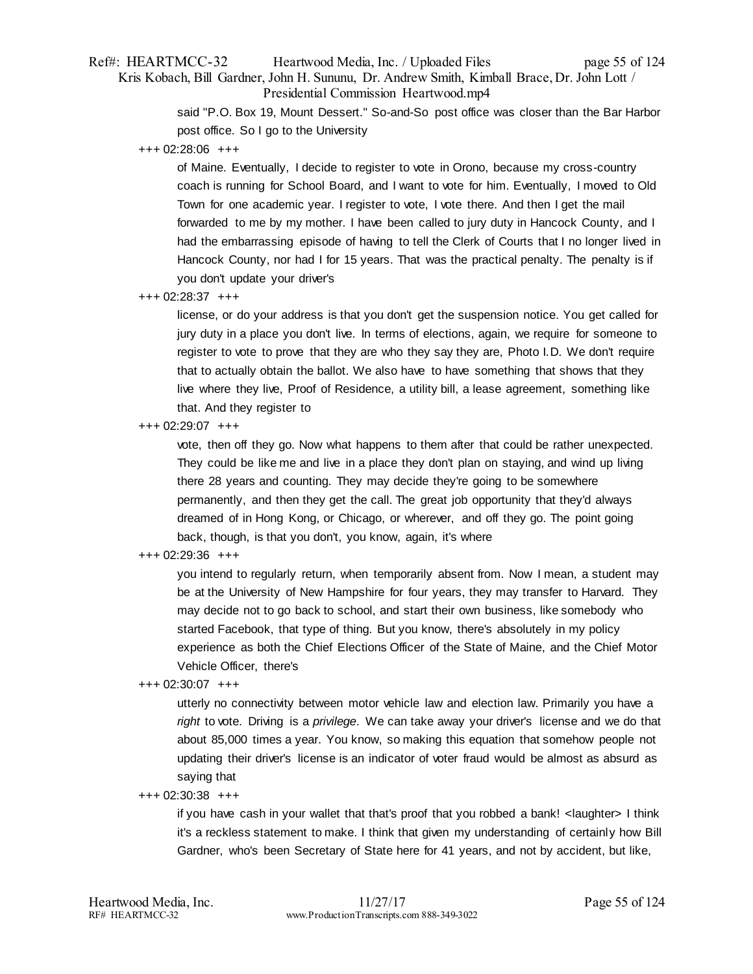## Ref#: HEARTMCC-32 Heartwood Media, Inc. / Uploaded Files page 55 of 124 Kris Kobach, Bill Gardner, John H. Sununu, Dr. Andrew Smith, Kimball Brace, Dr. John Lott / Presidential Commission Heartwood.mp4

said "P.O. Box 19, Mount Dessert." So-and-So post office was closer than the Bar Harbor post office. So I go to the University

+++ 02:28:06 +++

of Maine. Eventually, I decide to register to vote in Orono, because my cross-country coach is running for School Board, and I want to vote for him. Eventually, I moved to Old Town for one academic year. I register to vote, I vote there. And then I get the mail forwarded to me by my mother. I have been called to jury duty in Hancock County, and I had the embarrassing episode of having to tell the Clerk of Courts that I no longer lived in Hancock County, nor had I for 15 years. That was the practical penalty. The penalty is if you don't update your driver's

### +++ 02:28:37 +++

license, or do your address is that you don't get the suspension notice. You get called for jury duty in a place you don't live. In terms of elections, again, we require for someone to register to vote to prove that they are who they say they are, Photo I.D. We don't require that to actually obtain the ballot. We also have to have something that shows that they live where they live, Proof of Residence, a utility bill, a lease agreement, something like that. And they register to

+++ 02:29:07 +++

vote, then off they go. Now what happens to them after that could be rather unexpected. They could be like me and live in a place they don't plan on staying, and wind up living there 28 years and counting. They may decide they're going to be somewhere permanently, and then they get the call. The great job opportunity that they'd always dreamed of in Hong Kong, or Chicago, or wherever, and off they go. The point going back, though, is that you don't, you know, again, it's where

## +++ 02:29:36 +++

you intend to regularly return, when temporarily absent from. Now I mean, a student may be at the University of New Hampshire for four years, they may transfer to Harvard. They may decide not to go back to school, and start their own business, like somebody who started Facebook, that type of thing. But you know, there's absolutely in my policy experience as both the Chief Elections Officer of the State of Maine, and the Chief Motor Vehicle Officer, there's

#### +++ 02:30:07 +++

utterly no connectivity between motor vehicle law and election law. Primarily you have a *right* to vote. Driving is a *privilege*. We can take away your driver's license and we do that about 85,000 times a year. You know, so making this equation that somehow people not updating their driver's license is an indicator of voter fraud would be almost as absurd as saying that

#### +++ 02:30:38 +++

if you have cash in your wallet that that's proof that you robbed a bank! <laughter> I think it's a reckless statement to make. I think that given my understanding of certainly how Bill Gardner, who's been Secretary of State here for 41 years, and not by accident, but like,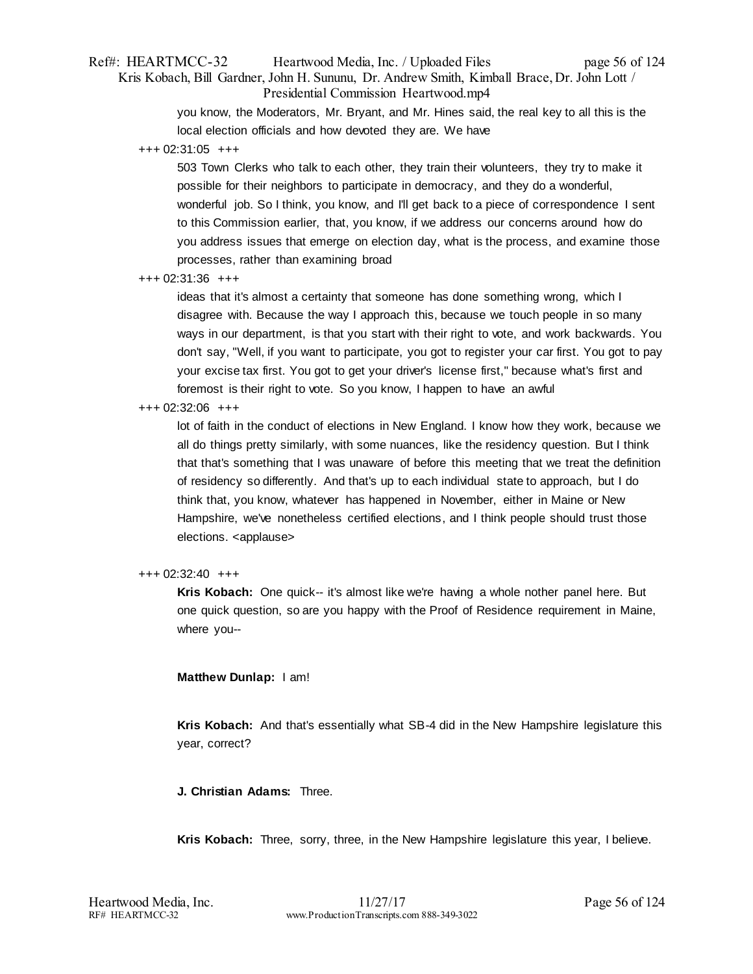## Ref#: HEARTMCC-32 Heartwood Media, Inc. / Uploaded Files page 56 of 124 Kris Kobach, Bill Gardner, John H. Sununu, Dr. Andrew Smith, Kimball Brace, Dr. John Lott / Presidential Commission Heartwood.mp4

you know, the Moderators, Mr. Bryant, and Mr. Hines said, the real key to all this is the local election officials and how devoted they are. We have

+++ 02:31:05 +++

503 Town Clerks who talk to each other, they train their volunteers, they try to make it possible for their neighbors to participate in democracy, and they do a wonderful, wonderful job. So I think, you know, and I'll get back to a piece of correspondence I sent to this Commission earlier, that, you know, if we address our concerns around how do you address issues that emerge on election day, what is the process, and examine those processes, rather than examining broad

+++ 02:31:36 +++

ideas that it's almost a certainty that someone has done something wrong, which I disagree with. Because the way I approach this, because we touch people in so many ways in our department, is that you start with their right to vote, and work backwards. You don't say, "Well, if you want to participate, you got to register your car first. You got to pay your excise tax first. You got to get your driver's license first," because what's first and foremost is their right to vote. So you know, I happen to have an awful

### +++ 02:32:06 +++

lot of faith in the conduct of elections in New England. I know how they work, because we all do things pretty similarly, with some nuances, like the residency question. But I think that that's something that I was unaware of before this meeting that we treat the definition of residency so differently. And that's up to each individual state to approach, but I do think that, you know, whatever has happened in November, either in Maine or New Hampshire, we've nonetheless certified elections, and I think people should trust those elections. <applause>

#### +++ 02:32:40 +++

**Kris Kobach:** One quick-- it's almost like we're having a whole nother panel here. But one quick question, so are you happy with the Proof of Residence requirement in Maine, where you--

## **Matthew Dunlap:** I am!

**Kris Kobach:** And that's essentially what SB-4 did in the New Hampshire legislature this year, correct?

**J. Christian Adams:** Three.

**Kris Kobach:** Three, sorry, three, in the New Hampshire legislature this year, I believe.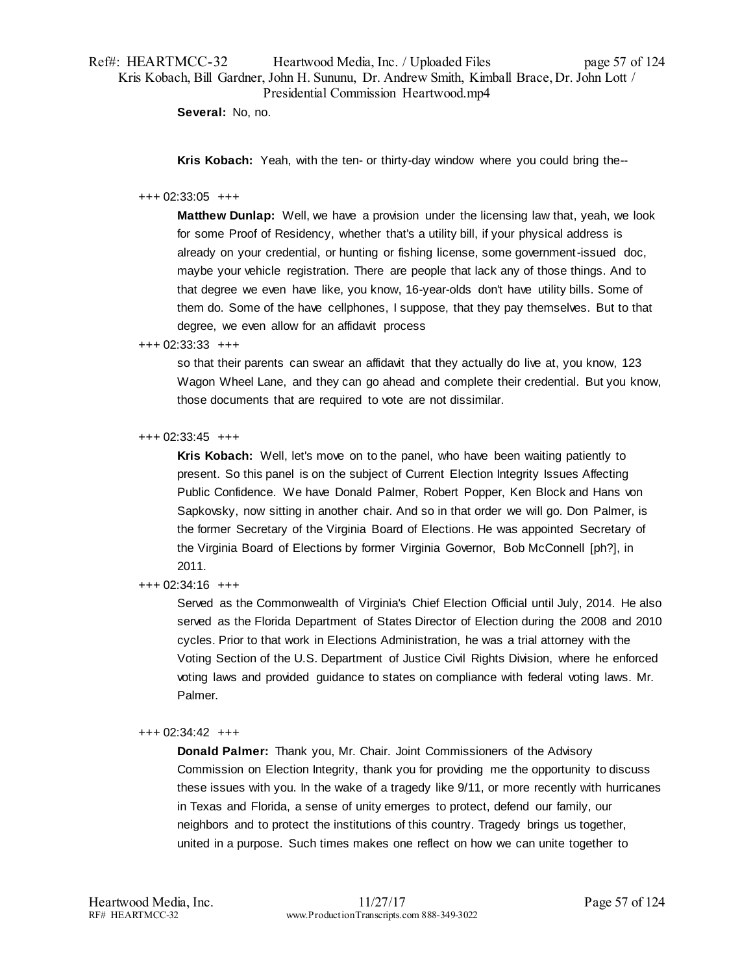**Several:** No, no.

**Kris Kobach:** Yeah, with the ten- or thirty-day window where you could bring the--

#### +++ 02:33:05 +++

**Matthew Dunlap:** Well, we have a provision under the licensing law that, yeah, we look for some Proof of Residency, whether that's a utility bill, if your physical address is already on your credential, or hunting or fishing license, some government-issued doc, maybe your vehicle registration. There are people that lack any of those things. And to that degree we even have like, you know, 16-year-olds don't have utility bills. Some of them do. Some of the have cellphones, I suppose, that they pay themselves. But to that degree, we even allow for an affidavit process

+++ 02:33:33 +++

so that their parents can swear an affidavit that they actually do live at, you know, 123 Wagon Wheel Lane, and they can go ahead and complete their credential. But you know, those documents that are required to vote are not dissimilar.

## +++ 02:33:45 +++

**Kris Kobach:** Well, let's move on to the panel, who have been waiting patiently to present. So this panel is on the subject of Current Election Integrity Issues Affecting Public Confidence. We have Donald Palmer, Robert Popper, Ken Block and Hans von Sapkovsky, now sitting in another chair. And so in that order we will go. Don Palmer, is the former Secretary of the Virginia Board of Elections. He was appointed Secretary of the Virginia Board of Elections by former Virginia Governor, Bob McConnell [ph?], in 2011.

## +++ 02:34:16 +++

Served as the Commonwealth of Virginia's Chief Election Official until July, 2014. He also served as the Florida Department of States Director of Election during the 2008 and 2010 cycles. Prior to that work in Elections Administration, he was a trial attorney with the Voting Section of the U.S. Department of Justice Civil Rights Division, where he enforced voting laws and provided guidance to states on compliance with federal voting laws. Mr. Palmer.

## +++ 02:34:42 +++

**Donald Palmer:** Thank you, Mr. Chair. Joint Commissioners of the Advisory Commission on Election Integrity, thank you for providing me the opportunity to discuss these issues with you. In the wake of a tragedy like 9/11, or more recently with hurricanes in Texas and Florida, a sense of unity emerges to protect, defend our family, our neighbors and to protect the institutions of this country. Tragedy brings us together, united in a purpose. Such times makes one reflect on how we can unite together to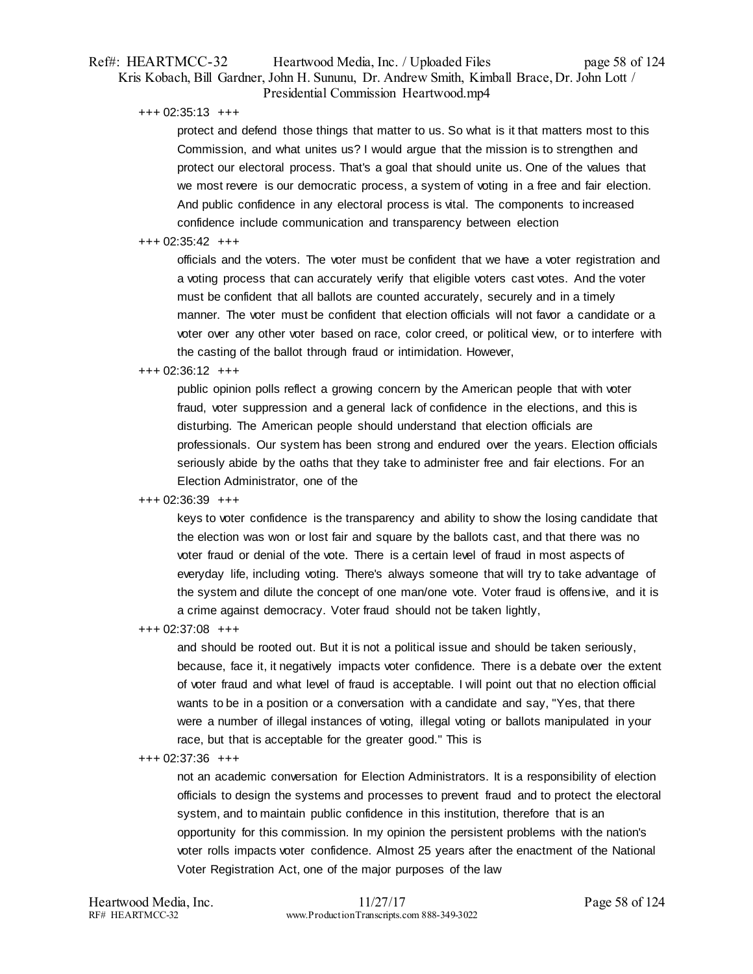## Ref#: HEARTMCC-32 Heartwood Media, Inc. / Uploaded Files page 58 of 124 Kris Kobach, Bill Gardner, John H. Sununu, Dr. Andrew Smith, Kimball Brace, Dr. John Lott / Presidential Commission Heartwood.mp4

+++ 02:35:13 +++

protect and defend those things that matter to us. So what is it that matters most to this Commission, and what unites us? I would argue that the mission is to strengthen and protect our electoral process. That's a goal that should unite us. One of the values that we most revere is our democratic process, a system of voting in a free and fair election. And public confidence in any electoral process is vital. The components to increased confidence include communication and transparency between election

#### $+++$  02:35:42  $++$

officials and the voters. The voter must be confident that we have a voter registration and a voting process that can accurately verify that eligible voters cast votes. And the voter must be confident that all ballots are counted accurately, securely and in a timely manner. The voter must be confident that election officials will not favor a candidate or a voter over any other voter based on race, color creed, or political view, or to interfere with the casting of the ballot through fraud or intimidation. However,

#### +++ 02:36:12 +++

public opinion polls reflect a growing concern by the American people that with voter fraud, voter suppression and a general lack of confidence in the elections, and this is disturbing. The American people should understand that election officials are professionals. Our system has been strong and endured over the years. Election officials seriously abide by the oaths that they take to administer free and fair elections. For an Election Administrator, one of the

## +++ 02:36:39 +++

keys to voter confidence is the transparency and ability to show the losing candidate that the election was won or lost fair and square by the ballots cast, and that there was no voter fraud or denial of the vote. There is a certain level of fraud in most aspects of everyday life, including voting. There's always someone that will try to take advantage of the system and dilute the concept of one man/one vote. Voter fraud is offensive, and it is a crime against democracy. Voter fraud should not be taken lightly,

+++ 02:37:08 +++

and should be rooted out. But it is not a political issue and should be taken seriously, because, face it, it negatively impacts voter confidence. There is a debate over the extent of voter fraud and what level of fraud is acceptable. I will point out that no election official wants to be in a position or a conversation with a candidate and say, "Yes, that there were a number of illegal instances of voting, illegal voting or ballots manipulated in your race, but that is acceptable for the greater good." This is

#### +++ 02:37:36 +++

not an academic conversation for Election Administrators. It is a responsibility of election officials to design the systems and processes to prevent fraud and to protect the electoral system, and to maintain public confidence in this institution, therefore that is an opportunity for this commission. In my opinion the persistent problems with the nation's voter rolls impacts voter confidence. Almost 25 years after the enactment of the National Voter Registration Act, one of the major purposes of the law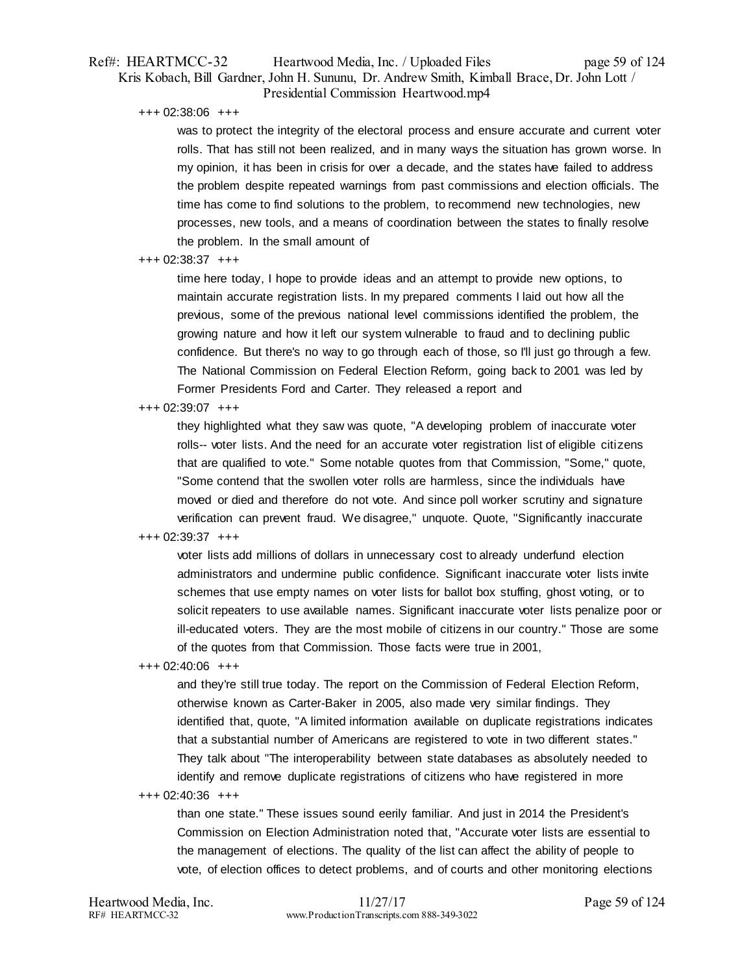## Ref#: HEARTMCC-32 Heartwood Media, Inc. / Uploaded Files page 59 of 124 Kris Kobach, Bill Gardner, John H. Sununu, Dr. Andrew Smith, Kimball Brace, Dr. John Lott / Presidential Commission Heartwood.mp4

+++ 02:38:06 +++

was to protect the integrity of the electoral process and ensure accurate and current voter rolls. That has still not been realized, and in many ways the situation has grown worse. In my opinion, it has been in crisis for over a decade, and the states have failed to address the problem despite repeated warnings from past commissions and election officials. The time has come to find solutions to the problem, to recommend new technologies, new processes, new tools, and a means of coordination between the states to finally resolve the problem. In the small amount of

#### +++ 02:38:37 +++

time here today, I hope to provide ideas and an attempt to provide new options, to maintain accurate registration lists. In my prepared comments I laid out how all the previous, some of the previous national level commissions identified the problem, the growing nature and how it left our system vulnerable to fraud and to declining public confidence. But there's no way to go through each of those, so I'll just go through a few. The National Commission on Federal Election Reform, going back to 2001 was led by Former Presidents Ford and Carter. They released a report and

#### +++ 02:39:07 +++

they highlighted what they saw was quote, "A developing problem of inaccurate voter rolls-- voter lists. And the need for an accurate voter registration list of eligible citizens that are qualified to vote." Some notable quotes from that Commission, "Some," quote, "Some contend that the swollen voter rolls are harmless, since the individuals have moved or died and therefore do not vote. And since poll worker scrutiny and signature verification can prevent fraud. We disagree," unquote. Quote, "Significantly inaccurate

## +++ 02:39:37 +++

voter lists add millions of dollars in unnecessary cost to already underfund election administrators and undermine public confidence. Significant inaccurate voter lists invite schemes that use empty names on voter lists for ballot box stuffing, ghost voting, or to solicit repeaters to use available names. Significant inaccurate voter lists penalize poor or ill-educated voters. They are the most mobile of citizens in our country." Those are some of the quotes from that Commission. Those facts were true in 2001,

#### +++ 02:40:06 +++

and they're still true today. The report on the Commission of Federal Election Reform, otherwise known as Carter-Baker in 2005, also made very similar findings. They identified that, quote, "A limited information available on duplicate registrations indicates that a substantial number of Americans are registered to vote in two different states." They talk about "The interoperability between state databases as absolutely needed to identify and remove duplicate registrations of citizens who have registered in more

+++ 02:40:36 +++

than one state." These issues sound eerily familiar. And just in 2014 the President's Commission on Election Administration noted that, "Accurate voter lists are essential to the management of elections. The quality of the list can affect the ability of people to vote, of election offices to detect problems, and of courts and other monitoring elections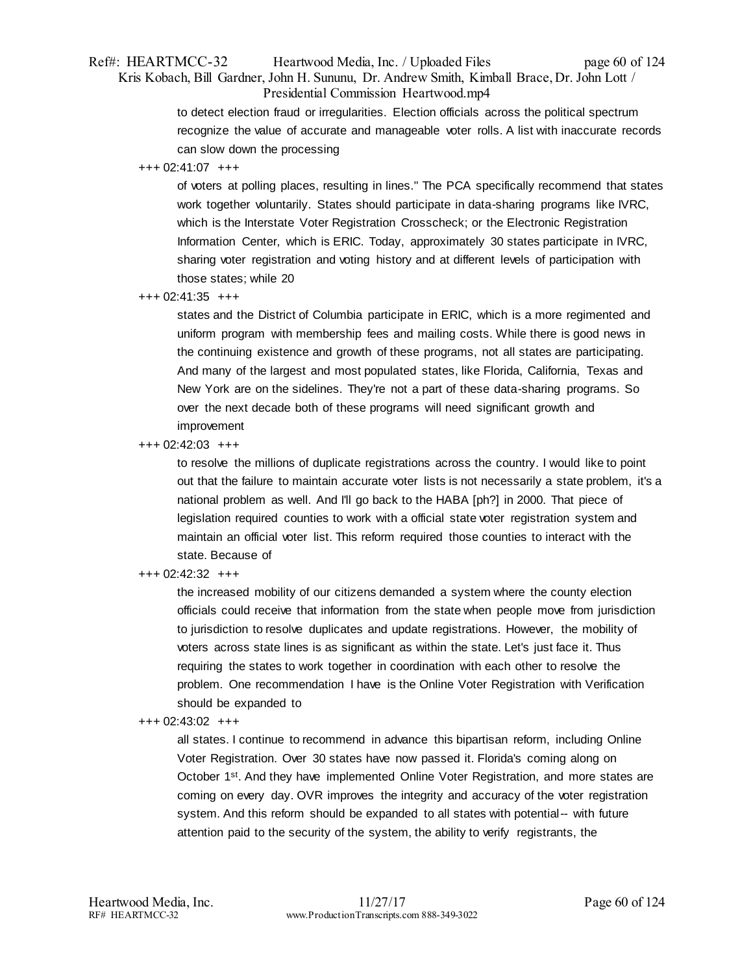## Ref#: HEARTMCC-32 Heartwood Media, Inc. / Uploaded Files page 60 of 124 Kris Kobach, Bill Gardner, John H. Sununu, Dr. Andrew Smith, Kimball Brace, Dr. John Lott / Presidential Commission Heartwood.mp4

to detect election fraud or irregularities. Election officials across the political spectrum recognize the value of accurate and manageable voter rolls. A list with inaccurate records can slow down the processing

### +++ 02:41:07 +++

of voters at polling places, resulting in lines." The PCA specifically recommend that states work together voluntarily. States should participate in data-sharing programs like IVRC, which is the Interstate Voter Registration Crosscheck; or the Electronic Registration Information Center, which is ERIC. Today, approximately 30 states participate in IVRC, sharing voter registration and voting history and at different levels of participation with those states; while 20

### +++ 02:41:35 +++

states and the District of Columbia participate in ERIC, which is a more regimented and uniform program with membership fees and mailing costs. While there is good news in the continuing existence and growth of these programs, not all states are participating. And many of the largest and most populated states, like Florida, California, Texas and New York are on the sidelines. They're not a part of these data-sharing programs. So over the next decade both of these programs will need significant growth and improvement

#### +++ 02:42:03 +++

to resolve the millions of duplicate registrations across the country. I would like to point out that the failure to maintain accurate voter lists is not necessarily a state problem, it's a national problem as well. And I'll go back to the HABA [ph?] in 2000. That piece of legislation required counties to work with a official state voter registration system and maintain an official voter list. This reform required those counties to interact with the state. Because of

## +++ 02:42:32 +++

the increased mobility of our citizens demanded a system where the county election officials could receive that information from the state when people move from jurisdiction to jurisdiction to resolve duplicates and update registrations. However, the mobility of voters across state lines is as significant as within the state. Let's just face it. Thus requiring the states to work together in coordination with each other to resolve the problem. One recommendation I have is the Online Voter Registration with Verification should be expanded to

#### +++ 02:43:02 +++

all states. I continue to recommend in advance this bipartisan reform, including Online Voter Registration. Over 30 states have now passed it. Florida's coming along on October 1<sup>st</sup>. And they have implemented Online Voter Registration, and more states are coming on every day. OVR improves the integrity and accuracy of the voter registration system. And this reform should be expanded to all states with potential-- with future attention paid to the security of the system, the ability to verify registrants, the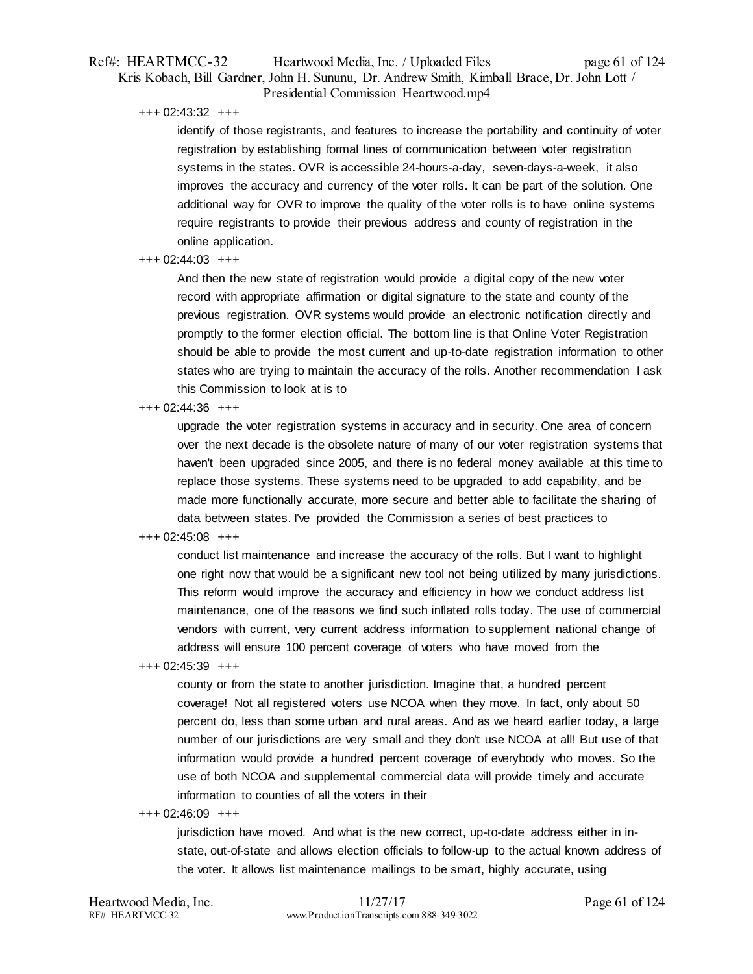## Ref#: HEARTMCC-32 Heartwood Media, Inc. / Uploaded Files page 61 of 124 Kris Kobach, Bill Gardner, John H. Sununu, Dr. Andrew Smith, Kimball Brace, Dr. John Lott / Presidential Commission Heartwood.mp4

+++ 02:43:32 +++

identify of those registrants, and features to increase the portability and continuity of voter registration by establishing formal lines of communication between voter registration systems in the states. OVR is accessible 24-hours-a-day, seven-days-a-week, it also improves the accuracy and currency of the voter rolls. It can be part of the solution. One additional way for OVR to improve the quality of the voter rolls is to have online systems require registrants to provide their previous address and county of registration in the online application.

#### +++ 02:44:03 +++

And then the new state of registration would provide a digital copy of the new voter record with appropriate affirmation or digital signature to the state and county of the previous registration. OVR systems would provide an electronic notification directly and promptly to the former election official. The bottom line is that Online Voter Registration should be able to provide the most current and up-to-date registration information to other states who are trying to maintain the accuracy of the rolls. Another recommendation I ask this Commission to look at is to

#### +++ 02:44:36 +++

upgrade the voter registration systems in accuracy and in security. One area of concern over the next decade is the obsolete nature of many of our voter registration systems that haven't been upgraded since 2005, and there is no federal money available at this time to replace those systems. These systems need to be upgraded to add capability, and be made more functionally accurate, more secure and better able to facilitate the sharing of data between states. I've provided the Commission a series of best practices to

#### +++ 02:45:08 +++

conduct list maintenance and increase the accuracy of the rolls. But I want to highlight one right now that would be a significant new tool not being utilized by many jurisdictions. This reform would improve the accuracy and efficiency in how we conduct address list maintenance, one of the reasons we find such inflated rolls today. The use of commercial vendors with current, very current address information to supplement national change of address will ensure 100 percent coverage of voters who have moved from the

+++ 02:45:39 +++

county or from the state to another jurisdiction. Imagine that, a hundred percent coverage! Not all registered voters use NCOA when they move. In fact, only about 50 percent do, less than some urban and rural areas. And as we heard earlier today, a large number of our jurisdictions are very small and they don't use NCOA at all! But use of that information would provide a hundred percent coverage of everybody who moves. So the use of both NCOA and supplemental commercial data will provide timely and accurate information to counties of all the voters in their

#### +++ 02:46:09 +++

jurisdiction have moved. And what is the new correct, up-to-date address either in instate, out-of-state and allows election officials to follow-up to the actual known address of the voter. It allows list maintenance mailings to be smart, highly accurate, using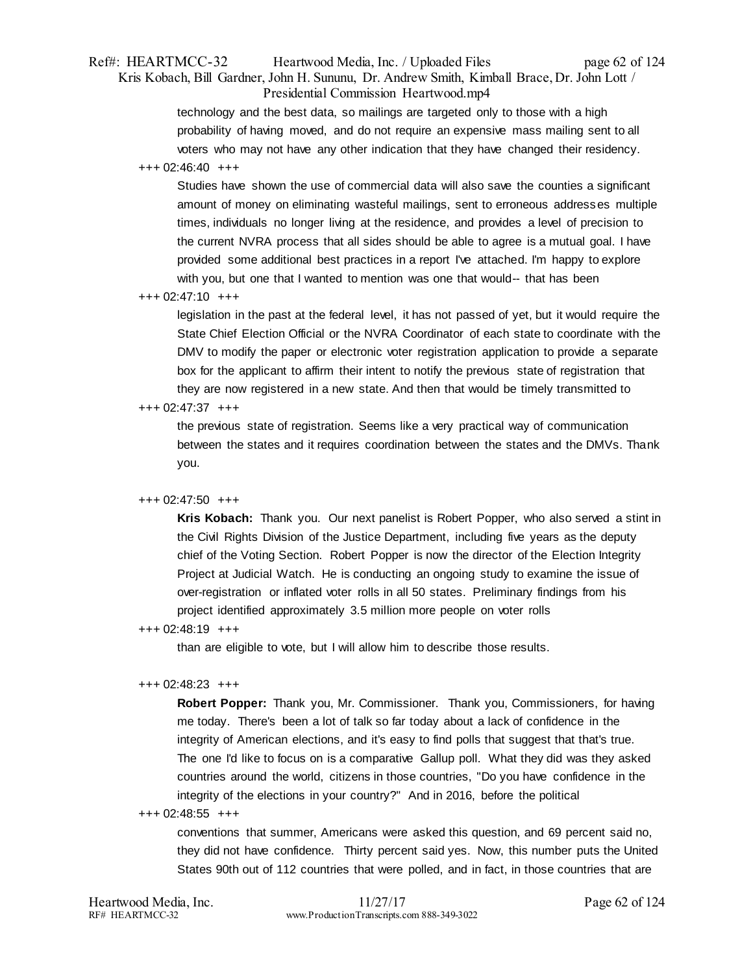## Ref#: HEARTMCC-32 Heartwood Media, Inc. / Uploaded Files page 62 of 124 Kris Kobach, Bill Gardner, John H. Sununu, Dr. Andrew Smith, Kimball Brace, Dr. John Lott / Presidential Commission Heartwood.mp4

technology and the best data, so mailings are targeted only to those with a high probability of having moved, and do not require an expensive mass mailing sent to all voters who may not have any other indication that they have changed their residency.

### +++ 02:46:40 +++

Studies have shown the use of commercial data will also save the counties a significant amount of money on eliminating wasteful mailings, sent to erroneous addresses multiple times, individuals no longer living at the residence, and provides a level of precision to the current NVRA process that all sides should be able to agree is a mutual goal. I have provided some additional best practices in a report I've attached. I'm happy to explore with you, but one that I wanted to mention was one that would-- that has been

### +++ 02:47:10 +++

legislation in the past at the federal level, it has not passed of yet, but it would require the State Chief Election Official or the NVRA Coordinator of each state to coordinate with the DMV to modify the paper or electronic voter registration application to provide a separate box for the applicant to affirm their intent to notify the previous state of registration that they are now registered in a new state. And then that would be timely transmitted to

### +++ 02:47:37 +++

the previous state of registration. Seems like a very practical way of communication between the states and it requires coordination between the states and the DMVs. Thank you.

## +++ 02:47:50 +++

**Kris Kobach:** Thank you. Our next panelist is Robert Popper, who also served a stint in the Civil Rights Division of the Justice Department, including five years as the deputy chief of the Voting Section. Robert Popper is now the director of the Election Integrity Project at Judicial Watch. He is conducting an ongoing study to examine the issue of over-registration or inflated voter rolls in all 50 states. Preliminary findings from his project identified approximately 3.5 million more people on voter rolls

#### +++ 02:48:19 +++

than are eligible to vote, but I will allow him to describe those results.

#### +++ 02:48:23 +++

**Robert Popper:** Thank you, Mr. Commissioner. Thank you, Commissioners, for having me today. There's been a lot of talk so far today about a lack of confidence in the integrity of American elections, and it's easy to find polls that suggest that that's true. The one I'd like to focus on is a comparative Gallup poll. What they did was they asked countries around the world, citizens in those countries, "Do you have confidence in the integrity of the elections in your country?" And in 2016, before the political

#### +++ 02:48:55 +++

conventions that summer, Americans were asked this question, and 69 percent said no, they did not have confidence. Thirty percent said yes. Now, this number puts the United States 90th out of 112 countries that were polled, and in fact, in those countries that are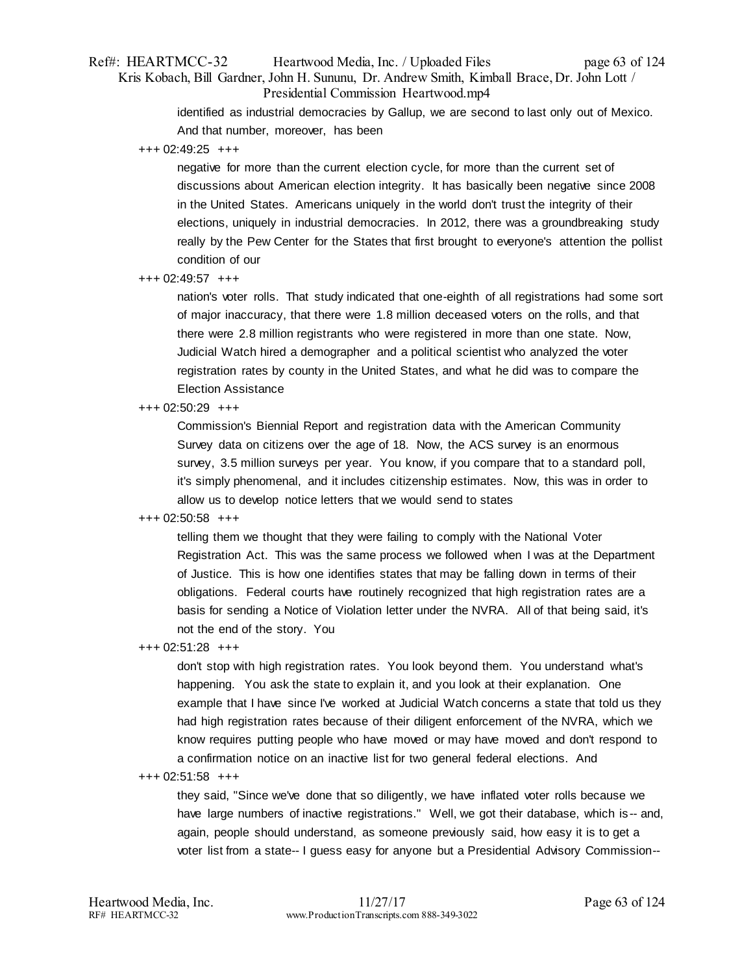## Ref#: HEARTMCC-32 Heartwood Media, Inc. / Uploaded Files page 63 of 124 Kris Kobach, Bill Gardner, John H. Sununu, Dr. Andrew Smith, Kimball Brace, Dr. John Lott / Presidential Commission Heartwood.mp4

identified as industrial democracies by Gallup, we are second to last only out of Mexico. And that number, moreover, has been

+++ 02:49:25 +++

negative for more than the current election cycle, for more than the current set of discussions about American election integrity. It has basically been negative since 2008 in the United States. Americans uniquely in the world don't trust the integrity of their elections, uniquely in industrial democracies. In 2012, there was a groundbreaking study really by the Pew Center for the States that first brought to everyone's attention the pollist condition of our

## +++ 02:49:57 +++

nation's voter rolls. That study indicated that one-eighth of all registrations had some sort of major inaccuracy, that there were 1.8 million deceased voters on the rolls, and that there were 2.8 million registrants who were registered in more than one state. Now, Judicial Watch hired a demographer and a political scientist who analyzed the voter registration rates by county in the United States, and what he did was to compare the Election Assistance

### +++ 02:50:29 +++

Commission's Biennial Report and registration data with the American Community Survey data on citizens over the age of 18. Now, the ACS survey is an enormous survey, 3.5 million surveys per year. You know, if you compare that to a standard poll, it's simply phenomenal, and it includes citizenship estimates. Now, this was in order to allow us to develop notice letters that we would send to states

#### +++ 02:50:58 +++

telling them we thought that they were failing to comply with the National Voter Registration Act. This was the same process we followed when I was at the Department of Justice. This is how one identifies states that may be falling down in terms of their obligations. Federal courts have routinely recognized that high registration rates are a basis for sending a Notice of Violation letter under the NVRA. All of that being said, it's not the end of the story. You

#### +++ 02:51:28 +++

don't stop with high registration rates. You look beyond them. You understand what's happening. You ask the state to explain it, and you look at their explanation. One example that I have since I've worked at Judicial Watch concerns a state that told us they had high registration rates because of their diligent enforcement of the NVRA, which we know requires putting people who have moved or may have moved and don't respond to a confirmation notice on an inactive list for two general federal elections. And

#### +++ 02:51:58 +++

they said, "Since we've done that so diligently, we have inflated voter rolls because we have large numbers of inactive registrations." Well, we got their database, which is -- and, again, people should understand, as someone previously said, how easy it is to get a voter list from a state-- I guess easy for anyone but a Presidential Advisory Commission--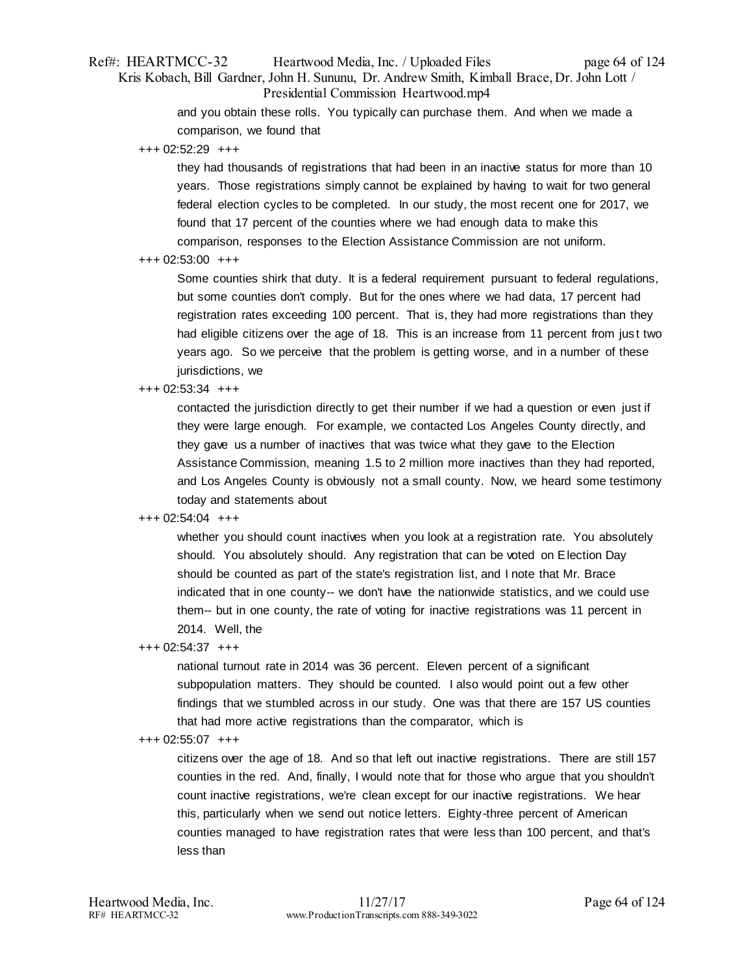## Ref#: HEARTMCC-32 Heartwood Media, Inc. / Uploaded Files page 64 of 124 Kris Kobach, Bill Gardner, John H. Sununu, Dr. Andrew Smith, Kimball Brace, Dr. John Lott / Presidential Commission Heartwood.mp4

and you obtain these rolls. You typically can purchase them. And when we made a comparison, we found that

+++ 02:52:29 +++

they had thousands of registrations that had been in an inactive status for more than 10 years. Those registrations simply cannot be explained by having to wait for two general federal election cycles to be completed. In our study, the most recent one for 2017, we found that 17 percent of the counties where we had enough data to make this comparison, responses to the Election Assistance Commission are not uniform.

### +++ 02:53:00 +++

Some counties shirk that duty. It is a federal requirement pursuant to federal regulations, but some counties don't comply. But for the ones where we had data, 17 percent had registration rates exceeding 100 percent. That is, they had more registrations than they had eligible citizens over the age of 18. This is an increase from 11 percent from just two years ago. So we perceive that the problem is getting worse, and in a number of these jurisdictions, we

### +++ 02:53:34 +++

contacted the jurisdiction directly to get their number if we had a question or even just if they were large enough. For example, we contacted Los Angeles County directly, and they gave us a number of inactives that was twice what they gave to the Election Assistance Commission, meaning 1.5 to 2 million more inactives than they had reported, and Los Angeles County is obviously not a small county. Now, we heard some testimony today and statements about

## +++ 02:54:04 +++

whether you should count inactives when you look at a registration rate. You absolutely should. You absolutely should. Any registration that can be voted on Election Day should be counted as part of the state's registration list, and I note that Mr. Brace indicated that in one county-- we don't have the nationwide statistics, and we could use them-- but in one county, the rate of voting for inactive registrations was 11 percent in 2014. Well, the

## +++ 02:54:37 +++

national turnout rate in 2014 was 36 percent. Eleven percent of a significant subpopulation matters. They should be counted. I also would point out a few other findings that we stumbled across in our study. One was that there are 157 US counties that had more active registrations than the comparator, which is

## +++ 02:55:07 +++

citizens over the age of 18. And so that left out inactive registrations. There are still 157 counties in the red. And, finally, I would note that for those who argue that you shouldn't count inactive registrations, we're clean except for our inactive registrations. We hear this, particularly when we send out notice letters. Eighty-three percent of American counties managed to have registration rates that were less than 100 percent, and that's less than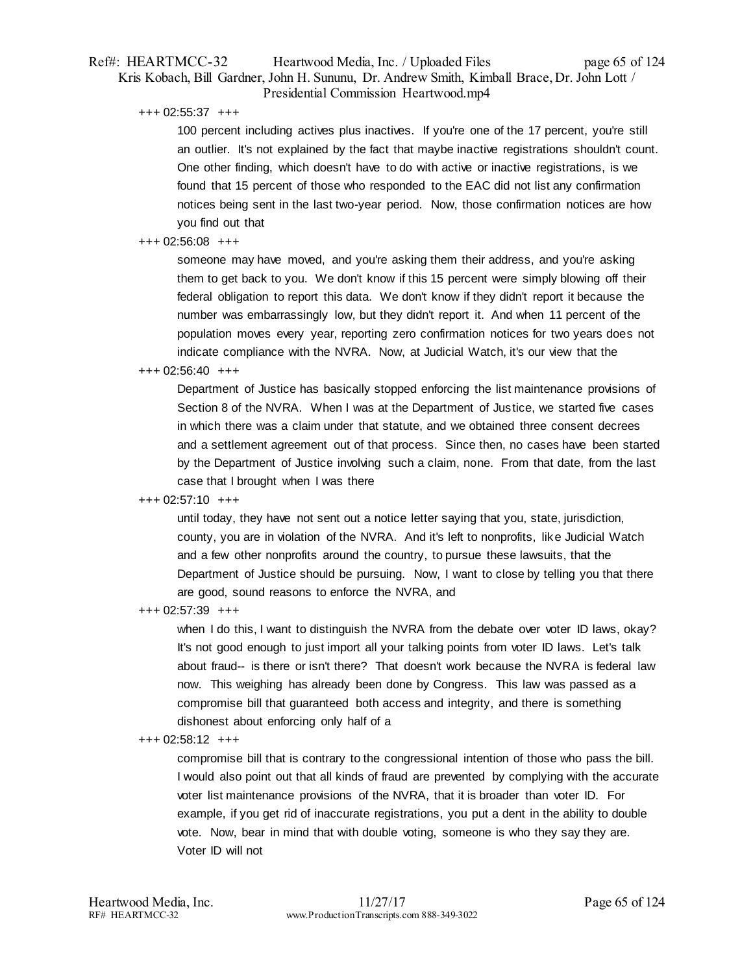## Ref#: HEARTMCC-32 Heartwood Media, Inc. / Uploaded Files page 65 of 124 Kris Kobach, Bill Gardner, John H. Sununu, Dr. Andrew Smith, Kimball Brace, Dr. John Lott / Presidential Commission Heartwood.mp4

+++ 02:55:37 +++

100 percent including actives plus inactives. If you're one of the 17 percent, you're still an outlier. It's not explained by the fact that maybe inactive registrations shouldn't count. One other finding, which doesn't have to do with active or inactive registrations, is we found that 15 percent of those who responded to the EAC did not list any confirmation notices being sent in the last two-year period. Now, those confirmation notices are how you find out that

## +++ 02:56:08 +++

someone may have moved, and you're asking them their address, and you're asking them to get back to you. We don't know if this 15 percent were simply blowing off their federal obligation to report this data. We don't know if they didn't report it because the number was embarrassingly low, but they didn't report it. And when 11 percent of the population moves every year, reporting zero confirmation notices for two years does not indicate compliance with the NVRA. Now, at Judicial Watch, it's our view that the

### +++ 02:56:40 +++

Department of Justice has basically stopped enforcing the list maintenance provisions of Section 8 of the NVRA. When I was at the Department of Justice, we started five cases in which there was a claim under that statute, and we obtained three consent decrees and a settlement agreement out of that process. Since then, no cases have been started by the Department of Justice involving such a claim, none. From that date, from the last case that I brought when I was there

## +++ 02:57:10 +++

until today, they have not sent out a notice letter saying that you, state, jurisdiction, county, you are in violation of the NVRA. And it's left to nonprofits, like Judicial Watch and a few other nonprofits around the country, to pursue these lawsuits, that the Department of Justice should be pursuing. Now, I want to close by telling you that there are good, sound reasons to enforce the NVRA, and

## +++ 02:57:39 +++

when I do this, I want to distinguish the NVRA from the debate over voter ID laws, okay? It's not good enough to just import all your talking points from voter ID laws. Let's talk about fraud-- is there or isn't there? That doesn't work because the NVRA is federal law now. This weighing has already been done by Congress. This law was passed as a compromise bill that guaranteed both access and integrity, and there is something dishonest about enforcing only half of a

#### +++ 02:58:12 +++

compromise bill that is contrary to the congressional intention of those who pass the bill. I would also point out that all kinds of fraud are prevented by complying with the accurate voter list maintenance provisions of the NVRA, that it is broader than voter ID. For example, if you get rid of inaccurate registrations, you put a dent in the ability to double vote. Now, bear in mind that with double voting, someone is who they say they are. Voter ID will not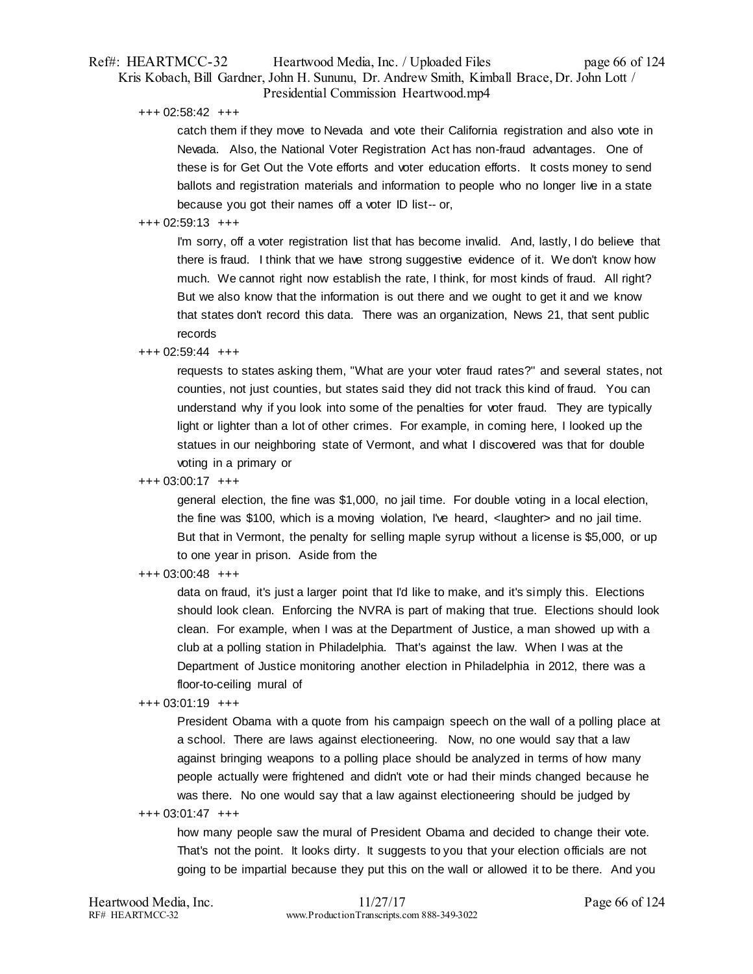## Ref#: HEARTMCC-32 Heartwood Media, Inc. / Uploaded Files page 66 of 124 Kris Kobach, Bill Gardner, John H. Sununu, Dr. Andrew Smith, Kimball Brace, Dr. John Lott / Presidential Commission Heartwood.mp4

+++ 02:58:42 +++

catch them if they move to Nevada and vote their California registration and also vote in Nevada. Also, the National Voter Registration Act has non-fraud advantages. One of these is for Get Out the Vote efforts and voter education efforts. It costs money to send ballots and registration materials and information to people who no longer live in a state because you got their names off a voter ID list-- or,

## +++ 02:59:13 +++

I'm sorry, off a voter registration list that has become invalid. And, lastly, I do believe that there is fraud. I think that we have strong suggestive evidence of it. We don't know how much. We cannot right now establish the rate, I think, for most kinds of fraud. All right? But we also know that the information is out there and we ought to get it and we know that states don't record this data. There was an organization, News 21, that sent public records

+++ 02:59:44 +++

requests to states asking them, "What are your voter fraud rates?" and several states, not counties, not just counties, but states said they did not track this kind of fraud. You can understand why if you look into some of the penalties for voter fraud. They are typically light or lighter than a lot of other crimes. For example, in coming here, I looked up the statues in our neighboring state of Vermont, and what I discovered was that for double voting in a primary or

+++ 03:00:17 +++

general election, the fine was \$1,000, no jail time. For double voting in a local election, the fine was \$100, which is a moving violation, I've heard, <laughter> and no jail time. But that in Vermont, the penalty for selling maple syrup without a license is \$5,000, or up to one year in prison. Aside from the

+++ 03:00:48 +++

data on fraud, it's just a larger point that I'd like to make, and it's simply this. Elections should look clean. Enforcing the NVRA is part of making that true. Elections should look clean. For example, when I was at the Department of Justice, a man showed up with a club at a polling station in Philadelphia. That's against the law. When I was at the Department of Justice monitoring another election in Philadelphia in 2012, there was a floor-to-ceiling mural of

## +++ 03:01:19 +++

President Obama with a quote from his campaign speech on the wall of a polling place at a school. There are laws against electioneering. Now, no one would say that a law against bringing weapons to a polling place should be analyzed in terms of how many people actually were frightened and didn't vote or had their minds changed because he was there. No one would say that a law against electioneering should be judged by

+++ 03:01:47 +++

how many people saw the mural of President Obama and decided to change their vote. That's not the point. It looks dirty. It suggests to you that your election officials are not going to be impartial because they put this on the wall or allowed it to be there. And you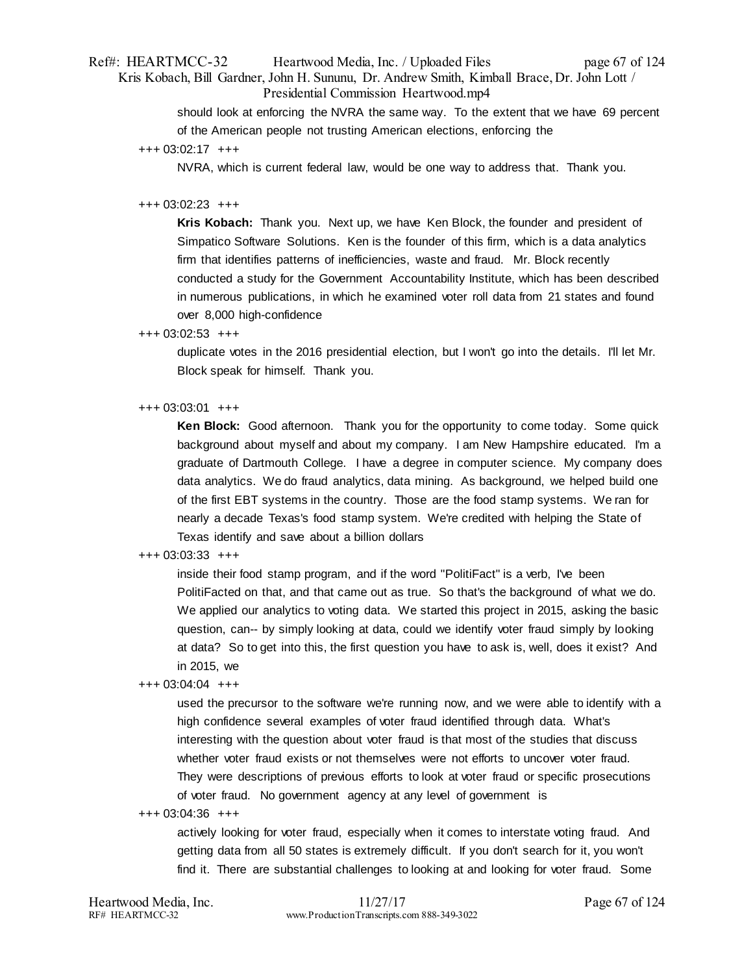## Ref#: HEARTMCC-32 Heartwood Media, Inc. / Uploaded Files page 67 of 124 Kris Kobach, Bill Gardner, John H. Sununu, Dr. Andrew Smith, Kimball Brace, Dr. John Lott / Presidential Commission Heartwood.mp4

should look at enforcing the NVRA the same way. To the extent that we have 69 percent of the American people not trusting American elections, enforcing the

NVRA, which is current federal law, would be one way to address that. Thank you.

### +++ 03:02:23 +++

**Kris Kobach:** Thank you. Next up, we have Ken Block, the founder and president of Simpatico Software Solutions. Ken is the founder of this firm, which is a data analytics firm that identifies patterns of inefficiencies, waste and fraud. Mr. Block recently conducted a study for the Government Accountability Institute, which has been described in numerous publications, in which he examined voter roll data from 21 states and found over 8,000 high-confidence

### +++ 03:02:53 +++

duplicate votes in the 2016 presidential election, but I won't go into the details. I'll let Mr. Block speak for himself. Thank you.

### +++ 03:03:01 +++

**Ken Block:** Good afternoon. Thank you for the opportunity to come today. Some quick background about myself and about my company. I am New Hampshire educated. I'm a graduate of Dartmouth College. I have a degree in computer science. My company does data analytics. We do fraud analytics, data mining. As background, we helped build one of the first EBT systems in the country. Those are the food stamp systems. We ran for nearly a decade Texas's food stamp system. We're credited with helping the State of Texas identify and save about a billion dollars

## +++ 03:03:33 +++

inside their food stamp program, and if the word "PolitiFact" is a verb, I've been PolitiFacted on that, and that came out as true. So that's the background of what we do. We applied our analytics to voting data. We started this project in 2015, asking the basic question, can-- by simply looking at data, could we identify voter fraud simply by looking at data? So to get into this, the first question you have to ask is, well, does it exist? And in 2015, we

#### +++ 03:04:04 +++

used the precursor to the software we're running now, and we were able to identify with a high confidence several examples of voter fraud identified through data. What's interesting with the question about voter fraud is that most of the studies that discuss whether voter fraud exists or not themselves were not efforts to uncover voter fraud. They were descriptions of previous efforts to look at voter fraud or specific prosecutions of voter fraud. No government agency at any level of government is

+++ 03:04:36 +++

actively looking for voter fraud, especially when it comes to interstate voting fraud. And getting data from all 50 states is extremely difficult. If you don't search for it, you won't find it. There are substantial challenges to looking at and looking for voter fraud. Some

<sup>+++ 03:02:17 +++</sup>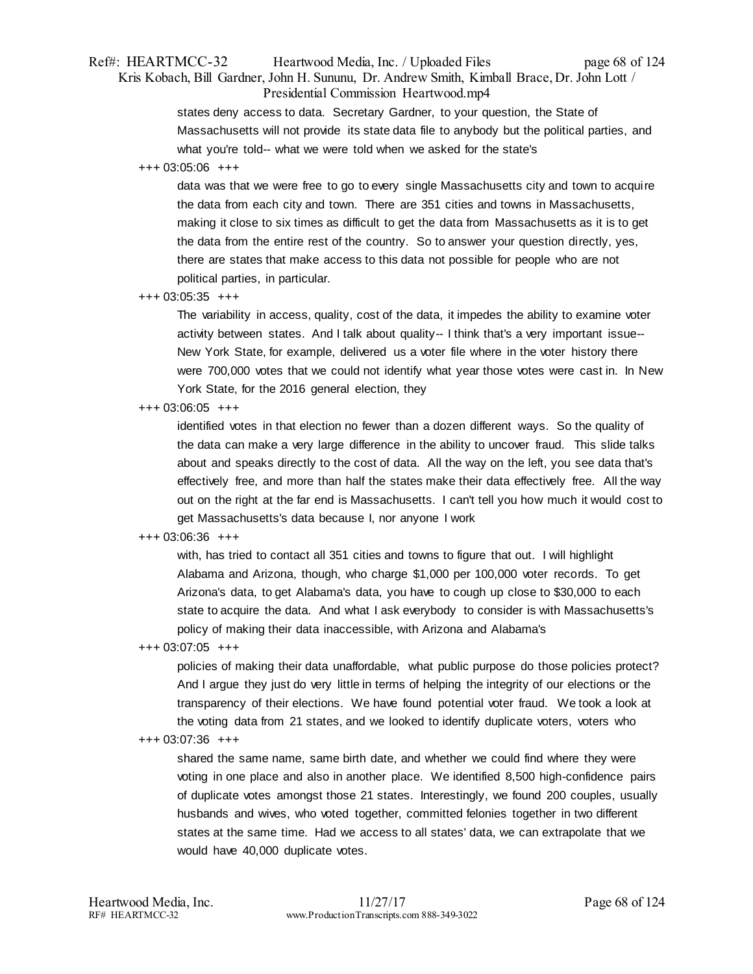## Ref#: HEARTMCC-32 Heartwood Media, Inc. / Uploaded Files page 68 of 124 Kris Kobach, Bill Gardner, John H. Sununu, Dr. Andrew Smith, Kimball Brace, Dr. John Lott / Presidential Commission Heartwood.mp4

states deny access to data. Secretary Gardner, to your question, the State of Massachusetts will not provide its state data file to anybody but the political parties, and what you're told-- what we were told when we asked for the state's

### +++ 03:05:06 +++

data was that we were free to go to every single Massachusetts city and town to acquire the data from each city and town. There are 351 cities and towns in Massachusetts, making it close to six times as difficult to get the data from Massachusetts as it is to get the data from the entire rest of the country. So to answer your question directly, yes, there are states that make access to this data not possible for people who are not political parties, in particular.

### +++ 03:05:35 +++

The variability in access, quality, cost of the data, it impedes the ability to examine voter activity between states. And I talk about quality-- I think that's a very important issue-- New York State, for example, delivered us a voter file where in the voter history there were 700,000 votes that we could not identify what year those votes were cast in. In New York State, for the 2016 general election, they

### +++ 03:06:05 +++

identified votes in that election no fewer than a dozen different ways. So the quality of the data can make a very large difference in the ability to uncover fraud. This slide talks about and speaks directly to the cost of data. All the way on the left, you see data that's effectively free, and more than half the states make their data effectively free. All the way out on the right at the far end is Massachusetts. I can't tell you how much it would cost to get Massachusetts's data because I, nor anyone I work

## +++ 03:06:36 +++

with, has tried to contact all 351 cities and towns to figure that out. I will highlight Alabama and Arizona, though, who charge \$1,000 per 100,000 voter records. To get Arizona's data, to get Alabama's data, you have to cough up close to \$30,000 to each state to acquire the data. And what I ask everybody to consider is with Massachusetts's policy of making their data inaccessible, with Arizona and Alabama's

#### +++ 03:07:05 +++

policies of making their data unaffordable, what public purpose do those policies protect? And I argue they just do very little in terms of helping the integrity of our elections or the transparency of their elections. We have found potential voter fraud. We took a look at the voting data from 21 states, and we looked to identify duplicate voters, voters who

#### +++ 03:07:36 +++

shared the same name, same birth date, and whether we could find where they were voting in one place and also in another place. We identified 8,500 high-confidence pairs of duplicate votes amongst those 21 states. Interestingly, we found 200 couples, usually husbands and wives, who voted together, committed felonies together in two different states at the same time. Had we access to all states' data, we can extrapolate that we would have 40,000 duplicate votes.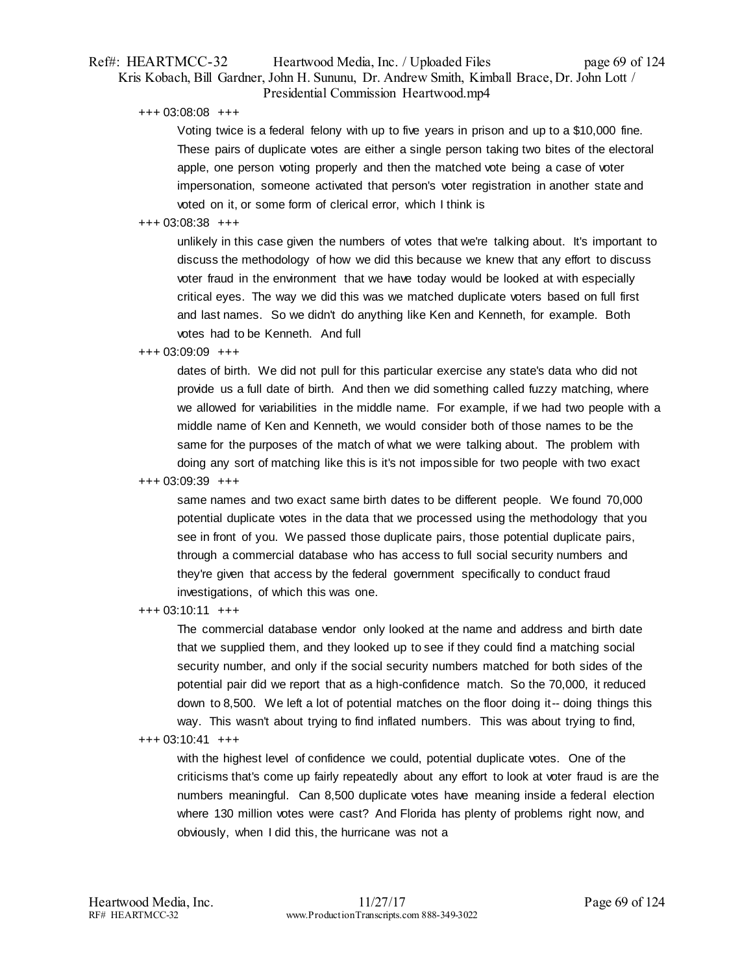## Ref#: HEARTMCC-32 Heartwood Media, Inc. / Uploaded Files page 69 of 124 Kris Kobach, Bill Gardner, John H. Sununu, Dr. Andrew Smith, Kimball Brace, Dr. John Lott / Presidential Commission Heartwood.mp4

+++ 03:08:08 +++

Voting twice is a federal felony with up to five years in prison and up to a \$10,000 fine. These pairs of duplicate votes are either a single person taking two bites of the electoral apple, one person voting properly and then the matched vote being a case of voter impersonation, someone activated that person's voter registration in another state and voted on it, or some form of clerical error, which I think is

## +++ 03:08:38 +++

unlikely in this case given the numbers of votes that we're talking about. It's important to discuss the methodology of how we did this because we knew that any effort to discuss voter fraud in the environment that we have today would be looked at with especially critical eyes. The way we did this was we matched duplicate voters based on full first and last names. So we didn't do anything like Ken and Kenneth, for example. Both votes had to be Kenneth. And full

## +++ 03:09:09 +++

dates of birth. We did not pull for this particular exercise any state's data who did not provide us a full date of birth. And then we did something called fuzzy matching, where we allowed for variabilities in the middle name. For example, if we had two people with a middle name of Ken and Kenneth, we would consider both of those names to be the same for the purposes of the match of what we were talking about. The problem with doing any sort of matching like this is it's not impossible for two people with two exact

### +++ 03:09:39 +++

same names and two exact same birth dates to be different people. We found 70,000 potential duplicate votes in the data that we processed using the methodology that you see in front of you. We passed those duplicate pairs, those potential duplicate pairs, through a commercial database who has access to full social security numbers and they're given that access by the federal government specifically to conduct fraud investigations, of which this was one.

+++ 03:10:11 +++

The commercial database vendor only looked at the name and address and birth date that we supplied them, and they looked up to see if they could find a matching social security number, and only if the social security numbers matched for both sides of the potential pair did we report that as a high-confidence match. So the 70,000, it reduced down to 8,500. We left a lot of potential matches on the floor doing it-- doing things this way. This wasn't about trying to find inflated numbers. This was about trying to find,

## +++ 03:10:41 +++

with the highest level of confidence we could, potential duplicate votes. One of the criticisms that's come up fairly repeatedly about any effort to look at voter fraud is are the numbers meaningful. Can 8,500 duplicate votes have meaning inside a federal election where 130 million votes were cast? And Florida has plenty of problems right now, and obviously, when I did this, the hurricane was not a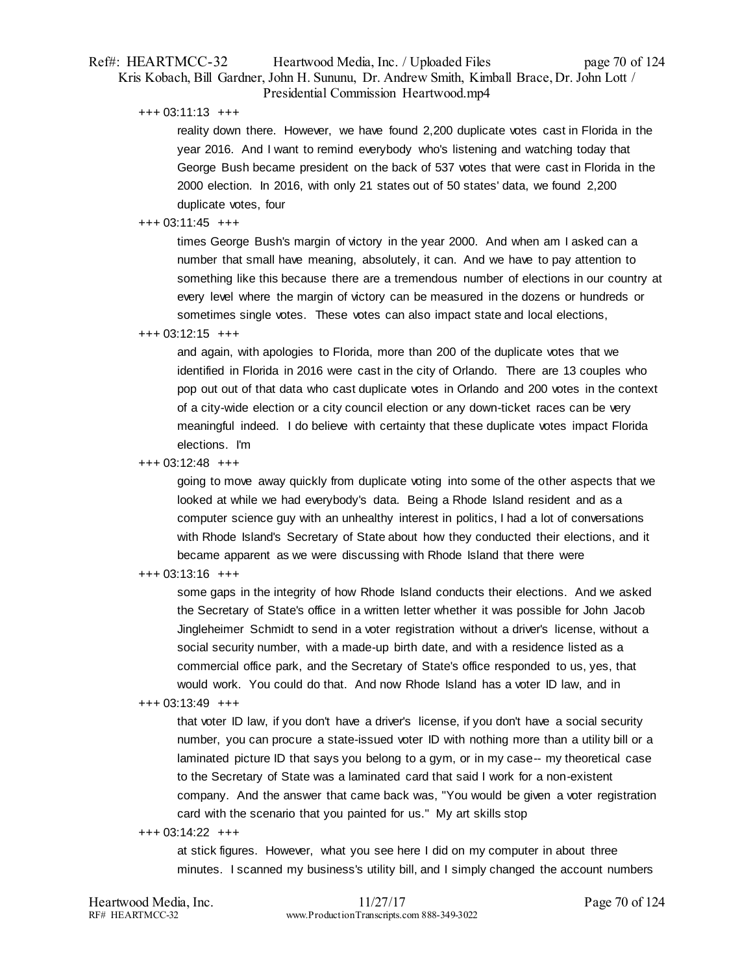## Ref#: HEARTMCC-32 Heartwood Media, Inc. / Uploaded Files page 70 of 124 Kris Kobach, Bill Gardner, John H. Sununu, Dr. Andrew Smith, Kimball Brace, Dr. John Lott / Presidential Commission Heartwood.mp4

+++ 03:11:13 +++

reality down there. However, we have found 2,200 duplicate votes cast in Florida in the year 2016. And I want to remind everybody who's listening and watching today that George Bush became president on the back of 537 votes that were cast in Florida in the 2000 election. In 2016, with only 21 states out of 50 states' data, we found 2,200 duplicate votes, four

## +++ 03:11:45 +++

times George Bush's margin of victory in the year 2000. And when am I asked can a number that small have meaning, absolutely, it can. And we have to pay attention to something like this because there are a tremendous number of elections in our country at every level where the margin of victory can be measured in the dozens or hundreds or sometimes single votes. These votes can also impact state and local elections,

+++ 03:12:15 +++

and again, with apologies to Florida, more than 200 of the duplicate votes that we identified in Florida in 2016 were cast in the city of Orlando. There are 13 couples who pop out out of that data who cast duplicate votes in Orlando and 200 votes in the context of a city-wide election or a city council election or any down-ticket races can be very meaningful indeed. I do believe with certainty that these duplicate votes impact Florida elections. I'm

+++ 03:12:48 +++

going to move away quickly from duplicate voting into some of the other aspects that we looked at while we had everybody's data. Being a Rhode Island resident and as a computer science guy with an unhealthy interest in politics, I had a lot of conversations with Rhode Island's Secretary of State about how they conducted their elections, and it became apparent as we were discussing with Rhode Island that there were

+++ 03:13:16 +++

some gaps in the integrity of how Rhode Island conducts their elections. And we asked the Secretary of State's office in a written letter whether it was possible for John Jacob Jingleheimer Schmidt to send in a voter registration without a driver's license, without a social security number, with a made-up birth date, and with a residence listed as a commercial office park, and the Secretary of State's office responded to us, yes, that would work. You could do that. And now Rhode Island has a voter ID law, and in

## +++ 03:13:49 +++

that voter ID law, if you don't have a driver's license, if you don't have a social security number, you can procure a state-issued voter ID with nothing more than a utility bill or a laminated picture ID that says you belong to a gym, or in my case-- my theoretical case to the Secretary of State was a laminated card that said I work for a non-existent company. And the answer that came back was, "You would be given a voter registration card with the scenario that you painted for us." My art skills stop

+++ 03:14:22 +++

at stick figures. However, what you see here I did on my computer in about three minutes. I scanned my business's utility bill, and I simply changed the account numbers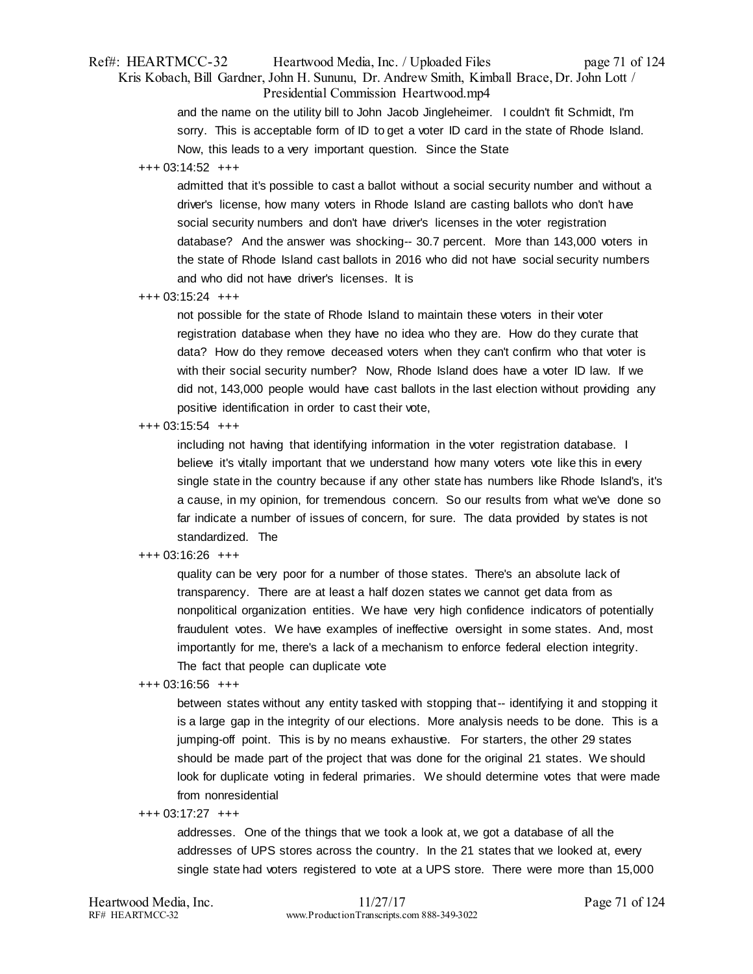## Ref#: HEARTMCC-32 Heartwood Media, Inc. / Uploaded Files page 71 of 124 Kris Kobach, Bill Gardner, John H. Sununu, Dr. Andrew Smith, Kimball Brace, Dr. John Lott / Presidential Commission Heartwood.mp4

and the name on the utility bill to John Jacob Jingleheimer. I couldn't fit Schmidt, I'm sorry. This is acceptable form of ID to get a voter ID card in the state of Rhode Island. Now, this leads to a very important question. Since the State

## +++ 03:14:52 +++

admitted that it's possible to cast a ballot without a social security number and without a driver's license, how many voters in Rhode Island are casting ballots who don't have social security numbers and don't have driver's licenses in the voter registration database? And the answer was shocking-- 30.7 percent. More than 143,000 voters in the state of Rhode Island cast ballots in 2016 who did not have social security numbers and who did not have driver's licenses. It is

#### +++ 03:15:24 +++

not possible for the state of Rhode Island to maintain these voters in their voter registration database when they have no idea who they are. How do they curate that data? How do they remove deceased voters when they can't confirm who that voter is with their social security number? Now, Rhode Island does have a voter ID law. If we did not, 143,000 people would have cast ballots in the last election without providing any positive identification in order to cast their vote,

+++ 03:15:54 +++

including not having that identifying information in the voter registration database. I believe it's vitally important that we understand how many voters vote like this in every single state in the country because if any other state has numbers like Rhode Island's, it's a cause, in my opinion, for tremendous concern. So our results from what we've done so far indicate a number of issues of concern, for sure. The data provided by states is not standardized. The

### +++ 03:16:26 +++

quality can be very poor for a number of those states. There's an absolute lack of transparency. There are at least a half dozen states we cannot get data from as nonpolitical organization entities. We have very high confidence indicators of potentially fraudulent votes. We have examples of ineffective oversight in some states. And, most importantly for me, there's a lack of a mechanism to enforce federal election integrity. The fact that people can duplicate vote

#### +++ 03:16:56 +++

between states without any entity tasked with stopping that-- identifying it and stopping it is a large gap in the integrity of our elections. More analysis needs to be done. This is a jumping-off point. This is by no means exhaustive. For starters, the other 29 states should be made part of the project that was done for the original 21 states. We should look for duplicate voting in federal primaries. We should determine votes that were made from nonresidential

## +++ 03:17:27 +++

addresses. One of the things that we took a look at, we got a database of all the addresses of UPS stores across the country. In the 21 states that we looked at, every single state had voters registered to vote at a UPS store. There were more than 15,000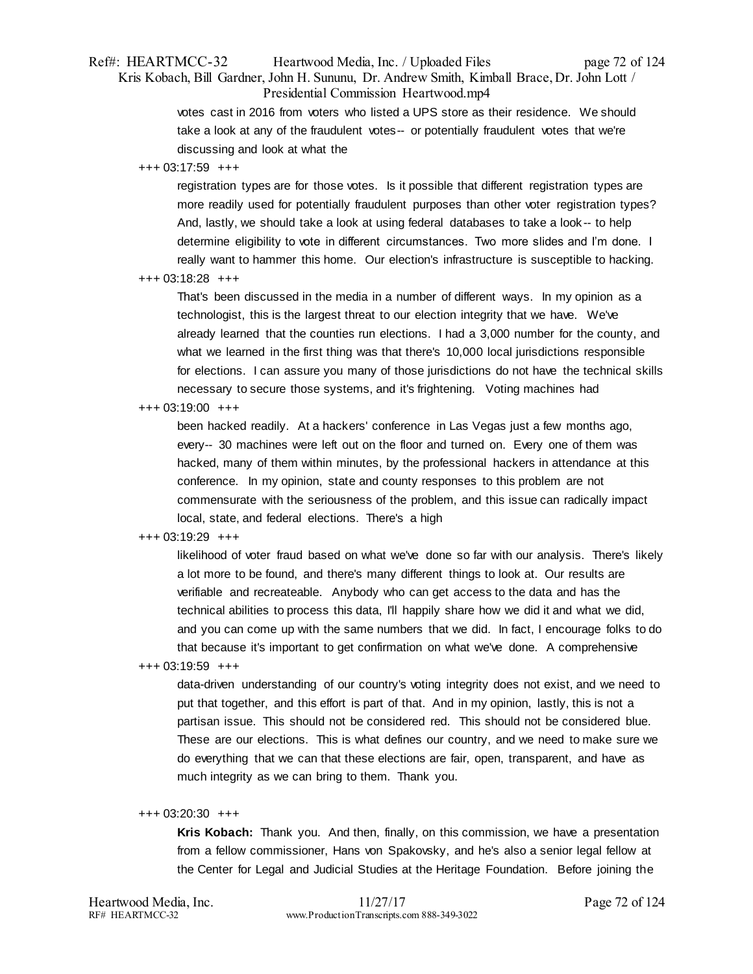## Ref#: HEARTMCC-32 Heartwood Media, Inc. / Uploaded Files page 72 of 124 Kris Kobach, Bill Gardner, John H. Sununu, Dr. Andrew Smith, Kimball Brace, Dr. John Lott / Presidential Commission Heartwood.mp4

votes cast in 2016 from voters who listed a UPS store as their residence. We should take a look at any of the fraudulent votes-- or potentially fraudulent votes that we're discussing and look at what the

#### +++ 03:17:59 +++

registration types are for those votes. Is it possible that different registration types are more readily used for potentially fraudulent purposes than other voter registration types? And, lastly, we should take a look at using federal databases to take a look -- to help determine eligibility to vote in different circumstances. Two more slides and I'm done. I really want to hammer this home. Our election's infrastructure is susceptible to hacking.

#### +++ 03:18:28 +++

That's been discussed in the media in a number of different ways. In my opinion as a technologist, this is the largest threat to our election integrity that we have. We've already learned that the counties run elections. I had a 3,000 number for the county, and what we learned in the first thing was that there's 10,000 local jurisdictions responsible for elections. I can assure you many of those jurisdictions do not have the technical skills necessary to secure those systems, and it's frightening. Voting machines had

### +++ 03:19:00 +++

been hacked readily. At a hackers' conference in Las Vegas just a few months ago, every-- 30 machines were left out on the floor and turned on. Every one of them was hacked, many of them within minutes, by the professional hackers in attendance at this conference. In my opinion, state and county responses to this problem are not commensurate with the seriousness of the problem, and this issue can radically impact local, state, and federal elections. There's a high

## +++ 03:19:29 +++

likelihood of voter fraud based on what we've done so far with our analysis. There's likely a lot more to be found, and there's many different things to look at. Our results are verifiable and recreateable. Anybody who can get access to the data and has the technical abilities to process this data, I'll happily share how we did it and what we did, and you can come up with the same numbers that we did. In fact, I encourage folks to do that because it's important to get confirmation on what we've done. A comprehensive

#### +++ 03:19:59 +++

data-driven understanding of our country's voting integrity does not exist, and we need to put that together, and this effort is part of that. And in my opinion, lastly, this is not a partisan issue. This should not be considered red. This should not be considered blue. These are our elections. This is what defines our country, and we need to make sure we do everything that we can that these elections are fair, open, transparent, and have as much integrity as we can bring to them. Thank you.

## +++ 03:20:30 +++

**Kris Kobach:** Thank you. And then, finally, on this commission, we have a presentation from a fellow commissioner, Hans von Spakovsky, and he's also a senior legal fellow at the Center for Legal and Judicial Studies at the Heritage Foundation. Before joining the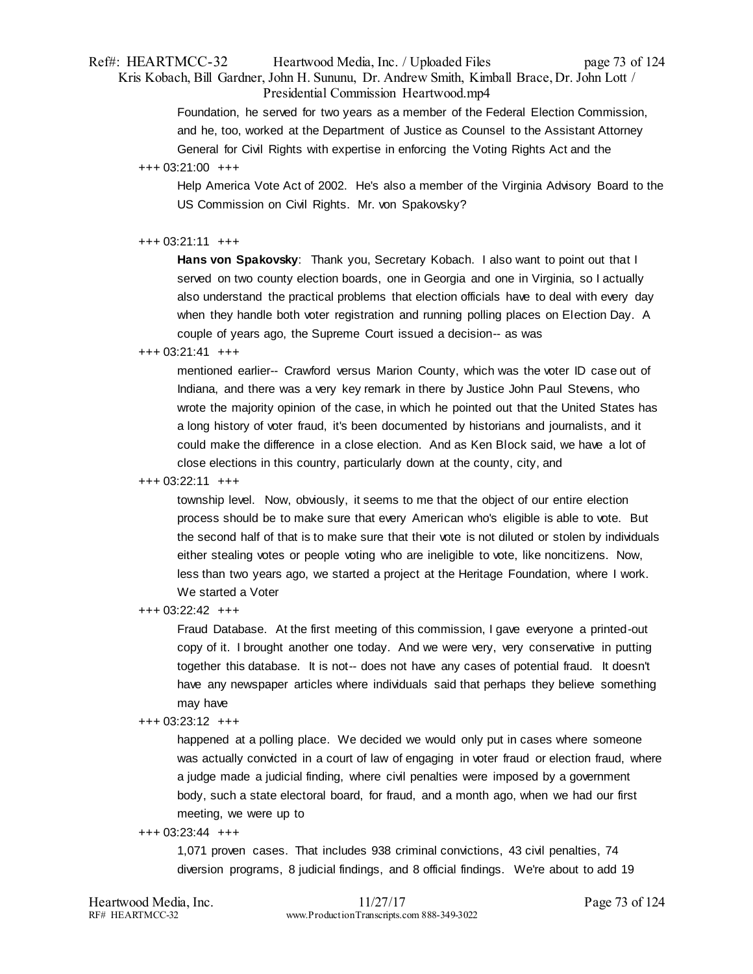# Ref#: HEARTMCC-32 Heartwood Media, Inc. / Uploaded Files page 73 of 124 Kris Kobach, Bill Gardner, John H. Sununu, Dr. Andrew Smith, Kimball Brace, Dr. John Lott / Presidential Commission Heartwood.mp4

Foundation, he served for two years as a member of the Federal Election Commission, and he, too, worked at the Department of Justice as Counsel to the Assistant Attorney General for Civil Rights with expertise in enforcing the Voting Rights Act and the

# +++ 03:21:00 +++

Help America Vote Act of 2002. He's also a member of the Virginia Advisory Board to the US Commission on Civil Rights. Mr. von Spakovsky?

## $+++ 03:21:11 + ++$

**Hans von Spakovsky**: Thank you, Secretary Kobach. I also want to point out that I served on two county election boards, one in Georgia and one in Virginia, so I actually also understand the practical problems that election officials have to deal with every day when they handle both voter registration and running polling places on Election Day. A couple of years ago, the Supreme Court issued a decision-- as was

# $+++ 03:21:41 +++$

mentioned earlier-- Crawford versus Marion County, which was the voter ID case out of Indiana, and there was a very key remark in there by Justice John Paul Stevens, who wrote the majority opinion of the case, in which he pointed out that the United States has a long history of voter fraud, it's been documented by historians and journalists, and it could make the difference in a close election. And as Ken Block said, we have a lot of close elections in this country, particularly down at the county, city, and

## +++ 03:22:11 +++

township level. Now, obviously, it seems to me that the object of our entire election process should be to make sure that every American who's eligible is able to vote. But the second half of that is to make sure that their vote is not diluted or stolen by individuals either stealing votes or people voting who are ineligible to vote, like noncitizens. Now, less than two years ago, we started a project at the Heritage Foundation, where I work. We started a Voter

# +++ 03:22:42 +++

Fraud Database. At the first meeting of this commission, I gave everyone a printed-out copy of it. I brought another one today. And we were very, very conservative in putting together this database. It is not-- does not have any cases of potential fraud. It doesn't have any newspaper articles where individuals said that perhaps they believe something may have

# +++ 03:23:12 +++

happened at a polling place. We decided we would only put in cases where someone was actually convicted in a court of law of engaging in voter fraud or election fraud, where a judge made a judicial finding, where civil penalties were imposed by a government body, such a state electoral board, for fraud, and a month ago, when we had our first meeting, we were up to

## +++ 03:23:44 +++

1,071 proven cases. That includes 938 criminal convictions, 43 civil penalties, 74 diversion programs, 8 judicial findings, and 8 official findings. We're about to add 19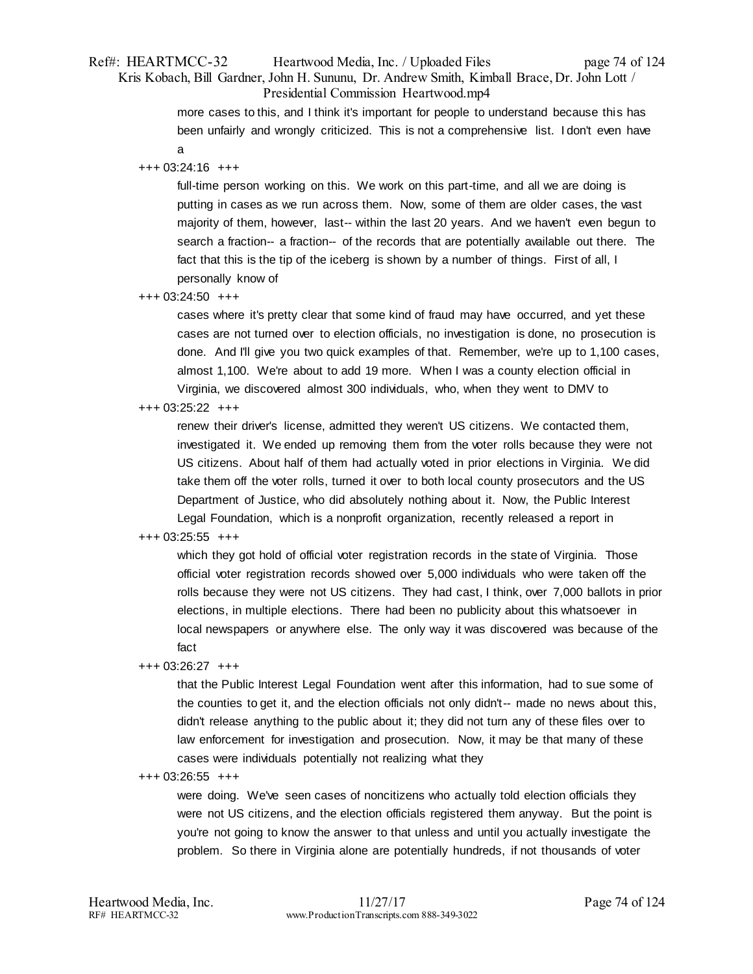# Ref#: HEARTMCC-32 Heartwood Media, Inc. / Uploaded Files page 74 of 124 Kris Kobach, Bill Gardner, John H. Sununu, Dr. Andrew Smith, Kimball Brace, Dr. John Lott / Presidential Commission Heartwood.mp4

more cases to this, and I think it's important for people to understand because this has been unfairly and wrongly criticized. This is not a comprehensive list. I don't even have a

## +++ 03:24:16 +++

full-time person working on this. We work on this part-time, and all we are doing is putting in cases as we run across them. Now, some of them are older cases, the vast majority of them, however, last-- within the last 20 years. And we haven't even begun to search a fraction-- a fraction-- of the records that are potentially available out there. The fact that this is the tip of the iceberg is shown by a number of things. First of all, I personally know of

+++ 03:24:50 +++

cases where it's pretty clear that some kind of fraud may have occurred, and yet these cases are not turned over to election officials, no investigation is done, no prosecution is done. And I'll give you two quick examples of that. Remember, we're up to 1,100 cases, almost 1,100. We're about to add 19 more. When I was a county election official in Virginia, we discovered almost 300 individuals, who, when they went to DMV to

## +++ 03:25:22 +++

renew their driver's license, admitted they weren't US citizens. We contacted them, investigated it. We ended up removing them from the voter rolls because they were not US citizens. About half of them had actually voted in prior elections in Virginia. We did take them off the voter rolls, turned it over to both local county prosecutors and the US Department of Justice, who did absolutely nothing about it. Now, the Public Interest Legal Foundation, which is a nonprofit organization, recently released a report in

# +++ 03:25:55 +++

which they got hold of official voter registration records in the state of Virginia. Those official voter registration records showed over 5,000 individuals who were taken off the rolls because they were not US citizens. They had cast, I think, over 7,000 ballots in prior elections, in multiple elections. There had been no publicity about this whatsoever in local newspapers or anywhere else. The only way it was discovered was because of the fact

## +++ 03:26:27 +++

that the Public Interest Legal Foundation went after this information, had to sue some of the counties to get it, and the election officials not only didn't-- made no news about this, didn't release anything to the public about it; they did not turn any of these files over to law enforcement for investigation and prosecution. Now, it may be that many of these cases were individuals potentially not realizing what they

## +++ 03:26:55 +++

were doing. We've seen cases of noncitizens who actually told election officials they were not US citizens, and the election officials registered them anyway. But the point is you're not going to know the answer to that unless and until you actually investigate the problem. So there in Virginia alone are potentially hundreds, if not thousands of voter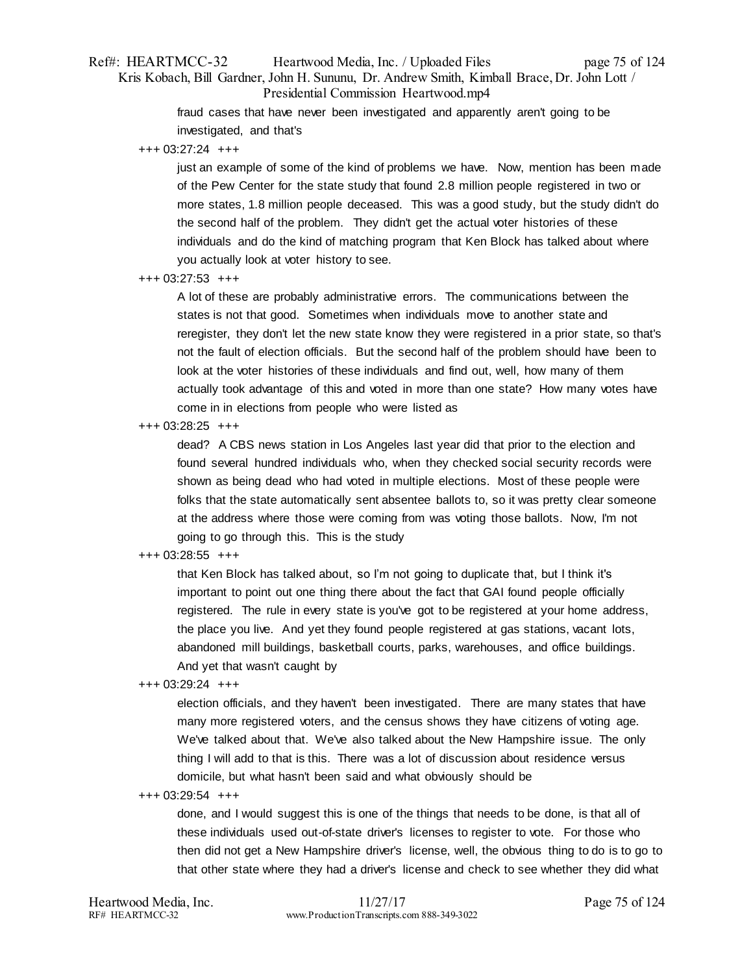# Ref#: HEARTMCC-32 Heartwood Media, Inc. / Uploaded Files page 75 of 124 Kris Kobach, Bill Gardner, John H. Sununu, Dr. Andrew Smith, Kimball Brace, Dr. John Lott / Presidential Commission Heartwood.mp4

fraud cases that have never been investigated and apparently aren't going to be investigated, and that's

+++ 03:27:24 +++

just an example of some of the kind of problems we have. Now, mention has been made of the Pew Center for the state study that found 2.8 million people registered in two or more states, 1.8 million people deceased. This was a good study, but the study didn't do the second half of the problem. They didn't get the actual voter histories of these individuals and do the kind of matching program that Ken Block has talked about where you actually look at voter history to see.

+++ 03:27:53 +++

A lot of these are probably administrative errors. The communications between the states is not that good. Sometimes when individuals move to another state and reregister, they don't let the new state know they were registered in a prior state, so that's not the fault of election officials. But the second half of the problem should have been to look at the voter histories of these individuals and find out, well, how many of them actually took advantage of this and voted in more than one state? How many votes have come in in elections from people who were listed as

+++ 03:28:25 +++

dead? A CBS news station in Los Angeles last year did that prior to the election and found several hundred individuals who, when they checked social security records were shown as being dead who had voted in multiple elections. Most of these people were folks that the state automatically sent absentee ballots to, so it was pretty clear someone at the address where those were coming from was voting those ballots. Now, I'm not going to go through this. This is the study

# +++ 03:28:55 +++

that Ken Block has talked about, so I'm not going to duplicate that, but I think it's important to point out one thing there about the fact that GAI found people officially registered. The rule in every state is you've got to be registered at your home address, the place you live. And yet they found people registered at gas stations, vacant lots, abandoned mill buildings, basketball courts, parks, warehouses, and office buildings. And yet that wasn't caught by

+++ 03:29:24 +++

election officials, and they haven't been investigated. There are many states that have many more registered voters, and the census shows they have citizens of voting age. We've talked about that. We've also talked about the New Hampshire issue. The only thing I will add to that is this. There was a lot of discussion about residence versus domicile, but what hasn't been said and what obviously should be

+++ 03:29:54 +++

done, and I would suggest this is one of the things that needs to be done, is that all of these individuals used out-of-state driver's licenses to register to vote. For those who then did not get a New Hampshire driver's license, well, the obvious thing to do is to go to that other state where they had a driver's license and check to see whether they did what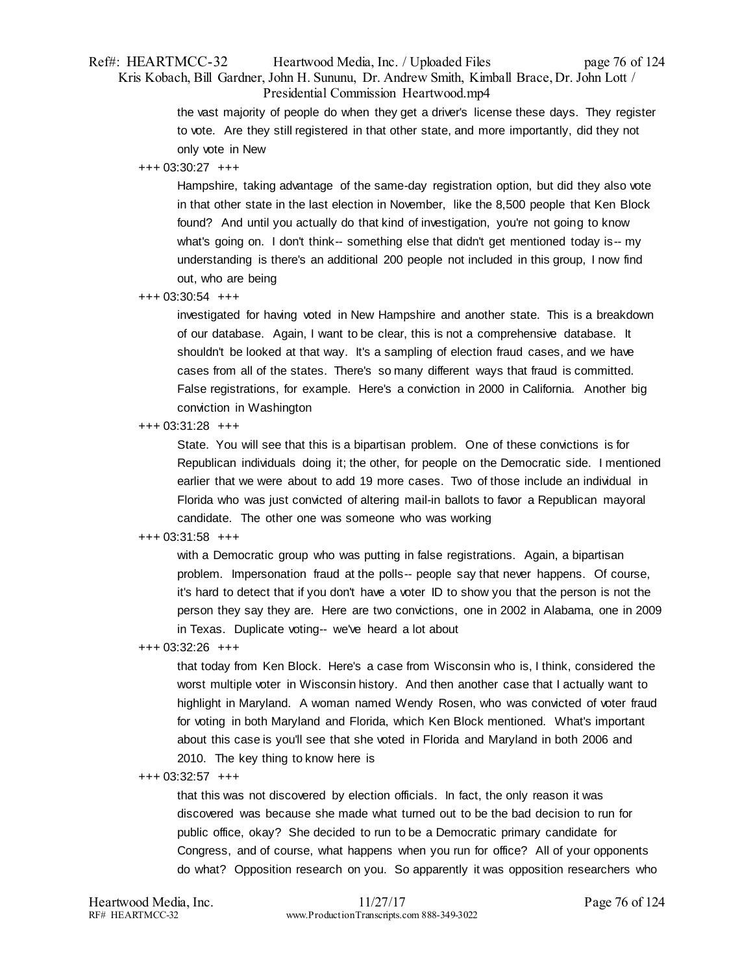# Ref#: HEARTMCC-32 Heartwood Media, Inc. / Uploaded Files page 76 of 124 Kris Kobach, Bill Gardner, John H. Sununu, Dr. Andrew Smith, Kimball Brace, Dr. John Lott / Presidential Commission Heartwood.mp4

the vast majority of people do when they get a driver's license these days. They register to vote. Are they still registered in that other state, and more importantly, did they not only vote in New

## +++ 03:30:27 +++

Hampshire, taking advantage of the same-day registration option, but did they also vote in that other state in the last election in November, like the 8,500 people that Ken Block found? And until you actually do that kind of investigation, you're not going to know what's going on. I don't think-- something else that didn't get mentioned today is-- my understanding is there's an additional 200 people not included in this group, I now find out, who are being

## +++ 03:30:54 +++

investigated for having voted in New Hampshire and another state. This is a breakdown of our database. Again, I want to be clear, this is not a comprehensive database. It shouldn't be looked at that way. It's a sampling of election fraud cases, and we have cases from all of the states. There's so many different ways that fraud is committed. False registrations, for example. Here's a conviction in 2000 in California. Another big conviction in Washington

## +++ 03:31:28 +++

State. You will see that this is a bipartisan problem. One of these convictions is for Republican individuals doing it; the other, for people on the Democratic side. I mentioned earlier that we were about to add 19 more cases. Two of those include an individual in Florida who was just convicted of altering mail-in ballots to favor a Republican mayoral candidate. The other one was someone who was working

# +++ 03:31:58 +++

with a Democratic group who was putting in false registrations. Again, a bipartisan problem. Impersonation fraud at the polls-- people say that never happens. Of course, it's hard to detect that if you don't have a voter ID to show you that the person is not the person they say they are. Here are two convictions, one in 2002 in Alabama, one in 2009 in Texas. Duplicate voting-- we've heard a lot about

+++ 03:32:26 +++

that today from Ken Block. Here's a case from Wisconsin who is, I think, considered the worst multiple voter in Wisconsin history. And then another case that I actually want to highlight in Maryland. A woman named Wendy Rosen, who was convicted of voter fraud for voting in both Maryland and Florida, which Ken Block mentioned. What's important about this case is you'll see that she voted in Florida and Maryland in both 2006 and 2010. The key thing to know here is

+++ 03:32:57 +++

that this was not discovered by election officials. In fact, the only reason it was discovered was because she made what turned out to be the bad decision to run for public office, okay? She decided to run to be a Democratic primary candidate for Congress, and of course, what happens when you run for office? All of your opponents do what? Opposition research on you. So apparently it was opposition researchers who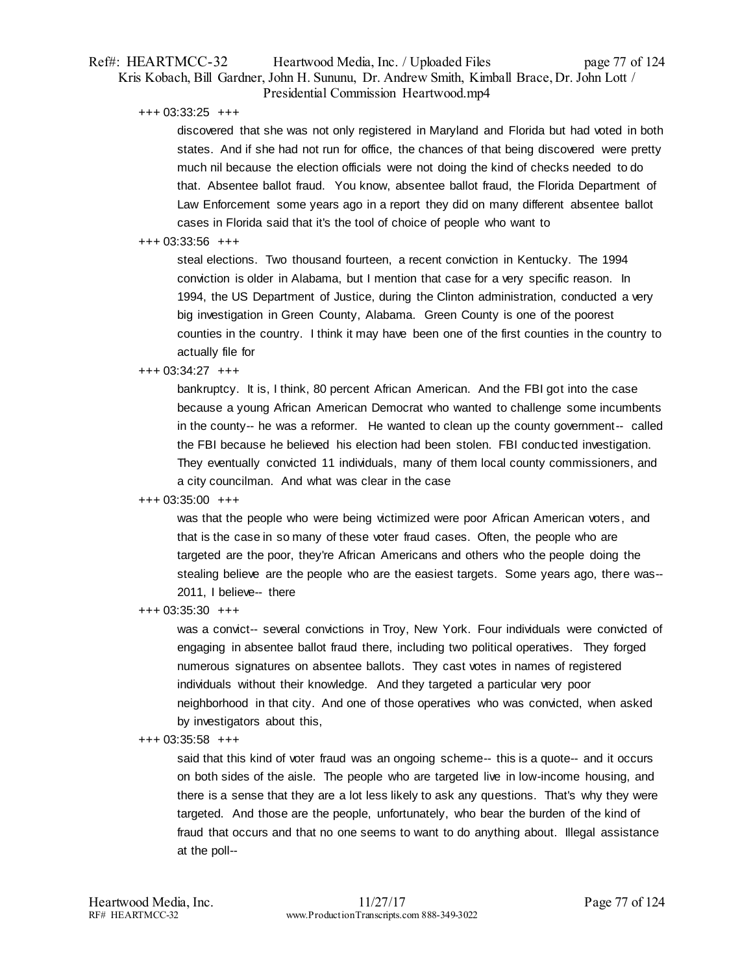# Ref#: HEARTMCC-32 Heartwood Media, Inc. / Uploaded Files page 77 of 124 Kris Kobach, Bill Gardner, John H. Sununu, Dr. Andrew Smith, Kimball Brace, Dr. John Lott / Presidential Commission Heartwood.mp4

+++ 03:33:25 +++

discovered that she was not only registered in Maryland and Florida but had voted in both states. And if she had not run for office, the chances of that being discovered were pretty much nil because the election officials were not doing the kind of checks needed to do that. Absentee ballot fraud. You know, absentee ballot fraud, the Florida Department of Law Enforcement some years ago in a report they did on many different absentee ballot cases in Florida said that it's the tool of choice of people who want to

## $+++$  03:33:56  $+++$

steal elections. Two thousand fourteen, a recent conviction in Kentucky. The 1994 conviction is older in Alabama, but I mention that case for a very specific reason. In 1994, the US Department of Justice, during the Clinton administration, conducted a very big investigation in Green County, Alabama. Green County is one of the poorest counties in the country. I think it may have been one of the first counties in the country to actually file for

## +++ 03:34:27 +++

bankruptcy. It is, I think, 80 percent African American. And the FBI got into the case because a young African American Democrat who wanted to challenge some incumbents in the county-- he was a reformer. He wanted to clean up the county government-- called the FBI because he believed his election had been stolen. FBI conducted investigation. They eventually convicted 11 individuals, many of them local county commissioners, and a city councilman. And what was clear in the case

# +++ 03:35:00 +++

was that the people who were being victimized were poor African American voters , and that is the case in so many of these voter fraud cases. Often, the people who are targeted are the poor, they're African Americans and others who the people doing the stealing believe are the people who are the easiest targets. Some years ago, there was-- 2011, I believe-- there

+++ 03:35:30 +++

was a convict-- several convictions in Troy, New York. Four individuals were convicted of engaging in absentee ballot fraud there, including two political operatives. They forged numerous signatures on absentee ballots. They cast votes in names of registered individuals without their knowledge. And they targeted a particular very poor neighborhood in that city. And one of those operatives who was convicted, when asked by investigators about this,

## +++ 03:35:58 +++

said that this kind of voter fraud was an ongoing scheme-- this is a quote-- and it occurs on both sides of the aisle. The people who are targeted live in low-income housing, and there is a sense that they are a lot less likely to ask any questions. That's why they were targeted. And those are the people, unfortunately, who bear the burden of the kind of fraud that occurs and that no one seems to want to do anything about. Illegal assistance at the poll--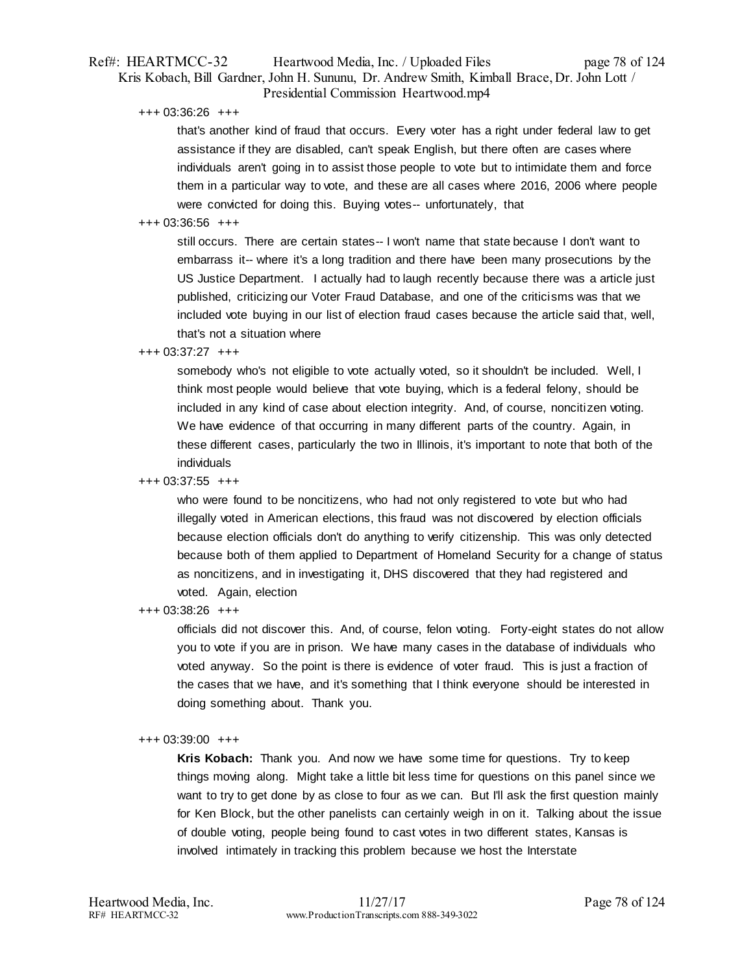# Ref#: HEARTMCC-32 Heartwood Media, Inc. / Uploaded Files page 78 of 124 Kris Kobach, Bill Gardner, John H. Sununu, Dr. Andrew Smith, Kimball Brace, Dr. John Lott / Presidential Commission Heartwood.mp4

+++ 03:36:26 +++

that's another kind of fraud that occurs. Every voter has a right under federal law to get assistance if they are disabled, can't speak English, but there often are cases where individuals aren't going in to assist those people to vote but to intimidate them and force them in a particular way to vote, and these are all cases where 2016, 2006 where people were convicted for doing this. Buying votes-- unfortunately, that

# +++ 03:36:56 +++

still occurs. There are certain states-- I won't name that state because I don't want to embarrass it-- where it's a long tradition and there have been many prosecutions by the US Justice Department. I actually had to laugh recently because there was a article just published, criticizing our Voter Fraud Database, and one of the criticisms was that we included vote buying in our list of election fraud cases because the article said that, well, that's not a situation where

# +++ 03:37:27 +++

somebody who's not eligible to vote actually voted, so it shouldn't be included. Well, I think most people would believe that vote buying, which is a federal felony, should be included in any kind of case about election integrity. And, of course, noncitizen voting. We have evidence of that occurring in many different parts of the country. Again, in these different cases, particularly the two in Illinois, it's important to note that both of the individuals

# +++ 03:37:55 +++

who were found to be noncitizens, who had not only registered to vote but who had illegally voted in American elections, this fraud was not discovered by election officials because election officials don't do anything to verify citizenship. This was only detected because both of them applied to Department of Homeland Security for a change of status as noncitizens, and in investigating it, DHS discovered that they had registered and voted. Again, election

+++ 03:38:26 +++

officials did not discover this. And, of course, felon voting. Forty-eight states do not allow you to vote if you are in prison. We have many cases in the database of individuals who voted anyway. So the point is there is evidence of voter fraud. This is just a fraction of the cases that we have, and it's something that I think everyone should be interested in doing something about. Thank you.

# +++ 03:39:00 +++

**Kris Kobach:** Thank you. And now we have some time for questions. Try to keep things moving along. Might take a little bit less time for questions on this panel since we want to try to get done by as close to four as we can. But I'll ask the first question mainly for Ken Block, but the other panelists can certainly weigh in on it. Talking about the issue of double voting, people being found to cast votes in two different states, Kansas is involved intimately in tracking this problem because we host the Interstate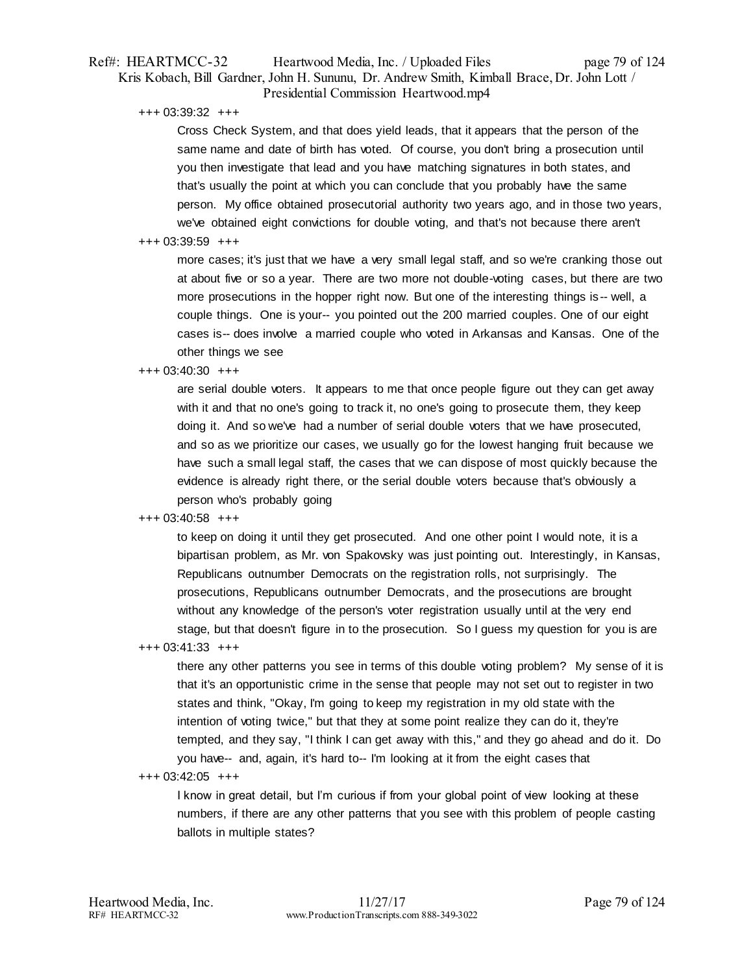# Ref#: HEARTMCC-32 Heartwood Media, Inc. / Uploaded Files page 79 of 124 Kris Kobach, Bill Gardner, John H. Sununu, Dr. Andrew Smith, Kimball Brace, Dr. John Lott / Presidential Commission Heartwood.mp4

+++ 03:39:32 +++

Cross Check System, and that does yield leads, that it appears that the person of the same name and date of birth has voted. Of course, you don't bring a prosecution until you then investigate that lead and you have matching signatures in both states, and that's usually the point at which you can conclude that you probably have the same person. My office obtained prosecutorial authority two years ago, and in those two years, we've obtained eight convictions for double voting, and that's not because there aren't

## +++ 03:39:59 +++

more cases; it's just that we have a very small legal staff, and so we're cranking those out at about five or so a year. There are two more not double-voting cases, but there are two more prosecutions in the hopper right now. But one of the interesting things is -- well, a couple things. One is your-- you pointed out the 200 married couples. One of our eight cases is-- does involve a married couple who voted in Arkansas and Kansas. One of the other things we see

## +++ 03:40:30 +++

are serial double voters. It appears to me that once people figure out they can get away with it and that no one's going to track it, no one's going to prosecute them, they keep doing it. And so we've had a number of serial double voters that we have prosecuted, and so as we prioritize our cases, we usually go for the lowest hanging fruit because we have such a small legal staff, the cases that we can dispose of most quickly because the evidence is already right there, or the serial double voters because that's obviously a person who's probably going

# +++ 03:40:58 +++

to keep on doing it until they get prosecuted. And one other point I would note, it is a bipartisan problem, as Mr. von Spakovsky was just pointing out. Interestingly, in Kansas, Republicans outnumber Democrats on the registration rolls, not surprisingly. The prosecutions, Republicans outnumber Democrats, and the prosecutions are brought without any knowledge of the person's voter registration usually until at the very end stage, but that doesn't figure in to the prosecution. So I guess my question for you is are

+++ 03:41:33 +++

there any other patterns you see in terms of this double voting problem? My sense of it is that it's an opportunistic crime in the sense that people may not set out to register in two states and think, "Okay, I'm going to keep my registration in my old state with the intention of voting twice," but that they at some point realize they can do it, they're tempted, and they say, "I think I can get away with this," and they go ahead and do it. Do you have-- and, again, it's hard to-- I'm looking at it from the eight cases that

# +++ 03:42:05 +++

I know in great detail, but I'm curious if from your global point of view looking at these numbers, if there are any other patterns that you see with this problem of people casting ballots in multiple states?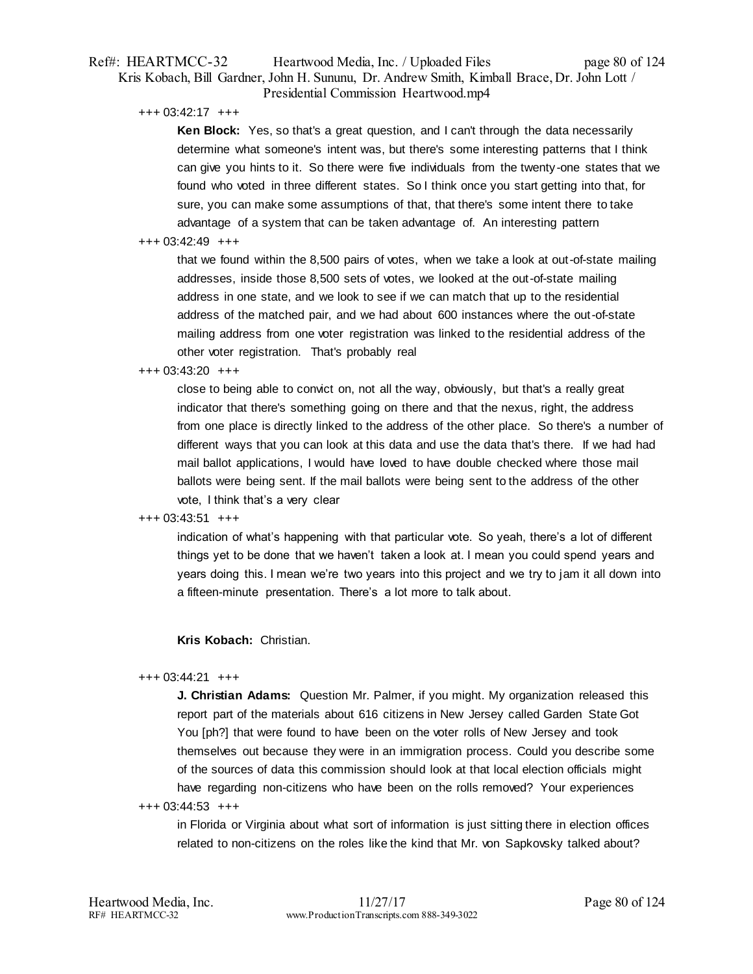# Ref#: HEARTMCC-32 Heartwood Media, Inc. / Uploaded Files page 80 of 124 Kris Kobach, Bill Gardner, John H. Sununu, Dr. Andrew Smith, Kimball Brace, Dr. John Lott / Presidential Commission Heartwood.mp4

+++ 03:42:17 +++

**Ken Block:** Yes, so that's a great question, and I can't through the data necessarily determine what someone's intent was, but there's some interesting patterns that I think can give you hints to it. So there were five individuals from the twenty-one states that we found who voted in three different states. So I think once you start getting into that, for sure, you can make some assumptions of that, that there's some intent there to take advantage of a system that can be taken advantage of. An interesting pattern

## +++ 03:42:49 +++

that we found within the 8,500 pairs of votes, when we take a look at out-of-state mailing addresses, inside those 8,500 sets of votes, we looked at the out-of-state mailing address in one state, and we look to see if we can match that up to the residential address of the matched pair, and we had about 600 instances where the out-of-state mailing address from one voter registration was linked to the residential address of the other voter registration. That's probably real

## +++ 03:43:20 +++

close to being able to convict on, not all the way, obviously, but that's a really great indicator that there's something going on there and that the nexus, right, the address from one place is directly linked to the address of the other place. So there's a number of different ways that you can look at this data and use the data that's there. If we had had mail ballot applications, I would have loved to have double checked where those mail ballots were being sent. If the mail ballots were being sent to the address of the other vote, I think that's a very clear

## +++ 03:43:51 +++

indication of what's happening with that particular vote. So yeah, there's a lot of different things yet to be done that we haven't taken a look at. I mean you could spend years and years doing this. I mean we're two years into this project and we try to jam it all down into a fifteen-minute presentation. There's a lot more to talk about.

# **Kris Kobach:** Christian.

## +++ 03:44:21 +++

**J. Christian Adams:** Question Mr. Palmer, if you might. My organization released this report part of the materials about 616 citizens in New Jersey called Garden State Got You [ph?] that were found to have been on the voter rolls of New Jersey and took themselves out because they were in an immigration process. Could you describe some of the sources of data this commission should look at that local election officials might have regarding non-citizens who have been on the rolls removed? Your experiences

# +++ 03:44:53 +++

in Florida or Virginia about what sort of information is just sitting there in election offices related to non-citizens on the roles like the kind that Mr. von Sapkovsky talked about?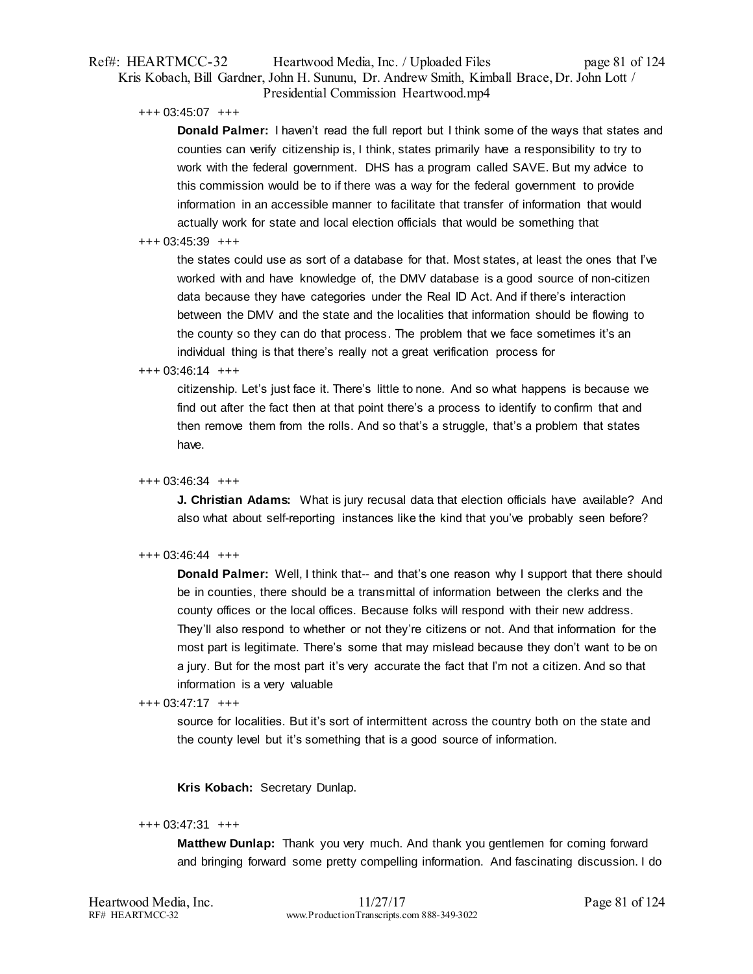# Ref#: HEARTMCC-32 Heartwood Media, Inc. / Uploaded Files page 81 of 124 Kris Kobach, Bill Gardner, John H. Sununu, Dr. Andrew Smith, Kimball Brace, Dr. John Lott / Presidential Commission Heartwood.mp4

+++ 03:45:07 +++

**Donald Palmer:** I haven't read the full report but I think some of the ways that states and counties can verify citizenship is, I think, states primarily have a responsibility to try to work with the federal government. DHS has a program called SAVE. But my advice to this commission would be to if there was a way for the federal government to provide information in an accessible manner to facilitate that transfer of information that would actually work for state and local election officials that would be something that

## +++ 03:45:39 +++

the states could use as sort of a database for that. Most states, at least the ones that I've worked with and have knowledge of, the DMV database is a good source of non-citizen data because they have categories under the Real ID Act. And if there's interaction between the DMV and the state and the localities that information should be flowing to the county so they can do that process. The problem that we face sometimes it's an individual thing is that there's really not a great verification process for

## $+++ 03:46:14 +++$

citizenship. Let's just face it. There's little to none. And so what happens is because we find out after the fact then at that point there's a process to identify to confirm that and then remove them from the rolls. And so that's a struggle, that's a problem that states have.

## +++ 03:46:34 +++

**J. Christian Adams:** What is jury recusal data that election officials have available? And also what about self-reporting instances like the kind that you've probably seen before?

## +++ 03:46:44 +++

**Donald Palmer:** Well, I think that-- and that's one reason why I support that there should be in counties, there should be a transmittal of information between the clerks and the county offices or the local offices. Because folks will respond with their new address. They'll also respond to whether or not they're citizens or not. And that information for the most part is legitimate. There's some that may mislead because they don't want to be on a jury. But for the most part it's very accurate the fact that I'm not a citizen. And so that information is a very valuable

# +++ 03:47:17 +++

source for localities. But it's sort of intermittent across the country both on the state and the county level but it's something that is a good source of information.

# **Kris Kobach:** Secretary Dunlap.

## +++ 03:47:31 +++

**Matthew Dunlap:** Thank you very much. And thank you gentlemen for coming forward and bringing forward some pretty compelling information. And fascinating discussion. I do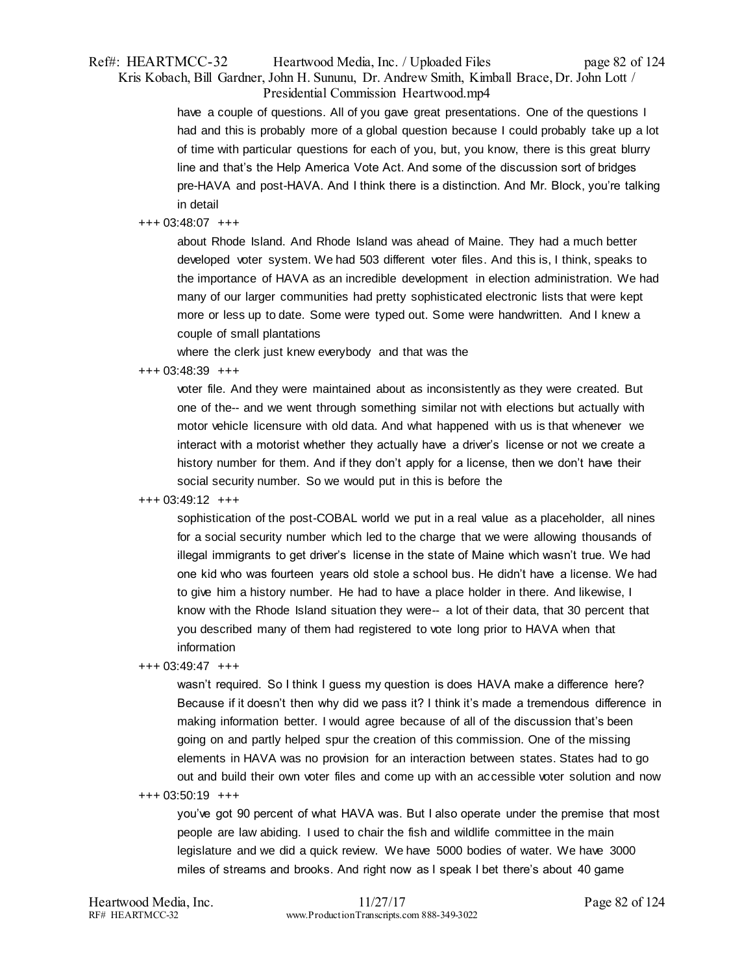# Ref#: HEARTMCC-32 Heartwood Media, Inc. / Uploaded Files page 82 of 124 Kris Kobach, Bill Gardner, John H. Sununu, Dr. Andrew Smith, Kimball Brace, Dr. John Lott / Presidential Commission Heartwood.mp4

have a couple of questions. All of you gave great presentations. One of the questions I had and this is probably more of a global question because I could probably take up a lot of time with particular questions for each of you, but, you know, there is this great blurry line and that's the Help America Vote Act. And some of the discussion sort of bridges pre-HAVA and post-HAVA. And I think there is a distinction. And Mr. Block, you're talking in detail

## +++ 03:48:07 +++

about Rhode Island. And Rhode Island was ahead of Maine. They had a much better developed voter system. We had 503 different voter files. And this is, I think, speaks to the importance of HAVA as an incredible development in election administration. We had many of our larger communities had pretty sophisticated electronic lists that were kept more or less up to date. Some were typed out. Some were handwritten. And I knew a couple of small plantations

where the clerk just knew everybody and that was the

## +++ 03:48:39 +++

voter file. And they were maintained about as inconsistently as they were created. But one of the-- and we went through something similar not with elections but actually with motor vehicle licensure with old data. And what happened with us is that whenever we interact with a motorist whether they actually have a driver's license or not we create a history number for them. And if they don't apply for a license, then we don't have their social security number. So we would put in this is before the

## +++ 03:49:12 +++

sophistication of the post-COBAL world we put in a real value as a placeholder, all nines for a social security number which led to the charge that we were allowing thousands of illegal immigrants to get driver's license in the state of Maine which wasn't true. We had one kid who was fourteen years old stole a school bus. He didn't have a license. We had to give him a history number. He had to have a place holder in there. And likewise, I know with the Rhode Island situation they were-- a lot of their data, that 30 percent that you described many of them had registered to vote long prior to HAVA when that information

#### +++ 03:49:47 +++

wasn't required. So I think I guess my question is does HAVA make a difference here? Because if it doesn't then why did we pass it? I think it's made a tremendous difference in making information better. I would agree because of all of the discussion that's been going on and partly helped spur the creation of this commission. One of the missing elements in HAVA was no provision for an interaction between states. States had to go out and build their own voter files and come up with an accessible voter solution and now

## +++ 03:50:19 +++

you've got 90 percent of what HAVA was. But I also operate under the premise that most people are law abiding. I used to chair the fish and wildlife committee in the main legislature and we did a quick review. We have 5000 bodies of water. We have 3000 miles of streams and brooks. And right now as I speak I bet there's about 40 game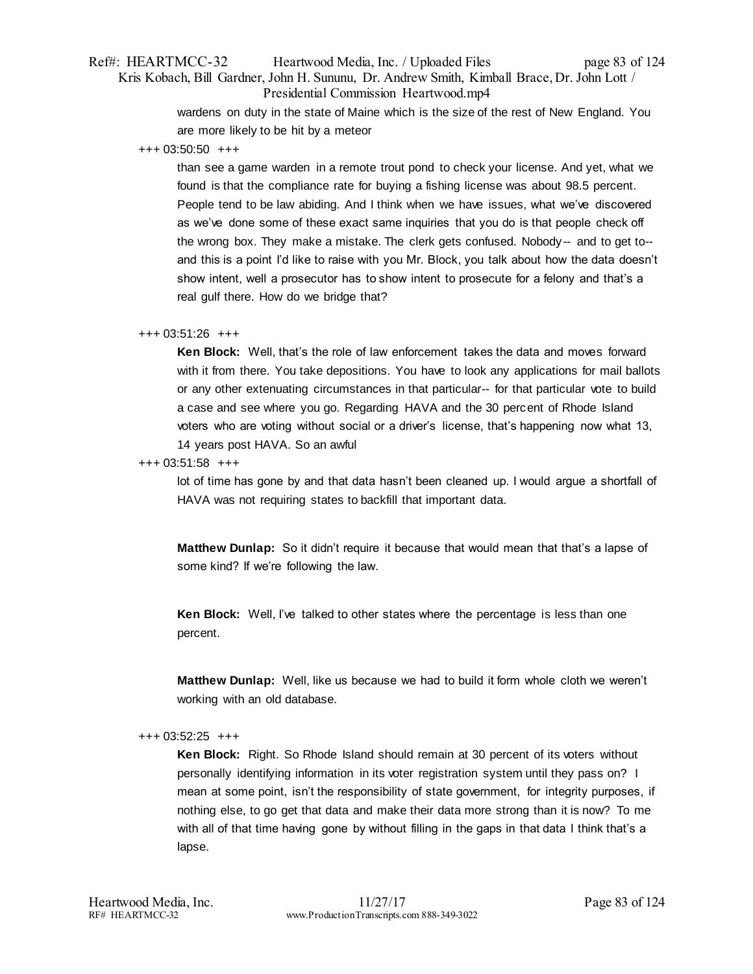# Ref#: HEARTMCC-32 Heartwood Media, Inc. / Uploaded Files page 83 of 124 Kris Kobach, Bill Gardner, John H. Sununu, Dr. Andrew Smith, Kimball Brace, Dr. John Lott / Presidential Commission Heartwood.mp4

wardens on duty in the state of Maine which is the size of the rest of New England. You are more likely to be hit by a meteor

+++ 03:50:50 +++

than see a game warden in a remote trout pond to check your license. And yet, what we found is that the compliance rate for buying a fishing license was about 98.5 percent. People tend to be law abiding. And I think when we have issues, what we've discovered as we've done some of these exact same inquiries that you do is that people check off the wrong box. They make a mistake. The clerk gets confused. Nobody-- and to get to- and this is a point I'd like to raise with you Mr. Block, you talk about how the data doesn't show intent, well a prosecutor has to show intent to prosecute for a felony and that's a real gulf there. How do we bridge that?

## +++ 03:51:26 +++

**Ken Block:** Well, that's the role of law enforcement takes the data and moves forward with it from there. You take depositions. You have to look any applications for mail ballots or any other extenuating circumstances in that particular-- for that particular vote to build a case and see where you go. Regarding HAVA and the 30 percent of Rhode Island voters who are voting without social or a driver's license, that's happening now what 13, 14 years post HAVA. So an awful

+++ 03:51:58 +++

lot of time has gone by and that data hasn't been cleaned up. I would argue a shortfall of HAVA was not requiring states to backfill that important data.

**Matthew Dunlap:** So it didn't require it because that would mean that that's a lapse of some kind? If we're following the law.

**Ken Block:** Well, I've talked to other states where the percentage is less than one percent.

**Matthew Dunlap:** Well, like us because we had to build it form whole cloth we weren't working with an old database.

## +++ 03:52:25 +++

**Ken Block:** Right. So Rhode Island should remain at 30 percent of its voters without personally identifying information in its voter registration system until they pass on? I mean at some point, isn't the responsibility of state government, for integrity purposes, if nothing else, to go get that data and make their data more strong than it is now? To me with all of that time having gone by without filling in the gaps in that data I think that's a lapse.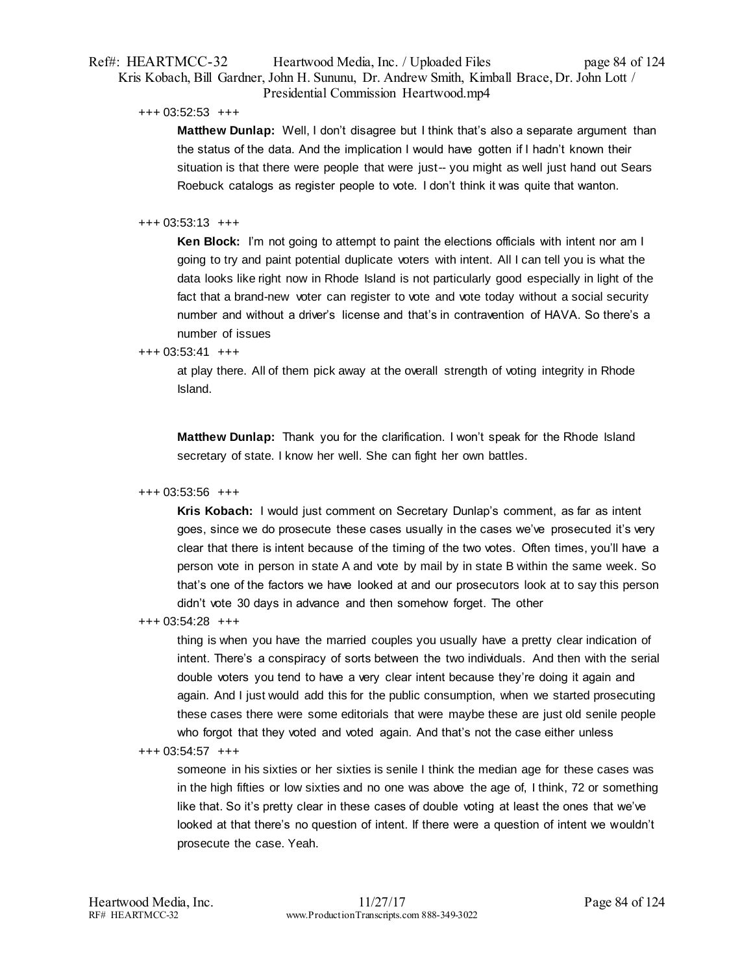# Ref#: HEARTMCC-32 Heartwood Media, Inc. / Uploaded Files page 84 of 124 Kris Kobach, Bill Gardner, John H. Sununu, Dr. Andrew Smith, Kimball Brace, Dr. John Lott / Presidential Commission Heartwood.mp4

+++ 03:52:53 +++

**Matthew Dunlap:** Well, I don't disagree but I think that's also a separate argument than the status of the data. And the implication I would have gotten if I hadn't known their situation is that there were people that were just-- you might as well just hand out Sears Roebuck catalogs as register people to vote. I don't think it was quite that wanton.

# +++ 03:53:13 +++

**Ken Block:** I'm not going to attempt to paint the elections officials with intent nor am I going to try and paint potential duplicate voters with intent. All I can tell you is what the data looks like right now in Rhode Island is not particularly good especially in light of the fact that a brand-new voter can register to vote and vote today without a social security number and without a driver's license and that's in contravention of HAVA. So there's a number of issues

# $+++ 03:53:41 +++$

at play there. All of them pick away at the overall strength of voting integrity in Rhode Island.

**Matthew Dunlap:** Thank you for the clarification. I won't speak for the Rhode Island secretary of state. I know her well. She can fight her own battles.

# +++ 03:53:56 +++

**Kris Kobach:** I would just comment on Secretary Dunlap's comment, as far as intent goes, since we do prosecute these cases usually in the cases we've prosecuted it's very clear that there is intent because of the timing of the two votes. Often times, you'll have a person vote in person in state A and vote by mail by in state B within the same week. So that's one of the factors we have looked at and our prosecutors look at to say this person didn't vote 30 days in advance and then somehow forget. The other

# +++ 03:54:28 +++

thing is when you have the married couples you usually have a pretty clear indication of intent. There's a conspiracy of sorts between the two individuals. And then with the serial double voters you tend to have a very clear intent because they're doing it again and again. And I just would add this for the public consumption, when we started prosecuting these cases there were some editorials that were maybe these are just old senile people who forgot that they voted and voted again. And that's not the case either unless

# +++ 03:54:57 +++

someone in his sixties or her sixties is senile I think the median age for these cases was in the high fifties or low sixties and no one was above the age of, I think, 72 or something like that. So it's pretty clear in these cases of double voting at least the ones that we've looked at that there's no question of intent. If there were a question of intent we wouldn't prosecute the case. Yeah.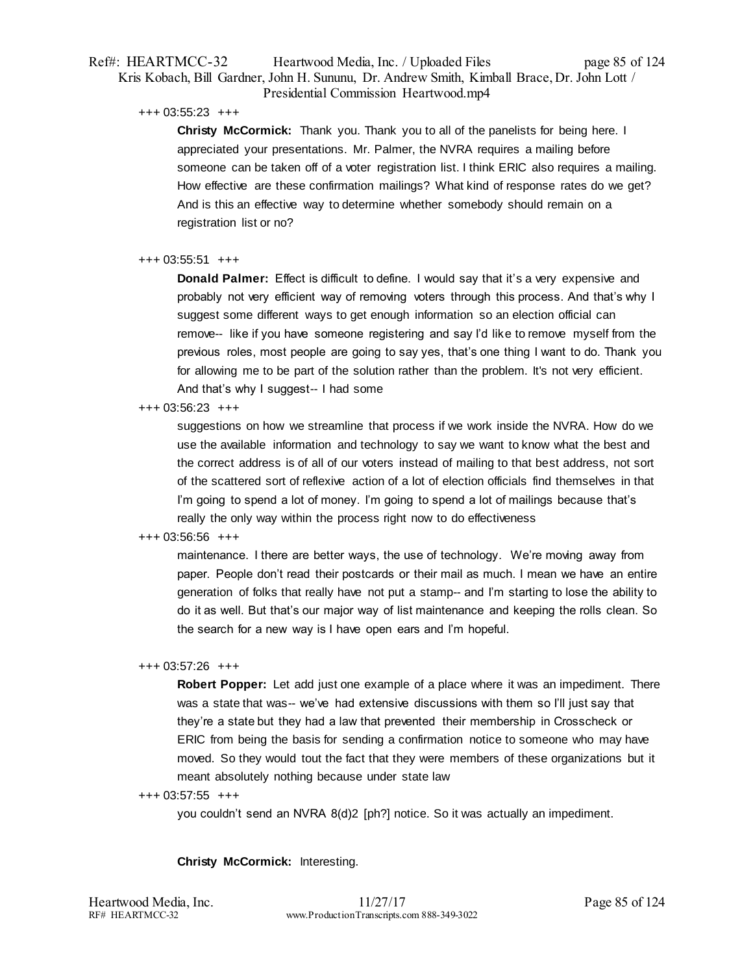# Ref#: HEARTMCC-32 Heartwood Media, Inc. / Uploaded Files page 85 of 124 Kris Kobach, Bill Gardner, John H. Sununu, Dr. Andrew Smith, Kimball Brace, Dr. John Lott / Presidential Commission Heartwood.mp4

+++ 03:55:23 +++

**Christy McCormick:** Thank you. Thank you to all of the panelists for being here. I appreciated your presentations. Mr. Palmer, the NVRA requires a mailing before someone can be taken off of a voter registration list. I think ERIC also requires a mailing. How effective are these confirmation mailings? What kind of response rates do we get? And is this an effective way to determine whether somebody should remain on a registration list or no?

# +++ 03:55:51 +++

**Donald Palmer:** Effect is difficult to define. I would say that it's a very expensive and probably not very efficient way of removing voters through this process. And that's why I suggest some different ways to get enough information so an election official can remove-- like if you have someone registering and say I'd like to remove myself from the previous roles, most people are going to say yes, that's one thing I want to do. Thank you for allowing me to be part of the solution rather than the problem. It's not very efficient. And that's why I suggest-- I had some

## +++ 03:56:23 +++

suggestions on how we streamline that process if we work inside the NVRA. How do we use the available information and technology to say we want to know what the best and the correct address is of all of our voters instead of mailing to that best address, not sort of the scattered sort of reflexive action of a lot of election officials find themselves in that I'm going to spend a lot of money. I'm going to spend a lot of mailings because that's really the only way within the process right now to do effectiveness

# +++ 03:56:56 +++

maintenance. I there are better ways, the use of technology. We're moving away from paper. People don't read their postcards or their mail as much. I mean we have an entire generation of folks that really have not put a stamp-- and I'm starting to lose the ability to do it as well. But that's our major way of list maintenance and keeping the rolls clean. So the search for a new way is I have open ears and I'm hopeful.

# +++ 03:57:26 +++

**Robert Popper:** Let add just one example of a place where it was an impediment. There was a state that was-- we've had extensive discussions with them so I'll just say that they're a state but they had a law that prevented their membership in Crosscheck or ERIC from being the basis for sending a confirmation notice to someone who may have moved. So they would tout the fact that they were members of these organizations but it meant absolutely nothing because under state law

## +++ 03:57:55 +++

you couldn't send an NVRA 8(d)2 [ph?] notice. So it was actually an impediment.

# **Christy McCormick:** Interesting.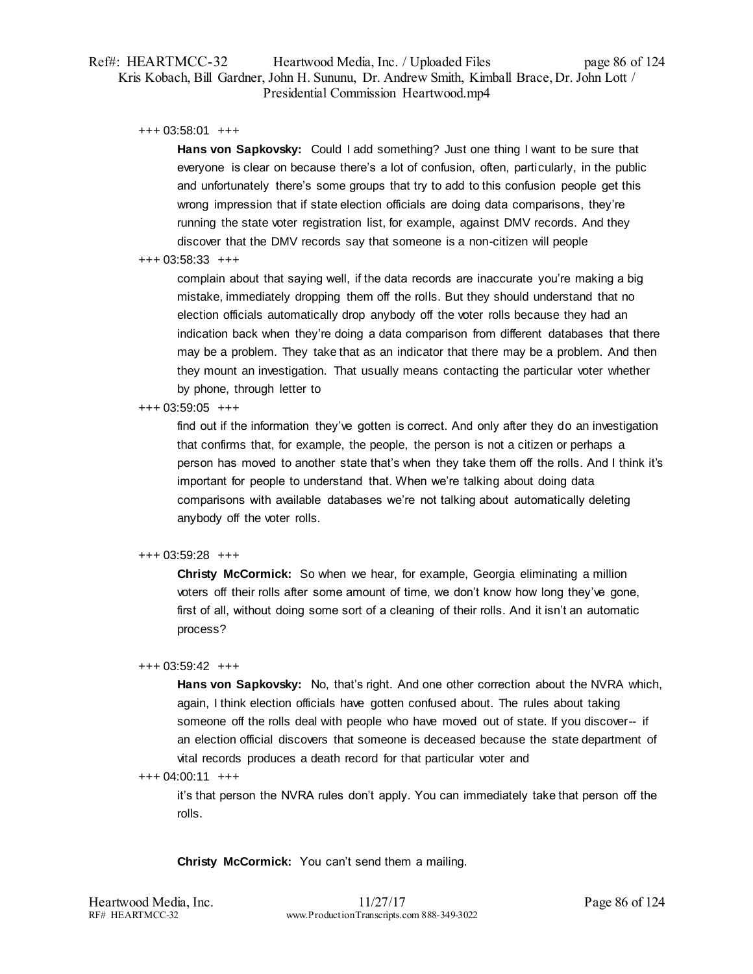# Ref#: HEARTMCC-32 Heartwood Media, Inc. / Uploaded Files page 86 of 124 Kris Kobach, Bill Gardner, John H. Sununu, Dr. Andrew Smith, Kimball Brace, Dr. John Lott / Presidential Commission Heartwood.mp4

+++ 03:58:01 +++

**Hans von Sapkovsky:** Could I add something? Just one thing I want to be sure that everyone is clear on because there's a lot of confusion, often, particularly, in the public and unfortunately there's some groups that try to add to this confusion people get this wrong impression that if state election officials are doing data comparisons, they're running the state voter registration list, for example, against DMV records. And they discover that the DMV records say that someone is a non-citizen will people

## +++ 03:58:33 +++

complain about that saying well, if the data records are inaccurate you're making a big mistake, immediately dropping them off the rolls. But they should understand that no election officials automatically drop anybody off the voter rolls because they had an indication back when they're doing a data comparison from different databases that there may be a problem. They take that as an indicator that there may be a problem. And then they mount an investigation. That usually means contacting the particular voter whether by phone, through letter to

## +++ 03:59:05 +++

find out if the information they've gotten is correct. And only after they do an investigation that confirms that, for example, the people, the person is not a citizen or perhaps a person has moved to another state that's when they take them off the rolls. And I think it's important for people to understand that. When we're talking about doing data comparisons with available databases we're not talking about automatically deleting anybody off the voter rolls.

# +++ 03:59:28 +++

**Christy McCormick:** So when we hear, for example, Georgia eliminating a million voters off their rolls after some amount of time, we don't know how long they've gone, first of all, without doing some sort of a cleaning of their rolls. And it isn't an automatic process?

# +++ 03:59:42 +++

**Hans von Sapkovsky:** No, that's right. And one other correction about the NVRA which, again, I think election officials have gotten confused about. The rules about taking someone off the rolls deal with people who have moved out of state. If you discover-- if an election official discovers that someone is deceased because the state department of vital records produces a death record for that particular voter and

# +++ 04:00:11 +++

it's that person the NVRA rules don't apply. You can immediately take that person off the rolls.

**Christy McCormick:** You can't send them a mailing.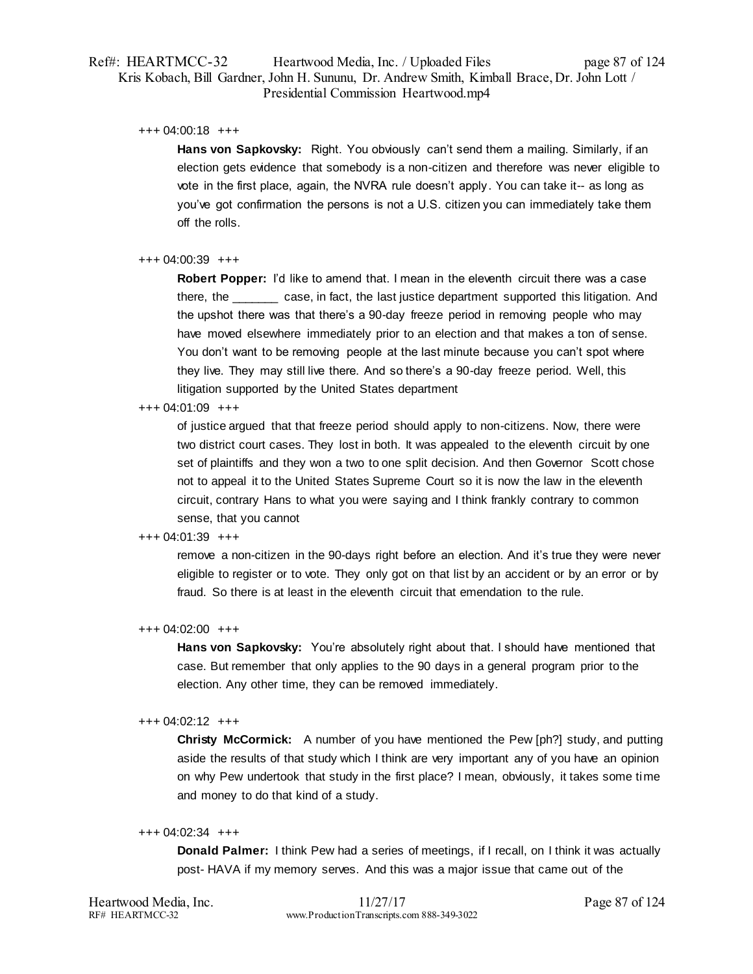# Ref#: HEARTMCC-32 Heartwood Media, Inc. / Uploaded Files page 87 of 124 Kris Kobach, Bill Gardner, John H. Sununu, Dr. Andrew Smith, Kimball Brace, Dr. John Lott / Presidential Commission Heartwood.mp4

+++ 04:00:18 +++

Hans von Sapkovsky: Right. You obviously can't send them a mailing. Similarly, if an election gets evidence that somebody is a non-citizen and therefore was never eligible to vote in the first place, again, the NVRA rule doesn't apply. You can take it-- as long as you've got confirmation the persons is not a U.S. citizen you can immediately take them off the rolls.

## +++ 04:00:39 +++

**Robert Popper:** I'd like to amend that. I mean in the eleventh circuit there was a case there, the \_\_\_\_\_\_\_ case, in fact, the last justice department supported this litigation. And the upshot there was that there's a 90-day freeze period in removing people who may have moved elsewhere immediately prior to an election and that makes a ton of sense. You don't want to be removing people at the last minute because you can't spot where they live. They may still live there. And so there's a 90-day freeze period. Well, this litigation supported by the United States department

## +++ 04:01:09 +++

of justice argued that that freeze period should apply to non-citizens. Now, there were two district court cases. They lost in both. It was appealed to the eleventh circuit by one set of plaintiffs and they won a two to one split decision. And then Governor Scott chose not to appeal it to the United States Supreme Court so it is now the law in the eleventh circuit, contrary Hans to what you were saying and I think frankly contrary to common sense, that you cannot

## +++ 04:01:39 +++

remove a non-citizen in the 90-days right before an election. And it's true they were never eligible to register or to vote. They only got on that list by an accident or by an error or by fraud. So there is at least in the eleventh circuit that emendation to the rule.

## +++ 04:02:00 +++

Hans von Sapkovsky: You're absolutely right about that. I should have mentioned that case. But remember that only applies to the 90 days in a general program prior to the election. Any other time, they can be removed immediately.

## +++ 04:02:12 +++

**Christy McCormick:** A number of you have mentioned the Pew [ph?] study, and putting aside the results of that study which I think are very important any of you have an opinion on why Pew undertook that study in the first place? I mean, obviously, it takes some time and money to do that kind of a study.

## +++ 04:02:34 +++

**Donald Palmer:** I think Pew had a series of meetings, if I recall, on I think it was actually post- HAVA if my memory serves. And this was a major issue that came out of the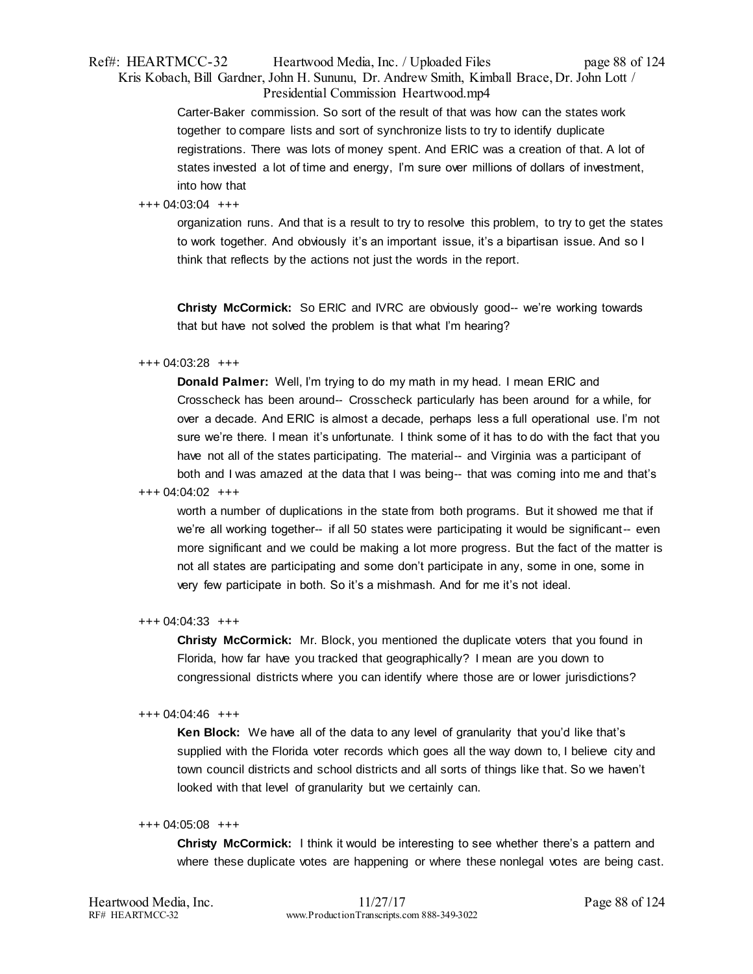# Ref#: HEARTMCC-32 Heartwood Media, Inc. / Uploaded Files page 88 of 124 Kris Kobach, Bill Gardner, John H. Sununu, Dr. Andrew Smith, Kimball Brace, Dr. John Lott / Presidential Commission Heartwood.mp4

Carter-Baker commission. So sort of the result of that was how can the states work together to compare lists and sort of synchronize lists to try to identify duplicate registrations. There was lots of money spent. And ERIC was a creation of that. A lot of states invested a lot of time and energy, I'm sure over millions of dollars of investment, into how that

# +++ 04:03:04 +++

organization runs. And that is a result to try to resolve this problem, to try to get the states to work together. And obviously it's an important issue, it's a bipartisan issue. And so I think that reflects by the actions not just the words in the report.

**Christy McCormick:** So ERIC and IVRC are obviously good-- we're working towards that but have not solved the problem is that what I'm hearing?

## +++ 04:03:28 +++

**Donald Palmer:** Well, I'm trying to do my math in my head. I mean ERIC and Crosscheck has been around-- Crosscheck particularly has been around for a while, for over a decade. And ERIC is almost a decade, perhaps less a full operational use. I'm not sure we're there. I mean it's unfortunate. I think some of it has to do with the fact that you have not all of the states participating. The material-- and Virginia was a participant of both and I was amazed at the data that I was being-- that was coming into me and that's

## +++ 04:04:02 +++

worth a number of duplications in the state from both programs. But it showed me that if we're all working together-- if all 50 states were participating it would be significant-- even more significant and we could be making a lot more progress. But the fact of the matter is not all states are participating and some don't participate in any, some in one, some in very few participate in both. So it's a mishmash. And for me it's not ideal.

## +++ 04:04:33 +++

**Christy McCormick:** Mr. Block, you mentioned the duplicate voters that you found in Florida, how far have you tracked that geographically? I mean are you down to congressional districts where you can identify where those are or lower jurisdictions?

## +++ 04:04:46 +++

**Ken Block:** We have all of the data to any level of granularity that you'd like that's supplied with the Florida voter records which goes all the way down to, I believe city and town council districts and school districts and all sorts of things like that. So we haven't looked with that level of granularity but we certainly can.

## +++ 04:05:08 +++

**Christy McCormick:** I think it would be interesting to see whether there's a pattern and where these duplicate votes are happening or where these nonlegal votes are being cast.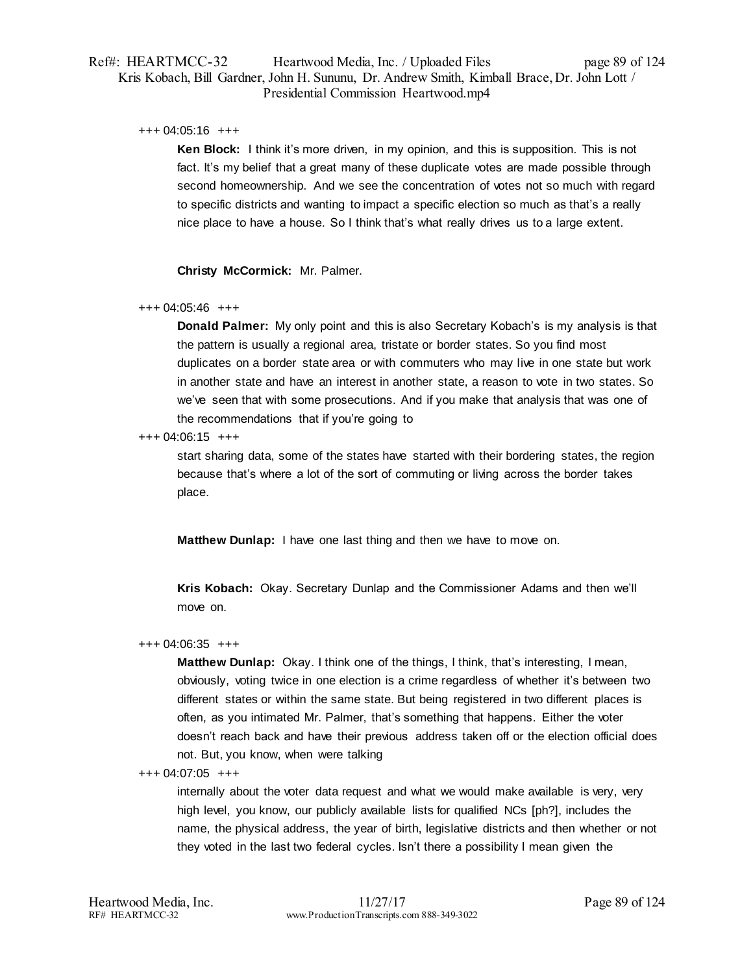# Ref#: HEARTMCC-32 Heartwood Media, Inc. / Uploaded Files page 89 of 124 Kris Kobach, Bill Gardner, John H. Sununu, Dr. Andrew Smith, Kimball Brace, Dr. John Lott / Presidential Commission Heartwood.mp4

## +++ 04:05:16 +++

**Ken Block:** I think it's more driven, in my opinion, and this is supposition. This is not fact. It's my belief that a great many of these duplicate votes are made possible through second homeownership. And we see the concentration of votes not so much with regard to specific districts and wanting to impact a specific election so much as that's a really nice place to have a house. So I think that's what really drives us to a large extent.

**Christy McCormick:** Mr. Palmer.

## +++ 04:05:46 +++

**Donald Palmer:** My only point and this is also Secretary Kobach's is my analysis is that the pattern is usually a regional area, tristate or border states. So you find most duplicates on a border state area or with commuters who may live in one state but work in another state and have an interest in another state, a reason to vote in two states. So we've seen that with some prosecutions. And if you make that analysis that was one of the recommendations that if you're going to

## +++ 04:06:15 +++

start sharing data, some of the states have started with their bordering states, the region because that's where a lot of the sort of commuting or living across the border takes place.

**Matthew Dunlap:** I have one last thing and then we have to move on.

**Kris Kobach:** Okay. Secretary Dunlap and the Commissioner Adams and then we'll move on.

## +++ 04:06:35 +++

**Matthew Dunlap:** Okay. I think one of the things, I think, that's interesting, I mean, obviously, voting twice in one election is a crime regardless of whether it's between two different states or within the same state. But being registered in two different places is often, as you intimated Mr. Palmer, that's something that happens. Either the voter doesn't reach back and have their previous address taken off or the election official does not. But, you know, when were talking

## +++ 04:07:05 +++

internally about the voter data request and what we would make available is very, very high level, you know, our publicly available lists for qualified NCs [ph?], includes the name, the physical address, the year of birth, legislative districts and then whether or not they voted in the last two federal cycles. Isn't there a possibility I mean given the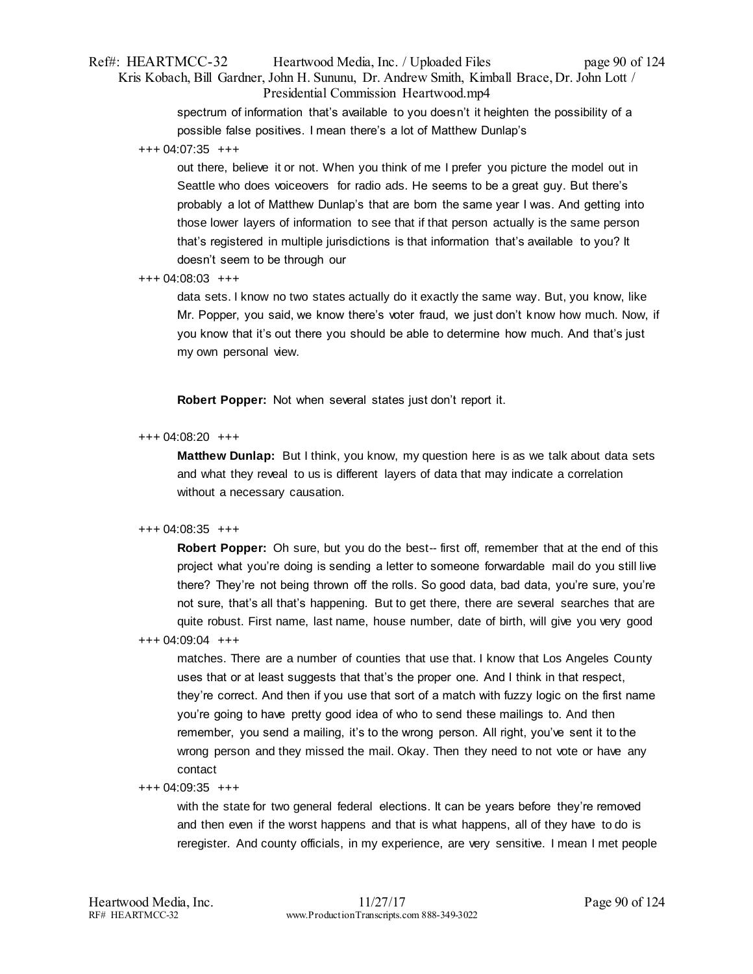# Ref#: HEARTMCC-32 Heartwood Media, Inc. / Uploaded Files page 90 of 124 Kris Kobach, Bill Gardner, John H. Sununu, Dr. Andrew Smith, Kimball Brace, Dr. John Lott / Presidential Commission Heartwood.mp4

spectrum of information that's available to you doesn't it heighten the possibility of a possible false positives. I mean there's a lot of Matthew Dunlap's

## +++ 04:07:35 +++

out there, believe it or not. When you think of me I prefer you picture the model out in Seattle who does voiceovers for radio ads. He seems to be a great guy. But there's probably a lot of Matthew Dunlap's that are born the same year I was. And getting into those lower layers of information to see that if that person actually is the same person that's registered in multiple jurisdictions is that information that's available to you? It doesn't seem to be through our

## +++ 04:08:03 +++

data sets. I know no two states actually do it exactly the same way. But, you know, like Mr. Popper, you said, we know there's voter fraud, we just don't know how much. Now, if you know that it's out there you should be able to determine how much. And that's just my own personal view.

**Robert Popper:** Not when several states just don't report it.

## +++ 04:08:20 +++

**Matthew Dunlap:** But I think, you know, my question here is as we talk about data sets and what they reveal to us is different layers of data that may indicate a correlation without a necessary causation.

# +++ 04:08:35 +++

**Robert Popper:** Oh sure, but you do the best-- first off, remember that at the end of this project what you're doing is sending a letter to someone forwardable mail do you still live there? They're not being thrown off the rolls. So good data, bad data, you're sure, you're not sure, that's all that's happening. But to get there, there are several searches that are quite robust. First name, last name, house number, date of birth, will give you very good

# +++ 04:09:04 +++

matches. There are a number of counties that use that. I know that Los Angeles County uses that or at least suggests that that's the proper one. And I think in that respect, they're correct. And then if you use that sort of a match with fuzzy logic on the first name you're going to have pretty good idea of who to send these mailings to. And then remember, you send a mailing, it's to the wrong person. All right, you've sent it to the wrong person and they missed the mail. Okay. Then they need to not vote or have any contact

## +++ 04:09:35 +++

with the state for two general federal elections. It can be years before they're removed and then even if the worst happens and that is what happens, all of they have to do is reregister. And county officials, in my experience, are very sensitive. I mean I met people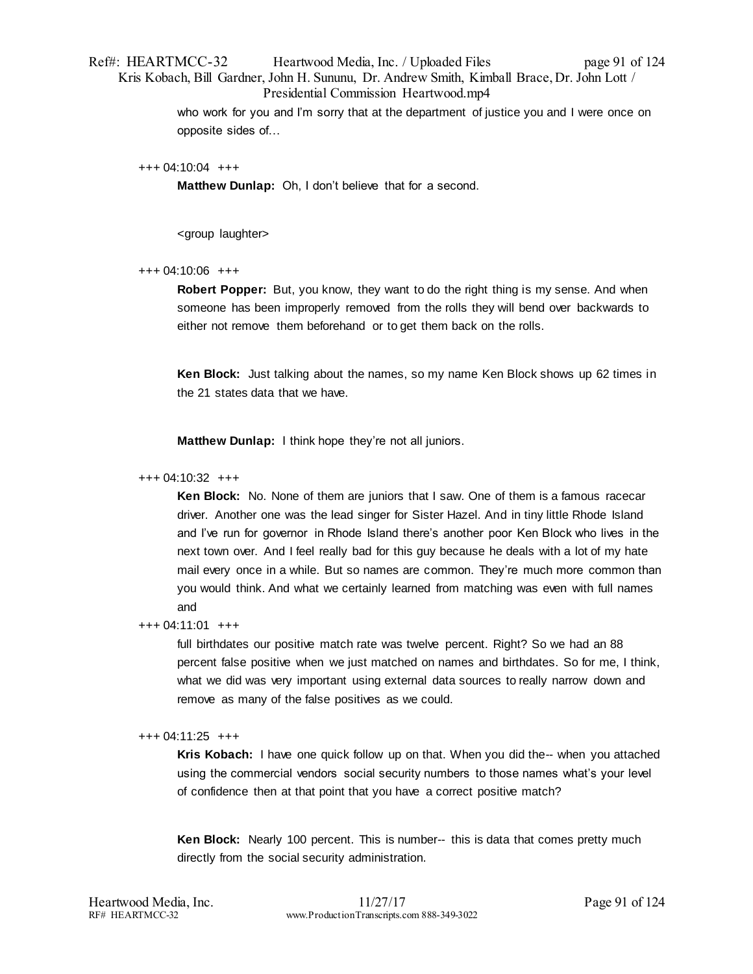# Ref#: HEARTMCC-32 Heartwood Media, Inc. / Uploaded Files page 91 of 124 Kris Kobach, Bill Gardner, John H. Sununu, Dr. Andrew Smith, Kimball Brace, Dr. John Lott / Presidential Commission Heartwood.mp4

who work for you and I'm sorry that at the department of justice you and I were once on opposite sides of…

#### +++ 04:10:04 +++

**Matthew Dunlap:** Oh, I don't believe that for a second.

<group laughter>

## +++ 04:10:06 +++

**Robert Popper:** But, you know, they want to do the right thing is my sense. And when someone has been improperly removed from the rolls they will bend over backwards to either not remove them beforehand or to get them back on the rolls.

**Ken Block:** Just talking about the names, so my name Ken Block shows up 62 times in the 21 states data that we have.

**Matthew Dunlap:** I think hope they're not all juniors.

#### +++ 04:10:32 +++

**Ken Block:** No. None of them are juniors that I saw. One of them is a famous racecar driver. Another one was the lead singer for Sister Hazel. And in tiny little Rhode Island and I've run for governor in Rhode Island there's another poor Ken Block who lives in the next town over. And I feel really bad for this guy because he deals with a lot of my hate mail every once in a while. But so names are common. They're much more common than you would think. And what we certainly learned from matching was even with full names and

## +++ 04:11:01 +++

full birthdates our positive match rate was twelve percent. Right? So we had an 88 percent false positive when we just matched on names and birthdates. So for me, I think, what we did was very important using external data sources to really narrow down and remove as many of the false positives as we could.

## +++ 04:11:25 +++

**Kris Kobach:** I have one quick follow up on that. When you did the-- when you attached using the commercial vendors social security numbers to those names what's your level of confidence then at that point that you have a correct positive match?

**Ken Block:** Nearly 100 percent. This is number-- this is data that comes pretty much directly from the social security administration.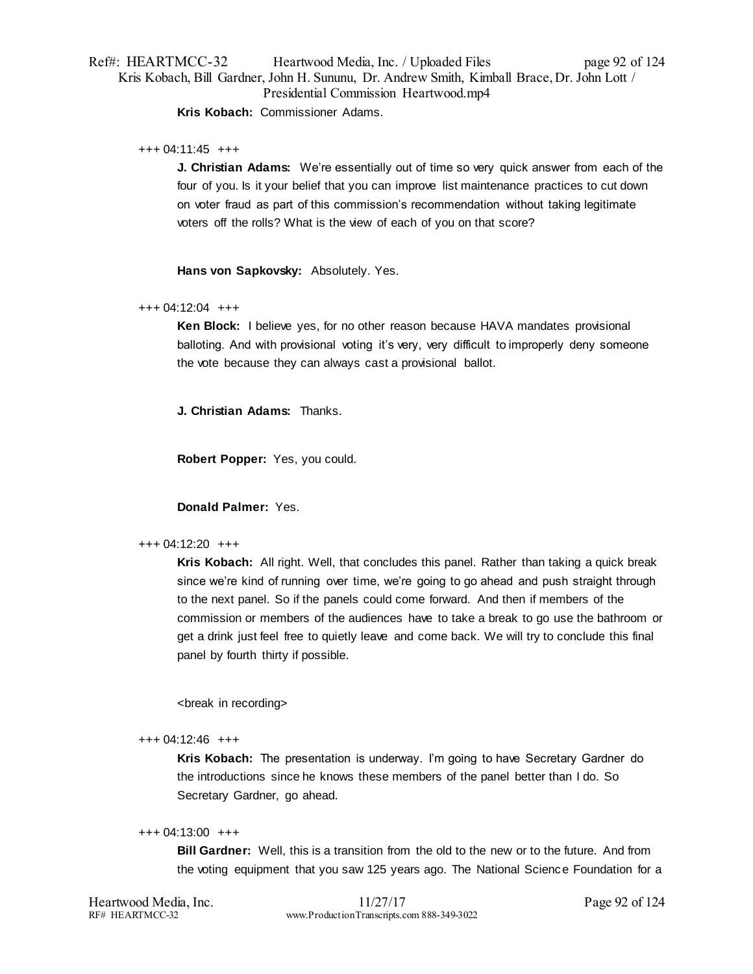# Ref#: HEARTMCC-32 Heartwood Media, Inc. / Uploaded Files page 92 of 124 Kris Kobach, Bill Gardner, John H. Sununu, Dr. Andrew Smith, Kimball Brace, Dr. John Lott / Presidential Commission Heartwood.mp4 **Kris Kobach:** Commissioner Adams.

## +++ 04:11:45 +++

**J. Christian Adams:** We're essentially out of time so very quick answer from each of the four of you. Is it your belief that you can improve list maintenance practices to cut down on voter fraud as part of this commission's recommendation without taking legitimate voters off the rolls? What is the view of each of you on that score?

**Hans von Sapkovsky:** Absolutely. Yes.

## +++ 04:12:04 +++

**Ken Block:** I believe yes, for no other reason because HAVA mandates provisional balloting. And with provisional voting it's very, very difficult to improperly deny someone the vote because they can always cast a provisional ballot.

**J. Christian Adams:** Thanks.

**Robert Popper:** Yes, you could.

# **Donald Palmer:** Yes.

## +++ 04:12:20 +++

**Kris Kobach:** All right. Well, that concludes this panel. Rather than taking a quick break since we're kind of running over time, we're going to go ahead and push straight through to the next panel. So if the panels could come forward. And then if members of the commission or members of the audiences have to take a break to go use the bathroom or get a drink just feel free to quietly leave and come back. We will try to conclude this final panel by fourth thirty if possible.

<break in recording>

## +++ 04:12:46 +++

**Kris Kobach:** The presentation is underway. I'm going to have Secretary Gardner do the introductions since he knows these members of the panel better than I do. So Secretary Gardner, go ahead.

## +++ 04:13:00 +++

**Bill Gardner:** Well, this is a transition from the old to the new or to the future. And from the voting equipment that you saw 125 years ago. The National Science Foundation for a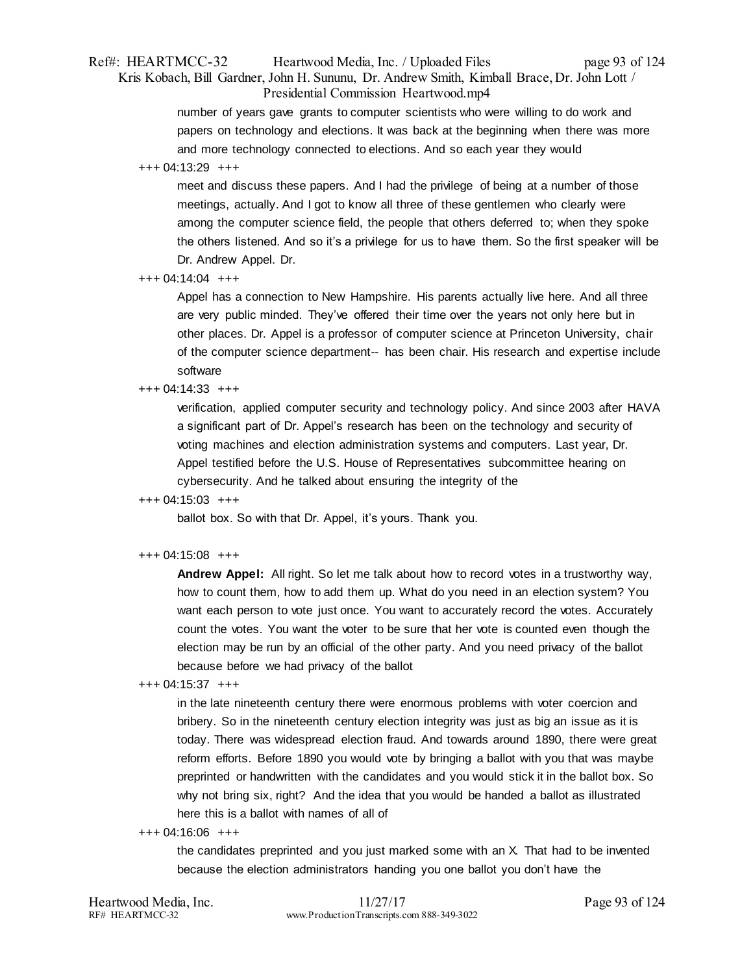# Ref#: HEARTMCC-32 Heartwood Media, Inc. / Uploaded Files page 93 of 124 Kris Kobach, Bill Gardner, John H. Sununu, Dr. Andrew Smith, Kimball Brace, Dr. John Lott / Presidential Commission Heartwood.mp4

number of years gave grants to computer scientists who were willing to do work and papers on technology and elections. It was back at the beginning when there was more and more technology connected to elections. And so each year they would

## +++ 04:13:29 +++

meet and discuss these papers. And I had the privilege of being at a number of those meetings, actually. And I got to know all three of these gentlemen who clearly were among the computer science field, the people that others deferred to; when they spoke the others listened. And so it's a privilege for us to have them. So the first speaker will be Dr. Andrew Appel. Dr.

## +++ 04:14:04 +++

Appel has a connection to New Hampshire. His parents actually live here. And all three are very public minded. They've offered their time over the years not only here but in other places. Dr. Appel is a professor of computer science at Princeton University, chair of the computer science department-- has been chair. His research and expertise include software

# +++ 04:14:33 +++

verification, applied computer security and technology policy. And since 2003 after HAVA a significant part of Dr. Appel's research has been on the technology and security of voting machines and election administration systems and computers. Last year, Dr. Appel testified before the U.S. House of Representatives subcommittee hearing on cybersecurity. And he talked about ensuring the integrity of the

# +++ 04:15:03 +++

ballot box. So with that Dr. Appel, it's yours. Thank you.

# +++ 04:15:08 +++

**Andrew Appel:** All right. So let me talk about how to record votes in a trustworthy way, how to count them, how to add them up. What do you need in an election system? You want each person to vote just once. You want to accurately record the votes. Accurately count the votes. You want the voter to be sure that her vote is counted even though the election may be run by an official of the other party. And you need privacy of the ballot because before we had privacy of the ballot

## +++ 04:15:37 +++

in the late nineteenth century there were enormous problems with voter coercion and bribery. So in the nineteenth century election integrity was just as big an issue as it is today. There was widespread election fraud. And towards around 1890, there were great reform efforts. Before 1890 you would vote by bringing a ballot with you that was maybe preprinted or handwritten with the candidates and you would stick it in the ballot box. So why not bring six, right? And the idea that you would be handed a ballot as illustrated here this is a ballot with names of all of

## +++ 04:16:06 +++

the candidates preprinted and you just marked some with an X. That had to be invented because the election administrators handing you one ballot you don't have the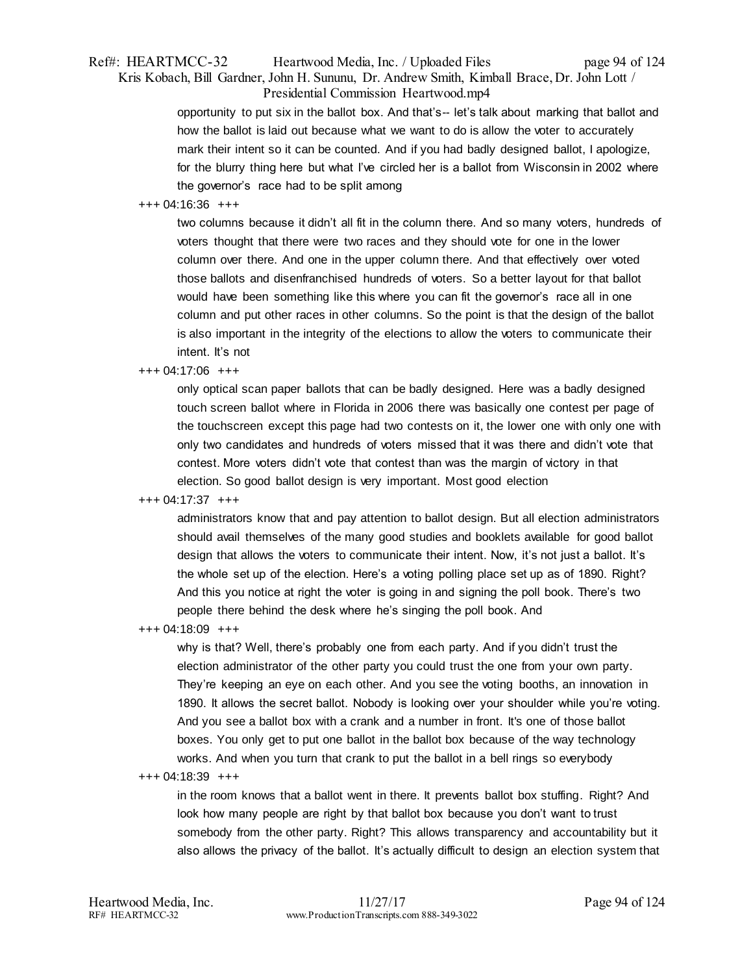# Ref#: HEARTMCC-32 Heartwood Media, Inc. / Uploaded Files page 94 of 124 Kris Kobach, Bill Gardner, John H. Sununu, Dr. Andrew Smith, Kimball Brace, Dr. John Lott / Presidential Commission Heartwood.mp4

opportunity to put six in the ballot box. And that's-- let's talk about marking that ballot and how the ballot is laid out because what we want to do is allow the voter to accurately mark their intent so it can be counted. And if you had badly designed ballot, I apologize, for the blurry thing here but what I've circled her is a ballot from Wisconsin in 2002 where the governor's race had to be split among

## +++ 04:16:36 +++

two columns because it didn't all fit in the column there. And so many voters, hundreds of voters thought that there were two races and they should vote for one in the lower column over there. And one in the upper column there. And that effectively over voted those ballots and disenfranchised hundreds of voters. So a better layout for that ballot would have been something like this where you can fit the governor's race all in one column and put other races in other columns. So the point is that the design of the ballot is also important in the integrity of the elections to allow the voters to communicate their intent. It's not

## +++ 04:17:06 +++

only optical scan paper ballots that can be badly designed. Here was a badly designed touch screen ballot where in Florida in 2006 there was basically one contest per page of the touchscreen except this page had two contests on it, the lower one with only one with only two candidates and hundreds of voters missed that it was there and didn't vote that contest. More voters didn't vote that contest than was the margin of victory in that election. So good ballot design is very important. Most good election

# +++ 04:17:37 +++

administrators know that and pay attention to ballot design. But all election administrators should avail themselves of the many good studies and booklets available for good ballot design that allows the voters to communicate their intent. Now, it's not just a ballot. It's the whole set up of the election. Here's a voting polling place set up as of 1890. Right? And this you notice at right the voter is going in and signing the poll book. There's two people there behind the desk where he's singing the poll book. And

+++ 04:18:09 +++

why is that? Well, there's probably one from each party. And if you didn't trust the election administrator of the other party you could trust the one from your own party. They're keeping an eye on each other. And you see the voting booths, an innovation in 1890. It allows the secret ballot. Nobody is looking over your shoulder while you're voting. And you see a ballot box with a crank and a number in front. It's one of those ballot boxes. You only get to put one ballot in the ballot box because of the way technology works. And when you turn that crank to put the ballot in a bell rings so everybody

+++ 04:18:39 +++

in the room knows that a ballot went in there. It prevents ballot box stuffing. Right? And look how many people are right by that ballot box because you don't want to trust somebody from the other party. Right? This allows transparency and accountability but it also allows the privacy of the ballot. It's actually difficult to design an election system that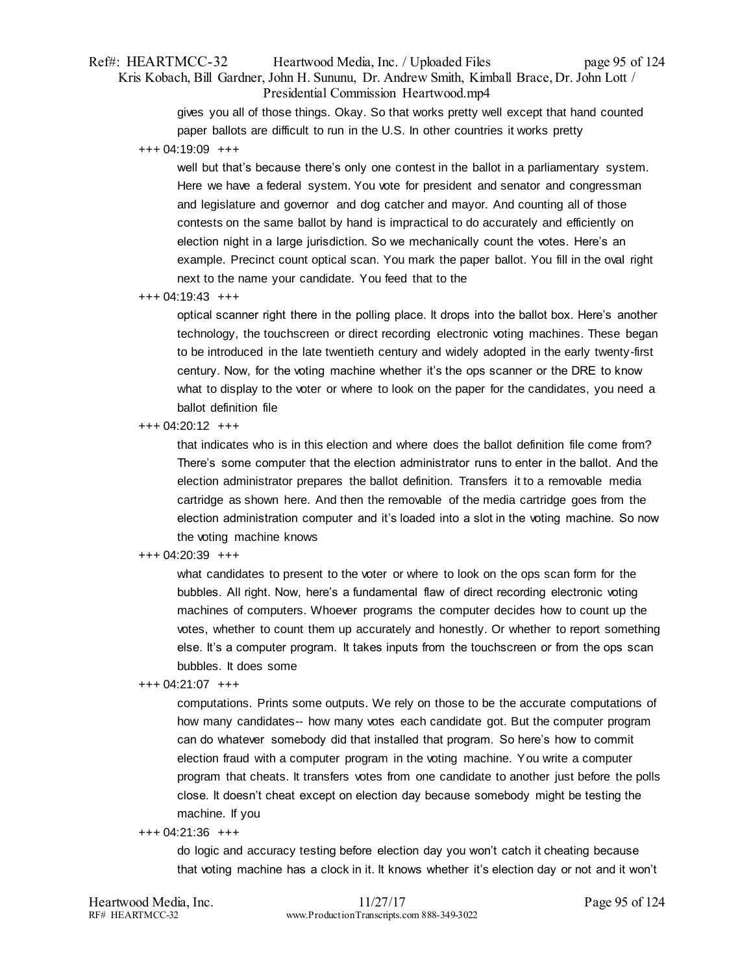# Ref#: HEARTMCC-32 Heartwood Media, Inc. / Uploaded Files page 95 of 124 Kris Kobach, Bill Gardner, John H. Sununu, Dr. Andrew Smith, Kimball Brace, Dr. John Lott / Presidential Commission Heartwood.mp4

gives you all of those things. Okay. So that works pretty well except that hand counted paper ballots are difficult to run in the U.S. In other countries it works pretty

+++ 04:19:09 +++

well but that's because there's only one contest in the ballot in a parliamentary system. Here we have a federal system. You vote for president and senator and congressman and legislature and governor and dog catcher and mayor. And counting all of those contests on the same ballot by hand is impractical to do accurately and efficiently on election night in a large jurisdiction. So we mechanically count the votes. Here's an example. Precinct count optical scan. You mark the paper ballot. You fill in the oval right next to the name your candidate. You feed that to the

+++ 04:19:43 +++

optical scanner right there in the polling place. It drops into the ballot box. Here's another technology, the touchscreen or direct recording electronic voting machines. These began to be introduced in the late twentieth century and widely adopted in the early twenty-first century. Now, for the voting machine whether it's the ops scanner or the DRE to know what to display to the voter or where to look on the paper for the candidates, you need a ballot definition file

+++ 04:20:12 +++

that indicates who is in this election and where does the ballot definition file come from? There's some computer that the election administrator runs to enter in the ballot. And the election administrator prepares the ballot definition. Transfers it to a removable media cartridge as shown here. And then the removable of the media cartridge goes from the election administration computer and it's loaded into a slot in the voting machine. So now the voting machine knows

## +++ 04:20:39 +++

what candidates to present to the voter or where to look on the ops scan form for the bubbles. All right. Now, here's a fundamental flaw of direct recording electronic voting machines of computers. Whoever programs the computer decides how to count up the votes, whether to count them up accurately and honestly. Or whether to report something else. It's a computer program. It takes inputs from the touchscreen or from the ops scan bubbles. It does some

+++ 04:21:07 +++

computations. Prints some outputs. We rely on those to be the accurate computations of how many candidates-- how many votes each candidate got. But the computer program can do whatever somebody did that installed that program. So here's how to commit election fraud with a computer program in the voting machine. You write a computer program that cheats. It transfers votes from one candidate to another just before the polls close. It doesn't cheat except on election day because somebody might be testing the machine. If you

#### +++ 04:21:36 +++

do logic and accuracy testing before election day you won't catch it cheating because that voting machine has a clock in it. It knows whether it's election day or not and it won't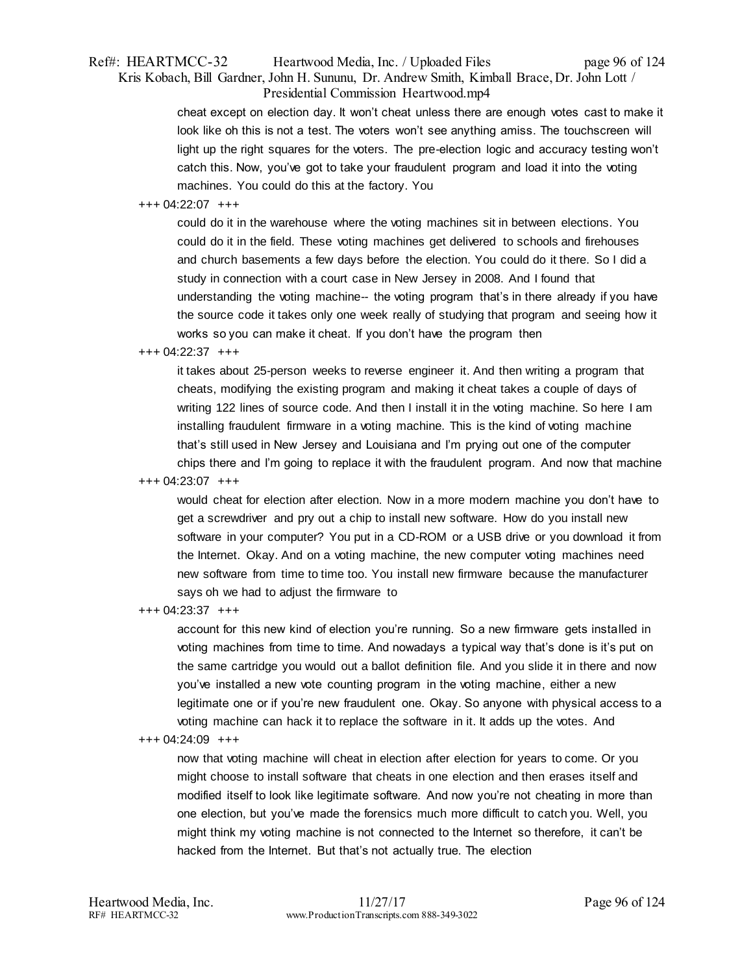# Ref#: HEARTMCC-32 Heartwood Media, Inc. / Uploaded Files page 96 of 124 Kris Kobach, Bill Gardner, John H. Sununu, Dr. Andrew Smith, Kimball Brace, Dr. John Lott / Presidential Commission Heartwood.mp4

cheat except on election day. It won't cheat unless there are enough votes cast to make it look like oh this is not a test. The voters won't see anything amiss. The touchscreen will light up the right squares for the voters. The pre-election logic and accuracy testing won't catch this. Now, you've got to take your fraudulent program and load it into the voting machines. You could do this at the factory. You

## +++ 04:22:07 +++

could do it in the warehouse where the voting machines sit in between elections. You could do it in the field. These voting machines get delivered to schools and firehouses and church basements a few days before the election. You could do it there. So I did a study in connection with a court case in New Jersey in 2008. And I found that understanding the voting machine-- the voting program that's in there already if you have the source code it takes only one week really of studying that program and seeing how it works so you can make it cheat. If you don't have the program then

# +++ 04:22:37 +++

it takes about 25-person weeks to reverse engineer it. And then writing a program that cheats, modifying the existing program and making it cheat takes a couple of days of writing 122 lines of source code. And then I install it in the voting machine. So here I am installing fraudulent firmware in a voting machine. This is the kind of voting machine that's still used in New Jersey and Louisiana and I'm prying out one of the computer chips there and I'm going to replace it with the fraudulent program. And now that machine

+++ 04:23:07 +++

would cheat for election after election. Now in a more modern machine you don't have to get a screwdriver and pry out a chip to install new software. How do you install new software in your computer? You put in a CD-ROM or a USB drive or you download it from the Internet. Okay. And on a voting machine, the new computer voting machines need new software from time to time too. You install new firmware because the manufacturer says oh we had to adjust the firmware to

+++ 04:23:37 +++

account for this new kind of election you're running. So a new firmware gets installed in voting machines from time to time. And nowadays a typical way that's done is it's put on the same cartridge you would out a ballot definition file. And you slide it in there and now you've installed a new vote counting program in the voting machine, either a new legitimate one or if you're new fraudulent one. Okay. So anyone with physical access to a voting machine can hack it to replace the software in it. It adds up the votes. And

## +++ 04:24:09 +++

now that voting machine will cheat in election after election for years to come. Or you might choose to install software that cheats in one election and then erases itself and modified itself to look like legitimate software. And now you're not cheating in more than one election, but you've made the forensics much more difficult to catch you. Well, you might think my voting machine is not connected to the Internet so therefore, it can't be hacked from the Internet. But that's not actually true. The election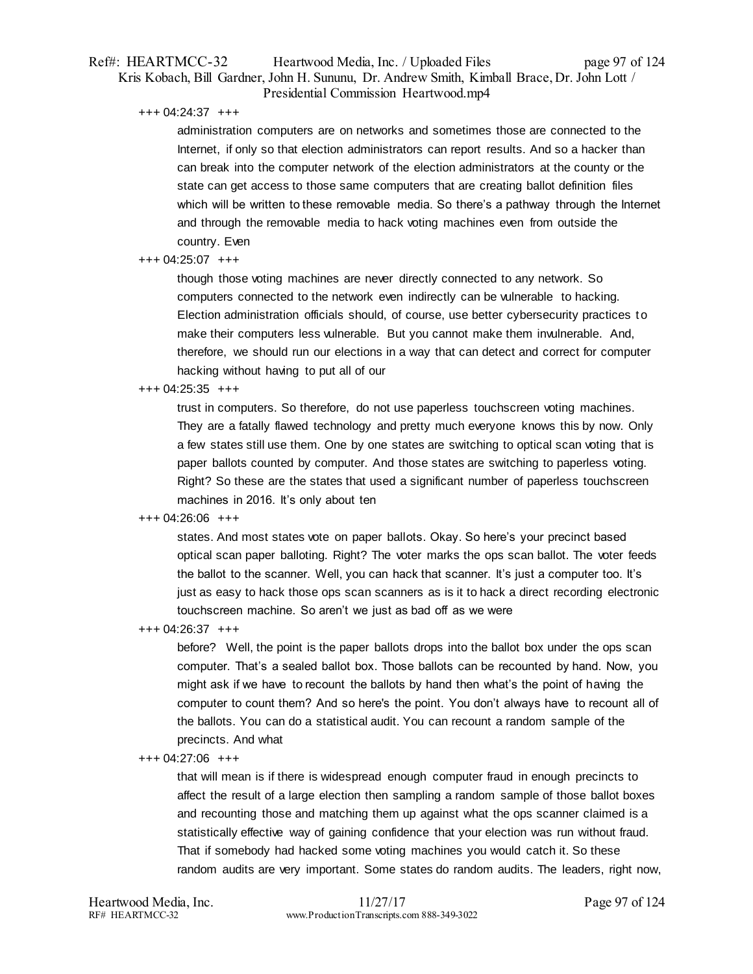# Ref#: HEARTMCC-32 Heartwood Media, Inc. / Uploaded Files page 97 of 124 Kris Kobach, Bill Gardner, John H. Sununu, Dr. Andrew Smith, Kimball Brace, Dr. John Lott / Presidential Commission Heartwood.mp4

+++ 04:24:37 +++

administration computers are on networks and sometimes those are connected to the Internet, if only so that election administrators can report results. And so a hacker than can break into the computer network of the election administrators at the county or the state can get access to those same computers that are creating ballot definition files which will be written to these removable media. So there's a pathway through the Internet and through the removable media to hack voting machines even from outside the country. Even

## +++ 04:25:07 +++

though those voting machines are never directly connected to any network. So computers connected to the network even indirectly can be vulnerable to hacking. Election administration officials should, of course, use better cybersecurity practices to make their computers less vulnerable. But you cannot make them invulnerable. And, therefore, we should run our elections in a way that can detect and correct for computer hacking without having to put all of our

## +++ 04:25:35 +++

trust in computers. So therefore, do not use paperless touchscreen voting machines. They are a fatally flawed technology and pretty much everyone knows this by now. Only a few states still use them. One by one states are switching to optical scan voting that is paper ballots counted by computer. And those states are switching to paperless voting. Right? So these are the states that used a significant number of paperless touchscreen machines in 2016. It's only about ten

## +++ 04:26:06 +++

states. And most states vote on paper ballots. Okay. So here's your precinct based optical scan paper balloting. Right? The voter marks the ops scan ballot. The voter feeds the ballot to the scanner. Well, you can hack that scanner. It's just a computer too. It's just as easy to hack those ops scan scanners as is it to hack a direct recording electronic touchscreen machine. So aren't we just as bad off as we were

+++ 04:26:37 +++

before? Well, the point is the paper ballots drops into the ballot box under the ops scan computer. That's a sealed ballot box. Those ballots can be recounted by hand. Now, you might ask if we have to recount the ballots by hand then what's the point of having the computer to count them? And so here's the point. You don't always have to recount all of the ballots. You can do a statistical audit. You can recount a random sample of the precincts. And what

#### +++ 04:27:06 +++

that will mean is if there is widespread enough computer fraud in enough precincts to affect the result of a large election then sampling a random sample of those ballot boxes and recounting those and matching them up against what the ops scanner claimed is a statistically effective way of gaining confidence that your election was run without fraud. That if somebody had hacked some voting machines you would catch it. So these random audits are very important. Some states do random audits. The leaders, right now,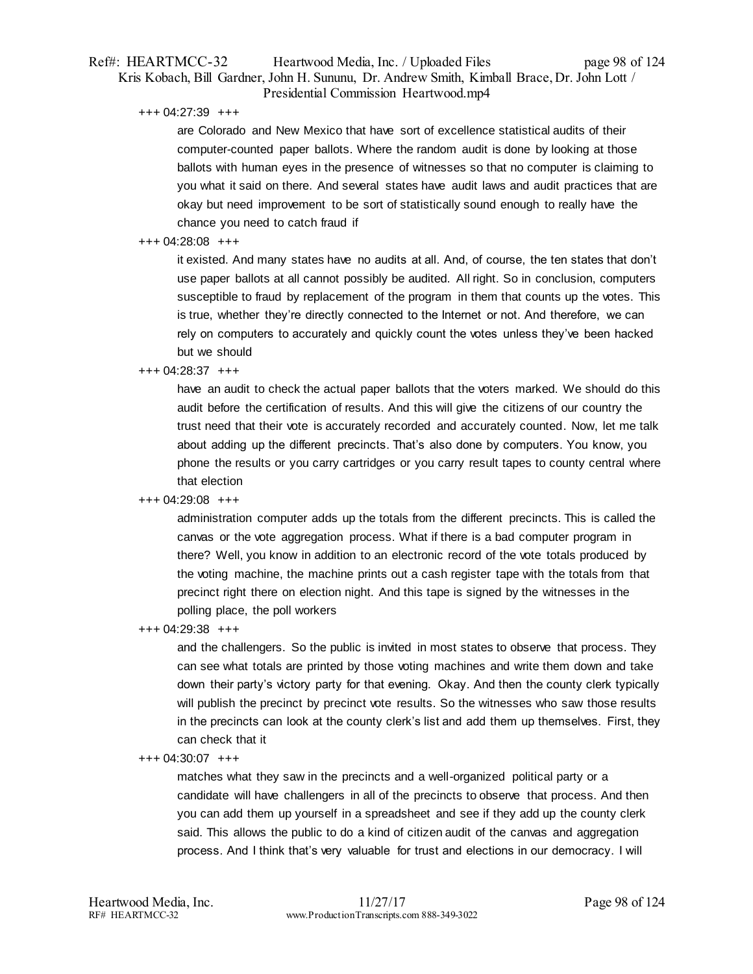# Ref#: HEARTMCC-32 Heartwood Media, Inc. / Uploaded Files page 98 of 124 Kris Kobach, Bill Gardner, John H. Sununu, Dr. Andrew Smith, Kimball Brace, Dr. John Lott / Presidential Commission Heartwood.mp4

+++ 04:27:39 +++

are Colorado and New Mexico that have sort of excellence statistical audits of their computer-counted paper ballots. Where the random audit is done by looking at those ballots with human eyes in the presence of witnesses so that no computer is claiming to you what it said on there. And several states have audit laws and audit practices that are okay but need improvement to be sort of statistically sound enough to really have the chance you need to catch fraud if

# +++ 04:28:08 +++

it existed. And many states have no audits at all. And, of course, the ten states that don't use paper ballots at all cannot possibly be audited. All right. So in conclusion, computers susceptible to fraud by replacement of the program in them that counts up the votes. This is true, whether they're directly connected to the Internet or not. And therefore, we can rely on computers to accurately and quickly count the votes unless they've been hacked but we should

## +++ 04:28:37 +++

have an audit to check the actual paper ballots that the voters marked. We should do this audit before the certification of results. And this will give the citizens of our country the trust need that their vote is accurately recorded and accurately counted. Now, let me talk about adding up the different precincts. That's also done by computers. You know, you phone the results or you carry cartridges or you carry result tapes to county central where that election

# +++ 04:29:08 +++

administration computer adds up the totals from the different precincts. This is called the canvas or the vote aggregation process. What if there is a bad computer program in there? Well, you know in addition to an electronic record of the vote totals produced by the voting machine, the machine prints out a cash register tape with the totals from that precinct right there on election night. And this tape is signed by the witnesses in the polling place, the poll workers

+++ 04:29:38 +++

and the challengers. So the public is invited in most states to observe that process. They can see what totals are printed by those voting machines and write them down and take down their party's victory party for that evening. Okay. And then the county clerk typically will publish the precinct by precinct vote results. So the witnesses who saw those results in the precincts can look at the county clerk's list and add them up themselves. First, they can check that it

## +++ 04:30:07 +++

matches what they saw in the precincts and a well-organized political party or a candidate will have challengers in all of the precincts to observe that process. And then you can add them up yourself in a spreadsheet and see if they add up the county clerk said. This allows the public to do a kind of citizen audit of the canvas and aggregation process. And I think that's very valuable for trust and elections in our democracy. I will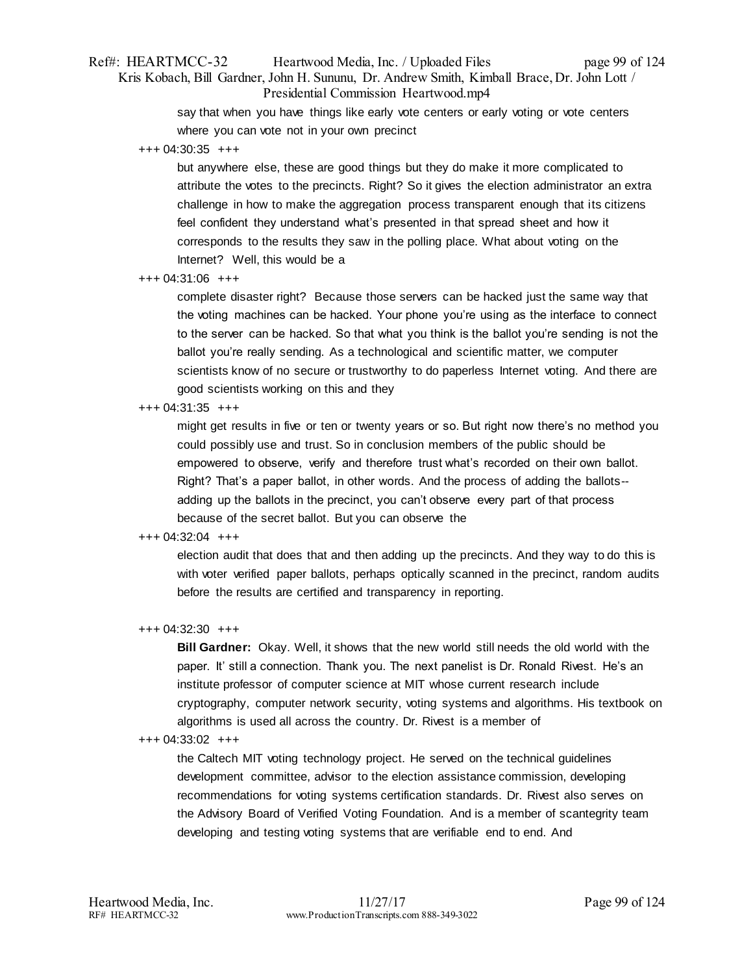# Ref#: HEARTMCC-32 Heartwood Media, Inc. / Uploaded Files page 99 of 124 Kris Kobach, Bill Gardner, John H. Sununu, Dr. Andrew Smith, Kimball Brace, Dr. John Lott / Presidential Commission Heartwood.mp4

say that when you have things like early vote centers or early voting or vote centers where you can vote not in your own precinct

+++ 04:30:35 +++

but anywhere else, these are good things but they do make it more complicated to attribute the votes to the precincts. Right? So it gives the election administrator an extra challenge in how to make the aggregation process transparent enough that its citizens feel confident they understand what's presented in that spread sheet and how it corresponds to the results they saw in the polling place. What about voting on the Internet? Well, this would be a

## +++ 04:31:06 +++

complete disaster right? Because those servers can be hacked just the same way that the voting machines can be hacked. Your phone you're using as the interface to connect to the server can be hacked. So that what you think is the ballot you're sending is not the ballot you're really sending. As a technological and scientific matter, we computer scientists know of no secure or trustworthy to do paperless Internet voting. And there are good scientists working on this and they

## +++ 04:31:35 +++

might get results in five or ten or twenty years or so. But right now there's no method you could possibly use and trust. So in conclusion members of the public should be empowered to observe, verify and therefore trust what's recorded on their own ballot. Right? That's a paper ballot, in other words. And the process of adding the ballots- adding up the ballots in the precinct, you can't observe every part of that process because of the secret ballot. But you can observe the

# +++ 04:32:04 +++

election audit that does that and then adding up the precincts. And they way to do this is with voter verified paper ballots, perhaps optically scanned in the precinct, random audits before the results are certified and transparency in reporting.

## +++ 04:32:30 +++

**Bill Gardner:** Okay. Well, it shows that the new world still needs the old world with the paper. It' still a connection. Thank you. The next panelist is Dr. Ronald Rivest. He's an institute professor of computer science at MIT whose current research include cryptography, computer network security, voting systems and algorithms. His textbook on algorithms is used all across the country. Dr. Rivest is a member of

## +++ 04:33:02 +++

the Caltech MIT voting technology project. He served on the technical guidelines development committee, advisor to the election assistance commission, developing recommendations for voting systems certification standards. Dr. Rivest also serves on the Advisory Board of Verified Voting Foundation. And is a member of scantegrity team developing and testing voting systems that are verifiable end to end. And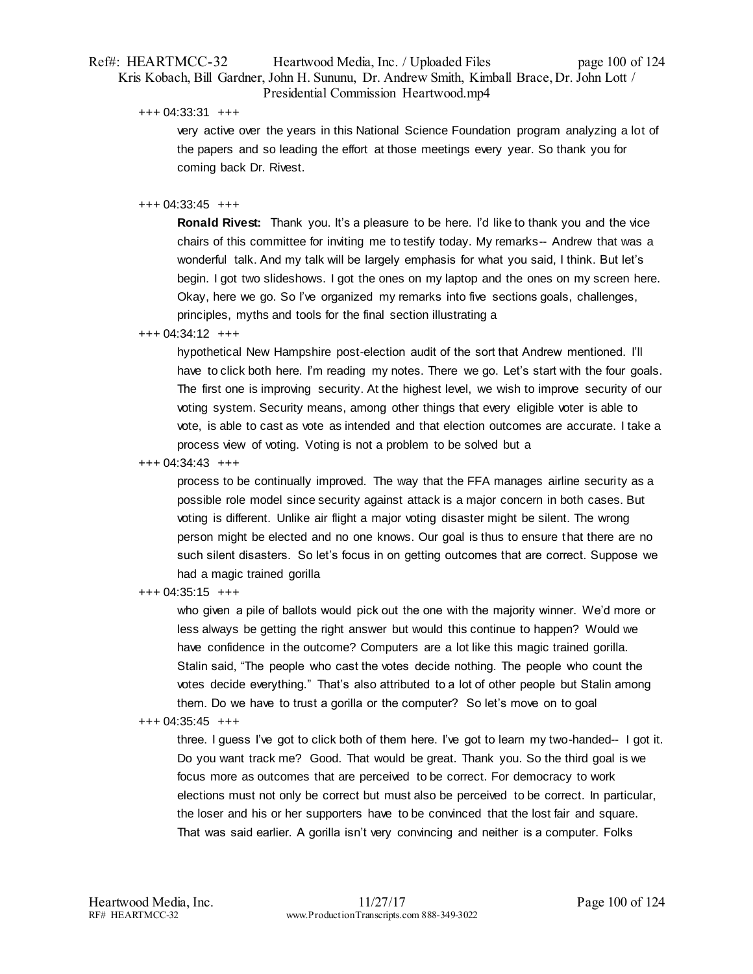# Ref#: HEARTMCC-32 Heartwood Media, Inc. / Uploaded Files page 100 of 124 Kris Kobach, Bill Gardner, John H. Sununu, Dr. Andrew Smith, Kimball Brace, Dr. John Lott / Presidential Commission Heartwood.mp4

+++ 04:33:31 +++

very active over the years in this National Science Foundation program analyzing a lot of the papers and so leading the effort at those meetings every year. So thank you for coming back Dr. Rivest.

## +++ 04:33:45 +++

**Ronald Rivest:** Thank you. It's a pleasure to be here. I'd like to thank you and the vice chairs of this committee for inviting me to testify today. My remarks-- Andrew that was a wonderful talk. And my talk will be largely emphasis for what you said, I think. But let's begin. I got two slideshows. I got the ones on my laptop and the ones on my screen here. Okay, here we go. So I've organized my remarks into five sections goals, challenges, principles, myths and tools for the final section illustrating a

## +++ 04:34:12 +++

hypothetical New Hampshire post-election audit of the sort that Andrew mentioned. I'll have to click both here. I'm reading my notes. There we go. Let's start with the four goals. The first one is improving security. At the highest level, we wish to improve security of our voting system. Security means, among other things that every eligible voter is able to vote, is able to cast as vote as intended and that election outcomes are accurate. I take a process view of voting. Voting is not a problem to be solved but a

+++ 04:34:43 +++

process to be continually improved. The way that the FFA manages airline security as a possible role model since security against attack is a major concern in both cases. But voting is different. Unlike air flight a major voting disaster might be silent. The wrong person might be elected and no one knows. Our goal is thus to ensure that there are no such silent disasters. So let's focus in on getting outcomes that are correct. Suppose we had a magic trained gorilla

## +++ 04:35:15 +++

who given a pile of ballots would pick out the one with the majority winner. We'd more or less always be getting the right answer but would this continue to happen? Would we have confidence in the outcome? Computers are a lot like this magic trained gorilla. Stalin said, "The people who cast the votes decide nothing. The people who count the votes decide everything." That's also attributed to a lot of other people but Stalin among them. Do we have to trust a gorilla or the computer? So let's move on to goal

## +++ 04:35:45 +++

three. I guess I've got to click both of them here. I've got to learn my two-handed-- I got it. Do you want track me? Good. That would be great. Thank you. So the third goal is we focus more as outcomes that are perceived to be correct. For democracy to work elections must not only be correct but must also be perceived to be correct. In particular, the loser and his or her supporters have to be convinced that the lost fair and square. That was said earlier. A gorilla isn't very convincing and neither is a computer. Folks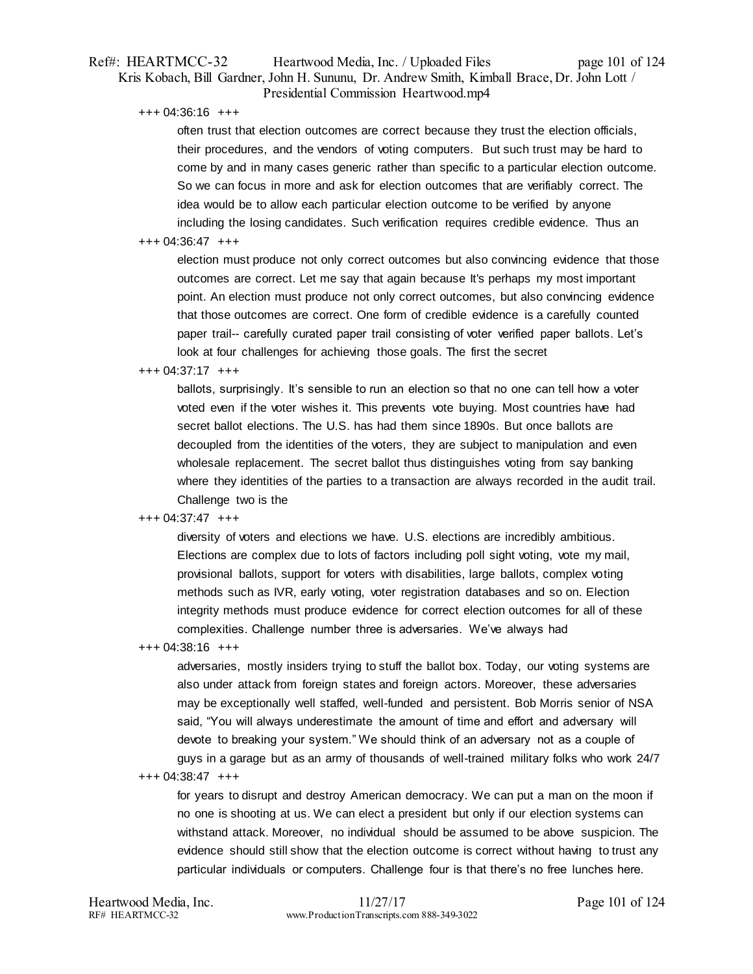# Ref#: HEARTMCC-32 Heartwood Media, Inc. / Uploaded Files page 101 of 124 Kris Kobach, Bill Gardner, John H. Sununu, Dr. Andrew Smith, Kimball Brace, Dr. John Lott / Presidential Commission Heartwood.mp4

+++ 04:36:16 +++

often trust that election outcomes are correct because they trust the election officials, their procedures, and the vendors of voting computers. But such trust may be hard to come by and in many cases generic rather than specific to a particular election outcome. So we can focus in more and ask for election outcomes that are verifiably correct. The idea would be to allow each particular election outcome to be verified by anyone including the losing candidates. Such verification requires credible evidence. Thus an

#### +++ 04:36:47 +++

election must produce not only correct outcomes but also convincing evidence that those outcomes are correct. Let me say that again because It's perhaps my most important point. An election must produce not only correct outcomes, but also convincing evidence that those outcomes are correct. One form of credible evidence is a carefully counted paper trail-- carefully curated paper trail consisting of voter verified paper ballots. Let's look at four challenges for achieving those goals. The first the secret

## +++ 04:37:17 +++

ballots, surprisingly. It's sensible to run an election so that no one can tell how a voter voted even if the voter wishes it. This prevents vote buying. Most countries have had secret ballot elections. The U.S. has had them since 1890s. But once ballots are decoupled from the identities of the voters, they are subject to manipulation and even wholesale replacement. The secret ballot thus distinguishes voting from say banking where they identities of the parties to a transaction are always recorded in the audit trail. Challenge two is the

#### +++ 04:37:47 +++

diversity of voters and elections we have. U.S. elections are incredibly ambitious. Elections are complex due to lots of factors including poll sight voting, vote my mail, provisional ballots, support for voters with disabilities, large ballots, complex voting methods such as IVR, early voting, voter registration databases and so on. Election integrity methods must produce evidence for correct election outcomes for all of these complexities. Challenge number three is adversaries. We've always had

+++ 04:38:16 +++

adversaries, mostly insiders trying to stuff the ballot box. Today, our voting systems are also under attack from foreign states and foreign actors. Moreover, these adversaries may be exceptionally well staffed, well-funded and persistent. Bob Morris senior of NSA said, "You will always underestimate the amount of time and effort and adversary will devote to breaking your system." We should think of an adversary not as a couple of guys in a garage but as an army of thousands of well-trained military folks who work 24/7 +++ 04:38:47 +++

for years to disrupt and destroy American democracy. We can put a man on the moon if no one is shooting at us. We can elect a president but only if our election systems can withstand attack. Moreover, no individual should be assumed to be above suspicion. The evidence should still show that the election outcome is correct without having to trust any particular individuals or computers. Challenge four is that there's no free lunches here.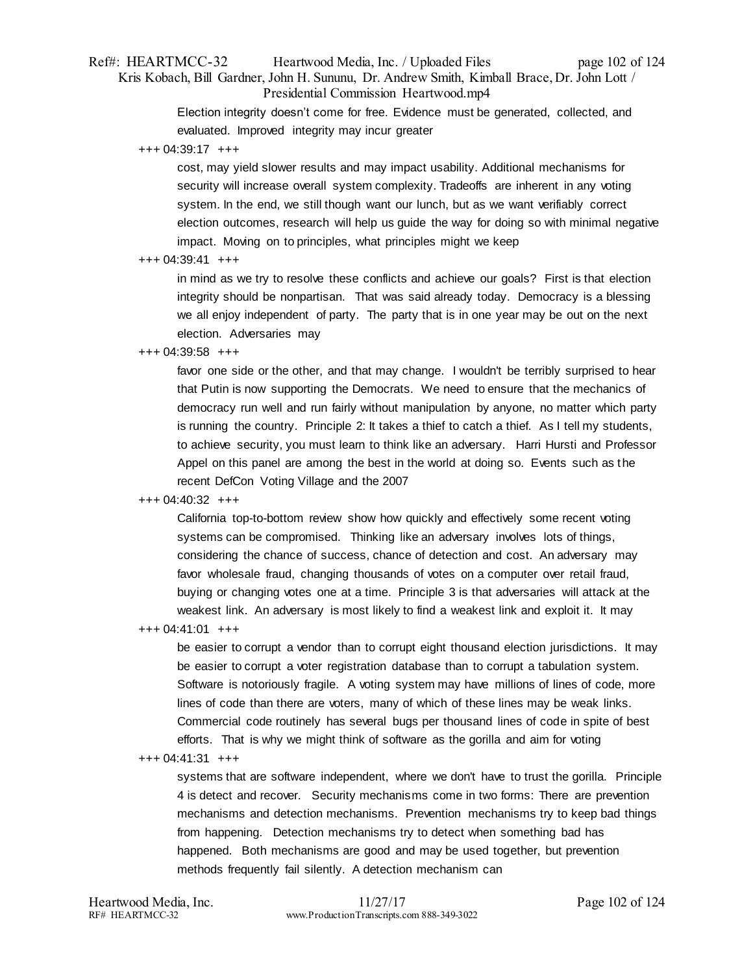# Ref#: HEARTMCC-32 Heartwood Media, Inc. / Uploaded Files page 102 of 124 Kris Kobach, Bill Gardner, John H. Sununu, Dr. Andrew Smith, Kimball Brace, Dr. John Lott / Presidential Commission Heartwood.mp4

Election integrity doesn't come for free. Evidence must be generated, collected, and evaluated. Improved integrity may incur greater

+++ 04:39:17 +++

cost, may yield slower results and may impact usability. Additional mechanisms for security will increase overall system complexity. Tradeoffs are inherent in any voting system. In the end, we still though want our lunch, but as we want verifiably correct election outcomes, research will help us guide the way for doing so with minimal negative impact. Moving on to principles, what principles might we keep

+++ 04:39:41 +++

in mind as we try to resolve these conflicts and achieve our goals? First is that election integrity should be nonpartisan. That was said already today. Democracy is a blessing we all enjoy independent of party. The party that is in one year may be out on the next election. Adversaries may

## +++ 04:39:58 +++

favor one side or the other, and that may change. I wouldn't be terribly surprised to hear that Putin is now supporting the Democrats. We need to ensure that the mechanics of democracy run well and run fairly without manipulation by anyone, no matter which party is running the country. Principle 2: It takes a thief to catch a thief. As I tell my students, to achieve security, you must learn to think like an adversary. Harri Hursti and Professor Appel on this panel are among the best in the world at doing so. Events such as the recent DefCon Voting Village and the 2007

## +++ 04:40:32 +++

California top-to-bottom review show how quickly and effectively some recent voting systems can be compromised. Thinking like an adversary involves lots of things, considering the chance of success, chance of detection and cost. An adversary may favor wholesale fraud, changing thousands of votes on a computer over retail fraud, buying or changing votes one at a time. Principle 3 is that adversaries will attack at the weakest link. An adversary is most likely to find a weakest link and exploit it. It may

+++ 04:41:01 +++

be easier to corrupt a vendor than to corrupt eight thousand election jurisdictions. It may be easier to corrupt a voter registration database than to corrupt a tabulation system. Software is notoriously fragile. A voting system may have millions of lines of code, more lines of code than there are voters, many of which of these lines may be weak links. Commercial code routinely has several bugs per thousand lines of code in spite of best efforts. That is why we might think of software as the gorilla and aim for voting

+++ 04:41:31 +++

systems that are software independent, where we don't have to trust the gorilla. Principle 4 is detect and recover. Security mechanisms come in two forms: There are prevention mechanisms and detection mechanisms. Prevention mechanisms try to keep bad things from happening. Detection mechanisms try to detect when something bad has happened. Both mechanisms are good and may be used together, but prevention methods frequently fail silently. A detection mechanism can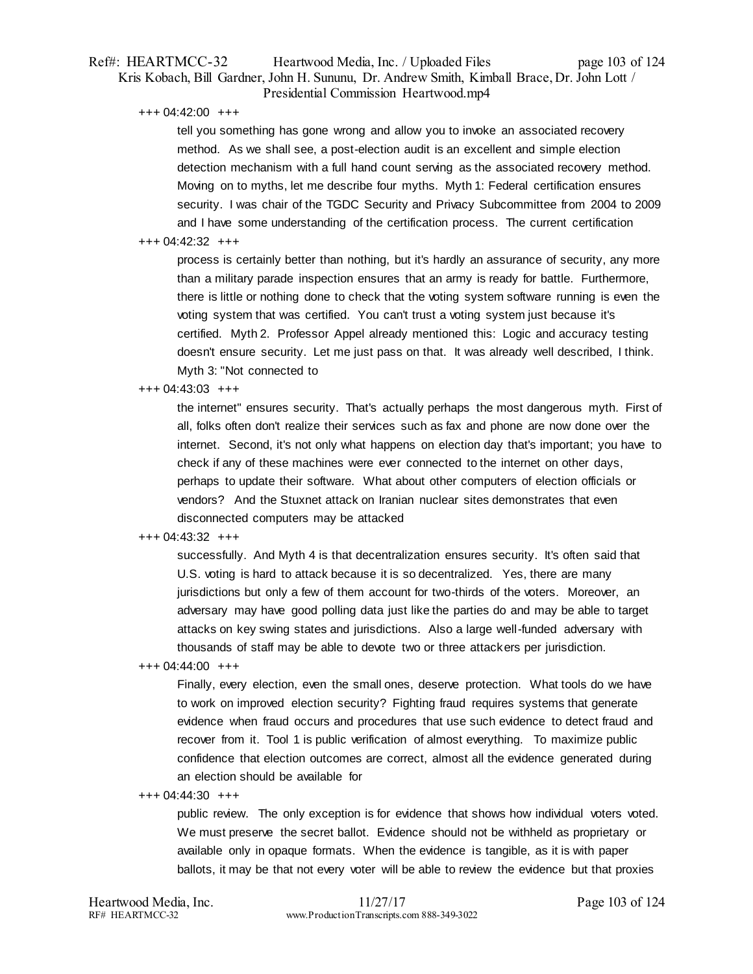# Ref#: HEARTMCC-32 Heartwood Media, Inc. / Uploaded Files page 103 of 124 Kris Kobach, Bill Gardner, John H. Sununu, Dr. Andrew Smith, Kimball Brace, Dr. John Lott / Presidential Commission Heartwood.mp4

+++ 04:42:00 +++

tell you something has gone wrong and allow you to invoke an associated recovery method. As we shall see, a post-election audit is an excellent and simple election detection mechanism with a full hand count serving as the associated recovery method. Moving on to myths, let me describe four myths. Myth 1: Federal certification ensures security. I was chair of the TGDC Security and Privacy Subcommittee from 2004 to 2009 and I have some understanding of the certification process. The current certification

## +++ 04:42:32 +++

process is certainly better than nothing, but it's hardly an assurance of security, any more than a military parade inspection ensures that an army is ready for battle. Furthermore, there is little or nothing done to check that the voting system software running is even the voting system that was certified. You can't trust a voting system just because it's certified. Myth 2. Professor Appel already mentioned this: Logic and accuracy testing doesn't ensure security. Let me just pass on that. It was already well described, I think. Myth 3: "Not connected to

## +++ 04:43:03 +++

the internet" ensures security. That's actually perhaps the most dangerous myth. First of all, folks often don't realize their services such as fax and phone are now done over the internet. Second, it's not only what happens on election day that's important; you have to check if any of these machines were ever connected to the internet on other days, perhaps to update their software. What about other computers of election officials or vendors? And the Stuxnet attack on Iranian nuclear sites demonstrates that even disconnected computers may be attacked

## +++ 04:43:32 +++

successfully. And Myth 4 is that decentralization ensures security. It's often said that U.S. voting is hard to attack because it is so decentralized. Yes, there are many jurisdictions but only a few of them account for two-thirds of the voters. Moreover, an adversary may have good polling data just like the parties do and may be able to target attacks on key swing states and jurisdictions. Also a large well-funded adversary with thousands of staff may be able to devote two or three attackers per jurisdiction.

#### +++ 04:44:00 +++

Finally, every election, even the small ones, deserve protection. What tools do we have to work on improved election security? Fighting fraud requires systems that generate evidence when fraud occurs and procedures that use such evidence to detect fraud and recover from it. Tool 1 is public verification of almost everything. To maximize public confidence that election outcomes are correct, almost all the evidence generated during an election should be available for

#### +++ 04:44:30 +++

public review. The only exception is for evidence that shows how individual voters voted. We must preserve the secret ballot. Evidence should not be withheld as proprietary or available only in opaque formats. When the evidence is tangible, as it is with paper ballots, it may be that not every voter will be able to review the evidence but that proxies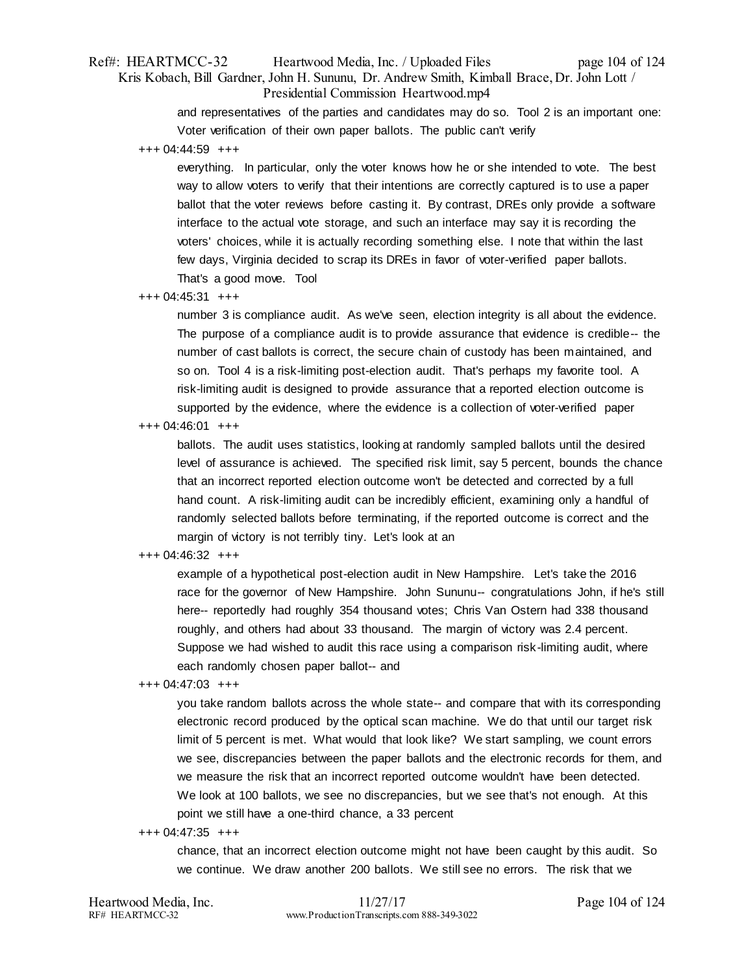# Ref#: HEARTMCC-32 Heartwood Media, Inc. / Uploaded Files page 104 of 124 Kris Kobach, Bill Gardner, John H. Sununu, Dr. Andrew Smith, Kimball Brace, Dr. John Lott / Presidential Commission Heartwood.mp4

and representatives of the parties and candidates may do so. Tool 2 is an important one: Voter verification of their own paper ballots. The public can't verify

+++ 04:44:59 +++

everything. In particular, only the voter knows how he or she intended to vote. The best way to allow voters to verify that their intentions are correctly captured is to use a paper ballot that the voter reviews before casting it. By contrast, DREs only provide a software interface to the actual vote storage, and such an interface may say it is recording the voters' choices, while it is actually recording something else. I note that within the last few days, Virginia decided to scrap its DREs in favor of voter-verified paper ballots. That's a good move. Tool

+++ 04:45:31 +++

number 3 is compliance audit. As we've seen, election integrity is all about the evidence. The purpose of a compliance audit is to provide assurance that evidence is credible-- the number of cast ballots is correct, the secure chain of custody has been maintained, and so on. Tool 4 is a risk-limiting post-election audit. That's perhaps my favorite tool. A risk-limiting audit is designed to provide assurance that a reported election outcome is supported by the evidence, where the evidence is a collection of voter-verified paper

+++ 04:46:01 +++

ballots. The audit uses statistics, looking at randomly sampled ballots until the desired level of assurance is achieved. The specified risk limit, say 5 percent, bounds the chance that an incorrect reported election outcome won't be detected and corrected by a full hand count. A risk-limiting audit can be incredibly efficient, examining only a handful of randomly selected ballots before terminating, if the reported outcome is correct and the margin of victory is not terribly tiny. Let's look at an

## +++ 04:46:32 +++

example of a hypothetical post-election audit in New Hampshire. Let's take the 2016 race for the governor of New Hampshire. John Sununu-- congratulations John, if he's still here-- reportedly had roughly 354 thousand votes; Chris Van Ostern had 338 thousand roughly, and others had about 33 thousand. The margin of victory was 2.4 percent. Suppose we had wished to audit this race using a comparison risk-limiting audit, where each randomly chosen paper ballot-- and

+++ 04:47:03 +++

you take random ballots across the whole state-- and compare that with its corresponding electronic record produced by the optical scan machine. We do that until our target risk limit of 5 percent is met. What would that look like? We start sampling, we count errors we see, discrepancies between the paper ballots and the electronic records for them, and we measure the risk that an incorrect reported outcome wouldn't have been detected. We look at 100 ballots, we see no discrepancies, but we see that's not enough. At this point we still have a one-third chance, a 33 percent

+++ 04:47:35 +++

chance, that an incorrect election outcome might not have been caught by this audit. So we continue. We draw another 200 ballots. We still see no errors. The risk that we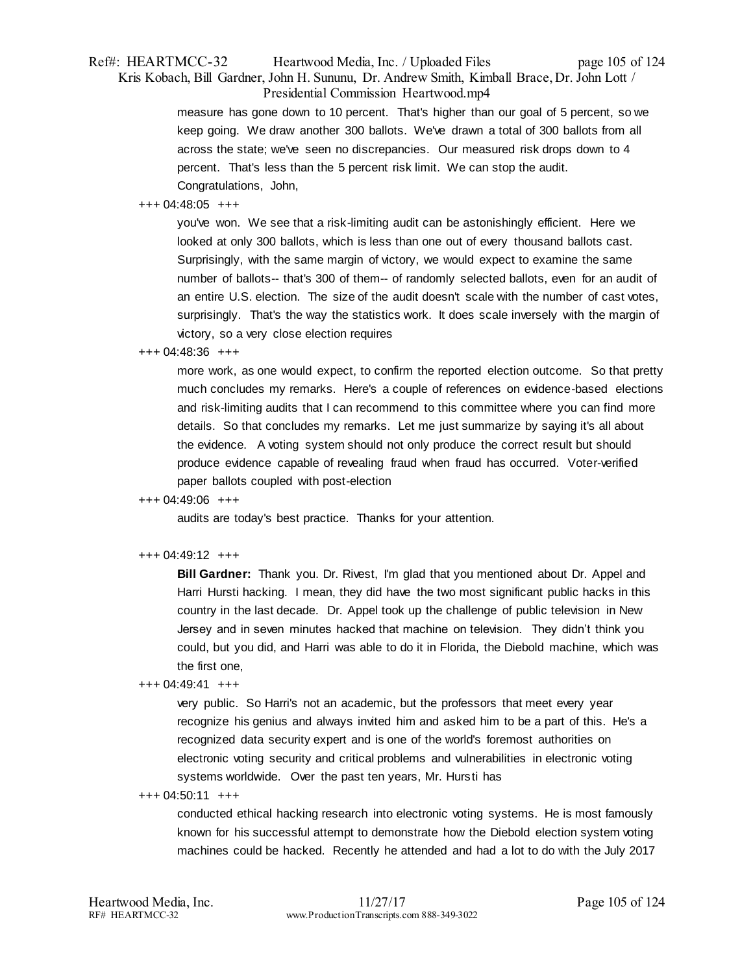# Ref#: HEARTMCC-32 Heartwood Media, Inc. / Uploaded Files page 105 of 124 Kris Kobach, Bill Gardner, John H. Sununu, Dr. Andrew Smith, Kimball Brace, Dr. John Lott / Presidential Commission Heartwood.mp4

measure has gone down to 10 percent. That's higher than our goal of 5 percent, so we keep going. We draw another 300 ballots. We've drawn a total of 300 ballots from all across the state; we've seen no discrepancies. Our measured risk drops down to 4 percent. That's less than the 5 percent risk limit. We can stop the audit. Congratulations, John,

# +++ 04:48:05 +++

you've won. We see that a risk-limiting audit can be astonishingly efficient. Here we looked at only 300 ballots, which is less than one out of every thousand ballots cast. Surprisingly, with the same margin of victory, we would expect to examine the same number of ballots-- that's 300 of them-- of randomly selected ballots, even for an audit of an entire U.S. election. The size of the audit doesn't scale with the number of cast votes, surprisingly. That's the way the statistics work. It does scale inversely with the margin of victory, so a very close election requires

## +++ 04:48:36 +++

more work, as one would expect, to confirm the reported election outcome. So that pretty much concludes my remarks. Here's a couple of references on evidence-based elections and risk-limiting audits that I can recommend to this committee where you can find more details. So that concludes my remarks. Let me just summarize by saying it's all about the evidence. A voting system should not only produce the correct result but should produce evidence capable of revealing fraud when fraud has occurred. Voter-verified paper ballots coupled with post-election

# +++ 04:49:06 +++

audits are today's best practice. Thanks for your attention.

## +++ 04:49:12 +++

**Bill Gardner:** Thank you. Dr. Rivest, I'm glad that you mentioned about Dr. Appel and Harri Hursti hacking. I mean, they did have the two most significant public hacks in this country in the last decade. Dr. Appel took up the challenge of public television in New Jersey and in seven minutes hacked that machine on television. They didn't think you could, but you did, and Harri was able to do it in Florida, the Diebold machine, which was the first one,

## +++ 04:49:41 +++

very public. So Harri's not an academic, but the professors that meet every year recognize his genius and always invited him and asked him to be a part of this. He's a recognized data security expert and is one of the world's foremost authorities on electronic voting security and critical problems and vulnerabilities in electronic voting systems worldwide. Over the past ten years, Mr. Hursti has

## +++ 04:50:11 +++

conducted ethical hacking research into electronic voting systems. He is most famously known for his successful attempt to demonstrate how the Diebold election system voting machines could be hacked. Recently he attended and had a lot to do with the July 2017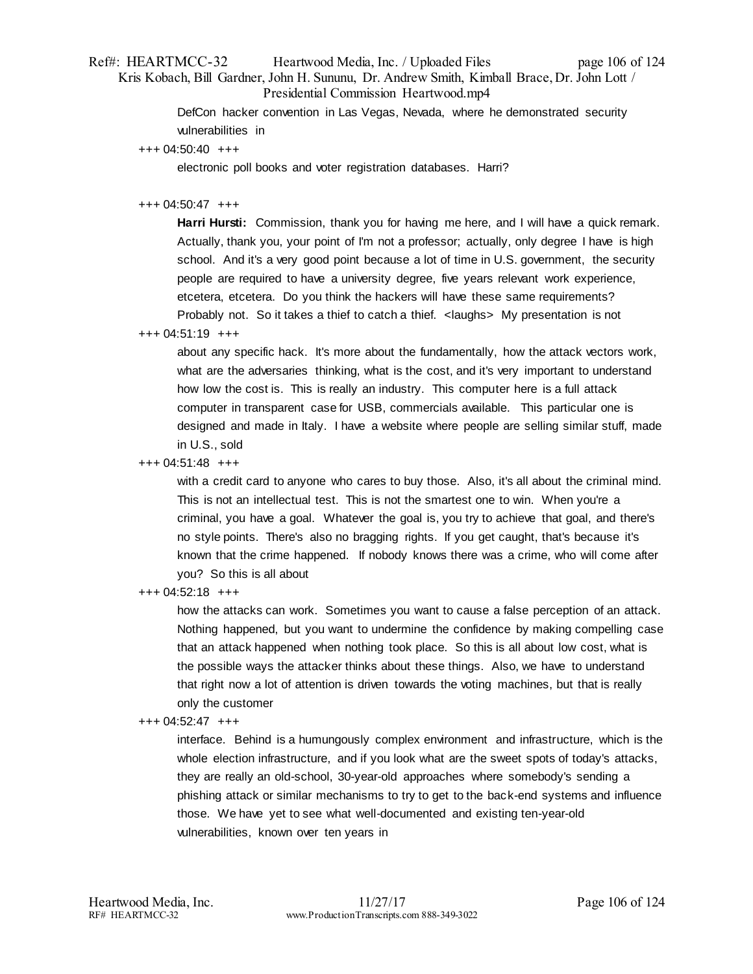# Ref#: HEARTMCC-32 Heartwood Media, Inc. / Uploaded Files page 106 of 124 Kris Kobach, Bill Gardner, John H. Sununu, Dr. Andrew Smith, Kimball Brace, Dr. John Lott / Presidential Commission Heartwood.mp4

DefCon hacker convention in Las Vegas, Nevada, where he demonstrated security vulnerabilities in

+++ 04:50:40 +++

electronic poll books and voter registration databases. Harri?

# +++ 04:50:47 +++

**Harri Hursti:** Commission, thank you for having me here, and I will have a quick remark. Actually, thank you, your point of I'm not a professor; actually, only degree I have is high school. And it's a very good point because a lot of time in U.S. government, the security people are required to have a university degree, five years relevant work experience, etcetera, etcetera. Do you think the hackers will have these same requirements? Probably not. So it takes a thief to catch a thief. <laughs> My presentation is not

+++ 04:51:19 +++

about any specific hack. It's more about the fundamentally, how the attack vectors work, what are the adversaries thinking, what is the cost, and it's very important to understand how low the cost is. This is really an industry. This computer here is a full attack computer in transparent case for USB, commercials available. This particular one is designed and made in Italy. I have a website where people are selling similar stuff, made in U.S., sold

+++ 04:51:48 +++

with a credit card to anyone who cares to buy those. Also, it's all about the criminal mind. This is not an intellectual test. This is not the smartest one to win. When you're a criminal, you have a goal. Whatever the goal is, you try to achieve that goal, and there's no style points. There's also no bragging rights. If you get caught, that's because it's known that the crime happened. If nobody knows there was a crime, who will come after you? So this is all about

+++ 04:52:18 +++

how the attacks can work. Sometimes you want to cause a false perception of an attack. Nothing happened, but you want to undermine the confidence by making compelling case that an attack happened when nothing took place. So this is all about low cost, what is the possible ways the attacker thinks about these things. Also, we have to understand that right now a lot of attention is driven towards the voting machines, but that is really only the customer

## +++ 04:52:47 +++

interface. Behind is a humungously complex environment and infrastructure, which is the whole election infrastructure, and if you look what are the sweet spots of today's attacks, they are really an old-school, 30-year-old approaches where somebody's sending a phishing attack or similar mechanisms to try to get to the back-end systems and influence those. We have yet to see what well-documented and existing ten-year-old vulnerabilities, known over ten years in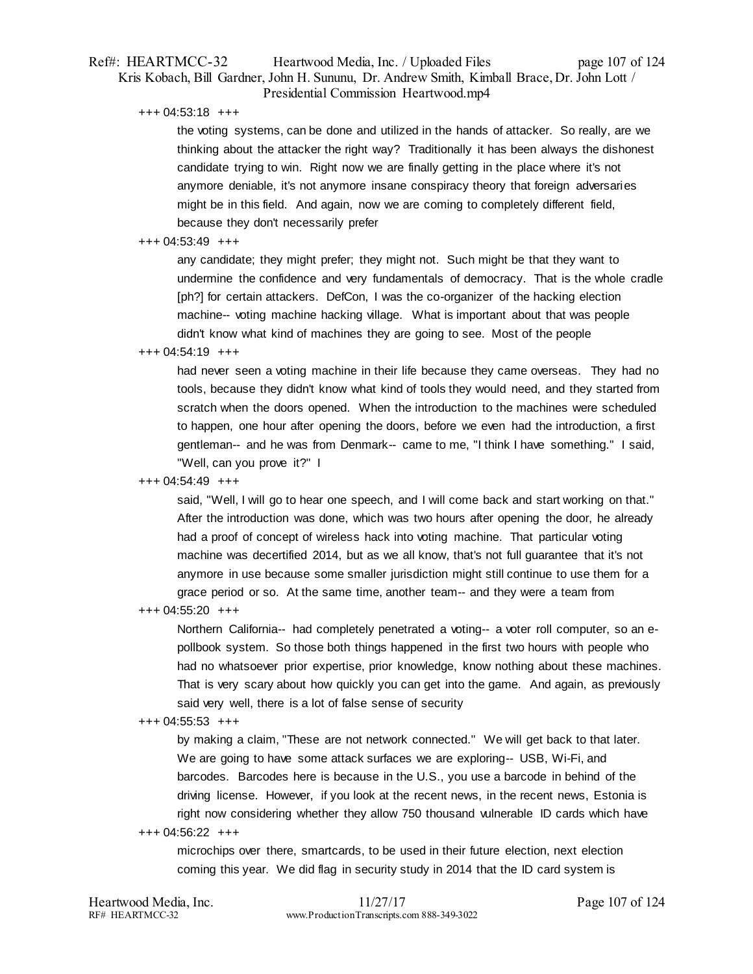# Ref#: HEARTMCC-32 Heartwood Media, Inc. / Uploaded Files page 107 of 124 Kris Kobach, Bill Gardner, John H. Sununu, Dr. Andrew Smith, Kimball Brace, Dr. John Lott / Presidential Commission Heartwood.mp4

+++ 04:53:18 +++

the voting systems, can be done and utilized in the hands of attacker. So really, are we thinking about the attacker the right way? Traditionally it has been always the dishonest candidate trying to win. Right now we are finally getting in the place where it's not anymore deniable, it's not anymore insane conspiracy theory that foreign adversaries might be in this field. And again, now we are coming to completely different field, because they don't necessarily prefer

## +++ 04:53:49 +++

any candidate; they might prefer; they might not. Such might be that they want to undermine the confidence and very fundamentals of democracy. That is the whole cradle [ph?] for certain attackers. DefCon, I was the co-organizer of the hacking election machine-- voting machine hacking village. What is important about that was people didn't know what kind of machines they are going to see. Most of the people

## +++ 04:54:19 +++

had never seen a voting machine in their life because they came overseas. They had no tools, because they didn't know what kind of tools they would need, and they started from scratch when the doors opened. When the introduction to the machines were scheduled to happen, one hour after opening the doors, before we even had the introduction, a first gentleman-- and he was from Denmark-- came to me, "I think I have something." I said, "Well, can you prove it?" I

## +++ 04:54:49 +++

said, "Well, I will go to hear one speech, and I will come back and start working on that." After the introduction was done, which was two hours after opening the door, he already had a proof of concept of wireless hack into voting machine. That particular voting machine was decertified 2014, but as we all know, that's not full guarantee that it's not anymore in use because some smaller jurisdiction might still continue to use them for a grace period or so. At the same time, another team-- and they were a team from

+++ 04:55:20 +++

Northern California-- had completely penetrated a voting-- a voter roll computer, so an epollbook system. So those both things happened in the first two hours with people who had no whatsoever prior expertise, prior knowledge, know nothing about these machines. That is very scary about how quickly you can get into the game. And again, as previously said very well, there is a lot of false sense of security

## +++ 04:55:53 +++

by making a claim, "These are not network connected." We will get back to that later. We are going to have some attack surfaces we are exploring-- USB, Wi-Fi, and barcodes. Barcodes here is because in the U.S., you use a barcode in behind of the driving license. However, if you look at the recent news, in the recent news, Estonia is right now considering whether they allow 750 thousand vulnerable ID cards which have

## +++ 04:56:22 +++

microchips over there, smartcards, to be used in their future election, next election coming this year. We did flag in security study in 2014 that the ID card system is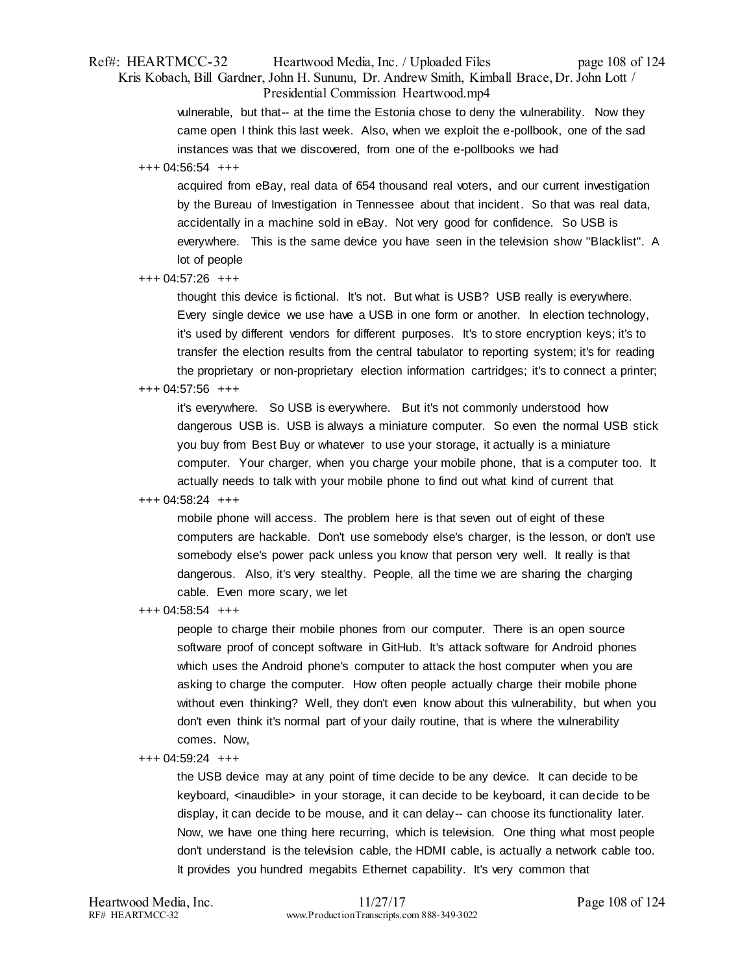# Ref#: HEARTMCC-32 Heartwood Media, Inc. / Uploaded Files page 108 of 124 Kris Kobach, Bill Gardner, John H. Sununu, Dr. Andrew Smith, Kimball Brace, Dr. John Lott / Presidential Commission Heartwood.mp4

vulnerable, but that-- at the time the Estonia chose to deny the vulnerability. Now they came open I think this last week. Also, when we exploit the e-pollbook, one of the sad instances was that we discovered, from one of the e-pollbooks we had

## +++ 04:56:54 +++

acquired from eBay, real data of 654 thousand real voters, and our current investigation by the Bureau of Investigation in Tennessee about that incident. So that was real data, accidentally in a machine sold in eBay. Not very good for confidence. So USB is everywhere. This is the same device you have seen in the television show "Blacklist". A lot of people

## +++ 04:57:26 +++

thought this device is fictional. It's not. But what is USB? USB really is everywhere. Every single device we use have a USB in one form or another. In election technology, it's used by different vendors for different purposes. It's to store encryption keys; it's to transfer the election results from the central tabulator to reporting system; it's for reading the proprietary or non-proprietary election information cartridges; it's to connect a printer;

# +++ 04:57:56 +++

it's everywhere. So USB is everywhere. But it's not commonly understood how dangerous USB is. USB is always a miniature computer. So even the normal USB stick you buy from Best Buy or whatever to use your storage, it actually is a miniature computer. Your charger, when you charge your mobile phone, that is a computer too. It actually needs to talk with your mobile phone to find out what kind of current that

# +++ 04:58:24 +++

mobile phone will access. The problem here is that seven out of eight of these computers are hackable. Don't use somebody else's charger, is the lesson, or don't use somebody else's power pack unless you know that person very well. It really is that dangerous. Also, it's very stealthy. People, all the time we are sharing the charging cable. Even more scary, we let

+++ 04:58:54 +++

people to charge their mobile phones from our computer. There is an open source software proof of concept software in GitHub. It's attack software for Android phones which uses the Android phone's computer to attack the host computer when you are asking to charge the computer. How often people actually charge their mobile phone without even thinking? Well, they don't even know about this vulnerability, but when you don't even think it's normal part of your daily routine, that is where the vulnerability comes. Now,

## +++ 04:59:24 +++

the USB device may at any point of time decide to be any device. It can decide to be keyboard, <inaudible> in your storage, it can decide to be keyboard, it can decide to be display, it can decide to be mouse, and it can delay-- can choose its functionality later. Now, we have one thing here recurring, which is television. One thing what most people don't understand is the television cable, the HDMI cable, is actually a network cable too. It provides you hundred megabits Ethernet capability. It's very common that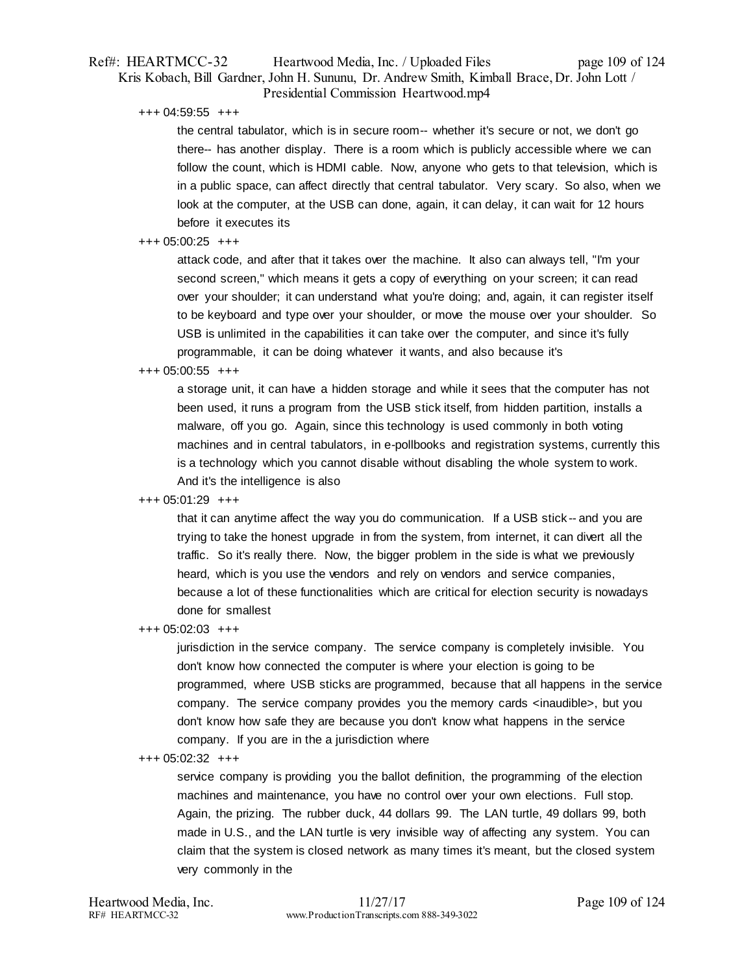# Ref#: HEARTMCC-32 Heartwood Media, Inc. / Uploaded Files page 109 of 124 Kris Kobach, Bill Gardner, John H. Sununu, Dr. Andrew Smith, Kimball Brace, Dr. John Lott / Presidential Commission Heartwood.mp4

+++ 04:59:55 +++

the central tabulator, which is in secure room-- whether it's secure or not, we don't go there-- has another display. There is a room which is publicly accessible where we can follow the count, which is HDMI cable. Now, anyone who gets to that television, which is in a public space, can affect directly that central tabulator. Very scary. So also, when we look at the computer, at the USB can done, again, it can delay, it can wait for 12 hours before it executes its

# $+++ 05:00:25$   $+++$

attack code, and after that it takes over the machine. It also can always tell, "I'm your second screen," which means it gets a copy of everything on your screen; it can read over your shoulder; it can understand what you're doing; and, again, it can register itself to be keyboard and type over your shoulder, or move the mouse over your shoulder. So USB is unlimited in the capabilities it can take over the computer, and since it's fully programmable, it can be doing whatever it wants, and also because it's

# +++ 05:00:55 +++

a storage unit, it can have a hidden storage and while it sees that the computer has not been used, it runs a program from the USB stick itself, from hidden partition, installs a malware, off you go. Again, since this technology is used commonly in both voting machines and in central tabulators, in e-pollbooks and registration systems, currently this is a technology which you cannot disable without disabling the whole system to work. And it's the intelligence is also

# +++ 05:01:29 +++

that it can anytime affect the way you do communication. If a USB stick -- and you are trying to take the honest upgrade in from the system, from internet, it can divert all the traffic. So it's really there. Now, the bigger problem in the side is what we previously heard, which is you use the vendors and rely on vendors and service companies, because a lot of these functionalities which are critical for election security is nowadays done for smallest

+++ 05:02:03 +++

jurisdiction in the service company. The service company is completely invisible. You don't know how connected the computer is where your election is going to be programmed, where USB sticks are programmed, because that all happens in the service company. The service company provides you the memory cards <inaudible>, but you don't know how safe they are because you don't know what happens in the service company. If you are in the a jurisdiction where

#### +++ 05:02:32 +++

service company is providing you the ballot definition, the programming of the election machines and maintenance, you have no control over your own elections. Full stop. Again, the prizing. The rubber duck, 44 dollars 99. The LAN turtle, 49 dollars 99, both made in U.S., and the LAN turtle is very invisible way of affecting any system. You can claim that the system is closed network as many times it's meant, but the closed system very commonly in the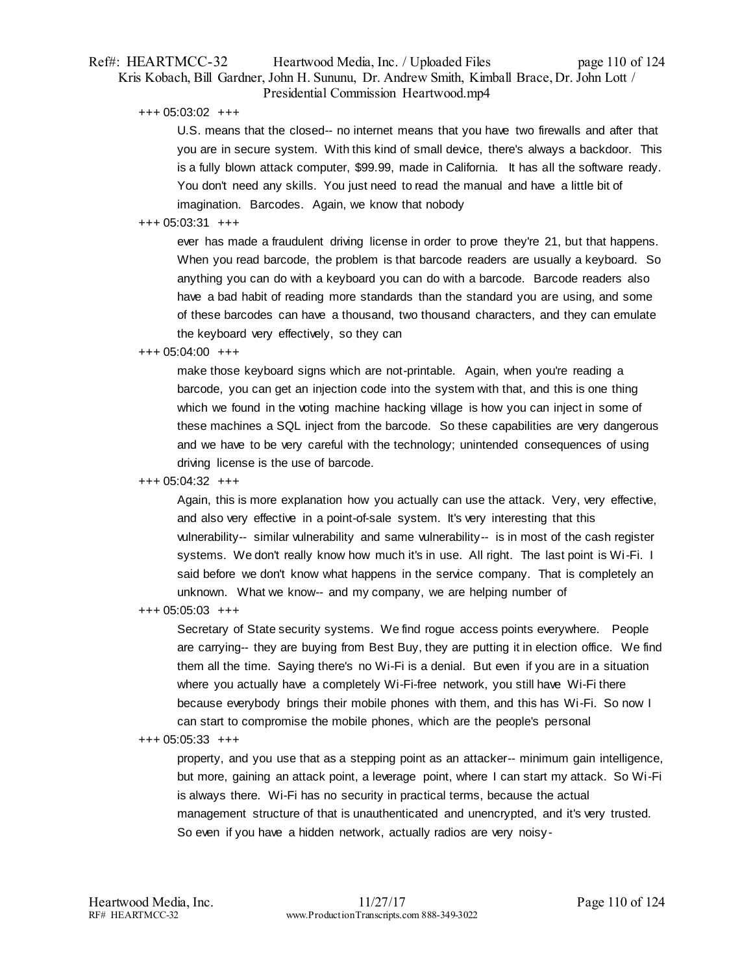# Ref#: HEARTMCC-32 Heartwood Media, Inc. / Uploaded Files page 110 of 124 Kris Kobach, Bill Gardner, John H. Sununu, Dr. Andrew Smith, Kimball Brace, Dr. John Lott / Presidential Commission Heartwood.mp4

+++ 05:03:02 +++

U.S. means that the closed-- no internet means that you have two firewalls and after that you are in secure system. With this kind of small device, there's always a backdoor. This is a fully blown attack computer, \$99.99, made in California. It has all the software ready. You don't need any skills. You just need to read the manual and have a little bit of imagination. Barcodes. Again, we know that nobody

# +++ 05:03:31 +++

ever has made a fraudulent driving license in order to prove they're 21, but that happens. When you read barcode, the problem is that barcode readers are usually a keyboard. So anything you can do with a keyboard you can do with a barcode. Barcode readers also have a bad habit of reading more standards than the standard you are using, and some of these barcodes can have a thousand, two thousand characters, and they can emulate the keyboard very effectively, so they can

# +++ 05:04:00 +++

make those keyboard signs which are not-printable. Again, when you're reading a barcode, you can get an injection code into the system with that, and this is one thing which we found in the voting machine hacking village is how you can inject in some of these machines a SQL inject from the barcode. So these capabilities are very dangerous and we have to be very careful with the technology; unintended consequences of using driving license is the use of barcode.

# +++ 05:04:32 +++

Again, this is more explanation how you actually can use the attack. Very, very effective, and also very effective in a point-of-sale system. It's very interesting that this vulnerability-- similar vulnerability and same vulnerability-- is in most of the cash register systems. We don't really know how much it's in use. All right. The last point is Wi-Fi. I said before we don't know what happens in the service company. That is completely an unknown. What we know-- and my company, we are helping number of

#### +++ 05:05:03 +++

Secretary of State security systems. We find rogue access points everywhere. People are carrying-- they are buying from Best Buy, they are putting it in election office. We find them all the time. Saying there's no Wi-Fi is a denial. But even if you are in a situation where you actually have a completely Wi-Fi-free network, you still have Wi-Fi there because everybody brings their mobile phones with them, and this has Wi-Fi. So now I can start to compromise the mobile phones, which are the people's personal

#### +++ 05:05:33 +++

property, and you use that as a stepping point as an attacker-- minimum gain intelligence, but more, gaining an attack point, a leverage point, where I can start my attack. So Wi-Fi is always there. Wi-Fi has no security in practical terms, because the actual management structure of that is unauthenticated and unencrypted, and it's very trusted. So even if you have a hidden network, actually radios are very noisy-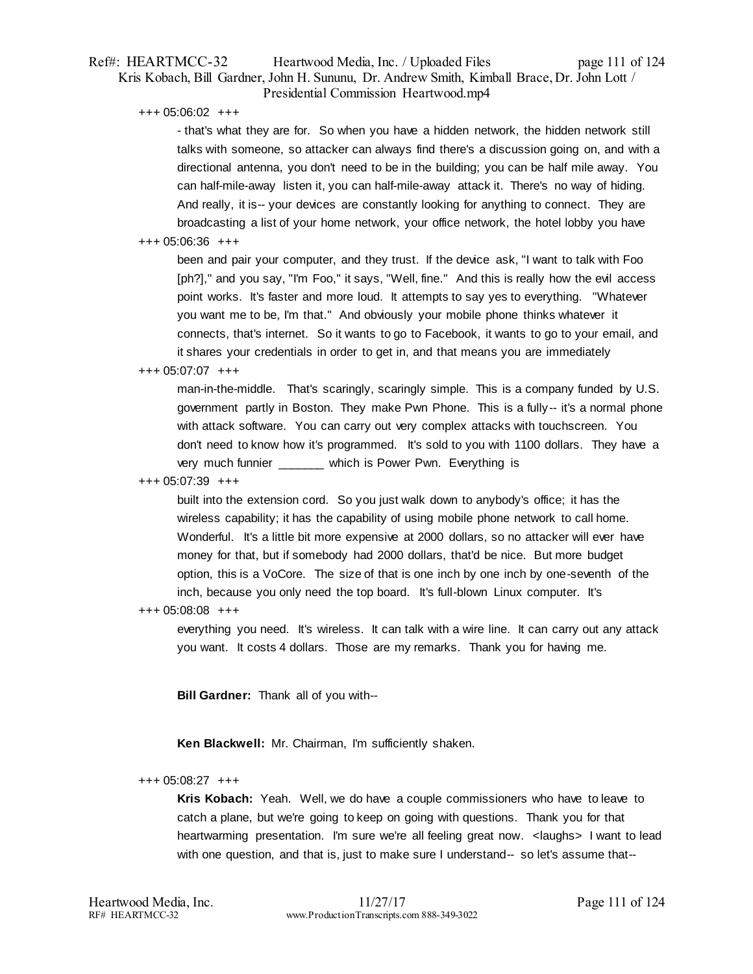# Ref#: HEARTMCC-32 Heartwood Media, Inc. / Uploaded Files page 111 of 124 Kris Kobach, Bill Gardner, John H. Sununu, Dr. Andrew Smith, Kimball Brace, Dr. John Lott / Presidential Commission Heartwood.mp4

+++ 05:06:02 +++

- that's what they are for. So when you have a hidden network, the hidden network still talks with someone, so attacker can always find there's a discussion going on, and with a directional antenna, you don't need to be in the building; you can be half mile away. You can half-mile-away listen it, you can half-mile-away attack it. There's no way of hiding. And really, it is-- your devices are constantly looking for anything to connect. They are broadcasting a list of your home network, your office network, the hotel lobby you have

#### +++ 05:06:36 +++

been and pair your computer, and they trust. If the device ask, "I want to talk with Foo [ph?]," and you say, "I'm Foo," it says, "Well, fine." And this is really how the evil access point works. It's faster and more loud. It attempts to say yes to everything. "Whatever you want me to be, I'm that." And obviously your mobile phone thinks whatever it connects, that's internet. So it wants to go to Facebook, it wants to go to your email, and it shares your credentials in order to get in, and that means you are immediately

# +++ 05:07:07 +++

man-in-the-middle. That's scaringly, scaringly simple. This is a company funded by U.S. government partly in Boston. They make Pwn Phone. This is a fully-- it's a normal phone with attack software. You can carry out very complex attacks with touchscreen. You don't need to know how it's programmed. It's sold to you with 1100 dollars. They have a very much funnier which is Power Pwn. Everything is

# +++ 05:07:39 +++

built into the extension cord. So you just walk down to anybody's office; it has the wireless capability; it has the capability of using mobile phone network to call home. Wonderful. It's a little bit more expensive at 2000 dollars, so no attacker will ever have money for that, but if somebody had 2000 dollars, that'd be nice. But more budget option, this is a VoCore. The size of that is one inch by one inch by one-seventh of the inch, because you only need the top board. It's full-blown Linux computer. It's

#### +++ 05:08:08 +++

everything you need. It's wireless. It can talk with a wire line. It can carry out any attack you want. It costs 4 dollars. Those are my remarks. Thank you for having me.

**Bill Gardner:** Thank all of you with--

**Ken Blackwell:** Mr. Chairman, I'm sufficiently shaken.

#### +++ 05:08:27 +++

**Kris Kobach:** Yeah. Well, we do have a couple commissioners who have to leave to catch a plane, but we're going to keep on going with questions. Thank you for that heartwarming presentation. I'm sure we're all feeling great now. < laughs> I want to lead with one question, and that is, just to make sure I understand-- so let's assume that--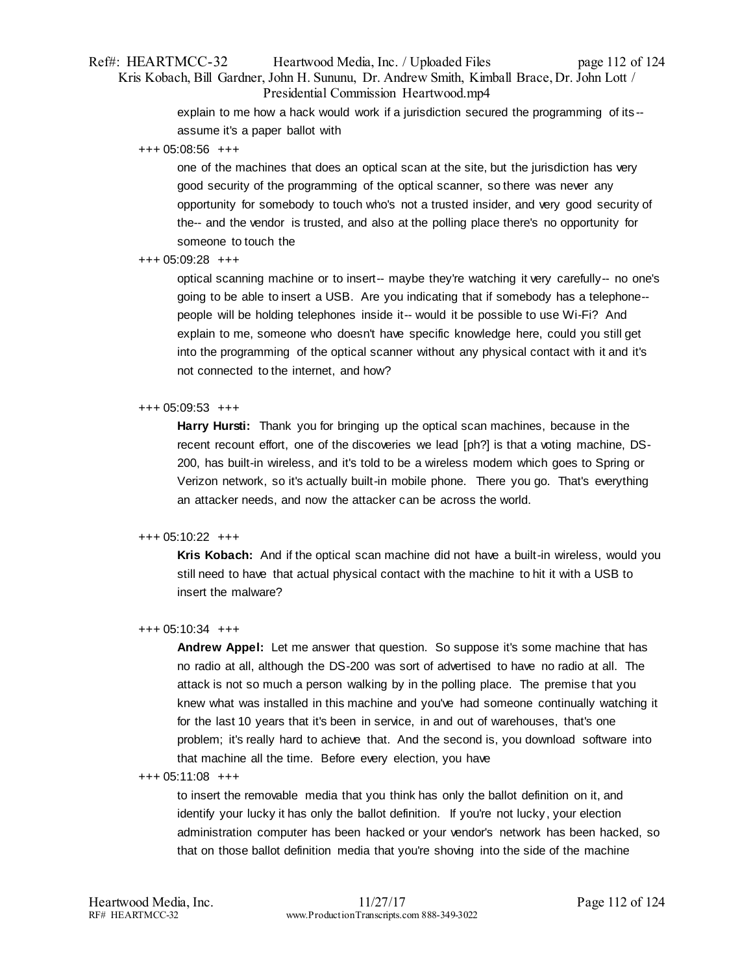# Ref#: HEARTMCC-32 Heartwood Media, Inc. / Uploaded Files page 112 of 124 Kris Kobach, Bill Gardner, John H. Sununu, Dr. Andrew Smith, Kimball Brace, Dr. John Lott / Presidential Commission Heartwood.mp4

explain to me how a hack would work if a jurisdiction secured the programming of its - assume it's a paper ballot with

+++ 05:08:56 +++

one of the machines that does an optical scan at the site, but the jurisdiction has very good security of the programming of the optical scanner, so there was never any opportunity for somebody to touch who's not a trusted insider, and very good security of the-- and the vendor is trusted, and also at the polling place there's no opportunity for someone to touch the

+++ 05:09:28 +++

optical scanning machine or to insert-- maybe they're watching it very carefully-- no one's going to be able to insert a USB. Are you indicating that if somebody has a telephone- people will be holding telephones inside it-- would it be possible to use Wi-Fi? And explain to me, someone who doesn't have specific knowledge here, could you still get into the programming of the optical scanner without any physical contact with it and it's not connected to the internet, and how?

# +++ 05:09:53 +++

**Harry Hursti:** Thank you for bringing up the optical scan machines, because in the recent recount effort, one of the discoveries we lead [ph?] is that a voting machine, DS-200, has built-in wireless, and it's told to be a wireless modem which goes to Spring or Verizon network, so it's actually built-in mobile phone. There you go. That's everything an attacker needs, and now the attacker can be across the world.

# +++ 05:10:22 +++

**Kris Kobach:** And if the optical scan machine did not have a built-in wireless, would you still need to have that actual physical contact with the machine to hit it with a USB to insert the malware?

#### +++ 05:10:34 +++

**Andrew Appel:** Let me answer that question. So suppose it's some machine that has no radio at all, although the DS-200 was sort of advertised to have no radio at all. The attack is not so much a person walking by in the polling place. The premise that you knew what was installed in this machine and you've had someone continually watching it for the last 10 years that it's been in service, in and out of warehouses, that's one problem; it's really hard to achieve that. And the second is, you download software into that machine all the time. Before every election, you have

#### +++ 05:11:08 +++

to insert the removable media that you think has only the ballot definition on it, and identify your lucky it has only the ballot definition. If you're not lucky, your election administration computer has been hacked or your vendor's network has been hacked, so that on those ballot definition media that you're shoving into the side of the machine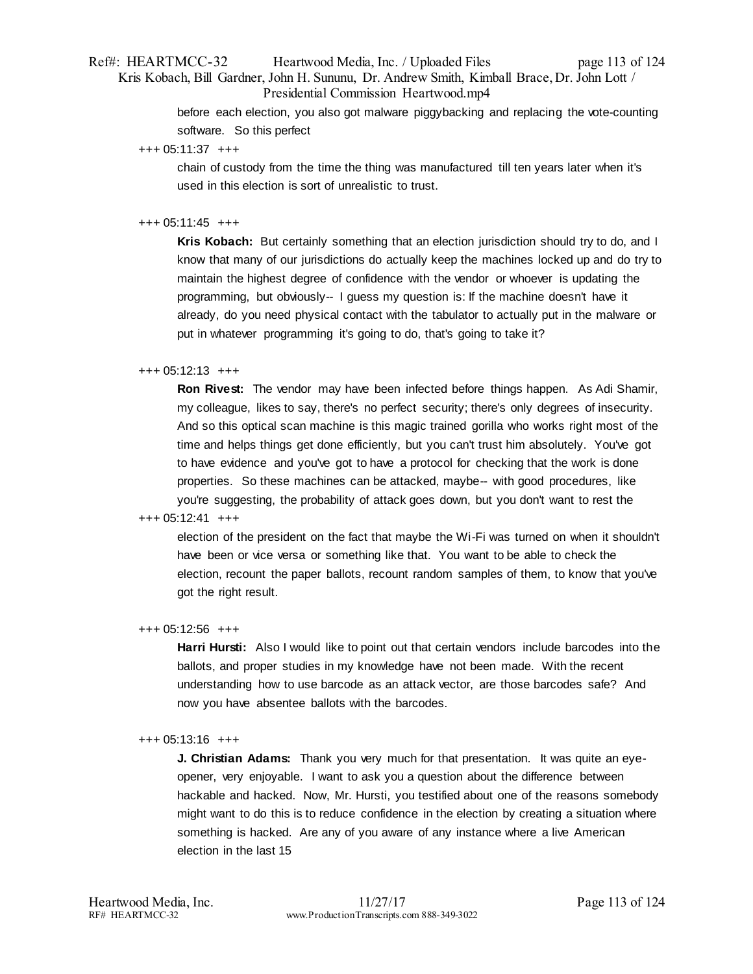# Ref#: HEARTMCC-32 Heartwood Media, Inc. / Uploaded Files page 113 of 124 Kris Kobach, Bill Gardner, John H. Sununu, Dr. Andrew Smith, Kimball Brace, Dr. John Lott / Presidential Commission Heartwood.mp4

before each election, you also got malware piggybacking and replacing the vote-counting software. So this perfect

+++ 05:11:37 +++

chain of custody from the time the thing was manufactured till ten years later when it's used in this election is sort of unrealistic to trust.

# +++ 05:11:45 +++

**Kris Kobach:** But certainly something that an election jurisdiction should try to do, and I know that many of our jurisdictions do actually keep the machines locked up and do try to maintain the highest degree of confidence with the vendor or whoever is updating the programming, but obviously-- I guess my question is: If the machine doesn't have it already, do you need physical contact with the tabulator to actually put in the malware or put in whatever programming it's going to do, that's going to take it?

# +++ 05:12:13 +++

**Ron Rivest:** The vendor may have been infected before things happen. As Adi Shamir, my colleague, likes to say, there's no perfect security; there's only degrees of insecurity. And so this optical scan machine is this magic trained gorilla who works right most of the time and helps things get done efficiently, but you can't trust him absolutely. You've got to have evidence and you've got to have a protocol for checking that the work is done properties. So these machines can be attacked, maybe-- with good procedures, like you're suggesting, the probability of attack goes down, but you don't want to rest the

# +++ 05:12:41 +++

election of the president on the fact that maybe the Wi-Fi was turned on when it shouldn't have been or vice versa or something like that. You want to be able to check the election, recount the paper ballots, recount random samples of them, to know that you've got the right result.

#### +++ 05:12:56 +++

**Harri Hursti:** Also I would like to point out that certain vendors include barcodes into the ballots, and proper studies in my knowledge have not been made. With the recent understanding how to use barcode as an attack vector, are those barcodes safe? And now you have absentee ballots with the barcodes.

#### +++ 05:13:16 +++

**J. Christian Adams:** Thank you very much for that presentation. It was quite an eyeopener, very enjoyable. I want to ask you a question about the difference between hackable and hacked. Now, Mr. Hursti, you testified about one of the reasons somebody might want to do this is to reduce confidence in the election by creating a situation where something is hacked. Are any of you aware of any instance where a live American election in the last 15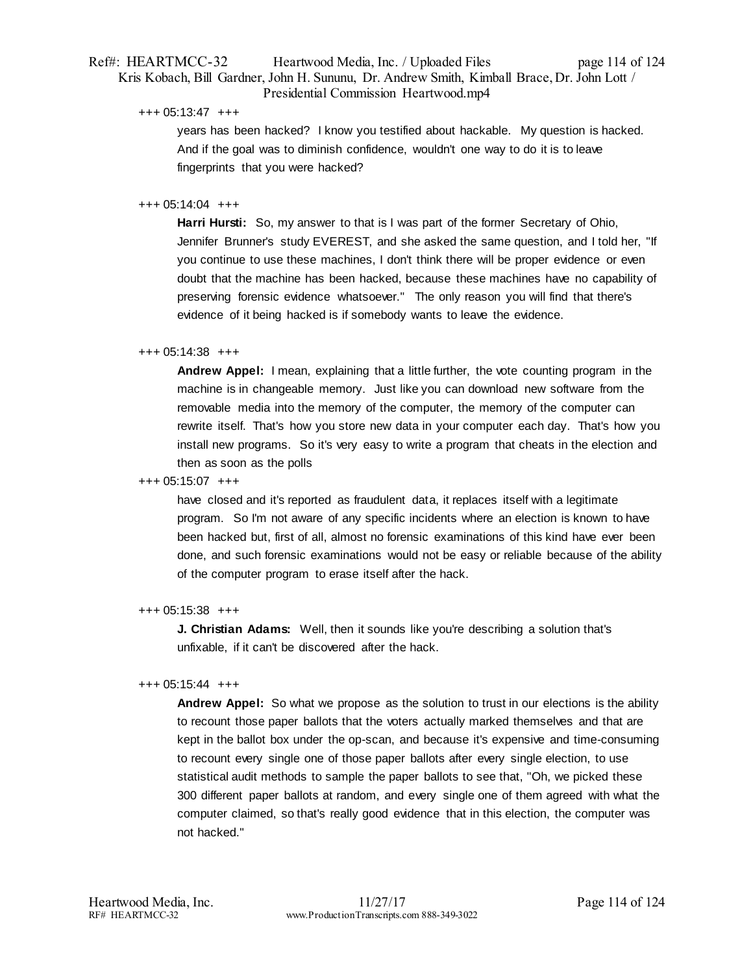# Ref#: HEARTMCC-32 Heartwood Media, Inc. / Uploaded Files page 114 of 124 Kris Kobach, Bill Gardner, John H. Sununu, Dr. Andrew Smith, Kimball Brace, Dr. John Lott / Presidential Commission Heartwood.mp4

+++ 05:13:47 +++

years has been hacked? I know you testified about hackable. My question is hacked. And if the goal was to diminish confidence, wouldn't one way to do it is to leave fingerprints that you were hacked?

# +++ 05:14:04 +++

**Harri Hursti:** So, my answer to that is I was part of the former Secretary of Ohio, Jennifer Brunner's study EVEREST, and she asked the same question, and I told her, "If you continue to use these machines, I don't think there will be proper evidence or even doubt that the machine has been hacked, because these machines have no capability of preserving forensic evidence whatsoever." The only reason you will find that there's evidence of it being hacked is if somebody wants to leave the evidence.

# +++ 05:14:38 +++

**Andrew Appel:** I mean, explaining that a little further, the vote counting program in the machine is in changeable memory. Just like you can download new software from the removable media into the memory of the computer, the memory of the computer can rewrite itself. That's how you store new data in your computer each day. That's how you install new programs. So it's very easy to write a program that cheats in the election and then as soon as the polls

#### +++ 05:15:07 +++

have closed and it's reported as fraudulent data, it replaces itself with a legitimate program. So I'm not aware of any specific incidents where an election is known to have been hacked but, first of all, almost no forensic examinations of this kind have ever been done, and such forensic examinations would not be easy or reliable because of the ability of the computer program to erase itself after the hack.

#### +++ 05:15:38 +++

**J. Christian Adams:** Well, then it sounds like you're describing a solution that's unfixable, if it can't be discovered after the hack.

#### +++ 05:15:44 +++

**Andrew Appel:** So what we propose as the solution to trust in our elections is the ability to recount those paper ballots that the voters actually marked themselves and that are kept in the ballot box under the op-scan, and because it's expensive and time-consuming to recount every single one of those paper ballots after every single election, to use statistical audit methods to sample the paper ballots to see that, "Oh, we picked these 300 different paper ballots at random, and every single one of them agreed with what the computer claimed, so that's really good evidence that in this election, the computer was not hacked."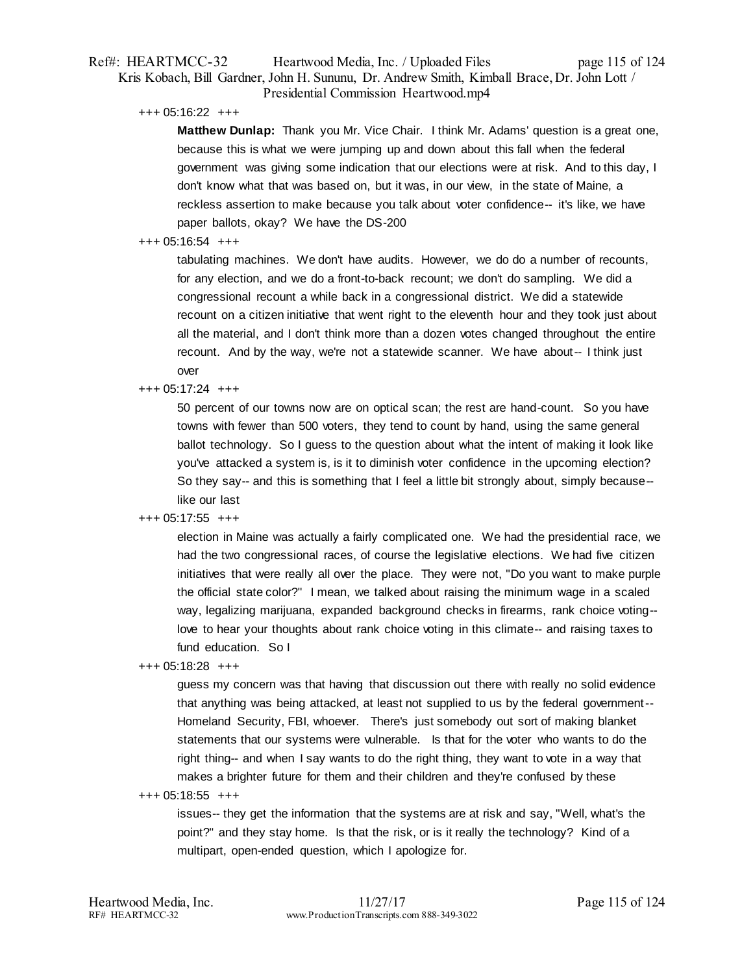# Ref#: HEARTMCC-32 Heartwood Media, Inc. / Uploaded Files page 115 of 124 Kris Kobach, Bill Gardner, John H. Sununu, Dr. Andrew Smith, Kimball Brace, Dr. John Lott / Presidential Commission Heartwood.mp4

+++ 05:16:22 +++

**Matthew Dunlap:** Thank you Mr. Vice Chair. I think Mr. Adams' question is a great one, because this is what we were jumping up and down about this fall when the federal government was giving some indication that our elections were at risk. And to this day, I don't know what that was based on, but it was, in our view, in the state of Maine, a reckless assertion to make because you talk about voter confidence-- it's like, we have paper ballots, okay? We have the DS-200

# +++ 05:16:54 +++

tabulating machines. We don't have audits. However, we do do a number of recounts, for any election, and we do a front-to-back recount; we don't do sampling. We did a congressional recount a while back in a congressional district. We did a statewide recount on a citizen initiative that went right to the eleventh hour and they took just about all the material, and I don't think more than a dozen votes changed throughout the entire recount. And by the way, we're not a statewide scanner. We have about-- I think just over

# +++ 05:17:24 +++

50 percent of our towns now are on optical scan; the rest are hand-count. So you have towns with fewer than 500 voters, they tend to count by hand, using the same general ballot technology. So I guess to the question about what the intent of making it look like you've attacked a system is, is it to diminish voter confidence in the upcoming election? So they say-- and this is something that I feel a little bit strongly about, simply because- like our last

# +++ 05:17:55 +++

election in Maine was actually a fairly complicated one. We had the presidential race, we had the two congressional races, of course the legislative elections. We had five citizen initiatives that were really all over the place. They were not, "Do you want to make purple the official state color?" I mean, we talked about raising the minimum wage in a scaled way, legalizing marijuana, expanded background checks in firearms, rank choice voting- love to hear your thoughts about rank choice voting in this climate-- and raising taxes to fund education. So I

+++ 05:18:28 +++

guess my concern was that having that discussion out there with really no solid evidence that anything was being attacked, at least not supplied to us by the federal government-- Homeland Security, FBI, whoever. There's just somebody out sort of making blanket statements that our systems were vulnerable. Is that for the voter who wants to do the right thing-- and when I say wants to do the right thing, they want to vote in a way that makes a brighter future for them and their children and they're confused by these

+++ 05:18:55 +++

issues-- they get the information that the systems are at risk and say, "Well, what's the point?" and they stay home. Is that the risk, or is it really the technology? Kind of a multipart, open-ended question, which I apologize for.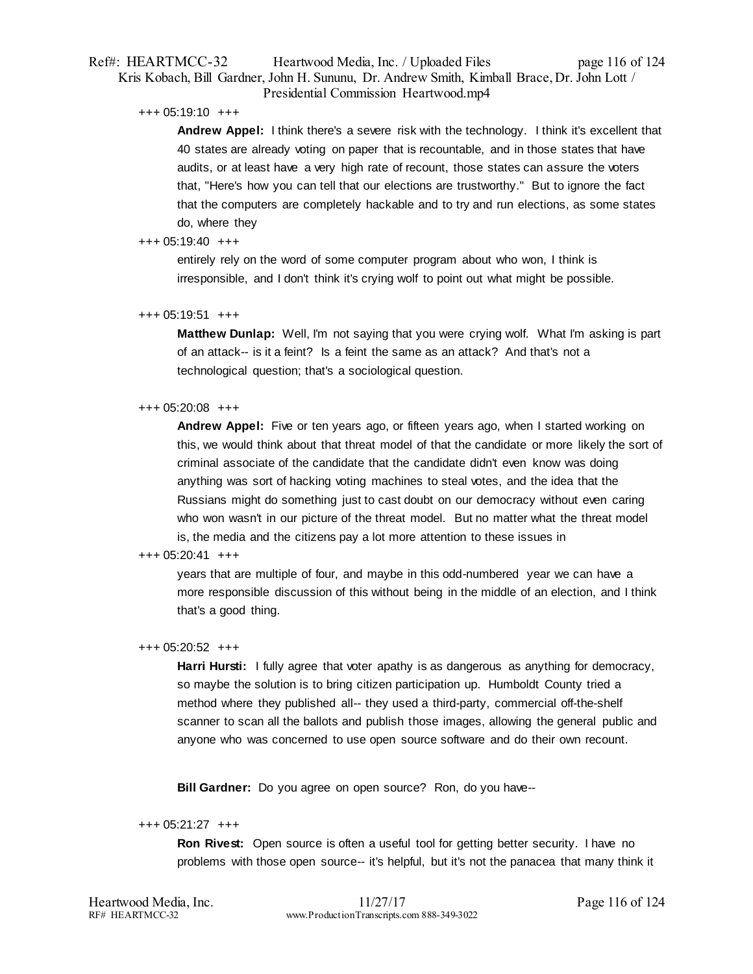# Ref#: HEARTMCC-32 Heartwood Media, Inc. / Uploaded Files page 116 of 124 Kris Kobach, Bill Gardner, John H. Sununu, Dr. Andrew Smith, Kimball Brace, Dr. John Lott / Presidential Commission Heartwood.mp4

#### +++ 05:19:10 +++

**Andrew Appel:** I think there's a severe risk with the technology. I think it's excellent that 40 states are already voting on paper that is recountable, and in those states that have audits, or at least have a very high rate of recount, those states can assure the voters that, "Here's how you can tell that our elections are trustworthy." But to ignore the fact that the computers are completely hackable and to try and run elections, as some states do, where they

# +++ 05:19:40 +++

entirely rely on the word of some computer program about who won, I think is irresponsible, and I don't think it's crying wolf to point out what might be possible.

# +++ 05:19:51 +++

**Matthew Dunlap:** Well, I'm not saying that you were crying wolf. What I'm asking is part of an attack-- is it a feint? Is a feint the same as an attack? And that's not a technological question; that's a sociological question.

# +++ 05:20:08 +++

**Andrew Appel:** Five or ten years ago, or fifteen years ago, when I started working on this, we would think about that threat model of that the candidate or more likely the sort of criminal associate of the candidate that the candidate didn't even know was doing anything was sort of hacking voting machines to steal votes, and the idea that the Russians might do something just to cast doubt on our democracy without even caring who won wasn't in our picture of the threat model. But no matter what the threat model is, the media and the citizens pay a lot more attention to these issues in

# +++ 05:20:41 +++

years that are multiple of four, and maybe in this odd-numbered year we can have a more responsible discussion of this without being in the middle of an election, and I think that's a good thing.

# +++ 05:20:52 +++

**Harri Hursti:** I fully agree that voter apathy is as dangerous as anything for democracy, so maybe the solution is to bring citizen participation up. Humboldt County tried a method where they published all-- they used a third-party, commercial off-the-shelf scanner to scan all the ballots and publish those images, allowing the general public and anyone who was concerned to use open source software and do their own recount.

**Bill Gardner:** Do you agree on open source? Ron, do you have--

## +++ 05:21:27 +++

**Ron Rivest:** Open source is often a useful tool for getting better security. I have no problems with those open source-- it's helpful, but it's not the panacea that many think it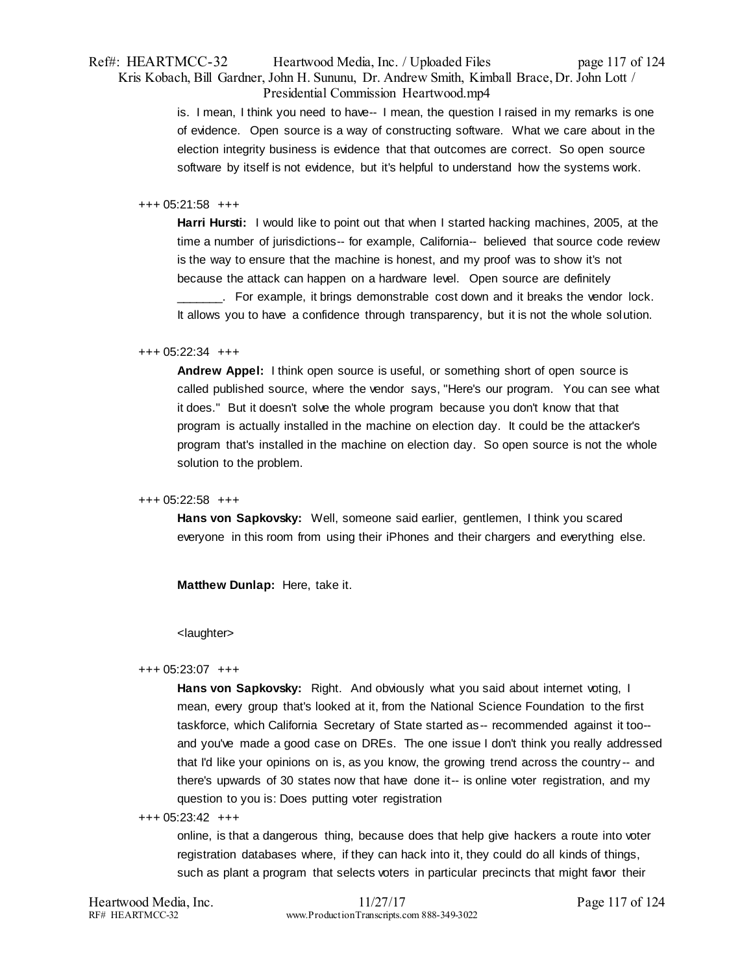# Ref#: HEARTMCC-32 Heartwood Media, Inc. / Uploaded Files page 117 of 124 Kris Kobach, Bill Gardner, John H. Sununu, Dr. Andrew Smith, Kimball Brace, Dr. John Lott / Presidential Commission Heartwood.mp4

is. I mean, I think you need to have-- I mean, the question I raised in my remarks is one of evidence. Open source is a way of constructing software. What we care about in the election integrity business is evidence that that outcomes are correct. So open source software by itself is not evidence, but it's helpful to understand how the systems work.

#### +++ 05:21:58 +++

**Harri Hursti:** I would like to point out that when I started hacking machines, 2005, at the time a number of jurisdictions-- for example, California-- believed that source code review is the way to ensure that the machine is honest, and my proof was to show it's not because the attack can happen on a hardware level. Open source are definitely

\_\_\_\_\_\_\_. For example, it brings demonstrable cost down and it breaks the vendor lock. It allows you to have a confidence through transparency, but it is not the whole solution.

#### +++ 05:22:34 +++

**Andrew Appel:** I think open source is useful, or something short of open source is called published source, where the vendor says, "Here's our program. You can see what it does." But it doesn't solve the whole program because you don't know that that program is actually installed in the machine on election day. It could be the attacker's program that's installed in the machine on election day. So open source is not the whole solution to the problem.

# +++ 05:22:58 +++

**Hans von Sapkovsky:** Well, someone said earlier, gentlemen, I think you scared everyone in this room from using their iPhones and their chargers and everything else.

**Matthew Dunlap:** Here, take it.

#### <laughter>

#### +++ 05:23:07 +++

Hans von Sapkovsky: Right. And obviously what you said about internet voting, I mean, every group that's looked at it, from the National Science Foundation to the first taskforce, which California Secretary of State started as-- recommended against it too- and you've made a good case on DREs. The one issue I don't think you really addressed that I'd like your opinions on is, as you know, the growing trend across the country -- and there's upwards of 30 states now that have done it-- is online voter registration, and my question to you is: Does putting voter registration

#### +++ 05:23:42 +++

online, is that a dangerous thing, because does that help give hackers a route into voter registration databases where, if they can hack into it, they could do all kinds of things, such as plant a program that selects voters in particular precincts that might favor their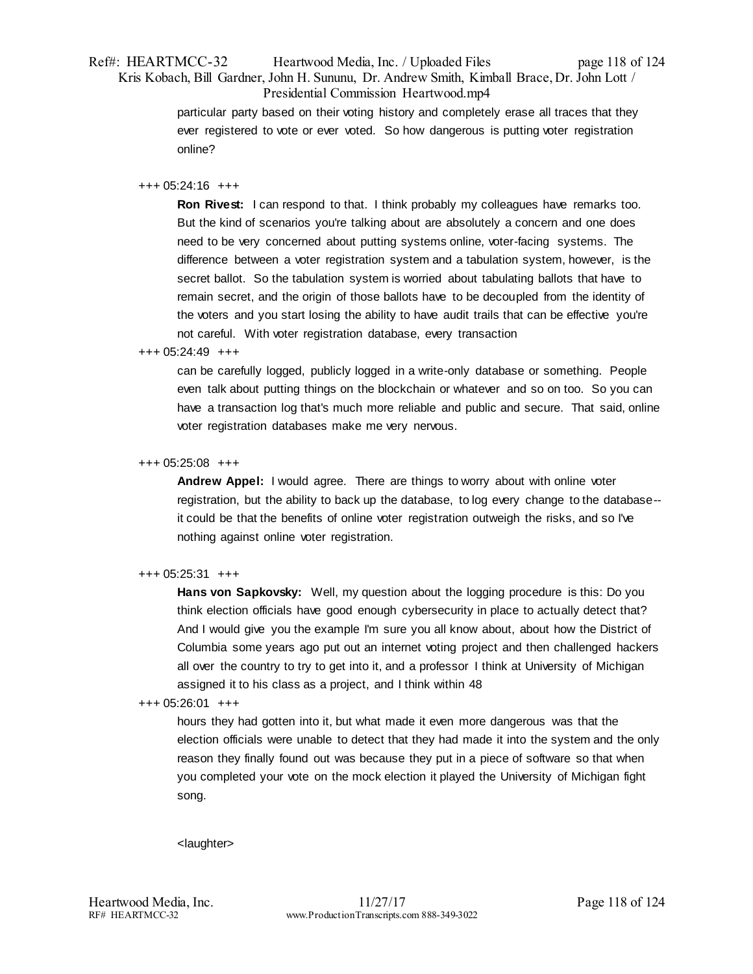# Ref#: HEARTMCC-32 Heartwood Media, Inc. / Uploaded Files page 118 of 124 Kris Kobach, Bill Gardner, John H. Sununu, Dr. Andrew Smith, Kimball Brace, Dr. John Lott / Presidential Commission Heartwood.mp4

particular party based on their voting history and completely erase all traces that they ever registered to vote or ever voted. So how dangerous is putting voter registration online?

# +++ 05:24:16 +++

**Ron Rivest:** I can respond to that. I think probably my colleagues have remarks too. But the kind of scenarios you're talking about are absolutely a concern and one does need to be very concerned about putting systems online, voter-facing systems. The difference between a voter registration system and a tabulation system, however, is the secret ballot. So the tabulation system is worried about tabulating ballots that have to remain secret, and the origin of those ballots have to be decoupled from the identity of the voters and you start losing the ability to have audit trails that can be effective you're not careful. With voter registration database, every transaction

# +++ 05:24:49 +++

can be carefully logged, publicly logged in a write-only database or something. People even talk about putting things on the blockchain or whatever and so on too. So you can have a transaction log that's much more reliable and public and secure. That said, online voter registration databases make me very nervous.

# +++ 05:25:08 +++

**Andrew Appel:** I would agree. There are things to worry about with online voter registration, but the ability to back up the database, to log every change to the database- it could be that the benefits of online voter registration outweigh the risks, and so I've nothing against online voter registration.

# +++ 05:25:31 +++

**Hans von Sapkovsky:** Well, my question about the logging procedure is this: Do you think election officials have good enough cybersecurity in place to actually detect that? And I would give you the example I'm sure you all know about, about how the District of Columbia some years ago put out an internet voting project and then challenged hackers all over the country to try to get into it, and a professor I think at University of Michigan assigned it to his class as a project, and I think within 48

# +++ 05:26:01 +++

hours they had gotten into it, but what made it even more dangerous was that the election officials were unable to detect that they had made it into the system and the only reason they finally found out was because they put in a piece of software so that when you completed your vote on the mock election it played the University of Michigan fight song.

#### <laughter>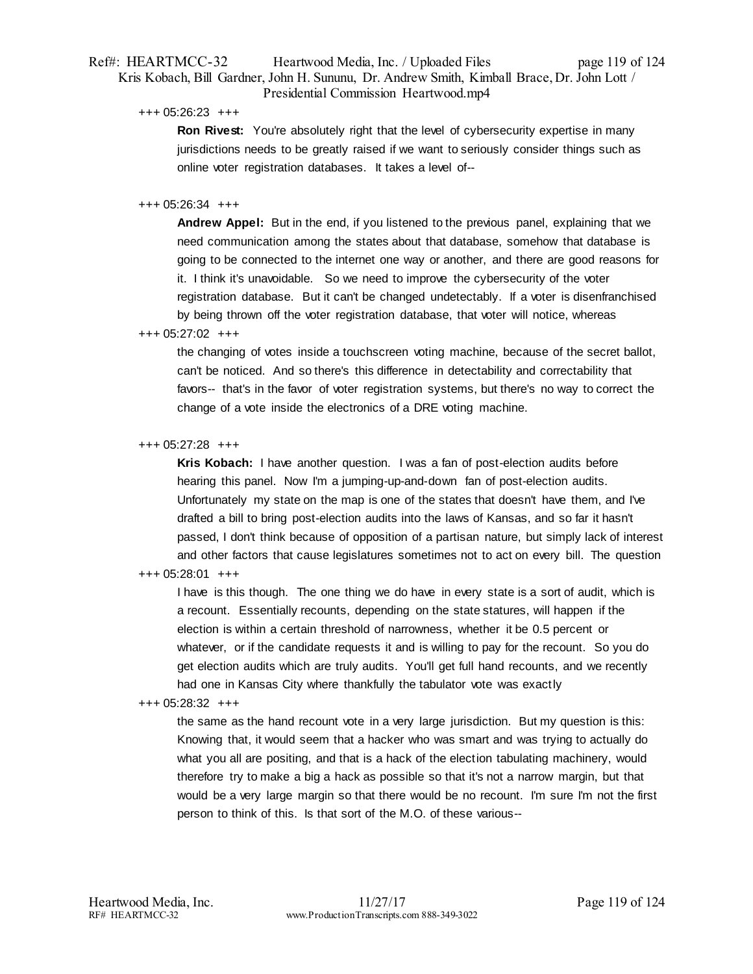# Ref#: HEARTMCC-32 Heartwood Media, Inc. / Uploaded Files page 119 of 124 Kris Kobach, Bill Gardner, John H. Sununu, Dr. Andrew Smith, Kimball Brace, Dr. John Lott / Presidential Commission Heartwood.mp4

+++ 05:26:23 +++

**Ron Rivest:** You're absolutely right that the level of cybersecurity expertise in many jurisdictions needs to be greatly raised if we want to seriously consider things such as online voter registration databases. It takes a level of--

# +++ 05:26:34 +++

**Andrew Appel:** But in the end, if you listened to the previous panel, explaining that we need communication among the states about that database, somehow that database is going to be connected to the internet one way or another, and there are good reasons for it. I think it's unavoidable. So we need to improve the cybersecurity of the voter registration database. But it can't be changed undetectably. If a voter is disenfranchised by being thrown off the voter registration database, that voter will notice, whereas

# +++ 05:27:02 +++

the changing of votes inside a touchscreen voting machine, because of the secret ballot, can't be noticed. And so there's this difference in detectability and correctability that favors-- that's in the favor of voter registration systems, but there's no way to correct the change of a vote inside the electronics of a DRE voting machine.

#### +++ 05:27:28 +++

**Kris Kobach:** I have another question. I was a fan of post-election audits before hearing this panel. Now I'm a jumping-up-and-down fan of post-election audits. Unfortunately my state on the map is one of the states that doesn't have them, and I've drafted a bill to bring post-election audits into the laws of Kansas, and so far it hasn't passed, I don't think because of opposition of a partisan nature, but simply lack of interest and other factors that cause legislatures sometimes not to act on every bill. The question

# +++ 05:28:01 +++

I have is this though. The one thing we do have in every state is a sort of audit, which is a recount. Essentially recounts, depending on the state statures, will happen if the election is within a certain threshold of narrowness, whether it be 0.5 percent or whatever, or if the candidate requests it and is willing to pay for the recount. So you do get election audits which are truly audits. You'll get full hand recounts, and we recently had one in Kansas City where thankfully the tabulator vote was exactly

#### +++ 05:28:32 +++

the same as the hand recount vote in a very large jurisdiction. But my question is this: Knowing that, it would seem that a hacker who was smart and was trying to actually do what you all are positing, and that is a hack of the election tabulating machinery, would therefore try to make a big a hack as possible so that it's not a narrow margin, but that would be a very large margin so that there would be no recount. I'm sure I'm not the first person to think of this. Is that sort of the M.O. of these various--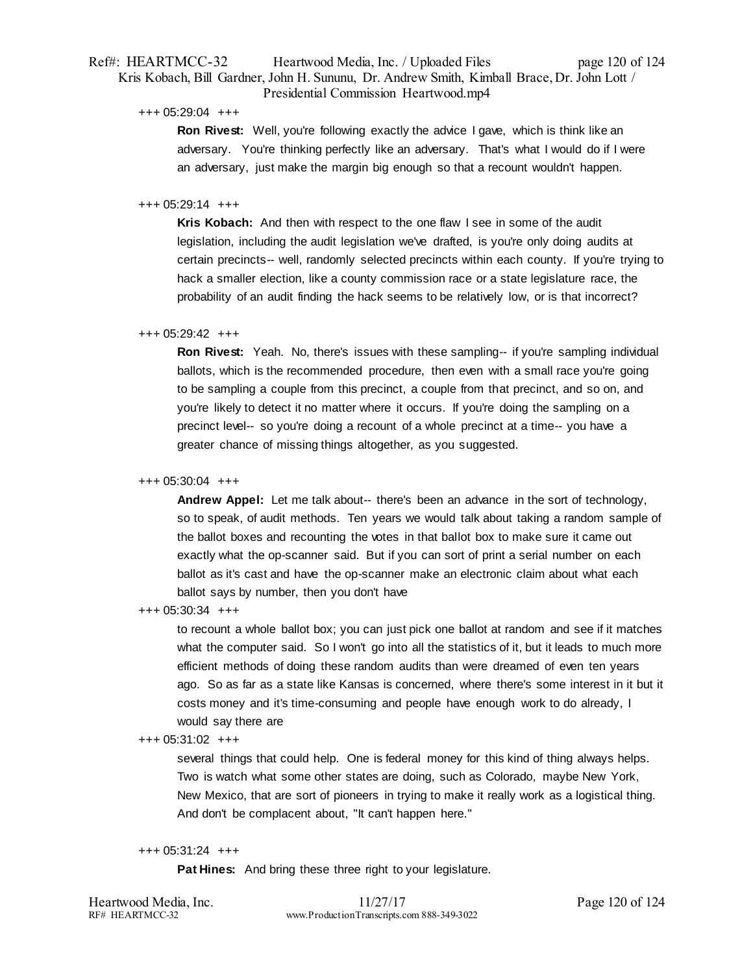# Ref#: HEARTMCC-32 Heartwood Media, Inc. / Uploaded Files page 120 of 124 Kris Kobach, Bill Gardner, John H. Sununu, Dr. Andrew Smith, Kimball Brace, Dr. John Lott / Presidential Commission Heartwood.mp4

+++ 05:29:04 +++

**Ron Rivest:** Well, you're following exactly the advice I gave, which is think like an adversary. You're thinking perfectly like an adversary. That's what I would do if I were an adversary, just make the margin big enough so that a recount wouldn't happen.

# +++ 05:29:14 +++

**Kris Kobach:** And then with respect to the one flaw I see in some of the audit legislation, including the audit legislation we've drafted, is you're only doing audits at certain precincts-- well, randomly selected precincts within each county. If you're trying to hack a smaller election, like a county commission race or a state legislature race, the probability of an audit finding the hack seems to be relatively low, or is that incorrect?

# +++ 05:29:42 +++

**Ron Rivest:** Yeah. No, there's issues with these sampling-- if you're sampling individual ballots, which is the recommended procedure, then even with a small race you're going to be sampling a couple from this precinct, a couple from that precinct, and so on, and you're likely to detect it no matter where it occurs. If you're doing the sampling on a precinct level-- so you're doing a recount of a whole precinct at a time-- you have a greater chance of missing things altogether, as you suggested.

#### +++ 05:30:04 +++

**Andrew Appel:** Let me talk about-- there's been an advance in the sort of technology, so to speak, of audit methods. Ten years we would talk about taking a random sample of the ballot boxes and recounting the votes in that ballot box to make sure it came out exactly what the op-scanner said. But if you can sort of print a serial number on each ballot as it's cast and have the op-scanner make an electronic claim about what each ballot says by number, then you don't have

+++ 05:30:34 +++

to recount a whole ballot box; you can just pick one ballot at random and see if it matches what the computer said. So I won't go into all the statistics of it, but it leads to much more efficient methods of doing these random audits than were dreamed of even ten years ago. So as far as a state like Kansas is concerned, where there's some interest in it but it costs money and it's time-consuming and people have enough work to do already, I would say there are

#### +++ 05:31:02 +++

several things that could help. One is federal money for this kind of thing always helps. Two is watch what some other states are doing, such as Colorado, maybe New York, New Mexico, that are sort of pioneers in trying to make it really work as a logistical thing. And don't be complacent about, "It can't happen here."

#### +++ 05:31:24 +++

**Pat Hines:** And bring these three right to your legislature.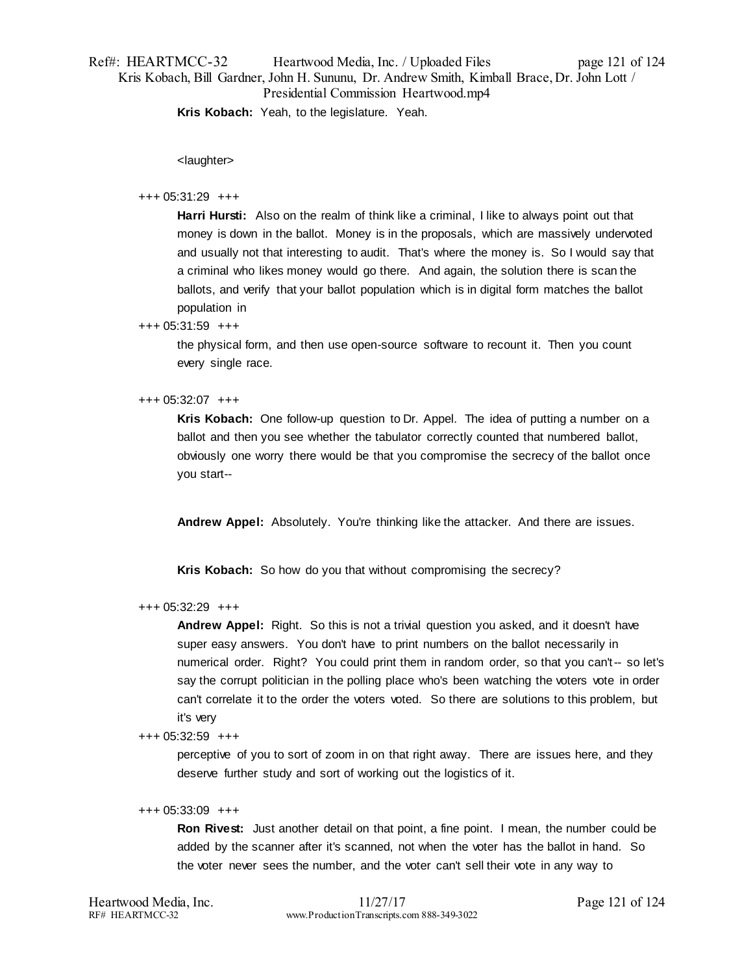# Ref#: HEARTMCC-32 Heartwood Media, Inc. / Uploaded Files page 121 of 124 Kris Kobach, Bill Gardner, John H. Sununu, Dr. Andrew Smith, Kimball Brace, Dr. John Lott / Presidential Commission Heartwood.mp4

**Kris Kobach:** Yeah, to the legislature. Yeah.

<laughter>

# +++ 05:31:29 +++

**Harri Hursti:** Also on the realm of think like a criminal, I like to always point out that money is down in the ballot. Money is in the proposals, which are massively undervoted and usually not that interesting to audit. That's where the money is. So I would say that a criminal who likes money would go there. And again, the solution there is scan the ballots, and verify that your ballot population which is in digital form matches the ballot population in

# +++ 05:31:59 +++

the physical form, and then use open-source software to recount it. Then you count every single race.

# +++ 05:32:07 +++

**Kris Kobach:** One follow-up question to Dr. Appel. The idea of putting a number on a ballot and then you see whether the tabulator correctly counted that numbered ballot, obviously one worry there would be that you compromise the secrecy of the ballot once you start--

**Andrew Appel:** Absolutely. You're thinking like the attacker. And there are issues.

**Kris Kobach:** So how do you that without compromising the secrecy?

# +++ 05:32:29 +++

**Andrew Appel:** Right. So this is not a trivial question you asked, and it doesn't have super easy answers. You don't have to print numbers on the ballot necessarily in numerical order. Right? You could print them in random order, so that you can't-- so let's say the corrupt politician in the polling place who's been watching the voters vote in order can't correlate it to the order the voters voted. So there are solutions to this problem, but it's very

+++ 05:32:59 +++

perceptive of you to sort of zoom in on that right away. There are issues here, and they deserve further study and sort of working out the logistics of it.

## +++ 05:33:09 +++

**Ron Rivest:** Just another detail on that point, a fine point. I mean, the number could be added by the scanner after it's scanned, not when the voter has the ballot in hand. So the voter never sees the number, and the voter can't sell their vote in any way to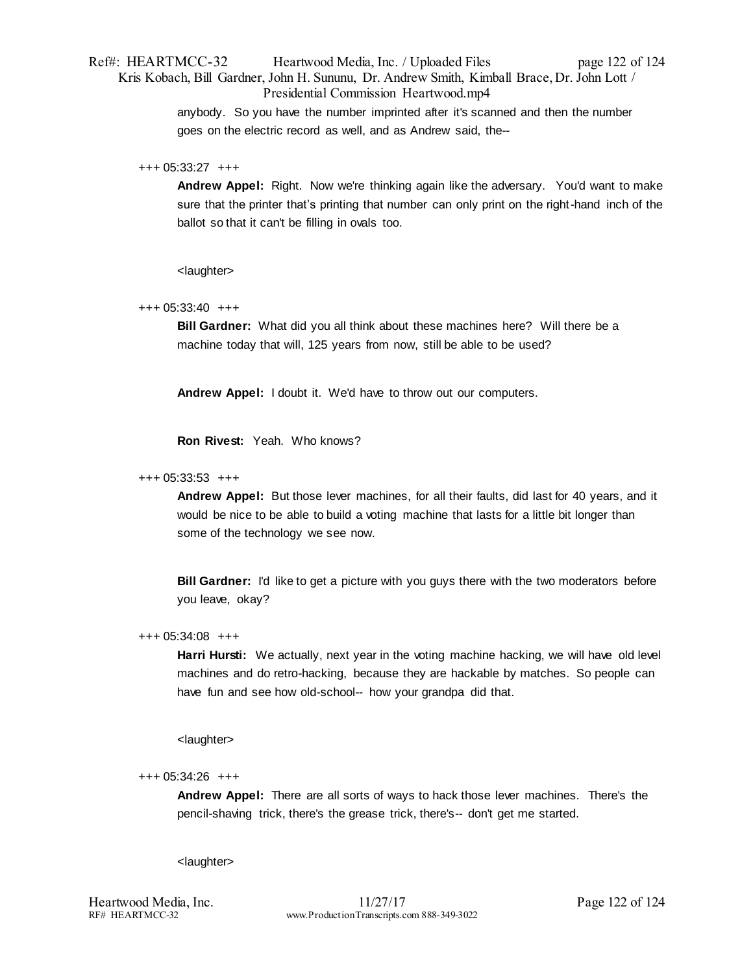Ref#: HEARTMCC-32 Heartwood Media, Inc. / Uploaded Files page 122 of 124 Kris Kobach, Bill Gardner, John H. Sununu, Dr. Andrew Smith, Kimball Brace, Dr. John Lott / Presidential Commission Heartwood.mp4

> anybody. So you have the number imprinted after it's scanned and then the number goes on the electric record as well, and as Andrew said, the--

#### +++ 05:33:27 +++

**Andrew Appel:** Right. Now we're thinking again like the adversary. You'd want to make sure that the printer that's printing that number can only print on the right-hand inch of the ballot so that it can't be filling in ovals too.

<laughter>

# +++ 05:33:40 +++

**Bill Gardner:** What did you all think about these machines here? Will there be a machine today that will, 125 years from now, still be able to be used?

**Andrew Appel:** I doubt it. We'd have to throw out our computers.

**Ron Rivest:** Yeah. Who knows?

#### +++ 05:33:53 +++

**Andrew Appel:** But those lever machines, for all their faults, did last for 40 years, and it would be nice to be able to build a voting machine that lasts for a little bit longer than some of the technology we see now.

**Bill Gardner:** I'd like to get a picture with you guys there with the two moderators before you leave, okay?

#### +++ 05:34:08 +++

**Harri Hursti:** We actually, next year in the voting machine hacking, we will have old level machines and do retro-hacking, because they are hackable by matches. So people can have fun and see how old-school-- how your grandpa did that.

<laughter>

#### +++ 05:34:26 +++

**Andrew Appel:** There are all sorts of ways to hack those lever machines. There's the pencil-shaving trick, there's the grease trick, there's-- don't get me started.

<laughter>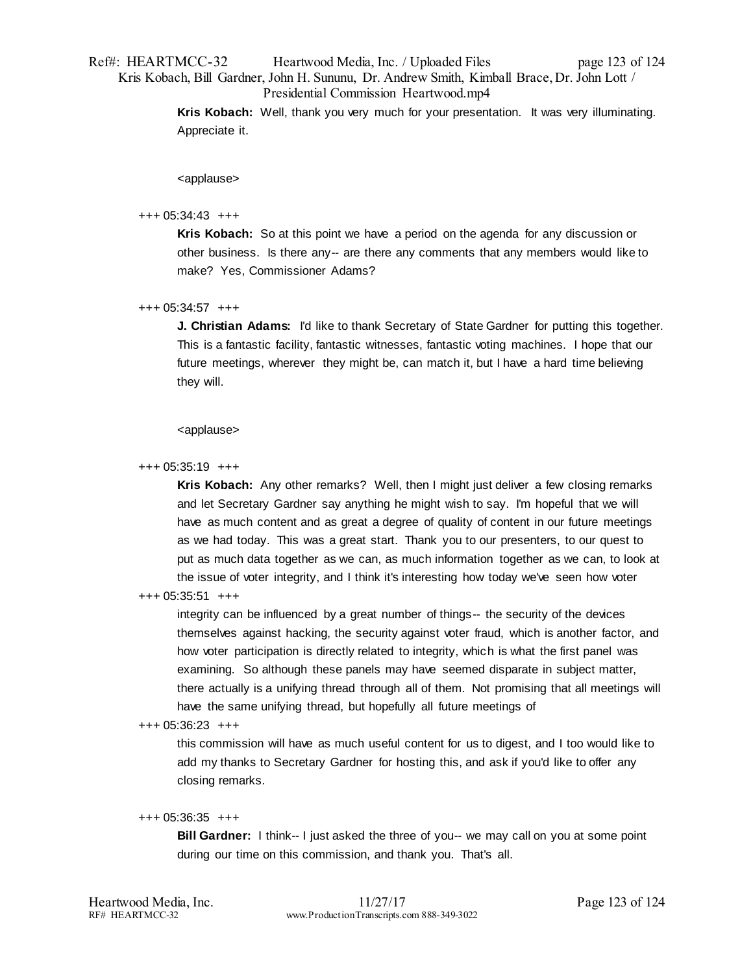# Ref#: HEARTMCC-32 Heartwood Media, Inc. / Uploaded Files page 123 of 124 Kris Kobach, Bill Gardner, John H. Sununu, Dr. Andrew Smith, Kimball Brace, Dr. John Lott / Presidential Commission Heartwood.mp4

**Kris Kobach:** Well, thank you very much for your presentation. It was very illuminating. Appreciate it.

<applause>

# +++ 05:34:43 +++

**Kris Kobach:** So at this point we have a period on the agenda for any discussion or other business. Is there any-- are there any comments that any members would like to make? Yes, Commissioner Adams?

# +++ 05:34:57 +++

**J. Christian Adams:** I'd like to thank Secretary of State Gardner for putting this together. This is a fantastic facility, fantastic witnesses, fantastic voting machines. I hope that our future meetings, wherever they might be, can match it, but I have a hard time believing they will.

#### <applause>

# +++ 05:35:19 +++

**Kris Kobach:** Any other remarks? Well, then I might just deliver a few closing remarks and let Secretary Gardner say anything he might wish to say. I'm hopeful that we will have as much content and as great a degree of quality of content in our future meetings as we had today. This was a great start. Thank you to our presenters, to our quest to put as much data together as we can, as much information together as we can, to look at the issue of voter integrity, and I think it's interesting how today we've seen how voter

# +++ 05:35:51 +++

integrity can be influenced by a great number of things-- the security of the devices themselves against hacking, the security against voter fraud, which is another factor, and how voter participation is directly related to integrity, which is what the first panel was examining. So although these panels may have seemed disparate in subject matter, there actually is a unifying thread through all of them. Not promising that all meetings will have the same unifying thread, but hopefully all future meetings of

#### +++ 05:36:23 +++

this commission will have as much useful content for us to digest, and I too would like to add my thanks to Secretary Gardner for hosting this, and ask if you'd like to offer any closing remarks.

#### +++ 05:36:35 +++

**Bill Gardner:** I think-- I just asked the three of you-- we may call on you at some point during our time on this commission, and thank you. That's all.